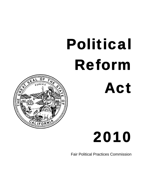# Political Reform Act



## 2010

Fair Political Practices Commission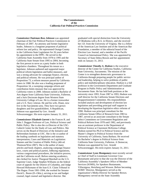### **The Commissioners of the California Fair Political Practices Commission**

*Commission Chairman Ross Johnson* was appointed chairman of the Fair Political Practices Commission in February of 2007. An attorney and former legislative leader, Johnson is a longtime proponent of political reform law and policy. He represented Orange County in the California State Legislature for 26 years before his appointment to the FPPC. He served in the California State Assembly from 1978 to 1995 and the California State Senate from 1995 to 2004, becoming the first person to serve as a party leader in both legislative chambers. Throughout his tenure as a legislator, Johnson authored and supported major political reform legislation and ballot measures, and was a strong advocate for campaign finance, election, and political reforms. He was principal author of Proposition 73, a reform measure passed by California voters in 1988. He also was a leading proponent of Proposition 34, a sweeping campaign reform and contribution limits measure that was approved by California voters in 2000. Johnson earned a Bachelor of Arts degree from California State University, Fullerton, and a Juris Doctorate degree from Western State University College of Law. He is a former ironworker and a U.S. Navy veteran. He and his wife, Diane, now live in the Sacramento area. They have two grown daughters and five grandchildren. A Republican, Johnson was appointed by Gov. Arnold Schwarzenegger. His term expires January 31, 2011.

*Commissioner Elizabeth Garrett* is the Frances R. and John J. Duggan Professor of Law, Political Science and Public Policy. She is also the co-Director of the USC-Caltech Center for the Study of Law and Politics. She serves on the Board of Directors of the Initiative and Referendum Institute at USC. She is the co-author of the leading casebook on legislation and statutory interpretation, Cases and Materials on Legislation: Statutes and the Creation of Public Policy (4th ed. Thomson/West 2007). She is the author of many articles and book chapters, analyzing campaign finance laws, courts and political parties, lobbying regulations, various congressional procedures, the initiative process, and the California recall. Before entering academics, she clerked for Justice Thurgood Marshall on the U.S. Supreme Court, Judge Stephen Williams on the federal court of appeals for the District of Columbia, and Judge Howard Holtzmann of the Iran-U.S. Claim Tribunal in The Hague. From 1991-1994, she worked for Senator David L. Boren (D--Okla.), serving as tax and budget counsel, legal counsel and legislative director. She

graduated with special distinction from the University of Oklahoma with a B.A. in History, and she received her J.D. from the University of Virginia. She is a fellow of the American Law Institute and of the American Bar Foundation, a member of the editorial board of the Election Law Journal, and a member of the Pacific Council on International Policy. She was appointed by Secretary of State Debra Bowen and her appointment ends on January 31, 2013.

*Commissioner Timothy A. Hodson* is the executive director of the Center for California Studies, California State University, Sacramento. The mission of the Center is to strengthen democratic governance in California through preparing people for public service and leadership, helping to solve problems of public policy and multidisciplinary education. Hodson is a full professor in the Government Department and Graduate Program in Public Policy and Administration at Sacramento State. He has held both positions at the university since 1993. From 1987 to 1993, Hodson was staff director for the California Senate Elections and Reapportionment Committee. His responsibilities included analysis and development of election law legislation and providing principal staff support in developing the bipartisan legislative ethics reforms of 1990. Hodson was principal consultant for the California Senate Office of Research from 1983 to 1987, served as an associate consultant to the Senate Select Committees on Government Regulation and Political Reform from 1978 until 1982, and previously was an assistant professor in the Department of Political Science at Claremont McKenna College. Hodson earned his Ph.D in Political Science and his Master's Degree in Political Science from the University of California, Santa Barbara. He received his Bachelor's degree in Political Science from California State University, Fullerton. A Democrat, Hodson was appointed by Gov. Arnold Schwarzenegger. His term expires January 31, 2011.

*Commissioner Lynn Montgomery* most recently served as Chief of Staff to Lieutenant Governor Cruz Bustamante and prior to that she was the Director of the California Assembly's Speakers Office of Member Services (SOMS), for Speakers Bustamante, Villaraigosa, Hertzberg and Wesson. Before becoming SOMS' Director, Montgomery served as the organization's Media Director for Speaker Brown. Montgomery served on the State Assembly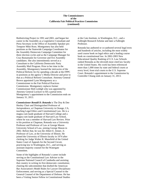Redistricting Project in 1991 and 2001, and began her career in the Assembly as a Legislative Consultant and Press Secretary in the Office of Assembly Speaker pro Tempore Mike Roos. Montgomery has also held positions as the Statewide Campaign Coordinator for the Assembly Democrats Campaign Committee for three election cycles and as the Campaign Manager for Cruz Bustamante for Governor and five Assembly candidates. She also intermittently served as a Consultant to the California Democratic Party Assembly Mail Program. Prior to her time in the Assembly, Montgomery learned the intricacies of the Political Reform Act by spending a decade at the FPPC in positions as the agency's Media Director and prior to that as a Political Reform Consultant. Attorney General Brown appointed Lynn Montgomery as a Commissioner to the Fair Political Practices Commission. Montgomery replaces former Commissioner Bob Leidigh who was appointed by Attorney General Lockyer to fill a partial term. Montgomery's appointment to the Commission ends on January 31, 2013.

*Commissioner Ronald D. Rotunda* is The Doy & Dee Henley Chair and Distinguished Professor of Jurisprudence, at Chapman University in Orange, CA, teaching Legal Ethics and Constitutional Law. He is a magna cum laude graduate of Harvard College and a magna cum laude graduate of Harvard Law School, where he was a member of Harvard Law Review. Prior to his position at Chapman, Rotunda was a University Professor and Professor of Law at George Mason University School of Law, joining George Mason in 2002. Before that, he was the Albert E. Jenner, Jr. Professor of Law, at the University of Illinois. He joined the University of Illinois faculty in 1974 after clerking for Judge Walter R. Mansfield of the United States Court of Appeals for the Second Circuit, practicing law in Washington, D.C., and serving as assistant majority counsel for the Watergate Committee.

Some of the highlights of Rotunda's career include serving as the Constitutional Law Adviser to the Supreme National Council of Cambodia and assisting that country in writing its first democratic constitution; chairing the subcommittee that drafted the American Bar Association's Model Rules for Lawyer Disciplinary Enforcement; and serving as a Special Counsel to the General Counsel of the Department of Defense. He has been a Visiting Senior Fellow in Constitutional Studies

at the Cato Institute, in Washington, D.C., and a Fulbright Research Scholar and later a Fulbright Professor.

Rotunda has authored or co-authored several legal texts and hundreds of articles, including the most widely used course book on legal ethics and a leading course book on constitutional law. In 2002-2003 New Educational Quality Ranking of U.S. Law Schools ranked Rotunda as the eleventh most cited law faculty in the United States. His work has been referenced more than 1,000 times by state and federal courts at every level, from trial courts to the U.S. Supreme Court. Rotunda's appointment to the Commission by Controller Chiang ends on January 31, 2013.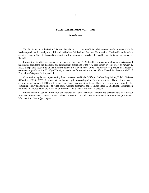### **POLITICAL REFORM ACT — 2010**

### *Introduction*

This 2010 version of the Political Reform Act (the "Act") is not an official publication of the Government Code. It has been produced for use by the public and staff of the Fair Political Practices Commission. The boldface title before each Government Code Section and the histories following some sections have been added for clarity and are not part of the Act.

Proposition 34, which was passed by the voters on November 7, 2000, added new campaign finance provisions and made some changes to the disclosure and enforcement provisions of the Act. Proposition 34 took effect on January 1, 2001, except that Section 83 of the measure deferred to November 6, 2002, applicability of portions of Chapter 5 (commencing with Section 85100) of Title 9, to candidates for statewide elective office. Uncodified Sections 83-86 of Proposition 34 appear in Appendix I.

Commission regulations implementing the Act are contained in the California Code of Regulations, Title 2, Division 6 (Sections 18110-18997). References to applicable regulations and opinions follow each statute. These references were accurate as of January 1, 2010, but changes may have occurred since then. Thus, the references are provided for convenience only and should not be relied upon. Opinion summaries appear in Appendix II. In addition, Commission opinions and advice letters are available on Westlaw, Lexis-Nexis, and FPPC's website.

If you need more detailed information or have questions about the Political Reform Act, please call the Fair Political Practices Commission at 1-866-275-3772. The Commission is located at 428 J Street, Ste. 620, Sacramento, CA 95814. Web site: *http://www.fppc.ca.gov*.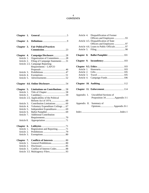## 4 **CONTENTS**

| Chapter 1. |                                             |
|------------|---------------------------------------------|
| Chapter 2. |                                             |
| Chapter 3. | <b>Fair Political Practices</b>             |
| Chapter 4. | Campaign Disclosure28                       |
| Article 1. | Organization of Committees28                |
| Article 2. | Filing of Campaign Statements 31            |
|            | Article 2.5. Campaign Reporting             |
|            | Requirements - LAFCO                        |
| Article 3. |                                             |
| Article 4. |                                             |
| Article 5. |                                             |
|            |                                             |
|            |                                             |
| Chapter 5. | <b>Limitations on Contributions</b> 58      |
| Article 1. |                                             |
| Article 2. |                                             |
|            | Article 2.5. Applicability of the Political |
|            |                                             |
| Article 3. | Contribution Limitations 60                 |
| Article 4. | Voluntary Expenditure Ceilings67            |
| Article 5. | Independent Expenditures  69                |
| Article 6. |                                             |
| Article 7. | <b>Additional Contribution</b>              |
|            |                                             |
| Article 8. |                                             |
| Chapter 6. |                                             |
| Article 1. | Registration and Reporting71                |
| Article 2. |                                             |
| Article 3. |                                             |
| Chapter 7. | Conflicts of Interests  80                  |
| Article 1. | General Prohibitions80                      |
| Article 2. |                                             |
| Article 3. | Conflict of Interest Codes88                |
|            |                                             |

|             | Article 4. Disqualification of Former                 |
|-------------|-------------------------------------------------------|
|             | Officers and Employees 93                             |
|             | Article 4.5. Disqualification of State                |
|             | Officers and Employees 97                             |
|             | Article 4.6. Loans to Public Officials97              |
|             |                                                       |
|             | Chapter 8. Ballot Pamphlet  101                       |
|             |                                                       |
|             |                                                       |
|             |                                                       |
|             |                                                       |
|             |                                                       |
| Article 4.  | Campaign Funds 106                                    |
|             |                                                       |
|             |                                                       |
| Appendix I. | Uncodified Sections of<br>Proposition 34 Appendix I-1 |
|             | Appendix II. Summary of                               |
|             |                                                       |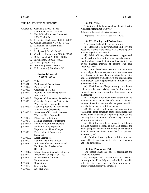### **TITLE 9. POLITICAL REFORM**

- Chapter 1. General. § 81000 81016
	- 2. Definitions. § 82000 82055
	- 3. Fair Political Practices Commission. § 83100 - 83124
	- 4. Campaign Disclosure. § 84100 84511
	- 4.6. Online Disclosure. § 84600 84612
	- 5. Limitations on Contributions. § 85100 - 85802
	- 6. Lobbyists. § 86100 86300
	- 7. Conflicts of Interests. § 87100 87500
	- 8. Ballot Pamphlet. § 88000 88007
	- 9. Incumbency. § 89000 89001
	- 9.5. Ethics. § 89500 89522
	- 10. Auditing. § 90000 90007
	- 11. Enforcement. § 91000 91015

### **Chapter 1. General. § 81000 - 81016**

| \$81000.   | Title.                                   |
|------------|------------------------------------------|
| \$81001.   | Findings and Declarations.               |
| § 81002.   | Purposes of Title.                       |
| \$81003.   | Construction of Title.                   |
| \$81004.   | Reports and Statements; Perjury;         |
|            | Verification.                            |
| § 81004.5. | Reports and Statements; Amendments.      |
| \$81005.   | Campaign Reports and Statements;         |
|            | Where to File. [Repealed]                |
| § 81005.1. | Lobbying Reports and Statements;         |
|            | Where to File. [Repealed]                |
| \$81005.2. | <b>Statements of Economic Interests;</b> |
|            | Where to File. [Repealed]                |
| § 81006.   | Filing Fees Prohibition.                 |
| \$81007.   | Mailing of Report or Statement.          |
| § 81007.5. | Faxing of Report or Statement.           |
| § 81008.   | Public Records; Inspection;              |
|            | Reproduction; Time; Charges.             |
| \$81009.   | Preservation of Reports and              |
|            | Statements.                              |
| § 81009.5. | Local Ordinances.                        |
| \$81010.   | Duties of the Filing Officer.            |
| \$81011.   | Valuation of Goods, Services and         |
|            | Facilities; Fair Market Value.           |
|            | [Repealed]                               |
| § 81011.5. | Information on Statewide Petitions.      |
| \$81012.   | Amendment or Repeal of Title.            |
| \$81013.   | <b>Imposition of Additional</b>          |
|            | Requirements.                            |
| § 81014.   | Regulations.                             |
|            |                                          |

- § 81015. Severability.
- § 81016. Effective Date.

### **§ 81000. Title.**

This title shall be known and may be cited as the "Political Reform Act of 1974."

References at the time of publication (see page 3):

Regulations: 2 Cal. Code of Regs. Section 18200

### **§ 81001. Findings and Declarations.**

The people find and declare as follows:

(a) State and local government should serve the needs and respond to the wishes of all citizens equally, without regard to their wealth;

(b) Public officials, whether elected or appointed, should perform their duties in an impartial manner, free from bias caused by their own financial interests or the financial interests of persons who have supported them;

(c) Costs of conducting election campaigns have increased greatly in recent years, and candidates have been forced to finance their campaigns by seeking large contributions from lobbyists and organizations who thereby gain disproportionate influence over governmental decisions;

(d) The influence of large campaign contributors is increased because existing laws for disclosure of campaign receipts and expenditures have proved to be inadequate;

(e) Lobbyists often make their contributions to incumbents who cannot be effectively challenged because of election laws and abusive practices which give the incumbent an unfair advantage;

(f) The wealthy individuals and organizations which make large campaign contributions frequently extend their influence by employing lobbyists and spending large amounts to influence legislative and administrative actions;

(g) The influence of large campaign contributors in ballot measure elections is increased because the ballot pamphlet mailed to the voters by the state is difficult to read and almost impossible for a layman to understand; and

(h) Previous laws regulating political practices have suffered from inadequate enforcement by state and local authorities.

### **§ 81002. Purposes of Title.**

The people enact this title to accomplish the following purposes:

(a) Receipts and expenditures in election campaigns should be fully and truthfully disclosed in order that the voters may be fully informed and improper practices may be inhibited.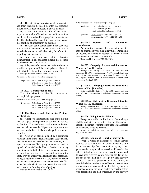(b) The activities of lobbyists should be regulated and their finances disclosed in order that improper influences will not be directed at public officials.

(c) Assets and income of public officials which may be materially affected by their official actions should be disclosed and in appropriate circumstances the officials should be disqualified from acting in order that conflicts of interest may be avoided.

(d) The state ballot pamphlet should be converted into a useful document so that voters will not be entirely dependent on paid advertising for information regarding state measures.

(e) Laws and practices unfairly favoring incumbents should be abolished in order that elections may be conducted more fairly.

(f) Adequate enforcement mechanisms should be provided to public officials and private citizens in order that this title will be vigorously enforced.

History: Amended by Stats. 1980, Ch. 289. References at the time of publication (see page 3):

Regulations: 2 Cal. Code of Regs. Section 18702 2 Cal. Code of Regs. Section 18702.1 2 Cal. Code of Regs. Section 18708

### **§ 81003. Construction of Title.**

This title should be liberally construed to accomplish its purposes.

References at the time of publication (see page 3):

Regulations: 2 Cal. Code of Regs. Section 18702 2 Cal. Code of Regs. Section 18702.1 2 Cal. Code of Regs. Section 18708

### **§ 81004. Reports and Statements; Perjury; Verification.**

(a) All reports and statements filed under this title shall be signed under penalty of perjury and verified by the filer. The verification shall state that the filer has used all reasonable diligence in its preparation, and that to the best of his knowledge it is true and complete.

(b) A report or statement filed by a committee which qualifies under subdivision (a) of Section 82013 shall be signed and verified by the treasurer, and a report or statement filed by any other person shall be signed and verified by the filer. If the filer is an entity other than an individual, the report or statement shall be signed and verified by a responsible officer of the entity or by an attorney or a certified public accountant acting as agent for the entity. Every person who signs and verifies any report or statement required to be filed under this title which contains material matter which he knows to be false is guilty of perjury.

History: Amended by Stats. 1985, Ch. 775.

References at the time of publication (see page 3):

|           | Regulations: 2 Cal. Code of Regs. Section 18426.1                            |
|-----------|------------------------------------------------------------------------------|
|           | 2 Cal. Code of Regs. Section 18427                                           |
|           | 2 Cal. Code of Regs. Section 18539.2                                         |
| Opinions: | In re Layton (1975) 1 FPPC Ops. 113<br>In re Augustine (1975) 1 FPPC Ops. 69 |

### **§ 81004.5. Reports and Statements; Amendments.**

Any report or statement filed pursuant to this title may be amended by the filer at any time. Amending an incorrect or incomplete report or statement may be considered as evidence of good faith.

History: Added by Stats. 1976, Ch. 1161.

### **§ 81005. Campaign Reports and Statements; Where to File. [Repealed]**

History: Amended by Stats. 1975, Ch. 915, effective September 20, 1975, operative January 7, 1975; amended by Stats. 1976, Ch. 415, effective July 10, 1976; amended by Stats. 1977, Ch. 1193; repealed by Stats. 1980, Ch. 289. (Reenacted as amended and renumbered Section 84215.)

### **§ 81005.1. Lobbying Reports and Statements; Where to File. [Repealed]**

History: Added by Stats. 1977, Ch. 1193; repealed by Stats. 1979, Ch. 592. (Reenacted as amended and renumbered Section 86111.)

### **§ 81005.2. Statements of Economic Interests; Where to File. [Repealed]**

History: Added by Stats. 1977, Ch. 1193; repealed by Stats. 1979, Ch. 674. (Reenacted as amended and renumbered Section 87500.)

### **§ 81006. Filing Fees Prohibition.**

Except as provided in this title, no fee or charge shall be collected by any officer for the filing of any report or statement or for the forms upon which reports or statements are to be prepared.

History: Amended by Stats. 1985, Ch. 1183, effective September 29, 1985.

### **§ 81007. Mailing of Report or Statement.**

When a report or statement or copies thereof required to be filed with any officer under this title have been sent by first-class mail or by any other guaranteed overnight delivery service addressed to the officer, it shall for purposes of any deadline be deemed to have been received by him or her on the date of the deposit in the mail or of receipt by that delivery service. It shall be presumed until the contrary is established that any date stamped by the post office on the envelope or contained on the delivery service receipt containing the report or statement is the date it was deposited in the mail or received by the delivery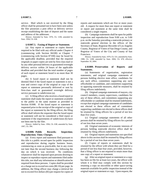service. Mail which is not received by the filing officer shall be presumed not to have been sent unless the filer possesses a post office or delivery service receipt establishing the date of deposit and the name and address of the addressee.

History: Amended by Stats. 1976, Ch. 1106; amended by Stats. 1994, Ch. 638.

### **§ 81007.5. Faxing of Report or Statement.**

(a) Any report or statement or copies thereof required to be filed with any official under Chapter 4 (commencing with Section 84100) or Chapter 7 (commencing with Section 87100) may be faxed by the applicable deadline, provided that the required originals or paper copies are sent by first-class mail or by any other personal delivery or guaranteed overnight delivery service within 24 hours of the applicable deadline and provided that the total number of pages of each report or statement faxed is no more than 30 pages.

(b) A faxed report or statement shall not be deemed filed if the faxed report or statement is not a true and correct copy of the original or copy of the report or statement personally delivered or sent by first-class mail or guaranteed overnight delivery service pursuant to subdivision (a).

(c) A filing officer who receives a faxed report or statement shall make the report or statement available to the public in the same manner as provided in Section 81008. If the faxed report or statement is requested prior to the receipt of the original or copy of the report or statement by the filing officer, the filing officer shall inform the requester that the faxed report or statement will not be considered a filed report or statement if the requirements of subdivision (b) have not been met by the filer.

History: Added by Stats. 1994, Ch. 638; amended by Stats. 1997, Ch. 394.

### **§ 81008. Public Records; Inspection; Reproduction; Time; Charges.**

(a) Every report and statement filed pursuant to this title is a public record open for public inspection and reproduction during regular business hours, commencing as soon as practicable, but in any event not later than the second business day following the day on which it was received. No conditions whatsoever shall be imposed upon persons desiring to inspect or reproduce reports and statements filed under this title, nor shall any information or identification be required from these persons. Copies shall be provided at a charge not to exceed ten cents (\$0.10) per page. In addition, the filing officer may charge a retrieval fee not to exceed five dollars (\$5) per request for copies of reports and statements which are five or more years old. A request for more than one report or statement or report and statement at the same time shall be considered a single request.

(b) Campaign statements shall be open for public inspection and reproduction from 9:00 a.m. to 5:00 p.m. on the Saturday preceding a statewide primary or statewide general election in the offices of the Secretary of State, Registrar-Recorder of Los Angeles County, Registrar of Voters of San Diego County, and Registrar of Voters of the City and County of San Francisco.

History: Amended by Stats. 1979, Ch. 531; amended by Stats. 1988, Ch. 1208; amended by Stats. 2004, Ch. 478, effective September 10, 2004.

### **§ 81009. Preservation of Reports and Statements.**

(a) Statements of organization, registration statements, and original campaign statements of persons holding elective state office, candidates for any such office, committees supporting any such officeholder or candidate, and committees supporting or opposing statewide measures, shall be retained by filing officers indefinitely.

(b) Original campaign statements of mayors, city council members, county supervisors, candidates for any of these offices, and committees supporting any officeholder or candidate shall be retained indefinitely, except that original campaign statements of candidates not elected to these offices and of committees supporting candidates not elected to these offices shall be retained by filing officers for a period of not less than five years.

(c) Original campaign statements of all other persons shall be retained by filing officers for a period of not less than seven years.

(d) Original statements of economic interests of persons holding statewide elective office shall be retained by filing officers indefinitely.

(e) Original reports and statements not specified above in this section shall be retained by filing officers for a period of not less than seven years.

(f) Copies of reports or statements shall be retained by the officer with whom they are filed for a period of not less than four years, provided, however, that a filing officer is not required to retain more than one copy of a report or statement.

(g) After an original report or statement or a copy has been on file for at least two years, the officer with whom it is filed may comply with this section by retaining a copy on microfilm or other space-saving materials available for public inspection instead of the original report or statement or copy. Upon request, the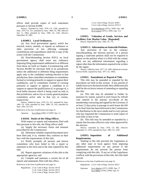officer shall provide copies of such statements pursuant to Section 81008.

History: Amended by Stats. 1976, Ch. 1106; amended by Stats. 1979, Ch. 531; amended by Stats. 1984, Ch. 390, effective July 11, 1984; amended by Stats. 1985; Ch. 1183, effective September 29, 1985.

### **§ 81009.5. Local Ordinances.**

(a) Any local government agency which has enacted, enacts, amends, or repeals an ordinance or other provision of law affecting campaign contributions and expenditures shall file a copy of the action with the Commission.

(b) Notwithstanding Section 81013, no local government agency shall enact any ordinance imposing filing requirements additional to or different from those set forth in Chapter 4 (commencing with Section 84100) for elections held in its jurisdiction unless the additional or different filing requirements apply only to the candidates seeking election in that jurisdiction, their controlled committees or committees formed or existing primarily to support or oppose their candidacies, and to committees formed or existing primarily to support or oppose a candidate or to support or oppose the qualification of, or passage of, a local ballot measure which is being voted on only in that jurisdiction, and to city or county general purpose committees active only in that city or county, respectively.

History: Added by Stats. 1979, Ch. 531; amended by Stats. 1985, Ch. 1456; amended by Stats. 1986, Ch. 542; amended by Stats. 1991, Ch. 674.

References at the time of publication (see page 3):

Opinions: In re Olson (2001) 15 FPPC Ops. 13

### **§ 81010. Duties of the Filing Officer.**

With respect to reports and statements filed with him pursuant to this title, the filing officer shall:

(a) Supply the necessary forms and manuals prescribed by the Commission;

(b) Determine whether required documents have been filed and, if so, whether they conform on their face with the requirements of this title;

(c) Notify promptly all persons and known committees who have failed to file a report or statement in the form and at the time required by this title;

(d) Report apparent violations of this title to the appropriate agencies; and

(e) Compile and maintain a current list of all reports and statements filed with this office.

References at the time of publication (see page 3):

Regulations: 2 Cal. Code of Regs. Section 18110 2 Cal. Code of Regs. Section 18115 2 Cal. Code of Regs. Section 18117 2 Cal. Code of Regs. Section 18363 2 Cal. Code of Regs. Section 18732.5

Opinions: In re Rundstrom (1975) 1 FPPC Ops. 188 In re Layton (1975) 1 FPPC Ops. 113

**§ 81011. Valuation of Goods, Services and Facilities; Fair Market Value. [Repealed]**

History: Repealed by Stats. 1985, Ch. 775.

### **§ 81011.5. Information on Statewide Petitions.**

Any provision of law to the contrary notwithstanding, the election precinct of a person signing a statewide petition shall not be required to appear on the petition when it is filed with the county clerk, nor any additional information regarding a signer other than the information required to be written by the signer.

History: Added by Stats. 1977, Ch. 1095; (Identical to former Section 85203, repealed by Stats. 1977, Ch. 1095).

### **§ 81012. Amendment or Repeal of Title.**

This title may be amended or repealed by the procedures set forth in this section. If any portion of subdivision (a) is declared invalid, then subdivision (b) shall be the exclusive means of amending or repealing this title.

(a) This title may be amended to further its purposes by statute, passed in each house by rollcall vote entered in the journal, two-thirds of the membership concurring and signed by the Governor, if at least 12 days prior to passage in each house the bill in its final form has been delivered to the Commission for distribution to the news media and to every person who has requested the Commission to send copies of such bills to him or her.

(b) This title may be amended or repealed by a statute that becomes effective only when approved by the electors.

History: Amended by Stats. 1976, Ch. 883, effective September 13, 1976; amended by Stats. 1985, Ch. 1200.

### **§ 81013. Imposition of Additional Requirements.**

Nothing in this title prevents the Legislature or any other state or local agency from imposing additional requirements on any person if the requirements do not prevent the person from complying with this title. If any act of the Legislature conflicts with the provisions of this title, this title shall prevail.

References at the time of publication (see page 3):

Regulations: 2 Cal. Code of Regs. Section 18312

Opinions: In re Alperin (1977) 3 FPPC Ops. 77 In re Miller (1976) 2 FPPC Ops. 91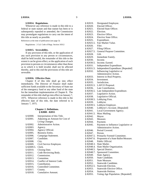### **§ 81014. Regulations.**

Whenever any reference is made in this title to a federal or state statute and that statute has been or is subsequently repealed or amended, the Commission may promulgate regulations to carry out the intent of this title as nearly as possible.

References at the time of publication (see page 3):

Regulations: 2 Cal. Code of Regs. Section 18312

### **§ 81015. Severability.**

If any provision of this title, or the application of any such provision to any person or circumstances, shall be held invalid, the remainder of this title to the extent it can be given effect, or the application of such provision to persons or circumstances other than those as to which it is held invalid, shall not be affected thereby, and to this end the provisions of this title are severable.

### **§ 81016. Effective Date.**

Chapter 8 of this title shall go into effect immediately. The Director of Finance shall make sufficient funds available to the Secretary of State out of the emergency fund or any other fund of the state for the immediate implementation of Chapter 8. The remainder of this title shall go into effect on January 7, 1975. Wherever reference is made in this title to the effective date of this title, the date referred to is January 7, 1975.

### **Chapter 2. Definitions. § 82000 - 82055**

| \$82000.   | Interpretation of this Title.       |
|------------|-------------------------------------|
| § 82001.   | Adjusting an Amount for Cost of     |
|            | Living Changes.                     |
| § 82002.   | Administrative Action.              |
| \$82003.   | Agency.                             |
| § 82004.   | Agency Official.                    |
| § 82005.   | Business Entity.                    |
| § 82006.   | Campaign Statement.                 |
|            | § 82007. Candidate.                 |
| § 82008.   | City.                               |
| \$82009.   | Civil Service Employee.             |
| § 82009.5. | Clerk.                              |
| \$82010.   | Closing Date.                       |
| § 82011.   | Code Reviewing Body.                |
| § 82012.   | Commission.                         |
| § 82013.   | Committee.                          |
|            | § 82014. Conflict of Interest Code. |
|            | § 82015. Contribution.              |
|            | § 82016. Controlled Committee.      |
| § 82017.   | County.                             |
| \$82018.   | Cumulative Amount.                  |

| § 82019.   | Designated Employee.                 |
|------------|--------------------------------------|
| § 82020.   | Elected Officer.                     |
| § 82021.   | Elected State Officer.               |
| § 82022.   | Election.                            |
| § 82023.   | Elective Office.                     |
| \$82024.   | Elective State Office.               |
| § 82025.   | Expenditure.                         |
| § 82025.5. | Fair Market Value.                   |
| § 82026.   | Filer.                               |
| § 82027.   | Filing Officer.                      |
| § 82027.5. | General Purpose Committee.           |
| § 82028.   | Gift.                                |
| \$82029.   | Immediate Family.                    |
| § 82030.   | Income.                              |
| § 82030.5. | Income; Earned.                      |
| § 82031.   | Independent Expenditure.             |
| § 82031.5. | Independent Expenditure. [Repealed]  |
| § 82032.   | Influencing Legislative or           |
|            | Administrative Action.               |
| § 82033.   | Interest in Real Property.           |
| § 82034.   | Investment.                          |
| § 82035.   | Jurisdiction.                        |
|            | § 82035.5. LAFCO Proposal.           |
| § 82036.   | Late Contribution.                   |
| § 82036.5. | Late Independent Expenditure.        |
| § 82037.   | Legislative Action.                  |
| § 82038.   | Legislative Official.                |
| § 82038.5. | Lobbying Firm.                       |
| § 82039.   | Lobbyist.                            |
| § 82039.5. | Lobbyist Employer.                   |
| § 82040.   | Lobbyist's Account. [Repealed]       |
| § 82041.   | Local Government Agency.             |
| § 82041.5. | Mass Mailing.                        |
| § 82042.   | Mayor.                               |
| § 82043.   | Measure.                             |
| § 82044.   | Payment.                             |
| \$82045.   | Payment to Influence Legislative or  |
|            | Administrative Action.               |
| § 82046.   | Period Covered.                      |
| § 82047.   | Person.                              |
| § 82047.5. | Primarily Formed Committee.          |
| § 82047.6. | Proponent of a State Ballot Measure. |
| § 82048.   | Public Official.                     |
|            | § 82048.3. Slate Mailer.             |
| § 82048.4. | Slate Mailer Organization.           |
| § 82048.5. | Special District.                    |
| § 82048.7. | Sponsored Committee.                 |
| § 82049.   | State Agency.                        |
| § 82050.   | State Candidate.                     |
| § 82051.   | State Measure.                       |
| § 82052.   | Statewide Candidate.                 |
|            | § 82052.5. Statewide Election.       |
| § 82053.   | Statewide Elective Office.           |
| § 82054.   | Statewide Petition.                  |
| § 82055.   | Voting Age Population. [Repealed]    |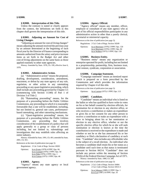### **§ 82000. Interpretation of this Title.**

Unless the contrary is stated or clearly appears from the context, the definitions set forth in this chapter shall govern the interpretation of this title.

### **§ 82001. Adjusting an Amount for Cost of Living Changes.**

"Adjusting an amount for cost-of-living changes" means adjusting the amount received the previous year by an amount determined at the beginning of each fiscal year by the Director of Finance corresponding to amounts authorized from the salary and price increase items as set forth in the Budget Act and other cost-of-living adjustments on the same basis as those applied routinely to other state agencies.

History: Amended by Stats. 1978, Ch. 199, effective June 6, 1978.

### **§ 82002. Administrative Action.**

(a) "Administrative action" means the proposal, drafting, development, consideration, amendment, enactment, or defeat by any state agency of any rule, regulation, or other action in any ratemaking proceeding or any quasi-legislative proceeding, which shall include any proceeding governed by Chapter 3.5 (commencing with Section 11340) of Part 1 of Division 3 of Title 2.

(b) "Ratemaking proceeding" means, for the purposes of a proceeding before the Public Utilities Commission, any proceeding in which it is reasonably foreseeable that a rate will be established, including, but not limited to, general rate cases, performancebased ratemaking, and other ratesetting mechanisms.

(c) "Quasi-legislative proceeding" means, for purposes of a proceeding before the Public Utilities Commission, any proceeding that involves consideration of the establishment of a policy that will apply generally to a group or class of persons including, but not limited to, rulemakings and investigations that may establish rules affecting an entire industry.

History: Amended by Stats. 1991, Ch. 491; amended by Stats. 2001, Ch. 921.

References at the time of publication (see page 3):

Regulations: 2 Cal. Code of Regs. Section 18202

| Opinions: | In re Evans $(1978)$ 4 FPPC Ops. 84 |
|-----------|-------------------------------------|
|           | In re Leonard (1976) 2 FPPC Ops. 54 |
|           | In re Nida (1976) 2 FPPC Ops. 1     |
|           | In re Carson (1975) 1 FPPC Ops. 46  |

### **§ 82003. Agency.**

"Agency" means any state agency or local government agency.

### **§ 82004. Agency Official.**

"Agency official" means any member, officer, employee or consultant of any state agency who as part of his official responsibilities participates in any administrative action in other than a purely clerical, secretarial or ministerial capacity.

References at the time of publication (see page 3):

|           | Regulations: 2 Cal. Code of Regs. Section 18249 |
|-----------|-------------------------------------------------|
| Opinions: | In re Morrissey $(1976)$ 2 FPPC Ops. 120        |

In re Morrissey (1976) 2 FPPC Ops. 84 In re Wallace (1975) 1 FPPC Ops. 118

### **§ 82005. Business Entity.**

"Business entity" means any organization or enterprise operated for profit, including but not limited to a proprietorship, partnership, firm, business trust, joint venture, syndicate, corporation or association.

### **§ 82006. Campaign Statement.**

"Campaign statement" means an itemized report which is prepared on a form prescribed by the Commission and which provides the information required by Chapter 4 of this title.

References at the time of publication (see page 3):

Opinions: In re Layton (1975) 1 FPPC Ops. 113

### **§ 82007. Candidate.**

"Candidate" means an individual who is listed on the ballot or who has qualified to have write-in votes on his or her behalf counted by election officials, for nomination for or election to any elective office, or who receives a contribution or makes an expenditure or gives his or her consent for any other person to receive a contribution or make an expenditure with a view to bringing about his or her nomination or election to any elective office, whether or not the specific elective office for which he or she will seek nomination or election is known at the time the contribution is received or the expenditure is made and whether or not he or she has announced his or her candidacy or filed a declaration of candidacy at such time. "Candidate" also includes any officeholder who is the subject of a recall election. An individual who becomes a candidate shall retain his or her status as a candidate until such time as that status is terminated pursuant to Section 84214. "Candidate" does not include any person within the meaning of Section 301(b) of the Federal Election Campaign Act of 1971. History: Amended by Stats. 1980, Ch. 289.

References at the time of publication (see page 3):

Regulations: 2 Cal. Code of Regs. Section 18404 2 Cal. Code of Regs. Section 18531.5

Opinions: In re Johnson (1989) 12 FPPC Ops. 1 In re Lui (1987) 10 FPPC Ops. 10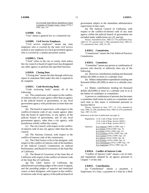In re Juvinall, Stull, Meyers, Republican Central Committee of Orange County, Tuteur (1976) 2 FPPC Ops. 110

### **§ 82008. City.**

"City" means a general law or a chartered city.

### **§ 82009. Civil Service Employee.**

"Civil service employee" means any state employee who is covered by the state civil service system or any employee of a local government agency who is covered by a similar personnel system.

### **§ 82009.5. Clerk.**

"Clerk" refers to the city or county clerk unless the city council or board of supervisors has designated any other agency to perform the specified function.

### **§ 82010. Closing Date.**

"Closing date" means the date through which any report or statement filed under this title is required to be complete.

### **§ 82011. Code Reviewing Body.**

"Code reviewing body" means all of the following:

(a) The commission, with respect to the conflictof-interest code of a state agency other than an agency in the judicial branch of government, or any local government agency with jurisdiction in more than one county.

(b) The board of supervisors, with respect to the conflict-of-interest code of any county agency other than the board of supervisors, or any agency of the judicial branch of government, and of any local government agency, other than a city agency, with jurisdiction wholly within the county.

(c) The city council, with respect to the conflictof-interest code of any city agency other than the city council.

(d) The Attorney General, with respect to the conflict-of-interest code of the commission.

(e) The Chief Justice or his or her designee, with respect to the conflict-of-interest code of the members of the Judicial Council, Commission on Judicial Performance, and Board of Governors of the State Bar of California.

(f) The Board of Governors of the State Bar of California with respect to the conflict-of-interest code of the State Bar of California.

(g) The Chief Justice of California, the administrative presiding judges of the courts of appeal, and the presiding judges of superior and municipal courts, or their designees, with respect to the conflictof-interest code of any agency of the judicial branch of

(h) The Judicial Council of California, with respect to the conflict-of-interest code of any state agency within the judicial branch of government not included under subdivisions (e), (f), and (g).

History: Amended by Stats. 1980, Ch. 779; amended by Stats. 1984, Ch. 727, operative July 1, 1985; amended by Stats. 1985; Ch. 775; amended by Stats. 1995, Ch. 587.

### **§ 82012. Commission.**

"Commission" means the Fair Political Practices Commission.

### **§ 82013. Committee.**

"Committee" means any person or combination of persons who directly or indirectly does any of the following:

(a) Receives contributions totaling one thousand dollars (\$1,000) or more in a calendar year;

(b) Makes independent expenditures totaling one thousand dollars (\$1,000) or more in a calendar year; or

(c) Makes contributions totaling ten thousand dollars (\$10,000) or more in a calendar year to or at the behest of candidates or committees.

A person or combination of persons that becomes a committee shall retain its status as a committee until such time as that status is terminated pursuant to Section 84214.

History: Amended by Stats. 1977, Ch. 1213; amended by Stats. 1980, Ch. 289; amended by Stats. 1984, Ch. 670; amended by Stats. 1987, Ch. 632.

References at the time of publication (see page 3):

|           | Regulations: 2 Cal. Code of Regs. Section 18413<br>2 Cal. Code of Regs. Section 18420.1<br>2 Cal. Code of Regs. Section 18521.5                                                                                                                                                                                                                                   |
|-----------|-------------------------------------------------------------------------------------------------------------------------------------------------------------------------------------------------------------------------------------------------------------------------------------------------------------------------------------------------------------------|
| Opinions: | In re Johnson $(1989)$ 12 FPPC Ops. 1<br>In re Welsh (1978) 4 FPPC Ops. 78<br>In re Kahn (1976) 2 FPPC Ops. 151<br>In re Lumsdon (1976) 2 FPPC Ops. 140<br>In re Cannon (1976) 2 FPPC Ops. 133<br>In re Masini (1976) 2 FPPC Ops. 38<br>In re Fontana (1976) 2 FPPC Ops. 25<br>In re Christiansen (1975) 1 FPPC Ops. 170<br>In re Augustine (1975) 1 FPPC Ops. 69 |

### **§ 82014. Conflict of Interest Code**.

"Conflict of Interest Code" means a set of rules and regulations adopted by an agency pursuant to Chapter 7 of this title.

### **§ 82015. Contribution.**

(a) "Contribution" means a payment, a forgiveness of a loan, a payment of a loan by a third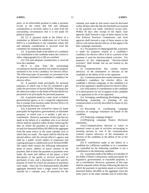party, or an enforceable promise to make a payment except to the extent that full and adequate consideration is received, unless it is clear from the surrounding circumstances that it is not made for political purposes.

(b) (1) A payment made at the behest of a committee as defined in subdivision (a) of Section 82013 is a contribution to the committee unless full and adequate consideration is received from the committee for making the payment.

(2) A payment made at the behest of a candidate is a contribution to the candidate unless the criteria in either subparagraph (A) or (B) are satisfied:

(A) Full and adequate consideration is received from the candidate.

(B) It is clear from the surrounding circumstances that the payment was made for purposes unrelated to his or her candidacy for elective office. The following types of payments are presumed to be for purposes unrelated to a candidate's candidacy for elective office:

(i) A payment made principally for personal purposes, in which case it may be considered a gift under the provisions of Section 82028. Payments that are otherwise subject to the limits of Section 86203 are presumed to be principally for personal purposes.

(ii) A payment made by a state, local, or federal governmental agency or by a nonprofit organization that is exempt from taxation under Section  $501(c)$  (3) of the Internal Revenue Code.

(iii) A payment not covered by clause (i), made principally for legislative, governmental, or charitable purposes, in which case it is neither a gift nor a contribution. However, payments of this type that are made at the behest of a candidate who is an elected officer shall be reported within 30 days following the date on which the payment or payments equal or exceed five thousand dollars (\$5,000) in the aggregate from the same source in the same calendar year in which they are made. The report shall be filed by the elected officer with the elected officer's agency and shall be a public record subject to inspection and copying pursuant to subdivision (a) of Section 81008. The report shall contain the following information: name of payor, address of payor, amount of the payment, date or dates the payment or payments were made, the name and address of the payee, a brief description of the goods or services provided or purchased, if any, and a description of the specific purpose or event for which the payment or payments were made. Once the five-thousand-dollar (\$5,000) aggregate threshold from a single source has been reached for a calendar year, all payments for the calendar year made by that source must be disclosed within 30 days after the date the threshold was reached or the payment was made, whichever occurs later. Within 30 days after receipt of the report, state agencies shall forward a copy of these reports to the Fair Political Practices Commission, and local agencies shall forward a copy of these reports to the officer with whom elected officers of that agency file their campaign statements.

(C) For purposes of subparagraph (B), a payment is made for purposes related to a candidate's candidacy for elective office if all or a portion of the payment is used for election-related activities. For purposes of this subparagraph, "election-related activities" shall include, but are not limited to, the following:

(i) Communications that contain express advocacy of the nomination or election of the candidate or the defeat of his or her opponent.

(ii) Communications that contain reference to the candidate's candidacy for elective office, the candidate's election campaign, or the candidate's or his or her opponent's qualifications for elective office.

(iii) Solicitation of contributions to the candidate or to third persons for use in support of the candidate or in opposition to his or her opponent.

(iv) Arranging, coordinating, developing, writing, distributing, preparing, or planning of any communication or activity described in clause (i), (ii), or (iii).

(v) Recruiting or coordinating campaign activities of campaign volunteers on behalf of the candidate.

(vi) Preparing campaign budgets.

(vii) Preparing campaign finance disclosure statements.

(viii) Communications directed to voters or potential voters as part of activities encouraging or assisting persons to vote if the communication contains express advocacy of the nomination or election of the candidate or the defeat of his or her opponent.

(D) A contribution made at the behest of a candidate for a different candidate or to a committee not controlled by the behesting candidate is not a contribution to the behesting candidate.

(3) A payment made at the behest of a member of the Public Utilities Commission, made principally for legislative, governmental, or charitable purposes, is not a contribution. However, payments of this type shall be reported within 30 days following the date on which the payment or payments equal or exceed five thousand dollars (\$5,000) in the aggregate from the same source in the same calendar year in which they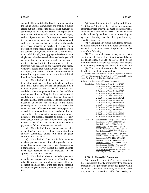are made. The report shall be filed by the member with the Public Utilities Commission and shall be a public record subject to inspection and copying pursuant to subdivision (a) of Section 81008. The report shall contain the following information: name of payor, address of payor, amount of the payment, date or dates the payment or payments were made, the name and address of the payee, a brief description of the goods or services provided or purchased, if any, and a description of the specific purpose or event for which the payment or payments were made. Once the fivethousand-dollar (\$5,000) aggregate threshold from a single source has been reached for a calendar year, all payments for the calendar year made by that source must be disclosed within 30 days after the date the threshold was reached or the payment was made, whichever occurs later. Within 30 days after receipt of the report, the Public Utilities Commission shall forward a copy of these reports to the Fair Political Practices Commission.

(c) "Contribution" includes the purchase of tickets for events such as dinners, luncheons, rallies, and similar fundraising events; the candidate's own money or property used on behalf of his or her candidacy other than personal funds of the candidate used to pay either a filing fee for a declaration of candidacy or a candidate statement prepared pursuant to Section 13307 of the Elections Code; the granting of discounts or rebates not extended to the public generally or the granting of discounts or rebates by television and radio stations and newspapers not extended on an equal basis to all candidates for the same office; the payment of compensation by any person for the personal services or expenses of any other person if the services are rendered or expenses incurred on behalf of a candidate or committee without payment of full and adequate consideration.

(d) "Contribution" further includes any transfer of anything of value received by a committee from another committee, unless full and adequate consideration is received.

(e) "Contribution" does not include amounts received pursuant to an enforceable promise to the extent those amounts have been previously reported as a contribution. However, the fact that those amounts have been received shall be indicated in the appropriate campaign statement.

(f) "Contribution" does not include a payment made by an occupant of a home or office for costs related to any meeting or fundraising event held in the occupant's home or office if the costs for the meeting or fundraising event are five hundred dollars (\$500) or less.

(g) Notwithstanding the foregoing definition of "contribution," the term does not include volunteer personal services or payments made by any individual for his or her own travel expenses if the payments are made voluntarily without any understanding or agreement that they shall be, directly or indirectly, repaid to him or her.

(h) "Contribution" further includes the payment of public moneys by a state or local governmental agency for a communication to the public that satisfies both of the following:

(1) The communication expressly advocates the election or defeat of a clearly identified candidate or the qualification, passage, or defeat of a clearly identified measure, or, taken as a whole and in context, unambiguously urges a particular result in an election.

(2) The communication is made at the behest of the affected candidate or committee.

History: Amended by Stats. 1980, Ch. 289; amended by Stats. 1997, Ch. 450, effective September 24, 1997; amended by Stats. 2008, Ch. 418; amended by Stats. 2009, Ch. 363.

References at the time of publication (see page 3):

|           | Regulations: 2 Cal. Code of Regs. Section 18117                                |
|-----------|--------------------------------------------------------------------------------|
|           | 2 Cal. Code of Regs. Section 18215                                             |
|           | 2 Cal. Code of Regs. Section 18215.1                                           |
|           | 2 Cal. Code of Regs. Section 18216                                             |
|           | 2 Cal. Code of Regs. Section 18225.7                                           |
|           | 2 Cal. Code of Regs. Section 18420.1                                           |
|           | 2 Cal. Code of Regs. Section 18421.1                                           |
|           | 2 Cal. Code of Regs. Section 18423                                             |
|           | 2 Cal. Code of Regs. Section 18428                                             |
|           | 2 Cal. Code of Regs. Section 18530.3                                           |
|           | 2 Cal. Code of Regs. Section 18531.7                                           |
|           | 2 Cal. Code of Regs. Section 18540                                             |
|           | 2 Cal. Code of Regs. Section 18572                                             |
|           | 2 Cal. Code of Regs. Section 18950                                             |
|           | 2 Cal. Code of Regs. Section 18950.4                                           |
| Opinions: | In re Montoya (1989) 12 FPPC Ops. 7                                            |
|           |                                                                                |
|           | In re Johnson $(1989)$ 12 FPPC Ops. 1                                          |
|           | In re Bell (1988) 11 FPPC Ops. 1                                               |
|           | In re Nielsen $(1979)$ 5 FPPC Ops. 18                                          |
|           | In re Buchanan (1979) 5 FPPC Ops. 14                                           |
|           | In re Reinhardt (1977) 3 FPPC Ops. 83                                          |
|           | In re Cannon (1976) 2 FPPC Ops. 133                                            |
|           | In re Willmarth (1976) 2 FPPC Ops. 130                                         |
|           | In re Adams (1976) 2 FPPC Ops. 127                                             |
|           | In re Dixon $(1976)$ 2 FPPC Ops. 70                                            |
|           | In re McCormick (1976) 2 FPPC Ops. 42                                          |
|           | In re Burciaga (1976) 2 FPPC Ops. 17                                           |
|           | In re Hayes (1975) 1 FPPC Ops. 210                                             |
|           | In re Christiansen (1975) 1 FPPC Ops. 170<br>In re Cory (1975) 1 FPPC Ops. 137 |

### **§ 82016. Controlled Committee.**

(a) "Controlled committee" means a committee that is controlled directly or indirectly by a candidate or state measure proponent or that acts jointly with a candidate, controlled committee, or state measure proponent in connection with the making of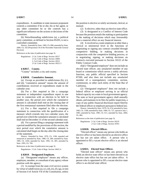expenditures. A candidate or state measure proponent controls a committee if he or she, his or her agent, or any other committee he or she controls has a significant influence on the actions or decisions of the committee.

(b) Notwithstanding subdivision (a), a political party committee, as defined in Section 85205, is not a controlled committee.

History: Amended by Stats. 1983, Ch. 898; amended by Stats. 2000, Ch. 102 [Proposition 34 of the November Statewide General Election].

References at the time of publication (see page 3):

```
Regulations: 2 Cal. Code of Regs. Section 18217 
 2 Cal. Code of Regs. Section 18405 
 2. Cal Code of Regs. Section 18521 
 2 Cal. Code of Regs. Section 18521.5
```
**§ 82017. County.**

"County" includes a city and county.

### **§ 82018. Cumulative Amount.**

(a) Except as provided in subdivisions (b), (c), and (d), "cumulative amount" means the amount of contributions received or expenditures made in the calendar year.

(b) For a filer required to file a campaign statement or independent expenditure report in one year in connection with an election to be held in another year, the period over which the cumulative amount is calculated shall end on the closing date of the first semiannual statement filed after the election.

(c) For a filer required to file a campaign statement in connection with the qualification of a measure which extends into two calendar years, the period over which the cumulative amount is calculated shall end on December 31 of the second calendar year.

(d) For a person filing a campaign statement with a period modified by the provisions of this section, the next period over which the cumulative amount is calculated shall begin on the day after the closing date of the statement.

History: Amended by Stats. 1976, Ch. 1106; repealed and reenacted as amended by Stats. 1980, Ch. 289; amended by Stats. 1985, Ch. 1456; amended by Stats. 1992, Ch. 405; amended by Stats. 1993, Ch. 769.

References at the time of publication (see page 3):

Regulations: 2 Cal. Code of Regs. Section 18421.4

### **§ 82019. Designated Employee.**

(a) "Designated employee" means any officer, employee, member, or consultant of any agency whose position with the agency:

(1) Is exempt from the state civil service system by virtue of subdivision (a), (c), (d), (e), (f), (g), or (m) of Section 4 of Article VII of the Constitution, unless the position is elective or solely secretarial, clerical, or manual.

(2) Is elective, other than an elective state office.

(3) Is designated in a Conflict of Interest Code because the position entails the making or participation in the making of decisions which may foreseeably have a material effect on any financial interest.

(4) Is involved as a state employee at other than a clerical or ministerial level in the functions of negotiating or signing any contract awarded through competitive bidding, in making decisions in conjunction with the competitive bidding process, or in negotiating, signing, or making decisions on contracts executed pursuant to Section 10122 of the Public Contract Code.

(b)(1) "Designated employee" does not include an elected state officer, any unsalaried member of any board or commission which serves a solely advisory function, any public official specified in Section 87200, and also does not include any unsalaried member of a nonregulatory committee, section, commission, or other such entity of the State Bar of California.

(2) "Designated employee" does not include a federal officer or employee serving in an official federal capacity on a state or local government agency. The state or local government agency shall annually obtain, and maintain in its files for public inspection, a copy of any public financial disclosure report filed by the federal officer or employee pursuant to federal law.

History: Amended by Stats. 1979, Ch. 674; amended by Stats. 1983, Ch. 1108; amended by Stats. 1984, Ch. 727, operative July 1, 1985; amended by Stats. 1985, Ch. 611; amended by Stats. 2004, Ch. 484.

References at the time of publication (see page 3):

Regulations: 2 Cal. Code of Regs. Section 18219 2 Cal. Code of Regs. Section 18701

### **§ 82020. Elected Officer.**

"Elected officer" means any person who holds an elective office or has been elected to an elective office but has not yet taken office. A person who is appointed to fill a vacant elective office is an elected officer.

### **§ 82021. Elected State Officer.**

"Elected state officer" means any person who holds an elective state office or has been elected to an elective state office but has not yet taken office. A person who is appointed to fill a vacant elective state office is an elected state officer.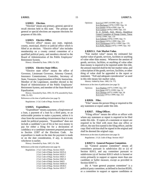### **§ 82022. Election.**

"Election" means any primary, general, special or recall election held in this state. The primary and general or special elections are separate elections for purposes of this title.

### **§ 82023. Elective Office.**

"Elective office" means any state, regional, county, municipal, district or judicial office which is filled at an election. "Elective office" also includes membership on a county central committee of a qualified political party, and members elected to the Board of Administration of the Public Employees' Retirement System.

History: Amended by Stats. 1998, Ch. 923.

### **§ 82024. Elective State Office.**

"Elective state office" means the office of Governor, Lieutenant Governor, Attorney General, Insurance Commissioner, Controller, Secretary of State, Treasurer, Superintendent of Public Instruction, Member of the Legislature, member elected to the Board of Administration of the Public Employees' Retirement System, and member of the State Board of Equalization.

History: Amended by Stats. 1991, Ch. 674; amended by Stats. 1998, Ch. 923.

References at the time of publication (see page 3):

Regulations: 2 Cal. Code of Regs. Section 18723

### **§ 82025. Expenditure.**

"Expenditure" means a payment, a forgiveness of a loan, a payment of a loan by a third party, or an enforceable promise to make a payment, unless it is clear from the surrounding circumstances that it is not made for political purposes. "Expenditure" does not include a candidate's use of his or her own money to pay for either a filing fee for a declaration of candidacy or a candidate statement prepared pursuant to Section 13307 of the Elections Code. An expenditure is made on the date the payment is made or on the date consideration, if any, is received, whichever is earlier.

History: Amended by Stats. 1997, Ch. 394.

References at the time of publication (see page 3):

Regulations: 2 Cal. Code of Regs. Section 18225 2 Cal. Code of Regs. Section 18225.4 2 Cal. Code of Regs. Section 18225.7 2 Cal. Code of Regs. Section 18421.1 2 Cal. Code of Regs. Section 18421.6 2 Cal. Code of Regs. Section 18423 2 Cal. Code of Regs. Section 18450.11 2 Cal. Code of Regs. Section 18530.3 2 Cal. Code of Regs. Section 18531.7

Opinions: In re Lui (1987) 10 FPPC Ops. 10 In re Buchanan (1979) 5 FPPC Ops. 14 In re Welsh (1978) 4 FPPC Ops. 78 In re Cannon (1976) 2 FPPC Ops. 133 In re Juvinall, Stull, Meyers, Republican Central Committee of Orange County, Tuteur (1976) 2 FPPC Ops. 110 In re Sobieski (1976) 2 FPPC Ops. 73 In re Hayes (1975) 1 FPPC Ops. 210 In re Christiansen (1975) 1 FPPC Ops. 170 In re Kelly, Masini (1975) 1 FPPC Ops. 162

### **§ 82025.5. Fair Market Value.**

"Fair market value" means the estimated fair market value of goods, services, facilities or anything of value other than money. Whenever the amount of goods, services, facilities, or anything of value other than money is required to be reported under this title, the amount reported shall be the fair market value, and a description of the goods, services, facilities, or other thing of value shall be appended to the report or statement. "Full and adequate consideration" as used in this title means fair market value.

History: Added by Stats. 1985, Ch. 775.

References at the time of publication (see page 3):

Opinions: In re Hopkins (1977) 3 FPPC Ops. 107 In re Stone (1977) 3 FPPC Ops. 52 In re Thomas (1977) 3 FPPC Ops. 30 In re Cory (1975) 1 FPPC Ops. 153

### **§ 82026. Filer.**

"Filer" means the person filing or required to file any statement or report under this title.

### **§ 82027. Filing Officer.**

"Filing officer" means the office or officer with whom any statement or report is required to be filed under this title. If copies of a statement or report are required to be filed with more than one office or officer, the one first named is the filing officer, and the copy filed with him shall be signed in the original and shall be deemed the original copy.

References at the time of publication (see page 3):

Regulations: 2 Cal. Code of Regs. Section 18227

### **§ 82027.5. General Purpose Committee.**

(a) "General purpose committee" means all committees pursuant to subdivision (b) or (c) of Section 82013, and any committee pursuant to subdivision (a) of Section 82013 which is formed or exists primarily to support or oppose more than one candidate or ballot measure, except as provided in Section 82047.5.

(b) A "state general purpose committee" is a political party committee, as defined in Section 85205, or a committee to support or oppose candidates or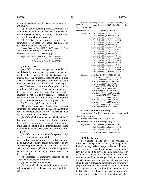measures voted on in a state election, or in more than one county.

(c) A "county general purpose committee" is a committee to support or oppose candidates or measures voted on in only one county, or in more than one jurisdiction within one county.

(d) A "city general purpose committee" is a committee to support or oppose candidates or measures voted on in only one city.

History: Added by Stats. 1985, Ch. 1456; amended by Stats. 2004, Ch. 623, effective September 21, 2004.

References at the time of publication (see page 3):

Regulations: 2 Cal. Code of Regs. Section 18247.5 2 Cal. Code of Regs. Section 18421.8 2 Cal. Code of Regs. Section 18521.5

### **§ 82028. Gift.**

(a) "Gift" means, except as provided in subdivision (b), any payment that confers a personal benefit on the recipient, to the extent that consideration of equal or greater value is not received and includes a rebate or discount in the price of anything of value unless the rebate or discount is made in the regular course of business to members of the public without regard to official status. Any person, other than a defendant in a criminal action, who claims that a payment is not a gift by reason of receipt of consideration has the burden of proving that the consideration received is of equal or greater value.

(b) The term "gift" does not include:

(1) Informational material such as books, reports, pamphlets, calendars, or periodicals. No payment for travel or reimbursement for any expenses shall be deemed "informational material."

(2) Gifts which are not used and which, within 30 days after receipt, are either returned to the donor or delivered to a nonprofit entity exempt from taxation under Section 501(c)(3) of the Internal Revenue Code without being claimed as a charitable contribution for tax purposes.

(3) Gifts from an individual's spouse, child, parent, grandparent, grandchild, brother, sister, parent-in-law, brother-in-law, sister-in-law, nephew, niece, aunt, uncle, or first cousin or the spouse of any such person; provided that a gift from any such person shall be considered a gift if the donor is acting as an agent or intermediary for any person not covered by this paragraph.

(4) Campaign contributions required to be reported under Chapter 4 of this title.

(5) Any devise or inheritance.

(6) Personalized plaques and trophies with an individual value of less than two hundred fifty dollars (\$250).

History: Amended by Stats. 1978, Ch. 641; amended by Stats. 1986, Ch. 654; amended by Stats. 1997, Ch. 450, effective September 24, 1997.

References at the time of publication (see page 3):

|           | effects at the trine of publication (see page 3).                                                                                                                                                                                                                                                                                                                                                                                                                                                                                                                                                                                                                                                                                                         |
|-----------|-----------------------------------------------------------------------------------------------------------------------------------------------------------------------------------------------------------------------------------------------------------------------------------------------------------------------------------------------------------------------------------------------------------------------------------------------------------------------------------------------------------------------------------------------------------------------------------------------------------------------------------------------------------------------------------------------------------------------------------------------------------|
|           | Regulations: 2 Cal. Code of Regs. Section 18229<br>2 Cal. Code of Regs. Section 18229.1<br>2 Cal. Code of Regs. Section 18727.5<br>2 Cal. Code of Regs. Section 18932.4<br>2 Cal. Code of Regs. Section 18940<br>2 Cal. Code of Regs. Section 18941<br>2 Cal. Code of Regs. Section 18941.1<br>2 Cal. Code of Regs. Section 18942<br>2 Cal. Code of Regs. Section 18942.1<br>2 Cal. Code of Regs. Section 18944<br>2 Cal. Code of Regs. Section 18944.1<br>2 Cal. Code of Regs. Section 18944.2<br>2 Cal. Code of Regs. Section 18944.3<br>2 Cal. Code of Regs. Section 18944.4<br>2 Cal. Code of Regs. Section 18945<br>2 Cal. Code of Regs. Section 18945.4<br>2 Cal. Code of Regs. Section 18946-18946.5<br>2 Cal. Code of Regs. Section 18950-18950.4 |
| Opinions: | In re Roberts (2004) 17 FPPC Ops. 9<br>In re Hopkins (1977) 3 FPPC Ops. 107<br>In re Stone (1977) 3 FPPC Ops. 52<br>In re Gutierrez (1977) 3 FPPC Ops. 44<br>In re Thomas (1977) 3 FPPC Ops. 30<br>In re Nida (1977) 3 FPPC Ops. 1<br>In re Torres (1976) 2 FPPC Ops. 31<br>In re Brown (1975) 1 FPPC Ops. 677<br>In re Hayes (1975) 1 FPPC Ops. 210<br>In re Russel (1975) 1 FPPC Ops. 191<br>In re Cory (1975) 1 FPPC Ops. 153<br>In re Cory (1975) 1 FPPC Ops. 137<br>In re Cory (1976) 2 FPPC Ops. 48<br>In re Spellman (1975) 1 FPPC Ops. 16<br>In re Lunardi (1975) 1 FPPC Ops. 97                                                                                                                                                                  |

### **§ 82029. Immediate Family.**

"Immediate family" means the spouse and dependent children.

History: Amended by Stats. 1980, Ch. 1000.

References at the time of publication (see page 3):

| Regulations: 2 Cal. Code of Regs. Section 18229 |
|-------------------------------------------------|
| 2 Cal. Code of Regs. Section 18229.1            |
| 2 Cal. Code of Regs. Section 18234              |

Opinions: In re Roberts (2004) 17 FPPC Ops. 9

### **§ 82030. Income.**

(a) "Income" means, except as provided in subdivision (b), a payment received, including but not limited to any salary, wage, advance, dividend, interest, rent, proceeds from any sale, gift, including any gift of food or beverage, loan, forgiveness or payment of indebtedness received by the filer, reimbursement for expenses, per diem, or contribution to an insurance or pension program paid by any person other than an employer, and including any community property interest in the income of a spouse. Income also includes an outstanding loan. Income of an individual also includes a pro rata share of any income of any business entity or trust in which the individual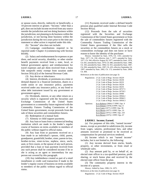or spouse owns, directly, indirectly or beneficially, a 10-percent interest or greater. "Income," other than a gift, does not include income received from any source outside the jurisdiction and not doing business within the jurisdiction, not planning to do business within the jurisdiction, or not having done business within the jurisdiction during the two years prior to the time any statement or other action is required under this title.

(b) "Income" also does not include:

(1) Campaign contributions required to be reported under Chapter 4 (commencing with Section 84100).

(2) Salary and reimbursement for expenses or per diem, and social security, disability, or other similar benefit payments received from a state, local, or federal government agency and reimbursement for travel expenses and per diem received from a bona fide nonprofit entity exempt from taxation under Section 501(c)(3) of the Internal Revenue Code.

(3) Any devise or inheritance.

(4) Interest, dividends, or premiums on a time or demand deposit in a financial institution, shares in a credit union or any insurance policy, payments received under any insurance policy, or any bond or other debt instrument issued by any government or government agency.

(5) Dividends, interest, or any other return on a security which is registered with the Securities and Exchange Commission of the United States government or a commodity future registered with the Commodity Futures Trading Commission of the United States government, except proceeds from the sale of these securities and commodities futures.

- (6) Redemption of a mutual fund.
- (7) Alimony or child support payments.

(8) Any loan or loans from a commercial lending institution which are made in the lender's regular course of business on terms available to members of the public without regard to official status.

(9) Any loan from or payments received on a loan made to an individual's spouse, child, parent, grandparent, grandchild, brother, sister, parent-in-law, brother-in-law, sister-in-law, nephew, niece, uncle, aunt, or first cousin, or the spouse of any such person, provided that a loan or loan payment received from any such person shall be considered income if he or she is acting as an agent or intermediary for any person not covered by this paragraph.

(10) Any indebtedness created as part of a retail installment or credit card transaction if made in the lender's regular course of business on terms available to members of the public without regard to official status.

(11) Payments received under a defined benefit pension plan qualified under Internal Revenue Code Section 401(a).

(12) Proceeds from the sale of securities registered with the Securities and Exchange Commission of the United States government or from the sale of commodities futures registered with the Commodity Futures Trading Commission of the United States government if the filer sells the securities or the commodities futures on a stock or commodities exchange and does not know or have reason to know the identity of the purchaser.

History: Amended by Stats. 1976, Ch. 1161; amended by Stats. 1977, Ch. 230, effective July 7, 1977; amended by Stats. 1977, Ch. 344, effective August 20, 1977; amended by Stats. 1978, Ch. 641; amended by Stats. 1979, Ch. 686; amended by Stats. 1980, Ch. 183; amended by Stats. 1984, Ch. 931; amended by Stats. 1987, Ch. 936; amended by Stats. 1997, Ch. 455, effective September 24, 1997; amended by Stats. 2002, Ch. 172; amended by Stats. 2004, Ch. 484.

References at the time of publication (see page 3):

Regulations: 2 Cal. Code of Regs. Section 18229 2 Cal. Code of Regs. Section 18230 2 Cal. Code of Regs. Section 18232 2 Cal. Code of Regs. Section 18234 2 Cal. Code of Regs. Section 18235 2 Cal. Code of Regs. Section 18727.5 2 Cal. Code of Regs. Section 18728.5 2 Cal. Code of Regs. Section 18940 2 Cal. Code of Regs. Section 18944.2 2 Cal. Code of Regs. Section 18946.5 2 Cal. Code of Regs. Section 18950.3 Opinions: In re Roberts (2004) 17 FPPC Ops. 9 In re Elmore (1978) 4 FPPC Ops. 8

In re Carey (1977) 3 FPPC Ops. 99 In re Moore (1977) 3 FPPC Ops. 33 In re Hayes (1975) 1 FPPC Ops. 210 In re Brown (1975) 1 FPPC Ops. 67

### **§ 82030.5. Income; Earned.**

(a) For purposes of this title, "earned income" means, except as provided in subdivision (b), income from wages, salaries, professional fees, and other amounts received or promised to be received as compensation for personal services rendered.

(b) Income which is not "earned income" includes, but is not limited to, the following:

(1) Any income derived from stocks, bonds, property, or other investments, or from retail or wholesale sales.

(2) Any amount paid by, or on behalf of, an elected state officer to a tax-qualified pension, profit sharing, or stock bonus plan and received by the elected state officer from the plan.

(3) The community property interest in the income of a spouse.

History: Added by Stats. 1990, Ch. 1075.

References at the time of publication (see page 3):

Regulations: 2 Cal. Code of Regs. Section 18229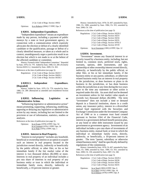2 Cal. Code of Regs. Section 18932

Opinions: In re Roberts (2004) 17 FPPC Ops. 9

### **§ 82031. Independent Expenditure.**

"Independent expenditure" means an expenditure made by any person, including a payment of public moneys by a state or local government agency, in connection with a communication which expressly advocates the election or defeat of a clearly identified candidate or the qualification, passage or defeat of a clearly identified measure, or taken as a whole and in context, unambiguously urges a particular result in an election but which is not made to or at the behest of the affected candidate or committee.

History: Formerly titled "Independent Committee." Repealed by Stats. 1979, Ch. 779. Added by Stats. 1980, Ch. 289. (Formerly Section 82031.5.) Amended by Stats. 2009, Ch. 363.

References at the time of publication (see page 3):

Regulations: 2 Cal. Code of Regs. Section 18225.7 2 Cal. Code of Regs. Section 18420.1 2 Cal. Code of Regs. Section 18530.3

### **§ 82031.5. Independent Expenditure. [Repealed]**

History: Added by Stats. 1979, Ch. 779; repealed by Stats. 1980, Ch. 289. (Reenacted as amended and renumbered Section 82031.)

### **§ 82032. Influencing Legislative or Administrative Action.**

"Influencing legislative or administrative action" means promoting, supporting, influencing, modifying, opposing or delaying any legislative or administrative action by any means, including but not limited to the provision or use of information, statistics, studies or analyses.

References at the time of publication (see page 3):

Opinions: In re Evans (1978) 4 FPPC Ops. 54 In re Leonard (1976) 2 FPPC Ops. 54 In re Nida (1976) 2 FPPC Ops. 1

### **§ 82033. Interest in Real Property.**

"Interest in real property" includes any leasehold, beneficial or ownership interest or an option to acquire such an interest in real property located in the jurisdiction owned directly, indirectly or beneficially by the public official, or other filer, or his or her immediate family if the fair market value of the interest is two thousand dollars (\$2,000) or more. Interests in real property of an individual includes a pro rata share of interests in real property of any business entity or trust in which the individual or immediate family owns, directly, indirectly or beneficially, a 10-percent interest or greater.

History: Amended by Stats. 1978, Ch. 607; amended by Stats. 1980, Ch. 1000; amended by Stats. 1984, Ch. 931; amended by Stats. 2000, Ch. 130.

References at the time of publication (see page 3):

|           | Regulations: 2 Cal. Code of Regs. Section 18229.1 |
|-----------|---------------------------------------------------|
|           | 2 Cal. Code of Regs. Section 18233                |
|           | 2 Cal. Code of Regs. Section 18234                |
|           | 2 Cal. Code of Regs. Section 18235                |
|           | 2 Cal. Code of Regs. Section 18702.3              |
|           | 2 Cal. Code of Regs. Section 18729                |
| Opinions: | In re Overstreet (1981) 6 FPPC Ops. 12            |

### **§ 82034. Investment.**

"Investment" means any financial interest in or security issued by a business entity, including, but not limited to, common stock, preferred stock, rights, warrants, options, debt instruments, and any partnership or other ownership interest owned directly, indirectly, or beneficially by the public official, or other filer, or his or her immediate family, if the business entity or any parent, subsidiary, or otherwise related business entity has an interest in real property in the jurisdiction, or does business or plans to do business in the jurisdiction, or has done business within the jurisdiction at any time during the two years prior to the time any statement or other action is required under this title. An asset shall not be deemed an investment unless its fair market value equals or exceeds two thousand dollars (\$2,000). The term "investment" does not include a time or demand deposit in a financial institution, shares in a credit union, any insurance policy, interest in a diversified mutual fund registered with the Securities and Exchange Commission under the Investment Company Act of 1940 or in a common trust fund created pursuant to Section 1564 of the Financial Code, interest in a government defined-benefit pension plan, or any bond or other debt instrument issued by any government or government agency. Investments of an individual includes a pro rata share of investments of any business entity, mutual fund, or trust in which the individual or immediate family owns, directly, indirectly, or beneficially, a 10-percent interest or greater. The term "parent, subsidiary or otherwise related business entity" shall be specifically defined by regulations of the commission.

History: Amended by Stats. 1978, Ch. 607; amended by Stats. 1980, Ch. 1000; amended by Stats. 1984, Ch. 931; amended by Stats. 2000, Ch. 130; amended by Stats. 2007, Ch. 348.

References at the time of publication (see page 3):

|           | Regulations: 2 Cal. Code of Regs. Section 18229.1                                                        |  |
|-----------|----------------------------------------------------------------------------------------------------------|--|
|           | 2 Cal. Code of Regs. Section 18230                                                                       |  |
|           | 2 Cal. Code of Regs. Section 18234                                                                       |  |
|           | 2 Cal. Code of Regs. Section 18235                                                                       |  |
| Opinions: | In re Nord (1983) 8 FPPC Ops. 6<br>In re Baty (1979) 5 FPPC Ops. 10<br>In re Elmore (1978) 4 FPPC Ops. 8 |  |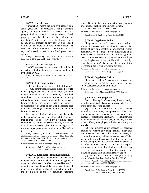### **§ 82035. Jurisdiction.**

"Jurisdiction" means the state with respect to a state agency and, with respect to a local government agency, the region, county, city, district or other geographical area in which it has jurisdiction. Real property shall be deemed to be "within the jurisdiction" with respect to a local government agency if the property or any part of it is located within or not more than two miles outside the boundaries of the jurisdiction or within two miles of any land owned or used by the local government agency.

History: Amended by Stats. 1975, Ch. 499, effective September 5, 1975; amended by Stats. 1993, Ch. 769.

### **§ 82035.5. LAFCO Proposal.**

"LAFCO proposal" means a proposal, as defined in Section 56069, including a proceeding, as defined by Section 56067.

History: Added by Stats. 2008, Ch. 192; amended by Stats. 2009, Ch. 113.

### **§ 82036. Late Contribution.**

"Late contribution" means any of the following: (a) Any contribution, including a loan, that totals in the aggregate one thousand dollars (\$1,000) or more that is made to or received by a candidate, a controlled committee, or a committee formed or existing primarily to support or oppose a candidate or measure before the date of the election at which the candidate or measure is to be voted on but after the closing date of the last campaign statement required to be filed before the election.

(b) Any contribution, including a loan, that totals in the aggregate one thousand dollars (\$1,000) or more that is made to or received by a political party committee, as defined in Section 85205, before the date of any state election, but after the closing date of the last campaign statement required to be filed before the election.

History: Amended by Stats. 1977, Ch. 344, effective August 20, 1977; repealed and reenacted as amended by Stats. 1980, Ch. 289; amended by Stats. 2004, Ch. 623, effective September 21, 2004; amended by Stats. 2005, Ch. 22.

References at the time of publication (see page 3):

Regulations: 2 Cal. Code of Regs. Section 18116 2 Cal. Code of Regs. Section 18425

### **§ 82036.5. Late Independent Expenditure.**

"Late independent expenditure" means any independent expenditure which totals in the aggregate one thousand dollars (\$1,000) or more and is made for or against any specific candidate or measure involved in an election before the date of the election but after the closing date of the last campaign statement required to be filed prior to the election by a candidate or committee participating in such election. History: Added by Stats. 1980, Ch. 289.

References at the time of publication (see page 3): Regulations: 2 Cal. Code of Regs. Section 18116

### **§ 82037. Legislative Action.**

"Legislative action" means the drafting, introduction, consideration, modification, enactment or defeat of any bill, resolution, amendment, report, nomination or other matter by the Legislature or by either house or any committee, subcommittee, joint or select committee thereof, or by a member or employee of the Legislature acting in his official capacity. "Legislative action" also means the action of the Governor in approving or vetoing any bill.

References at the time of publication (see page 3):

Opinions: In re Cohen (1975) 1 FPPC Ops. 10

### **§ 82038. Legislative Official.**

"Legislative official" means any employee or consultant of the Legislature whose duties are not solely secretarial, clerical or manual.

References at the time of publication (see page 3):

Opinions: In re Morrissey (1976) 2 FPPC Ops. 120

### **§ 82038.5. Lobbying Firm.**

(a) "Lobbying firm" means any business entity, including an individual contract lobbyist, which meets either of the following criteria:

(1) The business entity receives or becomes entitled to receive any compensation, other than reimbursement for reasonable travel expenses, for the purpose of influencing legislative or administrative action on behalf of any other person, and any partner, owner, officer, or employee of the business entity is a lobbyist.

(2) The business entity receives or becomes entitled to receive any compensation, other than reimbursement for reasonable travel expenses, to communicate directly with any elective state official, agency official, or legislative official for the purpose of influencing legislative or administrative action on behalf of any other person, if a substantial or regular portion of the activities for which the business entity receives compensation is for the purpose of influencing legislative or administrative action.

(b) No business entity is a lobbying firm by reason of activities described in Section 86300.

History: Added by Stats. 1985, Ch. 1183, effective September 29, 1985; amended by Stats. 1986, Ch. 905.

References at the time of publication (see page 3):

Regulations: 2 Cal. Code of Regs. Section 18238.5 2 Cal. Code of Regs. Section 18614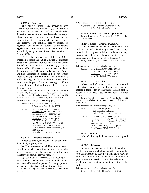(a) "Lobbyist" means any individual who receives two thousand dollars (\$2,000) or more in economic consideration in a calendar month, other than reimbursement for reasonable travel expenses, or whose principal duties as an employee are, to communicate directly or through his or her agents with any elective state official, agency official, or legislative official for the purpose of influencing legislative or administrative action. An individual is not a lobbyist by reason of activities described in Section 86300.

(b) For the purposes of subdivision (a), a proceeding before the Public Utilities Commission constitutes "administrative action" if it meets any of the definitions set forth in subdivision (b) or (c) of Section 82002. However, a communication made for the purpose of influencing this type of Public Utilities Commission proceeding is not within subdivision (a) if the communication is made at a public hearing, public workshop or other public forum that is part of the proceeding, or if the communication is included in the official record of the proceeding.

History: Amended by Stats. 1975, Ch. 915, effective September 20, 1975, operative January 7, 1975; amended by Stats. 1984, Ch. 161; amended by Proposition 208 of the November 1996 Statewide General Election; amended by Stats. 2001, Ch. 921. References at the time of publication (see page 3):

Regulations: 2 Cal. Code of Regs. Section 18239 2 Cal. Code of Regs. Section 18601

Opinions: In re Evans (1978) 4 FPPC Ops. 54 In re Morrissey (1976) 2 FPPC Ops. 84 In re Leonard (1976) 2 FPPC Ops. 54 In re Zenz (1975) 1 FPPC Ops. 195 In re Hardie (1975) 1 FPPC Ops. 140 In re Stern (1975) 1 FPPC Ops. 59 In re McCarthy (1975) 1 FPPC Ops. 50 In re Carson (1975) 1 FPPC Ops. 46 In re California Labor Federation (1975) 1 FPPC Ops. 28 In re Cohen (1975) 1 FPPC Ops. 10

### **§ 82039.5. Lobbyist Employer**.

"Lobbyist employer" means any person, other than a lobbying firm, who:

(a) Employs one or more lobbyists for economic consideration, other than reimbursement for reasonable travel expenses, for the purpose of influencing legislative or administrative action, or

(b) Contracts for the services of a lobbying firm for economic consideration, other than reimbursement for reasonable travel expense, for the purpose of influencing legislative or administrative action.

History: Added by Stats. 1985, Ch. 1183, Effective September 29, 1985.

References at the time of publication (see page 3):

Regulations: 2 Cal. Code of Regs. Section 18239.5 2 Cal. Code or Regs. Section 18614

### **§ 82040. Lobbyist's Account. [Repealed]**

History: Repealed by Stats. 1985, Ch. 1183, effective September 29, 1985.

### **§ 82041. Local Government Agency.**

"Local government agency" means a county, city or district of any kind including school district, or any other local or regional political subdivision, or any department, division, bureau, office, board, commission or other agency of the foregoing.

History: Amended by Stats. 1984, Ch. 727, effective July 1, 1985.

References at the time of publication (see page 3):

| Opinions: | In re Rotman (1987) 10 FPPC Ops. 1   |
|-----------|--------------------------------------|
|           | In re Leach (1978) 4 FPPC Ops. 48    |
|           | In re Siegel $(1977)$ 3 FPPC Ops. 62 |
|           | In re Witt (1975) 1 FPPC Ops. 1      |

### **§ 82041.5. Mass Mailing.**

"Mass mailing" means over two hundred substantially similar pieces of mail, but does not include a form letter or other mail which is sent in response to an unsolicited request, letter or other inquiry.

History: Amended by Proposition 73 on the June 1988 statewide primary ballot, effective June 8, 1988; amended by Stats. 1988, Ch. 1027.

References at the time of publication (see page 3):

|           | Regulations: 2 Cal. Code of Regs. Section 18435 |
|-----------|-------------------------------------------------|
|           | 2 Cal. Code of Regs. Section 18901              |
|           | 2 Cal. Code of Regs. Section 18901.1            |
| Opinions: | In re Welsh (1978) 4 FPPC Ops. 78               |
|           | In re Juvinall, Stull, Meyers, Republican       |
|           |                                                 |

| III IE JUVIIIAII, SUIII, NIEVEIS, REPUBLICAII |  |
|-----------------------------------------------|--|
| Central Committee of Orange County, Tuteur    |  |
| (1976) 2 FPPC Ops. 110                        |  |
| In re Sobieski (1976) 2 FPPC Ops. 73          |  |
| In re Valdez $(1976)$ 2 FPPC Ops. 21          |  |

### **§ 82042. Mayor.**

"Mayor" of a city includes mayor of a city and county.

### **§ 82043. Measure.**

"Measure" means any constitutional amendment or other proposition which is submitted to a popular vote at an election by action of a legislative body, or which is submitted or is intended to be submitted to a popular vote at an election by initiative, referendum or recall procedure whether or not it qualifies for the ballot.

References at the time of publication (see page 3):

Regulations: 2 Cal. Code of Regs. Section 18531.5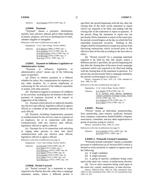Opinions: In re Fontana (1976) 2 FPPC Ops. 25

### **§ 82044. Payment.**

"Payment" means a payment, distribution, transfer, loan, advance, deposit, gift or other rendering of money, property, services or anything else of value, whether tangible or intangible.

References at the time of publication (see page 3):

Regulations: 2 Cal. Code of Regs. Section 18944.2

Opinions: In re Johnson (1989) 12 FPPC Ops. 1 In re Gutierrez (1977) 3 FPPC Ops. 44 In re McCormick (1976) 2 FPPC Ops. 42 In re Burciaga (1976) 2 FPPC Ops. 17 In re Cory (1975) 1 FPPC Ops. 137

### **§ 82045. Payment to Influence Legislative or Administrative Action.**

"Payment to influence legislative or administrative action" means any of the following types of payment:

(a) Direct or indirect payment to a lobbyist whether for salary, fee, compensation for expenses, or any other purpose, by a person employing or contracting for the services of the lobbyist separately or jointly with other persons;

(b) Payment in support or assistance of a lobbyist or his activities, including but not limited to the direct payment of expenses incurred at the request or suggestion of the lobbyist;

(c) Payment which directly or indirectly benefits any elective state official, legislative official or agency official or a member of the immediate family of any such official;

(d) Payment, including compensation, payment or reimbursement for the services, time or expenses of an employee, for or in connection with direct communication with any elective state official, legislative official or agency official;

(e) Payment for or in connection with soliciting or urging other persons to enter into direct communication with any elective state official, legislative official or agency official.

References at the time of publication (see page 3):

Regulations: 2 Cal. Code of Regs. Section 18229.1

Opinions: In re Kovall (1978) 4 FPPC Ops. 95 In re Nida (1977) 3 FPPC Ops. 1 In re Morrissey (1976) 2 FPPC Ops. 84 In re Naylor (1976) 2 FPPC Ops. 65 In re Leonard (1976) 2 FPPC Ops. 54 In re Gillies (1975) 1 FPPC Ops. 165 In re Morrissey (1975) 1 FPPC Ops. 130

### **§ 82046. Period Covered.**

(a) "Period covered" by a statement or report required to be filed by this title, other than a campaign statement, means, unless a different period is specified, the period beginning with the day after the closing date of the most recent statement or report which was required to be filed, and ending with the closing date of the statement or report in question. If the person filing the statement or report has not previously filed a statement or report of the same type, the period covered begins on the day on which the first reportable transaction occurred. Nothing in this chapter shall be interpreted to exempt any person from disclosing transactions which occurred prior to the effective date of this title according to the laws then in effect.

(b) "Period covered" by a campaign statement required to be filed by this title means, unless a different period is specified, the period beginning the day after the closing date of the most recent campaign statement which was required to be filed and ending with the closing date of the statement in question. If a person has not previously filed a campaign statement, the period covered begins on January 1.

History: Amended by Stats. 1976, Ch. 1106; amended by Stats. 1980, Ch. 289.

References at the time of publication (see page 3):

|           | Regulations: 2 Cal. Code of Regs. Section 18420.5 |
|-----------|---------------------------------------------------|
| Opinions: | In re Welsh (1978) 4 FPPC Ops. 78                 |
|           | In re Juvinall, Stull, Meyers, Republican         |
|           | Central Committee of Orange County, Tuteur        |
|           | (1976) 2 FPPC Ops. 110                            |
|           | In re Sobieski (1976) 2 FPPC Ops. 73              |
|           | In re Valdez (1976) 2 FPPC Ops. 21                |

### **§ 82047. Person.**

"Person" means an individual, proprietorship, firm, partnership, joint venture, syndicate, business trust, company, corporation, limited liability company, association, committee, and any other organization or group of persons acting in concert.

History: Amended by Stats. 1994, Ch. 1010.

References at the time of publication (see page 3):

Opinions: In re Lumsdon (1976) 2 FPPC Ops. 140 In re Witt (1975) 1 FPPC Ops. 1

### **§ 82047.5. Primarily Formed Committee.**

"Primarily formed committee" means a committee pursuant to subdivision (a) of Section 82013 which is formed or exists primarily to support or oppose any of the following:

(a) A single candidate.

(b) A single measure.

(c) A group of specific candidates being voted upon in the same city, county, or multicounty election.

(d) Two or more measures being voted upon in the same city, county, multicounty, or state election.

History: Added by Stats. 1985, Ch. 1456; amended by Stats. 1990, Ch. 626; amended by Stats. 1991, Ch. 191; amended by Stats. 1995, Ch. 295.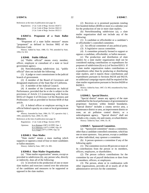References at the time of publication (see page 3):

Regulations: 2 Cal. Code of Regs. Section 18247.5 2 Cal. Code of Regs. Section 18421.8 2 Cal. Code of Regs. Section 18521.5

### **§ 82047.6. Proponent of a State Ballot Measure.**

"Proponent of a state ballot measure" means "proponent" as defined in Section 9002 of the Elections Code.

History: Added by Stats. 1988, Ch. 704; amended by Stats. 1994, Ch. 923.

### **§ 82048. Public Official.**

(a) "Public official" means every member, officer, employee or consultant of a state or local government agency.

(b) Notwithstanding subdivision (a), "public official" does not include the following:

(1) A judge or court commissioner in the judicial branch of government.

(2) A member of the Board of Governors and designated employees of the State Bar of California.

(3) A member of the Judicial Council.

(4) A member of the Commission on Judicial Performance, provided that he or she is subject to the provisions of Article 2.5 (commencing with Section 6035) of Chapter 4 of Division 3 of the Business and Professions Code as provided in Section 6038 of that article.

(5) A federal officer or employee serving in an official federal capacity on a state or local government agency.

History: Amended by Stats. 1984, Ch. 727, operative July 1, 1985; amended by Stats. 2004, Ch. 484.

References at the time of publication (see page 3):

Regulations: 2 Cal. Code of Regs. Section 18701

Opinions: In re Rotman (1987) 10 FPPC Ops. 1 In re Maloney (1977) 3 FPPC Ops. 69 In re Siegel (1977) 3 FPPC Ops. 62

### **§ 82048.3. Slate Mailer**.

"Slate mailer" means a mass mailing which supports or opposes a total of four or more candidates or ballot measures.

History: Added by Stats. 1987, Ch. 905.

### **§ 82048.4. Slate Mailer Organization.**

(a) "Slate mailer organization" means, except as provided in subdivision (b), any person who, directly or indirectly, does all of the following:

(1) Is involved in the production of one or more slate mailers and exercises control over the selection of the candidates and measures to be supported or opposed in the slate mailers.

(2) Receives or is promised payments totaling five hundred dollars (\$500) or more in a calendar year for the production of one or more slate mailers.

(b) Notwithstanding subdivision (a), a slate mailer organization shall not include any of the following:

(1) A candidate or officeholder or a candidate's or officeholder's controlled committee.

(2) An official committee of any political party.

(3) A legislative caucus committee.

(4) A committee primarily formed to support or oppose a candidate, officeholder, or ballot measure.

(c) The production and distribution of slate mailers by a slate mailer organization shall not be considered making contributions or expenditures for purposes of subdivision (b) or (c) of Section 82013. If a slate mailer organization makes contributions or expenditures other than by producing or distributing slate mailers, and it reports those contributions and expenditures pursuant to Sections 84218 and 84219, no additional campaign reports shall be required of the slate mailer organization pursuant to Section 84200 or 84200.5.

History: Added by Stats. 1987, Ch. 905; renumbered by Stats. 1988, Ch. 160.

### **§ 82048.5. Special District.**

"Special district" means any agency of the state established for the local performance of governmental or proprietary functions within limited boundaries. "Special district" includes a county service area, a maintenance district or area, an improvement district or zone, an air pollution control district, or a redevelopment agency. "Special district" shall not include a city, county, city and county, or school district. History: Added by Stats. 1994, Ch. 36.

### **§ 82048.7. Sponsored Committee.**

(a) "Sponsored committee" means a committee, other than a candidate controlled committee, which has one or more sponsors. Any person, except a candidate or other individual, may sponsor a committee.

(b) A person sponsors a committee if any of the following apply:

(1) The committee receives 80 percent or more of its contributions from the person or its members, officers, employees, or shareholders.

(2) The person collects contributions for the committee by use of payroll deductions or dues from its members, officers, or employees.

(3) The person, alone or in combination with other organizations, provides all or nearly all of the administrative services for the committee.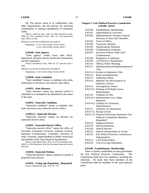(4) The person, alone or in combination with other organizations, sets the policies for soliciting contributions or making expenditures of committee funds.

History: Added by Stats. 1985, Ch. 498; amended by Stats. 1988, Ch. 1155; amended by Stats. 1991, Ch. 130; amended by Stats. 2005, Ch. 200.

References at the time of publication (see page 3):

Regulations: 2 Cal. Code of Regs. Section 18419 2 Cal. Code of Regs. Section 18421.1

### **§ 82049. State Agency.**

"State agency" means every state office, department, division, bureau, board and commission, and the Legislature.

History: Amended by Stats. 1984, Ch. 727, operative July 1, 1985.

References at the time of publication (see page 3):

Regulations: 2 Cal. Code of Regs. Section 18249

### **§ 82050. State Candidate.**

"State candidate" means a candidate who seeks nomination or election to any elective state office.

### **§ 82051. State Measure.**

"State measure" means any measure which is submitted or is intended to be submitted to the voters of the state.

### **§ 82052. Statewide Candidate.**

"Statewide candidate" means a candidate who seeks election to any statewide elective office.

### **§ 82052.5. Statewide Election.**

"Statewide election" means an election for statewide elective office.

### **§ 82053. Statewide Elective Office.**

"Statewide elective office" means the office of Governor, Lieutenant Governor, Attorney General, Insurance Commissioner, Controller, Secretary of State, Treasurer, Superintendent of Public Instruction and member of the State Board of Equalization.

History: Amended by Stats. 1991, Ch. 674; amended by Stats. 2000, Ch. 102 [Proposition 34 of the November Statewide General Election].

### **§ 82054. Statewide Petition.**

"Statewide petition" means a petition to qualify a proposed state measure.

### **§ 82055. Voting Age Population. [Repealed]** History: Repealed by Stats. 1979, Ch. 779.

### **Chapter 3. Fair Political Practices Commission. § 83100 - 83124**

- § 83100. Establishment; Membership.
- § 83101. Appointment by Governor.
- § 83102. Appointment by Attorney General, Secretary of State and Controller.
- § 83103. Terms of Office.
- § 83104. Vacancies; Quorum.
- § 83105. Qualifications; Removal.
- § 83106. Compensation; Expenses.
- § 83107. Executive Officer; Staff; Staff Compensation.
- § 83108. Delegation of Authority.
- § 83109. Civil Service Classification.
- § 83110. Offices; Public Meetings.
- § 83111. Administration and Implementation of Title.
- § 83111.5. Actions to Implement Title.
- § 83112. Rules and Regulations.
- § 83113. Additional Duties.
- § 83114. Requests For and Issuances of Opinions; Advice.
- § 83115. Investigations; Notice.
- § 83115.5. Findings of Probable Cause; Requirements.
- § 83116. Violation of Title.
- § 83116.3. Administrative Law Judge; Rejection.
- § 83116.5. Liability for Violations; Administrative.
- § 83117. Authority of Commission.
- § 83117.5. Receipt of Gift.
- § 83117.6. Financial Disclosure Statement: First Filing by Commission Members. [Repealed]
- § 83118. Subpoena Powers.
- § 83119. Self-Incrimination.
- § 83120. Judicial Review.
- § 83121. Judicial Advancement of Action.
- § 83122. Fair Political Practices Commission; Appropriation.
- § 83123. Local Enforcement.
- § 83124. Cost of Living Adjustment.

### **§ 83100. Establishment; Membership.**

There is hereby established in state government the Fair Political Practices Commission. The Commission shall have five members, including the chairman. No more than three members of the Commission shall be members of the same political party.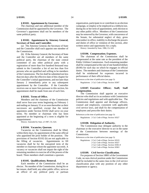### **§ 83101. Appointment by Governor.**

The chairman and one additional member of the Commission shall be appointed by the Governor. The Governor's appointees shall not be members of the same political party.

### **§ 83102. Appointment by Attorney General, Secretary of State and Controller.**

(a) The Attorney General, the Secretary of State and the Controller shall each appoint one member of the Commission.

(b) If the Attorney General, the Secretary of State and the Controller are all members of the same political party, the chairman of the state central committee of any other political party with a registration of more than five hundred thousand may submit to the Controller a list of not less than five persons who are qualified and willing to be members of the Commission. The list shall be submitted not less than ten days after the effective date of this chapter for the Controller's initial appointment, and not later than January 2 immediately prior to any subsequent appointment by the Controller. If the Controller receives one or more lists pursuant to this section, his appointment shall be made from one of such lists.

### **§ 83103. Terms of Office.**

Members and the chairman of the Commission shall serve four-year terms beginning on February 1 and ending on January 31 or as soon thereafter as their successors are qualified, except that the initial appointees under Section 83102 shall serve six-year terms. No member or chairman who has been appointed at the beginning of a term is eligible for reappointment.

History: Amended by Stats. of 1987, Ch. 624.

### **§ 83104. Vacancies; Quorum.**

Vacancies on the Commission shall be filled, within thirty days, by appointment of the same official who appointed the prior holder of the position. The provisions of Section 83102 (b) are not applicable to the filling of vacancies. Appointments to fill vacancies shall be for the unexpired term of the member or chairman whom the appointee succeeds. A vacancy or vacancies shall not impair the right of the remaining members to exercise all of the powers of the board. Three members shall constitute a quorum.

### **§ 83105. Qualifications; Removal.**

Each member of the Commission shall be an elector. No member of the Commission, during his or her tenure, shall hold, any other public office, serve as an officer of any political party or partisan organization, participate in or contribute to an election campaign, or employ or be employed as a lobbyist nor, during his or her term of appointment, seek election to any other public office. Members of the Commission may be removed by the Governor, with concurrence of the Senate, for substantial neglect of duty, gross misconduct in office, inability to discharge the powers and duties of office or violation of this section, after written notice and opportunity for a reply.

History: Amended by Stats. 1986, Ch. 620.

### **§ 83106. Compensation; Expenses.**

The chairman of the Commission shall be compensated at the same rate as the president of the Public Utilities Commission. Each remaining member shall be compensated at the rate of one hundred dollars (\$100) for each day on which he engages in official duties. The members and chairman of the Commission shall be reimbursed for expenses incurred in performance of their official duties.

References at the time of publication (see page 3):

Regulations: 2 Cal. Code of Regs. Section 18307

### **§ 83107. Executive Officer; Staff; Staff Compensation.**

The Commission shall appoint an executive director who shall act in accordance with Commission policies and regulations and with applicable law. The Commission shall appoint and discharge officers, counsel and employees, consistent with applicable civil service laws, and shall fix the compensation of employees and prescribe their duties.

References at the time of publication (see page 3):

Regulations: 2 Cal. Code of Regs. Section 18327

### **§ 83108. Delegation of Authority.**

The Commission may delegate authority to the chairman or the executive director to act in the name of the Commission between meetings of the Commission.

References at the time of publication (see page 3):

Regulations: 2 Cal. Code of Regs. Section 18319 2 Cal. Code of Regs. Section 18327 2 Cal. Code of Regs. Section 18361.9 2 Cal. Code of Regs. Section 18363

### **§ 83109. Civil Service Classification.**

For purposes of Section 18801 of the Government Code, no non-clerical position under the Commission shall be included in the same class in the civil service classification plan with any position of any other department or agency.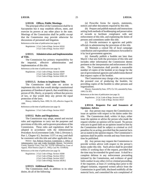### **§ 83110. Offices; Public Meetings.**

The principal office of the Commission shall be in Sacramento but it may establish offices, meet, and exercise its powers at any other place in the state. Meetings of the Commission shall be public except that the Commission may provide otherwise for discussions of personnel and litigation.

References at the time of publication (see page 3): Regulations: 2 Cal. Code of Regs. Section 18310 2 Cal. Code of Regs. Section 18327

### **§ 83111. Administration and Implementation of Title.**

The Commission has primary responsibility for the impartial, effective administration and implementation of this title.

References at the time of publication (see page 3):

Regulations: 2 Cal. Code of Regs. Section 18200 2 Cal. Code of Regs. Section 18327 2 Cal. Code of Regs. Section 18361.10

### **§ 83111.5. Actions to Implement Title.**

The Commission shall take no action to implement this title that would abridge constitutional guarantees of freedom of speech, that would deny any person of life, liberty, or property without due process of law, or that would deny any person the equal protection of the laws.

History: Added by Stats. 1999, Ch. 225, effective August 24, 1999.

References at the time of publication (see page 3):

Regulations: 2 Cal. Code of Regs. Section 18327

### **§ 83112. Rules and Regulations.**

The Commission may adopt, amend and rescind rules and regulations to carry out the purposes and provisions of this title, and to govern procedures of the Commission. These rules and regulations shall be adopted in accordance with the Administrative Procedure Act (Government Code, Title 2, Division 3, Part 1, Chapter 4.5, Sections 11371 et seq.) and shall be consistent with this title and other applicable law.

History: Fair Political Practices Commission v. Office of Administrative Law and Linda Stockdale Brewer, Sacramento County Superior Court, Case No. 512795 (affirmed by Court of Appeal, Third District (April 27, 1992), Case No. C010924).

References at the time of publication (see page 3):

Regulations: 2 Cal. Code of Regs. Section 18200 2 Cal. Code of Regs. Section 18312 2 Cal. Code of Regs. Section 18327 2 Cal. Code of Regs. Section 18539.2

### **§ 83113. Additional Duties.**

The Commission shall, in addition to its other duties, do all of the following:

(a) Prescribe forms for reports, statements, notices and other documents required by this title.

(b) Prepare and publish manuals and instructions setting forth methods of bookkeeping and preservation of records to facilitate compliance with and enforcement of this title, and explaining the duties of persons and committees under this title.

(c) Provide assistance to agencies and public officials in administering the provisions of this title.

(d) Maintain a central file of local campaign contribution and expenditure ordinances forwarded to it by local government agencies.

(e) Annually publish a booklet not later than March 1 that sets forth the provisions of this title and includes other information the Commission deems pertinent to the interpretation and enforcement of this title. The Commission shall provide a reasonable number of copies of the booklet at no charge for the use of governmental agencies and subdivisions thereof that request copies of the booklet.

The Commission may charge a fee, not to exceed the prorated cost of producing the booklet, for providing copies of the booklet to other persons and organizations.

History: Amended by Stats. 1979, Ch. 531; amended by Stats. 1999, Ch. 855.

References at the time of publication (see page 3):

Regulations: 2 Cal. Code of Regs. Section 18313 2 Cal. Code of Regs. Section 18327

### **§ 83114. Requests For and Issuances of Opinions; Advice.**

(a) Any person may request the Commission to issue an opinion with respect to his duties under this title. The Commission shall, within 14 days, either issue the opinion or advise the person who made the request whether an opinion will be issued. No person who acts in good faith on an opinion issued to him by the Commission shall be subject to criminal or civil penalties for so acting, provided that the material facts are as stated in the opinion request. The Commission's opinions shall be public records and may from time to time be published.

(b) Any person may request the Commission to provide written advice with respect to the person's duties under this title. Such advice shall be provided within 21 working days of the request, provided that the time may be extended for good cause. It shall be a complete defense in any enforcement proceeding initiated by the Commission, and evidence of good faith conduct in any other civil or criminal proceeding, if the requester, at least 21 working days prior to the alleged violation, requested written advice from the Commission in good faith, disclosed truthfully all the material facts, and committed the acts complained of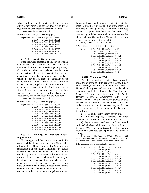either in reliance on the advice or because of the failure of the Commission to provide advice within 21 days of the request or such later extended time.

History: Amended by Stats. 1976, Ch. 1080.

References at the time of publication (see page 3):

| Regulations: 2 Cal. Code of Regs. Section 18320 |
|-------------------------------------------------|
| 2 Cal. Code of Regs. Section 18321              |
| 2 Cal. Code of Regs. Section 18322              |
| 2 Cal. Code of Regs. Section 18324              |
| 2 Cal. Code of Regs. Section 18326              |
| 2 Cal. Code of Regs. Section 18327              |
| 2 Cal. Code of Regs. Section 18329              |
| 2 Cal. Code of Regs. Section 18329.5            |
|                                                 |

### **§ 83115. Investigations; Notice.**

Upon the sworn complaint of any person or on its own initiative, the Commission shall investigate possible violations of this title relating to any agency, official, election, lobbyist or legislative or administrative action. Within 14 days after receipt of a complaint under this section, the Commission shall notify in writing the person who made the complaint of the action, if any, the Commission has taken or plans to take on the complaint, together with the reasons for such action or nonaction. If no decision has been made within 14 days, the person who made the complaint shall be notified of the reasons for the delay and shall subsequently receive notification as provided above.

History: Amended by Stats. 1985, Ch. 775.

References at the time of publication (see page 3):

| Regulations: 2 Cal. Code of Regs. Section 18327 |
|-------------------------------------------------|
| 2 Cal. Code of Regs. Section 18360              |
| 2 Cal. Code of Regs. Section 18361              |
| 2 Cal. Code of Regs. Section 18361.1            |
| 2 Cal. Code of Regs. Section 18361.2            |
| 2 Cal. Code of Regs. Section 18361.3            |
| 2 Cal. Code of Regs. Section 18361.4            |
| 2 Cal. Code of Regs. Section 18361.5            |
| 2 Cal. Code of Regs. Section 18361.6            |
| 2 Cal. Code of Regs. Section 18361.7            |
| 2 Cal. Code of Regs. Section 18361.8            |
| 2 Cal. Code of Regs. Section 18362              |

### **§ 83115.5. Findings of Probable Cause; Requirements.**

No finding of probable cause to believe this title has been violated shall be made by the Commission unless, at least 21 days prior to the Commission's consideration of the alleged violation, the person alleged to have violated this title is notified of the violation by service of process or registered mail with return receipt requested, provided with a summary of the evidence, and informed of his right to be present in person and represented by counsel at any proceeding of the Commission held for the purpose of considering whether probable cause exists for believing the person violated this title. Notice to the alleged violator shall

be deemed made on the date of service, the date the registered mail receipt is signed, or if the registered mail receipt is not signed, the date returned by the post office. A proceeding held for the purpose of considering probable cause shall be private unless the alleged violator files with the Commission a written request that the proceeding be public.

History: Added by Stats. 1976, Ch. 1080.

References at the time of publication (see page 3):

| Regulations: 2 Cal. Code of Regs. Section 18327 |
|-------------------------------------------------|
| 2 Cal. Code of Regs. Section 18361              |
| 2 Cal. Code of Regs. Section 18361.1            |
| 2 Cal. Code of Regs. Section 18361.2            |
| 2 Cal. Code of Regs. Section 18361.3            |
| 2 Cal. Code of Regs. Section 18361.4            |
| 2 Cal. Code of Regs. Section 18361.5            |
| 2 Cal. Code of Regs. Section 18361.6            |
| 2 Cal. Code of Regs. Section 18361.7            |
| 2 Cal. Code of Regs. Section 18361.8            |
| 2 Cal. Code of Regs. Section 18362              |
|                                                 |

### **§ 83116. Violation of Title.**

When the commission determines there is probable cause for believing this title has been violated, it may hold a hearing to determine if a violation has occurred. Notice shall be given and the hearing conducted in accordance with the Administrative Procedure Act (Chapter 5 (commencing with Section 11500), Part 1, Division 3, Title 2, Government Code). The commission shall have all the powers granted by that chapter. When the commission determines on the basis of the hearing that a violation has occurred, it shall issue an order that may require the violator to do all or any of the following:

(a) Cease and desist violation of this title.

(b) File any reports, statements, or other documents or information required by this title.

(c) Pay a monetary penalty of up to five thousand dollars (\$5,000) per violation to the General Fund of the state. When the Commission determines that no violation has occurred, it shall publish a declaration so stating.

History: Amended by Proposition 208 of the November 1996 Statewide General Election; repealed and added by Stats. 2000, Ch. 102 [Proposition 34 of the November Statewide General Election].

References at the time of publication (see page 3):

Regulations:

| 2 Cal. Code of Regs. Section 18316.5 |
|--------------------------------------|
| 2 Cal. Code of Regs. Section 18327   |
| 2 Cal. Code of Regs. Section 18361   |
| 2 Cal. Code of Regs. Section 18361.1 |
| 2 Cal. Code of Regs. Section 18361.2 |
| 2 Cal. Code of Regs. Section 18361.3 |
| 2 Cal. Code of Regs. Section 18361.4 |
| 2 Cal. Code of Regs. Section 18361.5 |
| 2 Cal. Code of Regs. Section 18361.6 |
| 2 Cal. Code of Regs. Section 18361.7 |
| 2 Cal. Code of Regs. Section 18361.8 |
| 2 Cal. Code of Regs. Section 18361.9 |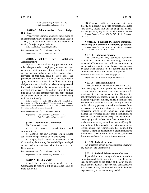2 Cal. Code of Regs. Section 18361.10 2 Cal. Code of Regs. Section 18362

### **§ 83116.3. Administrative Law Judge; Rejection.**

Whenever the Commission rejects the decision of an administrative law judge made pursuant to Section 11517, the Commission shall state the reasons in writing for rejecting the decision.

History: Added by Stats. 1999, Ch. 297.

References at the time of publication (see page 3):

Regulations: 2 Cal. Code of Regs. Section 18327

### **§ 83116.5. Liability for Violations; Administrative.**

Any person who violates any provision of this title, who purposely or negligently causes any other person to violate any provision of this title, or who aids and abets any other person in the violation of any provision of this title, shall be liable under the provisions of this chapter. However, this section shall apply only to persons who have filing or reporting obligations under this title, or who are compensated for services involving the planning, organizing, or directing any activity regulated or required by this title, and a violation of this section shall not constitute an additional violation under Chapter 11 (commencing with Section 91000).

History: Added by Stats. 1984, Ch. 670; amended by Proposition 208 of the November 1996 Statewide General Election; repealed and added by Stats. 2000, Ch. 102 [Proposition 34 of the November Statewide General Election].

References at the time of publication (see page 3):

Regulations: 2 Cal. Code of Regs. Section 18316.5 2 Cal. Code of Regs. Section 18327

### **§ 83117. Authority of Commission.**

The Commission may:

(a) Accept grants, contributions and appropriations;

(b) Contract for any services which cannot satisfactorily be performed by its employees;

(c) Employ legal counsel. Upon request of the Commission, the Attorney General shall provide legal advice and representation without charge to the Commission.

References at the time of publication (see page 3):

Regulations: 2 Cal. Code of Regs. Section 18327

### **§ 83117.5. Receipt of Gift.**

It shall be unlawful for a member of the Commission to receive a gift of ten dollars (\$10) or more per month.

"Gift" as used in this section means a gift made directly or indirectly by a state candidate, an elected state officer, a legislative official, an agency official, or a lobbyist or by any person listed in Section 87200.

History: Added by Stats. 1975, Ch. 797, effective September 16, 1975.

**§ 83117.6. Financial Disclosure Statement: First Filing by Commission Members. [Repealed]**

History: Added by Stats. 1975, Ch. 797, effective September 16, 1975; repealed by Stats. 1978, Ch. 566.

### **§ 83118. Subpoena Powers.**

The Commission may subpoena witnesses, compel their attendance and testimony, administer oaths and affirmations, take evidence and require by subpoena the production of any books, papers, records or other items material to the performance of the Commission's duties or exercise of its powers. References at the time of publication (see page 3):

Regulations: 2 Cal. Code of Regs. Section 18363

### **§ 83119. Self-Incrimination.**

The Commission may refuse to excuse any person from testifying, or from producing books, records, correspondence, documents or other evidence in obedience to the subpoena of the Commission notwithstanding an objection that the testimony or evidence required of him may tend to incriminate him. No individual shall be prosecuted in any manner or subjected to any penalty or forfeiture whatever for or on account of any transaction, act, matter or thing concerning which he is compelled, after having claimed his privilege against self-incrimination, to testify or produce evidence, except that the individual so testifying shall not be exempt from prosecution and punishment for perjury committed in so testifying. No immunity shall be granted to any witness under this section unless the Commission has notified the Attorney General of its intention to grant immunity to the witness at least thirty days in advance, or unless the Attorney General waives this requirement.

### **§ 83120. Judicial Review.**

An interested person may seek judicial review of any action of the Commission.

### **§ 83121. Judicial Advancement of Action.**

If judicial review is sought of any action of the Commission relating to a pending election, the matter shall be advanced on the docket of the court and put ahead of other actions. The court may, consistent with due process of law, shorten deadlines and take other steps necessary to permit a timely decision.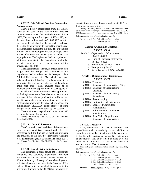### **§ 83122. Fair Political Practices Commission; Appropriation.**

There is hereby appropriated from the General Fund of the state to the Fair Political Practices Commission the sum of five hundred thousand dollars (\$500,000) during the fiscal year of 1974-1975, and the sum of one million dollars (\$1,000,000), adjusted for cost-of-living changes, during each fiscal year thereafter, for expenditure to support the operations of the Commission pursuant to this title. The expenditure of funds under this appropriation shall be subject to the normal administrative review given to other state appropriations. The Legislature shall appropriate such additional amounts to the Commission and other agencies as may be necessary to carry out the provisions of this title.

The Department of Finance, in preparing the state budget and the Budget Bill submitted to the Legislature, shall include an item for the support of the Political Reform Act of 1974, which item shall indicate all of the following: (1) the amounts to be appropriated to other agencies to carry out their duties under this title, which amounts shall be in augmentation of the support items of such agencies; (2) the additional amounts required to be appropriated by the Legislature to the Commission to carry out the purposes of this title, as provided for in this section; and (3) in parentheses, for informational purposes, the continuing appropriation during each fiscal year of one million dollars (\$1,000,000) adjusted for cost-of-living changes made to the Commission by this section.

The definition of "expenditure" in Section 82025 is not applicable to this section.

History: Amended by Stats. 1976, Ch. 1075, effective September 21, 1976.

### **§ 83123. Local Enforcement.**

The Commission shall establish a division of local enforcement to administer, interpret, and enforce, in accordance with the findings, declarations, purposes, and provisions of this title, those provisions relating to local government agencies as defined in Section 82041.

History: Added by Stats. 1984, Ch. 1681, effective September 30, 1984.

### **§ 83124. Cost of Living Adjustment.**

The commission shall adjust the contribution limitations and voluntary expenditure limitations provisions in Sections 85301, 85302, 85303, and 85400 in January of every odd-numbered year to reflect any increase or decrease in the Consumer Price Index. Those adjustments shall be rounded to the nearest one hundred dollars (\$100) for limitations on contributions and one thousand dollars (\$1,000) for limitations on expenditures.

History: Added by Proposition 208 of the November 1996 Statewide General Election; repealed and added by Stats. 2000, Ch. 102 [Proposition 34 of the November Statewide General Election]. References at the time of publication (see page 3):

Regulations: 2 Cal. Code of Regs. Section 18544 2 Cal. Code of Regs. Section 18545

### **Chapter 4. Campaign Disclosure. § 84100 - 84511**

Article 1. Organization of Committees. § 84100 - 84108

- 2. Filing of Campaign Statements. § 84200 - 84225
- 3. Prohibitions. § 84300 84310
- 4. Exemptions. § 84400
- 5. Advertisements. § 84501 84511

### **Article 1. Organization of Committees. § 84100 - 84108**

- § 84100. Treasurer.
- § 84101. Statement of Organization; Filing.
- § 84102. Statement of Organization; Contents.
- § 84103. Statement of Organization; Amendment.
- § 84104. Recordkeeping.
- § 84105. Notification to Contributors.
- § 84106. Sponsored Committee; Identification.
- § 84107. Ballot Measure Committee; Identification.
- § 84108. Slate Mailer Organization; Statement of Organization.

### **§ 84100. Treasurer.**

Every committee shall have a treasurer. No expenditure shall be made by or on behalf of a committee without the authorization of the treasurer or that of his or her designated agents. No contribution or expenditure shall be accepted or made by or on behalf of a committee at a time when there is a vacancy in the office of treasurer.

History: Repealed and reenacted as amended by Stats. 1979, Ch. 779.

References at the time of publication (see page 3):

Regulations: 2 Cal. Code of Regs. Section 18401 2 Cal. Code of Regs. Section 18404 2 Cal. Code of Regs. Section 18421.2 2 Cal. Code of Regs. Section 18426.1 2 Cal. Code of Regs. Section 18427

Opinions: In re Augustine (1975) 1 FPPC Ops. 69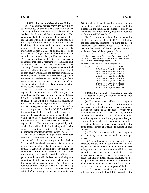### **§ 84101. Statement of Organization; Filing.**

(a) A committee that is a committee by virtue of subdivision (a) of Section 82013 shall file with the Secretary of State a statement of organization within 10 days after it has qualified as a committee. The committee shall file the original of the statement of organization with the Secretary of State and shall also file a copy of the statement of organization with the local filing officer, if any, with whom the committee is required to file the originals of its campaign reports pursuant to Section 84215. The original and copy of the statement of organization shall be filed within 10 days after the committee has qualified as a committee. The Secretary of State shall assign a number to each committee that files a statement of organization and shall notify the committee of the number. The Secretary of State shall send a copy of statements filed pursuant to this section to the county elections official of each county which he or she deems appropriate. A county elections official who receives a copy of a statement of organization from the Secretary of State pursuant to this section shall send a copy of the statement to the clerk of each city in the county that he or she deems appropriate.

(b) In addition to filing the statement of organization as required by subdivision (a), if a committee qualifies as a committee under subdivision (a) of Section 82013 before the date of an election in connection with which the committee is required to file preelection statements, but after the closing date of the last campaign statement required to be filed before the election pursuant to Section 84200.7 or 84200.8, the committee shall file, by facsimile transmission, guaranteed overnight delivery, or personal delivery within 24 hours of qualifying as a committee, the information required to be reported in the statement of organization. The information required by this subdivision shall be filed with the filing officer with whom the committee is required to file the originals of its campaign reports pursuant to Section 84215.

(c) If an independent expenditure committee qualifies as a committee pursuant to subdivision (a) of Section 82013 during the time period described in Section 82036.5 and makes independent expenditures of one thousand dollars (\$1,000) or more to support or oppose a candidate or candidates for office, the committee shall file by facsimile transmission, online transmission, guaranteed overnight delivery, or personal delivery within 24 hours of qualifying as a committee, the information required to be reported in the statement of organization. The information required by this section shall be filed with the filing officer with whom the committee is required to file the original of its campaign reports pursuant to Section 84215, and to file at all locations required for the candidate or candidates supported or opposed by the independent expenditures. The filings required by this section are in addition to filings that may be required by Sections 84203.5 and 84204.

(d) For purposes of this section, in calculating whether one thousand dollars (\$1,000) in contributions has been received, payments for a filing fee or for a statement of qualifications to appear in a sample ballot shall not be included if these payments have been made from the candidate's personal funds.

History: Amended by Stats. 1978, Ch. 551; amended by Stats. 1979, Ch. 531; amended by Stats. 1986, Ch. 544; amended by Stats. 1992, Ch. 405; amended by Stats. 2001, Ch. 901; amended by Stats. 2004, Ch. 478, effective September 10, 2004.

References at the time of publication (see page 3):

Regulations: 2 Cal. Code of Regs. Section 18117 2 Cal. Code of Regs. Section 18401 2 Cal. Code of Regs. Section 18402.1 2 Cal. Code of Regs. Section 18404 2 Cal. Code of Regs. Section 18410 2 Cal. Code of Regs. Section 18421.2 2 Cal. Code of Regs. Section 18421.8 2 Cal. Code of Regs. Section 18503 2 Cal. Code of Regs. Section 18520 2 Cal. Code of Regs. Section 18521

**§ 84102. Statement of Organization; Contents.** The statement of organization required by Section 84101 shall include:

(a) The name, street address, and telephone number, if any, of the committee. In the case of a sponsored committee, the name of the committee shall include the name of its sponsor. Whenever a committee has more than one sponsor, and the sponsors are members of an industry or other identifiable group, a term identifying that industry or group shall be included in the name of the committee.

(b) In the case of a sponsored committee, the name, street address, and telephone number of each sponsor.

(c) The full name, street address, and telephone number, if any, of the treasurer and other principal officers.

(d) The full name and office sought by any candidate and the title and ballot number, if any, of any measure, which the committee supports or opposes as its primary activity. A committee which does not support or oppose one or more candidates or ballot measures as its primary activity shall provide a brief description of its political activities, including whether it supports or opposes candidates or measures and whether such candidates or measures have common characteristics such as a political party affiliation.

(e) A statement whether the committee is independent or controlled, and if it is controlled, the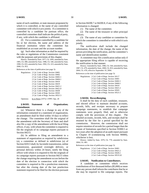name of each candidate, or state measure proponent by which it is controlled, or the name of any controlled committee with which it acts jointly. If a committee is controlled by a candidate for partisan office, the controlled committee shall indicate the political party, if any, with which the candidate is affiliated.

(f) For a committee controlled by a candidate for his or her election, the name and address of the financial institution where the committee has established an account and the account number.

(g) Such other information as shall be required by the rules or regulations of the Commission consistent with the purposes and provisions of this chapter.

History: Amended by Stats. 1977, Ch. 1095; amended by Stats. 1985, Ch. 498; amended by Stats. 1986, Ch. 546; amended by Stats. 1990, Ch. 655; amended by Stats. 1992, Ch. 223; amended by Stats. 2000, Ch. 853.

References at the time of publication (see page 3):

Regulations: 2 Cal. Code of Regs. Section 18401 2 Cal. Code of Regs. Section 18402 2 Cal. Code of Regs. Section 18402.1 2 Cal. Code of Regs. Section 18404.1 2 Cal. Code of Regs. Section 18410 2 Cal. Code of Regs. Section 18419 2 Cal. Code of Regs. Section 18421.2 2 Cal. Code of Regs. Section 18421.8 2 Cal. Code of Regs. Section 18430 2 Cal. Code of Regs. Section 18503 2 Cal. Code of Regs. Section 18521.5

Opinions: In re Petris (1975) 1 FPPC Ops. 20

### **§ 84103. Statement of Organization; Amendment.**

(a) Whenever there is a change in any of the information contained in a statement of organization, an amendment shall be filed within 10 days to reflect the change. The committee shall file the original of the amendment with the Secretary of State and shall also file a copy of the amendment with the local filing officer, if any, with whom the committee is required to file the originals of its campaign reports pursuant to Section 84215.

(b) In addition to filing an amendment to a statement of organization as required by subdivision (a), a committee as defined in subdivision (a) of Section 82013 shall, by facsimile transmission, online transmission, guaranteed overnight delivery, or personal delivery within 24 hours, notify the filing officer with whom it is required to file the originals of its campaign reports pursuant to Section 84215 when the change requiring the amendment occurs before the date of the election in connection with which the committee is required to file a preelection statement, but after the closing date of the last preelection statement required to be filed for the election pursuant to Section 84200.7 or 84200.8, if any of the following information is changed:

(1) The name of the committee.

(2) The name of the treasurer or other principal officers.

(3) The name of any candidate or committee by which the committee is controlled or with which it acts jointly.

The notification shall include the changed information, the date of the change, the name of the person providing the notification, and the committee's name and identification number.

A committee may file a notification online only if the appropriate filing officer is capable of receiving the notification in that manner.

History: Amended by Stats. 1986, Ch. 544; amended by Stats. 1987, Ch. 479; amended by Stats. 2000, Ch. 853; amended by Stats. 2004, Ch. 478, effective September 10, 2004.

References at the time of publication (see page 3):

Regulations: 2 Cal. Code of Regs. Section 18117 2 Cal. Code of Regs. Section 18401 2 Cal. Code of Regs. Section 18402.1 2 Cal. Code of Regs. Section 18404.1 2 Cal. Code of Regs. Section 18410 2 Cal. Code of Regs. Section 18421.2 2 Cal. Code of Regs. Section 18503 2 Cal. Code of Regs. Section 18521.5

### **§ 84104. Recordkeeping.**

It shall be the duty of each candidate, treasurer, and elected officer to maintain detailed accounts, records, bills, and receipts necessary to prepare campaign statements, to establish that campaign statements were properly filed, and to otherwise comply with the provisions of this chapter. The detailed accounts, records, bills, and receipts shall be retained by the filer for a period specified by the commission. However, the commission shall not require retention of records for a period longer than the statute of limitations specified in Section 91000.5 or two years after the adoption of an audit report pursuant to Chapter 10 (commencing with Section 90000), whichever is less.

History: Added by Stats. 1979, Ch. 779; amended by Stats. 2004, Ch. 483.

References at the time of publication (see page 3):

Regulations: 2 Cal. Code of Regs. Section 18401 2 Cal. Code of Regs. Section 18421.2 2 Cal. Code of Regs. Section 18426.1 2 Cal. Code of Regs. Section 18531.62

### **§ 84105. Notification to Contributors.**

A candidate or committee which receives contributions of five thousand dollars (\$5,000) or more from any person shall inform the contributor that he or she may be required to file campaign reports. The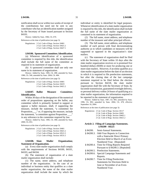notification shall occur within two weeks of receipt of the contributions but need not be sent to any contributor who has an identification number assigned by the Secretary of State issued pursuant to Section 84101.

History: Added by Stats. 1984, Ch. 670.

References at the time of publication (see page 3):

Regulations: 2 Cal. Code of Regs. Section 18401 2 Cal. Code of Regs. Section 18421.2 2 Cal. Code of Regs. Section 18427.1

### **§ 84106. Sponsored Committee; Identification.**

(a) Whenever identification of a sponsored committee is required by this title, the identification shall include the full name of the committee as required in its statement of organization.

(b) A sponsored committee shall use only one name in its statement of organization.

History: Added by Stats. 1985, Ch. 498; amended by Stats. 1986, Ch. 546; amended by Stats. 2004, Ch. 484.

References at the time of publication (see page 3):

Regulations: 2 Cal. Code of Regs. Section 18401 2 Cal. Code of Regs. Section 18419 2 Cal. Code of Regs. Section 18421.2

### **§ 84107. Ballot Measure Committee; Identification.**

Within 30 days of the designation of the numerical order of propositions appearing on the ballot, any committee which is primarily formed to support or oppose a ballot measure, shall, if supporting the measure, include the statement, "a committee for Proposition\_\_\_," or, if opposing the measure, include the statement, "a committee against Proposition \_\_\_," in any reference to the committee required by law.

History: Added by Stats. 1985, Ch. 498; amended by Stats. 2000, Ch. 853.

References at the time of publication (see page 3):

Regulations: 2 Cal. Code of Regs. Section 18401 2 Cal. Code of Regs. Section 18421.2 2 Cal. Code of Regs. Section 18521.5 2 Cal. Code of Regs. Section 18531.5

### **§ 84108. Slate Mailer Organization; Statement of Organization.**

(a) Every slate mailer organization shall comply with the requirements of Sections 84100, 84101, 84103, and 84104.

(b) The statement of organization of a slate mailer organization shall include:

(1) The name, street address, and telephone number of the organization. In the case of an individual or business entity that qualifies as a slate mailer organization, the name of the slate mailer organization shall include the name by which the individual or entity is identified for legal purposes. Whenever identification of a slate mailer organization is required by this title, the identification shall include the full name of the slate mailer organization as contained in its statement of organization.

(2) The full name, street address, and telephone number of the treasurer and other principal officers.

(3) The full name, street address, and telephone number of each person with final decisionmaking authority as to which candidates or measures will be supported or opposed in the organization's slate mailers.

(c) The statement of organization shall be filed with the Secretary of State within 10 days after the slate mailer organization receives or is promised five hundred dollars (\$500) or more for producing one or more slate mailers. However, if an entity qualifies as a slate mailer organization before the date of an election in which it is required to file preelection statements, but after the closing date of the last campaign statement required to be filed before the election pursuant to Section 84218, the slate mailer organization shall file with the Secretary of State, by facsimile transmission, guaranteed overnight delivery, or personal delivery within 24 hours of qualifying as a slate mailer organization, the information required to be reported in the statement of organization.

History: Added by Stats. 1987, Ch. 905; amended by Stats. 1996, Ch. 892; amended by Stats. 2004, Ch. 478, effective September 10, 2004.

References at the time of publication (see page 3):

Regulations: 2 Cal. Code of Regs. Section 18117 2 Cal. Code of Regs. Section 18401 2 Cal. Code of Regs. Section 18402.1 2 Cal. Code of Regs. Section 18421.2

### **Article 2. Filing of Campaign Statements. § 84200 - 84225**

- § 84200. Semi-Annual Statements.
- § 84200.3. Odd-Year Reports in Connection with a Statewide Direct Primary Election Held in March of an Even-Numbered Year. [Repealed]
- § 84200.4. Time for Filing Reports Required Pursuant to § 84200.3. [Repealed]
- § 84200.5. Preelection Statements.
- § 84200.6. Special Campaign Statements and Reports.
- § 84200.7. Time for Filing Preelection Statements for Elections Held in June or November of an Even-Numbered Year.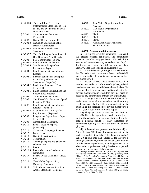| § 84200.8. | Time for Filing Preelection              |
|------------|------------------------------------------|
|            | <b>Statements for Elections Not Held</b> |
|            | in June or November of an Even-          |
|            | Numbered Year.                           |
| § 84201.   | Combination of Statements.               |
|            | [Repealed]                               |
| § 84202.   | Closing Dates. [Repealed]                |
| § 84202.3. | Campaign Statements; Ballot              |
|            | <b>Measure Committees.</b>               |
| § 84202.5. | <b>Supplemental Preelection</b>          |
|            | Statement.                               |
| § 84202.7. | Time for Filing by Committees of         |
|            | Odd-Numbered Year Reports.               |
| § 84203.   | Late Contribution; Reports.              |
|            | Late In-Kind Contributions.              |
| § 84203.3. |                                          |
| § 84203.5. | Supplemental Independent                 |
|            | Expenditure Report.                      |
| § 84204.   | Late Independent Expenditures;           |
|            | Reports.                                 |
| § 84204.1. | <b>Election Statements; Exemption</b>    |
|            | from Filing; Abbreviated                 |
|            | Statements. [Repealed]                   |
| § 84204.2. | Preelection Statements; Final.           |
|            | [Repealed]                               |
| § 84204.5. | <b>Ballot Measure Contributions and</b>  |
|            | <b>Expenditures</b> ; Reports            |
| § 84205.   | Combination of Statements.               |
| § 84206.   | Candidates Who Receive or Spend          |
|            | Less than $$1,000$ .                     |
| § 84207.   | Late Independent Expenditures;           |
|            | Reports. [Repealed]                      |
| § 84207.5. | Appointments to Office; Filing           |
|            | Requirements. [Repealed]                 |
| § 84208.   | Independent Expenditures; Reports.       |
|            | [Repealed]                               |
| § 84209.   | Consolidated Statements.                 |
| § 84210.   | Special Election Reports.                |
|            | [Repealed]                               |
| § 84211.   | Contents of Campaign Statement.          |
| § 84212.   | Forms; Loans.                            |
| § 84213.   | Candidate Verification.                  |
| § 84214.   | Termination.                             |
| § 84215.   | Campaign Reports and Statements;         |
|            | Where to File.                           |
| § 84216.   | Loans.                                   |
| § 84216.5. | Loans Made by a Candidate or             |
|            | Committee.                               |
| § 84217.   | Federal Office Candidates; Places        |
|            | Filed.                                   |
| § 84218.   | Slate Mailer Organization;               |
|            | Campaign Statements.                     |
| § 84219.   | Slate Mailer Organization; Semi-         |
|            | Annual Statements; Contents.             |
|            |                                          |

| \$84220. | Slate Mailer Organization; Late |
|----------|---------------------------------|
|          | Payments.                       |
| § 84221. | Slate Mailer Organization;      |
|          | Termination.                    |
| \$84222. | Blank.                          |
| § 84223. | Blank.                          |
| § 84224. | Blank.                          |
| § 84225. | Public Employees' Retirement    |
|          | Board Candidates.               |

### **§ 84200. Semi-Annual Statements.**

(a) Except as provided in paragraphs (1), (2), and (3), elected officers, candidates, and committees pursuant to subdivision (a) of Section 82013 shall file semiannual statements each year no later than July 31 for the period ending June 30, and no later than January 31 for the period ending December 31.

(1) A candidate who, during the past six months has filed a declaration pursuant to Section 84206 shall not be required to file a semiannual statement for that six-month period.

(2) Elected officers whose salaries are less than two hundred dollars (\$200) a month, judges, judicial candidates, and their controlled committees shall not file semiannual statements pursuant to this subdivision for any six-month period in which they have not made or received any contributions or made any expenditures.

(3) A judge who is not listed on the ballot for reelection to, or recall from, any elective office during a calendar year shall not file semiannual statements pursuant to this subdivision for any six-month period in that year if both of the following apply:

(A) The judge has not received any contributions.

(B) The only expenditures made by the judge during the calendar year are contributions from the judge's personal funds to other candidates or committees totaling less than one thousand dollars (\$1,000).

(b) All committees pursuant to subdivision (b) or (c) of Section 82013 shall file campaign statements each year no later than July 31 for the period ending June 30, and no later than January 31 for the period ending December 31, if they have made contributions or independent expenditures, including payments to a slate mailer organization, during the six-month period before the closing date of the statements.

History: Amended by Stats. 1977, Ch. 1193; repealed and reenacted as amended by Stats. 1980, Ch. 289. (Formerly titled "Time for Filing Campaign Statements in Connection with Elections Held at Times Other Than the State Direct Primary or the State General Election.") Amended by Stats. 1981, Ch. 78; amended by Stats. 1982, Ch. 1069; amended by Stats. 1983, Ch. 898; amended by Stats. 1984, Ch. 1368; repealed and reenacted as amended by Stats. 1985, Ch. 1456; amended by Stats. 1988, Ch. 708; amended by Stats. 1990, Ch. 581; amended by Stats. 1994, Ch. 1129; amended by Stats. 2000, Ch. 130.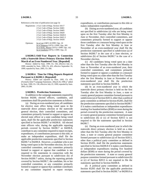References at the time of publication (see page 3):

- Regulations: 2 Cal. Code of Regs. Section 18117 2 Cal. Code of Regs. Section 18401 2 Cal. Code of Regs. Section 18405 2 Cal. Code of Regs. Section 18420 2 Cal. Code of Regs. Section 18420.5 2 Cal. Code of Regs. Section 18421.2 2 Cal. Code of Regs. Section 18426
- Opinions: In re Lui (1987) 10 FPPC Ops. 10 In re Sampson (1975) 1 FPPC Ops. 183 In re Kelly, Masini (1975) 1 FPPC Ops. 162 In re Goodwin (1975) 1 FPPC Ops. 24

### **§ 84200.3. Odd-Year Reports in Connection with a Statewide Direct Primary Election Held in March of an Even-Numbered Year. [Repealed]**

History: Added by Stats. 1999, Ch. 158, effective July 23, 1999; amended by Stats. 1999, Ch. 433, effective September 16, 1999; repealed by Stats. 2005, Ch. 200.

### **§ 84200.4. Time for Filing Reports Required Pursuant to § 84200.3. [Repealed]**

History: Added and repealed by Stats. 1995, Ch. 470. (Formerly titled "Campaign Statements. (March 26, 1996.);" added by Stats. 1999, Ch. 158, effective July 23, 1999; repealed by Stats. 2005, Ch.200.

### **§ 84200.5. Preelection Statements.**

In addition to the campaign statements required by Section 84200, elected officers, candidates, and committees shall file preelection statements as follows:

(a) During an even-numbered year, all candidates for elective state office being voted upon in the statewide direct primary election or the statewide general election, their controlled committees, and committees primarily formed to support or oppose an elected state officer or a state candidate being voted upon, shall file the applicable preelection statements specified in Section 84200.7 or 84200.8. All elected state officers who, during the applicable reporting periods covered by Section 84200.7 or 84200.8, contribute to any committee required to report receipts, expenditures, or contributions pursuant to this title, or make an independent expenditure, shall file the applicable preelection statements specified in Section 84200.7 or 84200.8. However, a candidate who is not being voted upon in the November election, his or her controlled committee, and any committee primarily formed to support or oppose that candidate is not required to file statements in connection with the November election pursuant to subdivision (b) of Section 84200.7 unless, during the reporting periods covered by Section 84200.7, the candidate, his or her controlled committee, or any committee primarily formed to support or oppose that candidate contributes to any committee required to report receipts, expenditures, or contributions pursuant to this title or makes independent expenditures.

(b) During an even-numbered year, all candidates not specified in subdivision (a) who are being voted upon on the first Tuesday after the first Monday in June or November, their controlled committees, and committees primarily formed to support or oppose those candidates or a measure being voted upon on the first Tuesday after the first Monday in June or November of an even-numbered year shall file the preelection statements specified in subdivision (a) of Section 84200.7 in the case of a June election, or subdivision (b) of Section 84200.7 in the case of a November election.

(c) All candidates being voted upon on a date other than the first Tuesday after the first Monday in June or November of an even-numbered year, their controlled committees, and committees primarily formed to support or oppose a candidate or a measure being voted upon on a date other than the first Tuesday after the first Monday in June or November of an even-numbered year shall file the preelection statements specified in Section 84200.8.

(d) In an even-numbered year in which the statewide direct primary election is held on the first Tuesday after the first Monday in June, a state or county general purpose committee formed pursuant to subdivision (a) of Section 82013, other than a political party committee as defined in Section 85205, shall file the preelection statements specified in Section 84200.7 if it makes contributions or independent expenditures totaling five hundred dollars (\$500) or more during the period covered by the preelection statement. A state or county general purpose committee formed pursuant to subdivision (b) or (c) of Section 82013 is not required to file the statements specified in Section 84200.7.

(e) During an even-numbered year in which the statewide direct primary election is held on a date other than the first Tuesday after the first Monday in June, a state or county general purpose committee formed pursuant to subdivision (a) of Section 82013, other than a political party committee as defined in Section 85205, shall file the preelection statements specified in Section 84200.8 if it makes contributions or independent expenditures totaling five hundred dollars (\$500) or more during the period covered by the preelection statement. A state or county general purpose committee formed pursuant to subdivision (b) or (c) of Section 82013 is not required to file the statements specified in Section 84200.8.

(f) A political party committee as defined in Section 85205 shall file the applicable preelection statements specified in Section 84200.7 or 84200.8 in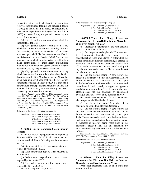connection with a state election if the committee receives contributions totaling one thousand dollars (\$1,000) or more, or if it makes contributions or independent expenditures totaling five hundred dollars (\$500) or more during the period covered by the preelection statement.

(g) City general purpose committees shall file statements as follows:

(1) City general purpose committees in a city which has an election on the first Tuesday after the first Monday in June or November of an evennumbered year shall file the statements specified in subdivision (a) or (b) of Section 84200.7 for the sixmonth period in which the city election is held, if they make contributions or independent expenditures totaling five hundred dollars (\$500) or more during the period covered by the preelection statement.

(2) City general purpose committees in a city which has an election on a date other than the first Tuesday after the first Monday in June or November of an even-numbered year shall file the preelection statements specified in Section 84200.8 if they make contributions or independent expenditures totaling five hundred dollars (\$500) or more during the period covered by the preelection statement.

History: Added by Stats. 1985, Ch. 1456; amended by Stats. 1986, Ch. 542; amended by Stats. 1988, Ch. 1281 effective September 26, 1988; amended by Stats. 1991, Ch. 505; amended by Stats. 1991, Ch. 1077; amended by Stats. 1993, Ch. 769; amended by Stats. 1999, Ch. 158, effective July 23, 1999; amended by Stats. 1999, Ch. 855; amended by Stats. 2004, Ch. 623, effective September 21, 2004.

References at the time of publication (see page 3):

Regulations: 2 Cal. Code of Regs. Section 18117 2 Cal. Code of Regs. Section 18401 2 Cal. Code of Regs. Section 18405 2 Cal. Code of Regs. Section 18420.5 2 Cal. Code of Regs. Section 18421.2

### **§ 84200.6. Special Campaign Statements and Reports.**

In addition to the campaign statements required by Sections 84200 and 84200.5, all candidates and committees shall file the following special statements and reports:

(a) Supplemental preelection statements when required by Section 84202.5.

(b) Late contribution reports when required by Section 84203.

(c) Independent expenditure reports when required by Section 84203.5.

(d) Late independent expenditure reports when required by Section 84204.

History: Added by Stats. 1985, Ch. 1456.

References at the time of publication (see page 3):

Regulations: 2 Cal. Code of Regs. Section 18117 2 Cal. Code of Regs. Section 18401 2 Cal. Code of Regs. Section 18420.5 2 Cal. Code of Regs. Section 18421.2

### **§ 84200.7. Time for Filing Preelection Statements for Elections Held in June or November of an Even-Numbered Year.**

(a) Preelection statements for the June election period shall be filed as follows:

(1) For the period ending March 17, a statement to be filed no later than March 22. However, for a special election called after March 17, or for which the period for filing nomination documents, as defined in Section 333 of the Elections Code, ends after March 17, a preelection statement for the period ending 45 days before the election shall be filed no later than 40 days before the election.

(2) For the period ending 17 days before the election, a statement to be filed no later than 12 days before the election. All candidates being voted upon in the June election, their controlled committees, and committees formed primarily to support or oppose a candidate or measure being voted upon in the June election shall file this statement by guaranteed overnight delivery service or by personal delivery.

(b) Preelection statements for the November election period shall be filed as follows:

(1) For the period ending September 30, a statement to be filed no later than October 5.

(2) For the period ending 17 days before the election, a statement to be filed no later than 12 days before the election. All candidates being voted upon in the November election, their controlled committees, and committees formed primarily to support or oppose a candidate or measure being voted upon in the November election shall file this statement by guaranteed overnight delivery service or by personal delivery.

History: Added by Stats. 1985, Ch. 1456; amended by Stats. 1986, Ch. 984; amended by Stats. 1994, Ch. 923.

References at the time of publication (see page 3):

| Regulations: 2 Cal. Code of Regs. Section 18117 |
|-------------------------------------------------|
| 2 Cal. Code of Regs. Section 18401              |
| 2 Cal. Code of Regs. Section 18405              |
| 2 Cal. Code of Regs. Section 18420.5            |
| 2 Cal. Code of Regs. Section 18421.2            |

**§ 84200.8. Time for Filing Preelection Statements for Elections Not Held in June or November of an Even-Numbered Year.**

Preelection statements shall be filed under this section as follows: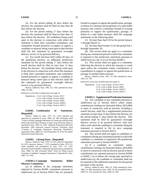(a) For the period ending 45 days before the election, the statement shall be filed no later than 40 days before the election.

(b) For the period ending 17 days before the election, the statement shall be filed no later than 12 days before the election. All candidates being voted upon in the election in connection with which the statement is filed, their controlled committees, and committees formed primarily to support or oppose a candidate or measure being voted upon in that election shall file this statement by guaranteed overnight delivery service or by personal delivery.

(c) For runoff elections held within 60 days of the qualifying election, an additional preelection statement for the period ending 17 days before the runoff election shall be filed no later than 12 days before the election. All candidates being voted upon in the election in connection with which the statement is filed, their controlled committees, and committees formed primarily to support or oppose a candidate or measure being voted upon in that election shall file this statement by guaranteed overnight delivery service or by personal delivery.

History: Added by Stats. 1985, Ch. 1456; amended by Stats. 1986, Ch. 984.

References at the time of publication (see page 3):

Regulations: 2 Cal. Code of Regs. Section 18117 2 Cal. Code of Regs. Section 18401 2 Cal. Code of Regs. Section 18405 2 Cal. Code of Regs. Section 18420.5 2 Cal. Code of Regs. Section 18421.2

### **§ 84201. Combination of Statements. [Repealed]**

History: Added by Stats. 1977, Ch. 1193; repealed and reenacted as amended by Stats. 1980, Ch. 289. (Formerly titled "Time for Filing Campaign Statements in Connection with Elections Held on the State Direct Primary or State General Election Dates"); repealed by Stats. 1985, Ch. 1456. Added by Proposition 208 of the November 1996 Statewide General Election. (Formerly titled "Contents of Campaign Statements; Reporting Threshold"); repealed by Stats. 2000, Ch. 102 [Proposition 34 of the November Statewide General Election].

### **§ 84202. Closing Dates. [Repealed]**

History: Added by Stats. 1975, Ch. 915, effective September 20, 1975, operative January 7, 1975; amended by Stats. 1976, Ch. 1106; amended and renumbered by Stats. 1977, Ch. 1193. (Formerly Section 84200.5.) Repealed and reenacted as amended by Stats. 1980, Ch. 289. (Formerly titled "Time for Filing Central Committee Candidate Campaign Statements"); Repealed by Stats. 1985, Ch. 1456.

### **§ 84202.3. Campaign Statements; Ballot Measure Committees.**

(a) In addition to the campaign statements required by Section 84200, committees pursuant to subdivision (a) of Section 82013 that are primarily formed to support or oppose the qualification, passage, or defeat of a measure and proponents of a state ballot measure who control a committee formed or existing primarily to support the qualification, passage, or defeat of a state ballot measure, shall file campaign statements on the following dates:

(1) No later than April 30 for the period January 1 through March 31.

(2) No later than October 31 for the period July 1 through September 30.

(b) This section shall not apply to a committee during any semiannual period in which the committee is required to file preelection statements pursuant to subdivision (a), (b), or (c) of Section 84200.5.

(c) This section shall not apply to a committee following the election at which the measure is voted upon unless the committee makes contributions or expenditures to support or oppose the qualification or passage of another ballot measure.

History: Added by Stats. 1991, Ch. 696; amended by Stats. 1993, Ch. 769.

References at the time of publication (see page 3):

Regulations: 2 Cal. Code of Regs. Section 18117 2 Cal. Code of Regs. Section 18401 2 Cal. Code of Regs. Section 18420.5 2 Cal. Code of Regs. Section 18421.2

### **§ 84202.5. Supplemental Preelection Statement.**

(a) Any candidate or any committee pursuant to subdivision (a) of Section 82013 which makes contributions totaling ten thousand dollars (\$10,000) or more in connection with an election, including a runoff election, shall file a supplemental preelection statement no later than 12 days before the election, for the period ending 17 days before the election. This statement shall be filed by guaranteed overnight delivery service or by personal delivery with each office with which the candidate or committee filing the statement is required to file its next campaign statement pursuant to Section 84215.

(b) This section shall not apply to candidates or committees during any semiannual period in which the candidate or committee is required to file preelection statements pursuant to Section 84200.5.

(c) If a candidate or committee makes contributions totaling ten thousand dollars (\$10,000) or more in connection with an election and all of those contributions are reported pursuant to Section 84200 or 84202.7 on or before the closing date specified in subdivision (a), the candidate or committee shall not be required to file additional statements for that period pursuant to this section.

History: Added by Stats. 1985, Ch. 1456; amended by Stats. 1986, Ch. 984; amended by Stats. 1992, Ch. 89; amended by Stats. 2000, Ch. 130; amended by Stats. 2004, Ch. 484.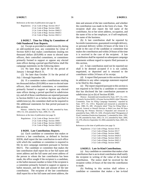References at the time of publication (see page 3):

Regulations: 2 Cal. Code of Regs. Section 18117 2 Cal. Code of Regs. Section 18401 2 Cal. Code of Regs. Section 18402.5 2 Cal. Code of Regs. Section 18420.5 2 Cal. Code of Regs. Section 18421.2

## **§ 84202.7. Time for Filing by Committees of Odd-Numbered Year Reports.**

(a) Except as provided in subdivision (b), during an odd-numbered year, any committee by virtue of Section 82013 that makes contributions totaling ten thousand dollars (\$10,000) or more to elected state officers, their controlled committees, or committees primarily formed to support or oppose any elected state officer during a period specified below shall file campaign statements on the following dates:

(1) No later than April 30 for the period of January 1 through March 31.

(2) No later than October 31 for the period of July 1 through September 30.

(b) If a committee makes contributions totaling ten thousand dollars (\$10,000) or more to elected state officers, their controlled committees, or committees primarily formed to support or oppose any elected state officer during a period specified in subdivision (a), and all of those contributions are reported pursuant to Section 84202.5 on or before the time specified in subdivision (a), the committee shall not be required to file additional statements for that period pursuant to this section.

History: Added by Stats. 1986, Ch. 984; amended by Stats. 1993, Ch. 218; amended by Stats. 2000, Ch. 130.

References at the time of publication (see page 3):

Regulations: 2 Cal. Code of Regs. Section 18117 2 Cal. Code of Regs. Section 18401 2 Cal. Code of Regs. Section 18420.5 2 Cal. Code of Regs. Section 18421.2

#### **§ 84203. Late Contribution; Reports.**

(a) Each candidate or committee that makes or receives a late contribution, as defined in Section 82036, shall report the late contribution to each office with which the candidate or committee is required to file its next campaign statement pursuant to Section 84215. The candidate or committee that makes the late contribution shall report his or her full name and street address and the full name and street address of the person to whom the late contribution has been made, the office sought if the recipient is a candidate, or the ballot measure number or letter if the recipient is a committee primarily formed to support or oppose a ballot measure, and the date and amount of the late contribution. The recipient of the late contribution shall report his or her full name and street address, the date and amount of the late contribution, and whether the contribution was made in the form of a loan. The recipient shall also report the full name of the contributor, his or her street address, occupation, and the name of his or her employer, or if self-employed, the name of the business.

(b) A late contribution shall be reported by facsimile transmission, guaranteed overnight delivery, or personal delivery within 24 hours of the time it is made in the case of the candidate or committee that makes the contribution and within 24 hours of the time it is received in the case of the recipient. A late contribution shall be reported on subsequent campaign statements without regard to reports filed pursuant to this section.

(c) A late contribution need not be reported nor shall it be deemed accepted if it is not cashed, negotiated, or deposited and is returned to the contributor within 24 hours of its receipt.

(d) A report filed pursuant to this section shall be in addition to any other campaign statement required to be filed by this chapter.

(e) The report required pursuant to this section is not required to be filed by a candidate or committee that has disclosed the late contribution pursuant to subdivision (a) or (b) of Section 85309.

History: Amended and renumbered by Stats. 1977, Ch. 1193. (Formerly Section 84201.) (Former Section 84203, titled "Measure; Committee; Time for Filing Campaign Statement," repealed by Stats. 1977, Ch. 1193.) Repealed and reenacted as amended by Stats. 1980, Ch. 289. (Formerly titled "Time for Filing When a Special, General or Runoff Election is Held Less than 60 Days Following the Primary Election.") Repealed and reenacted as amended by Stats. 1985, Ch. 1456. (Formerly titled "Designation of Final Committee Preelection Statement."); amended by Stats. 1992, Ch. 89; amended by Stats. 2002, Ch. 211; amended by Stats. 2004, Ch. 478, effective September 10, 2004; amended by Stats. 2005, Ch. 200.

References at the time of publication (see page 3):

Regulations: 2 Cal. Code of Regs. Section 18116 2 Cal. Code of Regs. Section 18117 2 Cal. Code of Regs. Section 18401 2 Cal. Code of Regs. Section 18420.5 2 Cal. Code of Regs. Section 18421.1 2 Cal. Code of Regs. Section 18421.2 2 Cal. Code of Regs. Section 18425

#### **§ 84203.3. Late In-Kind Contributions.**

(a) Any candidate or committee that makes a late contribution that is an in-kind contribution shall notify the recipient in writing of the value of the in-kind contribution. The notice shall be received by the recipient within 24 hours of the time the contribution is made.

(b) Nothing in this section shall relieve a candidate or committee that makes a late in-kind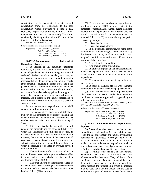contribution or the recipient of a late in-kind contribution from the requirement to file late contribution reports pursuant to Section 84203. However, a report filed by the recipient of a late inkind contribution shall be deemed timely filed if it is received by the filing officer within 48 hours of the time the contribution is received.

History: Added by Stats. 1995, Ch. 77.

References at the time of publication (see page 3):

Regulations: 2 Cal. Code of Regs. Section 18117 2 Cal. Code of Regs. Section 18401 2 Cal. Code of Regs. Section 18420.5 2 Cal. Code of Regs. Section 18421.2

## **§ 84203.5. Supplemental Independent Expenditure Report.**

(a) In addition to any campaign statements required by this article, if a candidate or committee has made independent expenditures totaling one thousand dollars (\$1,000) or more in a calendar year to support or oppose a candidate, a measure or qualification of a measure, it shall file independent expenditure reports at the same time, covering the same periods, and in the places where the candidate or committee would be required to file campaign statements under this article, as if it were formed or existing primarily to support or oppose the candidate or measure or qualification of the measure. No independent expenditure report need be filed to cover a period for which there has been no activity to report.

(b) An independent expenditure report shall contain the following information:

(1) The name, street address, and telephone number of the candidate or committee making the expenditure and of the committee's treasurer, and the number assigned to the committee by the Secretary of State.

(2) If the report is related to a candidate, the full name of the candidate and the office and district for which the candidate seeks nomination or election. If the report is related to a measure or qualification of a measure, the number or letter of the measure, or if none has yet been assigned, a brief description of the subject matter of the measure, and the jurisdiction in which the measure is to be voted on or would be voted on if it qualified.

(3) The total amount of expenditures related to the candidate or measure during the period covered by the report made to persons who have received less than one hundred dollars (\$100).

(4) The total amount of expenditures related to the candidate or measure during the period covered by the report made to persons who have received one hundred dollars (\$100) or more.

(5) For each person to whom an expenditure of one hundred dollars (\$100) or more related to the candidate or measure has been made during the period covered by the report and for each person who has provided consideration for an expenditure of one hundred dollars (\$100) or more during the period covered by the report:

(A) His or her full name.

(B) His or her street address.

(C) If the person is a committee, the name of the committee, the number assigned to the committee by the Secretary of State, or if no number has been assigned, the full name and street address of the treasurer of the committee.

(D) The date of the expenditure.

(E) The amount of the expenditure.

(F) A brief description of the consideration for which each expenditure was made and the value of the consideration if less than the total amount of the expenditure.

(G) The cumulative amount of expenditures to such person.

(6) A list of all the filing officers with whom the committee filed its most recent campaign statement.

(c) Filing officers shall maintain paper reports filed pursuant to this section under the name of the candidate or measure supported or opposed by the independent expenditure.

History: Added by Stats. 1985, Ch. 1456; amended by Stats. 2000, Ch. 130; amended by Stats. 2004, Ch. 483.

References at the time of publication (see page 3):

```
Regulations: 2 Cal. Code of Regs. Section 18117 
 2 Cal. Code of Regs. Section 18401 
 2 Cal. Code of Regs. Section 18420.5 
 2 Cal. Code of Regs. Section 18421.2
```
**§ 84204. Late Independent Expenditures; Reports.** 

(a) A committee that makes a late independent expenditure, as defined in Section 82036.5, shall report the late independent expenditure by facsimile transmission, guaranteed overnight delivery, or personal delivery within 24 hours of the time it is made. A late independent expenditure shall be reported on subsequent campaign statements without regard to reports filed pursuant to this section.

(b) A committee that makes a late independent expenditure shall report its full name and street address, as well as the name, office, and district of the candidate if the report is related to a candidate, or if the report is related to a measure, the number or letter of the measure, the jurisdiction in which the measure is to be voted upon, and the amount and the date, as well as a description of goods or services for which the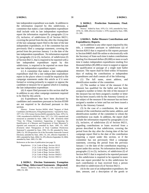late independent expenditure was made. In addition to the information required by this subdivision, a committee that makes a late independent expenditure shall include with its late independent expenditure report the information required by paragraphs (1) to (5), inclusive, of subdivision (f) of Section 84211, covering the period from the day after the closing date of the last campaign report filed to the date of the late independent expenditure, or if the committee has not previously filed a campaign statement, covering the period from the previous January 1 to the date of the late independent expenditure. No information required by paragraphs (1) to (5), inclusive, of subdivision (f) of Section 84211, that is required to be reported with a late independent expenditure report by this subdivision, is required to be reported on more than one late independent expenditure report.

(c) A committee that makes a late independent expenditure shall file a late independent expenditure report in the places where it would be required to file campaign statements under this article as if it were formed or existing primarily to support or oppose the candidate or measure for or against which it is making the late independent expenditure.

(d) A report filed pursuant to this section shall be in addition to any other campaign statement required to be filed by this article.

(e) Expenditures that have been disclosed by candidates and committees pursuant to Section 85500 are not required to be disclosed pursuant to this section.

History: Former Section 84204, titled "Support of Both Candidates and Measures; Filing Requirements," repealed by Stats. 1977, Ch. 1193; former Section 84202 amended by Stats. 1976, Ch. 1106; renumbered to 84204 by Stats. 1977, Ch. 1193; repealed and reenacted as amended by Stats. 1980, Ch. 289. (Formerly titled "Time for Filing; Committees Supporting or Opposing the Qualification of a Measure and Proponents of State Measures"); repealed and reenacted as amended by Stats. 1985, Ch. 1456. (Formerly titled "Designation of Final Candidate Preelection Statement"); amended by Stats. 1992, Ch. 89; amended by Stats. 2000, Ch. 102 [Proposition 34 of the November Statewide General Election]; amended by Stats. 2001, Ch. 241, effective September 4, 2001; amended by Stats. 2004, Ch. 478, effective September 10, 2004; amended by Stats. 2005, Ch. 200.

References at the time of publication (see page 3):

| Regulations: 2 Cal. Code of Regs. Section 18116 |
|-------------------------------------------------|
| 2 Cal. Code of Regs. Section 18117              |
| 2 Cal. Code of Regs. Section 18401              |
| 2 Cal. Code of Regs. Section 18413              |
| 2 Cal. Code of Regs. Section 18420.5            |
| 2 Cal. Code of Regs. Section 18421.2            |

## **§ 84204.1. Election Statements; Exemption from Filing; Abbreviated Statements. [Repealed]** History: Added by Stats. 1976, Ch. 1106; repealed by Stats.

1980, Ch. 289.

## **§ 84204.2. Preelection Statements; Final. [Repealed]**

History: Added by Stats. 1976, Ch. 1105; amended by Stats. 1978, Ch. 1408, effective October 1, 1978; repealed by Stats. 1980, Ch. 289.

## **§ 84204.5. Ballot Measure Contributions and Expenditures; Reports.**

(a) In addition to any other report required by this title, a committee pursuant to subdivision (a) of Section 82013 that is required to file reports pursuant to Section 84605 shall file online or electronically with the Secretary of State each time it makes contributions totaling five thousand dollars (\$5,000) or more or each time it makes independent expenditures totaling five thousand dollars (\$5,000) or more to support or oppose the qualification or passage of a single state ballot measure. The report shall be filed within 10 business days of making the contributions or independent expenditures and shall contain all of the following:

(1) The full name, street address, and identification number of the committee.

(2) The number or letter of the measure if the measure has qualified for the ballot and has been assigned a number or letter; the title of the measure if the measure has not been assigned a number or letter but has been issued a title by the Attorney General; or the subject of the measure if the measure has not been assigned a number or letter and has not been issued a title by the Attorney General.

(3) In the case of a contribution, the date and amount of the contribution and the name, address, and identification number of the committee to whom the contribution was made. In addition, the report shall include the information required by paragraphs (1) to (5), inclusive, of subdivision (f) of Section 84211, regarding contributions or loans received from a person described in that subdivision, covering the period from the day after the closing date of the last campaign report filed to the date of the contribution requiring a report under this section, or if the committee has not previously filed a campaign statement, covering the period from the previous January 1 to the date of the contribution requiring a report under this section. No information described in paragraphs (1) to (5), inclusive, of subdivision (f) of Section 84211 that is required to be reported pursuant to this subdivision is required to be reported in more than one report provided for in this subdivision for each contribution or loan received from a person described in subdivision (f) of Section 84211.

(4) In the case of an independent expenditure, the date, amount, and a description of the goods or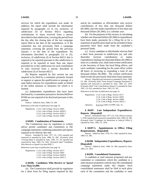services for which the expenditure was made. In addition, the report shall include the information required by paragraphs (1) to (5), inclusive, of subdivision (f) of Section 84211 regarding contributions or loans received from a person described in that subdivision, covering the period from the day after the closing date of the last campaign report filed to the date of the expenditure, or if the committee has not previously filed a campaign statement, covering the period from the previous January 1 to the date of the expenditure. No information described in paragraphs (1) to (5), inclusive, of subdivision (f) of Section 84211 that is required to be reported pursuant to this subdivision is required to be reported in more than one report provided for in this subdivision for each contribution or loan received from a person described in subdivision (f) of Section 84211.

(b) Reports required by this section are not required to be filed by a committee primarily formed to support or oppose the qualification or passage of a state ballot measure for expenditures made on behalf of the ballot measure or measures for which it is formed.

(c) Independent expenditures that have been disclosed by a committee pursuant to Section 84204 or 85500 are not required to be disclosed pursuant to this section.

History: Added by Stats. 2006, Ch. 438.

References at the time of publication (see page 3):

Regulations: 2 Cal. Code of Regs. Section 18401 2 Cal. Code of Regs. Section 18420.5 2 Cal. Code of Regs. Section 18421.2 2 Cal. Code of Regs. Section 18466

#### **§ 84205. Combination of Statements.**

The Commission may by regulation or written advice permit candidates and committees to file campaign statements combining statements and reports required to be filed by this title.

History: Amended by Stats. 1977, Ch. 1193; repealed and reenacted as amended by Stats. 1980, Ch. 289. (Formerly titled "Closing Dates"); amended by Stats. 1981, Ch. 78; repealed and reenacted by Stats. 1985, Ch. 1456. (Formerly titled "Candidates Who Receive or Spend Less than \$500.")

References at the time of publication (see page 3):

Regulations: 2 Cal. Code of Regs. Section 18117 2 Cal. Code of Regs. Section 18401 2 Cal. Code of Regs. Section 18420.5 2 Cal. Code of Regs. Section 18421.2

## **§ 84206. Candidates Who Receive or Spend Less Than \$1,000.**

(a) The Commission shall provide by regulation for a short form for filing reports required by this article for candidates or officeholders who receive contributions of less than one thousand dollars (\$1,000), and who make expenditures of less than one thousand dollars (\$1,000), in a calendar year.

(b) For the purposes of this section, in calculating whether one thousand dollars (\$1,000) in expenditures have been made, payments for a filing fee or for a statement of qualification shall not be included if these payments have been made from the candidate's personal funds.

(c) Every candidate or officeholder who has filed a short form pursuant to subdivision (a), and who thereafter receives contributions or makes expenditures totaling one thousand dollars (\$1,000) or more in a calendar year, shall send written notification to the Secretary of State, the local filing officer, and each candidate contending for the same office within 48 hours of receiving or expending a total of one thousand dollars (\$1,000). The written notification shall revoke the previously filed short form statement.

History: Repealed and reenacted as amended by Stats. 1980, Ch. 289. (Formerly titled "Semi-Annual Campaign Statements"); repealed and reenacted as amended by Stats. 1985, Ch. 1456. (Formerly titled "Late Contributions; Reports"); amended by Stats. 1987, Ch. 632; amended by Stats. 1993, Ch. 391.

References at the time of publication (see page 3):

Regulations: 2 Cal. Code of Regs. Section 18117 2 Cal. Code of Regs. Section 18401 2 Cal. Code of Regs. Section 18406 2 Cal. Code of Regs. Section 18421.2

Opinions: In re Lui (1987) 10 FPPC Ops. 10

#### **§ 84207. Late Independent Expenditures; Reports. [Repealed]**

History: Amended by Stats. 1977, Ch. 1193, effective January 1, 1978; repealed and reenacted as amended by Stats. 1980, Ch. 289. (Formerly titled "Candidate for Reelection to Judicial Office"); repealed by Stats. 1985, Ch. 1456.

## **§ 84207.5. Appointments to Office; Filing Requirements. [Repealed]**

History: Added by Stats. 1976, Ch. 1106; repealed by Stats. 1980, Ch. 289.

# **§ 84208. Independent Expenditures; Reports.**

**[Repealed]** History: Added by Stats. 1980, Ch. 289; repealed by Stats. 1985, Ch. 1456.

#### **§ 84209. Consolidated Statements.**

A candidate or state measure proponent and any committee or committees which the candidate or a state measure proponent controls may file consolidated campaign statements under this chapter. Such consolidated statements shall be filed in each place each of the committees and the candidate or state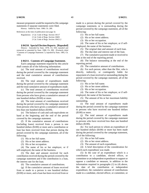measure proponent would be required to file campaign statements if separate statements were filed.

History: Added by Stats. 1980, Ch. 289.

References at the time of publication (see page 3):

Regulations: 2 Cal. Code of Regs. Section 18117 2 Cal. Code of Regs. Section 18401 2 Cal. Code of Regs. Section 18421.2

**§ 84210. Special Election Reports. [Repealed]**

History: Amended by Stats. 1978, Ch. 650; repealed and reenacted as amended by Stats. 1980, Ch. 289; (Formerly titled "Contents of Campaign Statement."); repealed by Stats. 1985, Ch. 1456.

#### **§ 84211. Contents of Campaign Statement.**

Each campaign statement required by this article shall contain all of the following information:

(a) The total amount of contributions received during the period covered by the campaign statement and the total cumulative amount of contributions received.

(b) The total amount of expenditures made during the period covered by the campaign statement and the total cumulative amount of expenditures made.

(c) The total amount of contributions received during the period covered by the campaign statement from persons who have given a cumulative amount of one hundred dollars (\$100) or more.

(d) The total amount of contributions received during the period covered by the campaign statement from persons who have given a cumulative amount of less than one hundred dollars (\$100).

(e) The balance of cash and cash equivalents on hand at the beginning and the end of the period covered by the campaign statement.

(f) If the cumulative amount of contributions (including loans) received from a person is one hundred dollars (\$100) or more and a contribution or loan has been received from that person during the period covered by the campaign statement, all of the following:

(1) His or her full name.

(2) His or her street address.

(3) His or her occupation.

(4) The name of his or her employer, or if self-employed, the name of the business.

(5) The date and amount received for each contribution received during the period covered by the campaign statement and if the contribution is a loan, the interest rate for the loan.

(6) The cumulative amount of contributions.

(g) If the cumulative amount of loans received from or made to a person is one hundred dollars (\$100) or more, and a loan has been received from or made to a person during the period covered by the campaign statement, or is outstanding during the period covered by the campaign statement, all of the following:

(1) His or her full name.

(2) His or her street address.

(3) His or her occupation.

(4) The name of his or her employer, or if selfemployed, the name of the business.

(5) The original date and amount of each loan.

(6) The due date and interest rate of the loan.

(7) The cumulative payment made or received to date at the end of the reporting period.

(8) The balance outstanding at the end of the reporting period.

(9) The cumulative amount of contributions.

(h) For each person, other than the filer, who is directly, indirectly, or contingently liable for repayment of a loan received or outstanding during the period covered by the campaign statement, all of the following:

(1) His or her full name.

(2) His or her street address.

(3) His or her occupation.

(4) The name of his or her employer, or if selfemployed, the name of the business.

(5) The amount of his or her maximum liability outstanding.

(i) The total amount of expenditures made during the period covered by the campaign statement to persons who have received one hundred dollars (\$100) or more.

(j) The total amount of expenditures made during the period covered by the campaign statement to persons who have received less than one hundred dollars (\$100).

(k) For each person to whom an expenditure of one hundred dollars (\$100) or more has been made during the period covered by the campaign statement, all of the following:

(1) His or her full name.

(2) His or her street address.

(3) The amount of each expenditure.

(4) A brief description of the consideration for which each expenditure was made.

(5) In the case of an expenditure which is a contribution to a candidate, elected officer, or committee or an independent expenditure to support or oppose a candidate or measure, in addition to the information required in paragraphs (1) to (4) above, the date of the contribution or independent expenditure, the cumulative amount of contributions made to a candidate, elected officer, or committee, or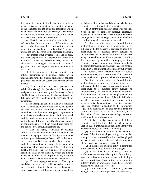the cumulative amount of independent expenditures made relative to a candidate or measure; the full name of the candidate, and the office and district for which he or she seeks nomination or election, or the number or letter of the measure; and the jurisdiction in which the measure or candidate is voted upon.

(6) The information required in paragraphs (1) to (4), inclusive, for each person, if different from the payee, who has provided consideration for an expenditure of five hundred dollars (\$500) or more during the period covered by the campaign statement.

For purposes of subdivisions (i), (j), and (k) only, the terms "expenditure" or "expenditures" mean any individual payment or accrued expense, unless it is clear from surrounding circumstances that a series of payments or accrued expenses are for a single service or product.

(l) In the case of a controlled committee, an official committee of a political party, or an organization formed or existing primarily for political purposes, the amount and source of any miscellaneous receipt.

(m) If a committee is listed pursuant to subdivision  $(f)$ ,  $(g)$ ,  $(h)$ ,  $(k)$ ,  $(l)$ , or  $(q)$ , the number assigned to the committee by the Secretary of State shall be listed, or if no number has been assigned, the full name and street address of the treasurer of the committee.

(n) In a campaign statement filed by a candidate who is a candidate in both a state primary and general election, his or her controlled committee, or a committee primarily formed to support or oppose such a candidate, the total amount of contributions received and the total amount of expenditures made for the period January 1 through June 30 and the total amount of contributions received and expenditures made for the period July 1 through December 31.

(o) The full name, residential or business address, and telephone number of the filer, or in the case of a campaign statement filed by a committee defined by subdivision (a) of Section 82013, the name, street address, and telephone number of the committee and of the committee treasurer. In the case of a committee defined by subdivision (b) or (c) of Section 82013, the name that the filer uses on campaign statements shall be the name by which the filer is identified for other legal purposes or any name by which the filer is commonly known to the public.

(p) If the campaign statement is filed by a candidate, the name, street address, and treasurer of any committee of which he or she has knowledge which has received contributions or made expenditures on behalf of his or her candidacy and whether the committee is controlled by the candidate.

(q) A contribution need not be reported nor shall it be deemed accepted if it is not cashed, negotiated, or deposited and is returned to the contributor before the closing date of the campaign statement on which the contribution would otherwise be reported.

(r) If a committee primarily formed for the qualification or support of, or opposition to, an initiative or ballot measure is required to report an expenditure to a business entity pursuant to subdivision (k) and 50 percent or more of the business entity is owned by a candidate or person controlling the committee, by an officer or employee of the committee, or by a spouse of any of these individuals, the committee's campaign statement shall also contain, in addition to the information required by subdivision (k), that person's name, the relationship of that person to the committee, and a description of that person's ownership interest or position with the business entity.

(s) If a committee primarily formed for the qualification or support of, or opposition to, an initiative or ballot measure is required to report an expenditure to a business entity pursuant to subdivision (k), and a candidate or person controlling the committee, an officer or employee of the committee, or a spouse of any of these individuals is an officer, partner, consultant, or employee of the business entity, the committee's campaign statement shall also contain, in addition to the information required by subdivision (k), that person's name, the relationship of that person to the committee, and a description of that person's ownership interest or position with the business entity.

(t) If the campaign statement is filed by a committee, as defined in subdivision (b) or (c) of Section 82013, information sufficient to identify the nature and interests of the filer, including:

(1) If the filer is an individual, the name and address of the filer's employer, if any, or his or her principal place of business if the filer is self-employed, and a description of the business activity in which the filer or his or her employer is engaged.

(2) If the filer is a business entity, a description of the business activity in which it is engaged.

(3) If the filer is an industry, trade, or professional association, a description of the industry, trade, or profession which it represents, including a specific description of any portion or faction of the industry, trade, or profession which the association exclusively or primarily represents.

(4) If the filer is not an individual, business entity, or industry, trade, or professional association, a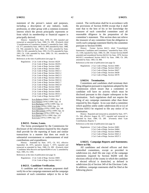statement of the person's nature and purposes, including a description of any industry, trade, profession, or other group with a common economic interest which the person principally represents or from which its membership or financial support is principally derived.

History: Amended by Stats. 1978, Ch. 650; repealed and reenacted as amended by Stats. 1980, Ch. 289; (Formerly titled "Consideration of Cumulative Amount"); amended by Stats. 1982, Ch. 377; amended by Stats. 1985, Ch. 899; amended by Stats. 1988, Ch. 704; amended by Stats. 1989, Ch. 1452; amended by Stats. 1990, Ch. 581; amended by Stats. 1991, Ch. 674; amended by Stats. 1993, Ch. 1140; amended by Stats. 2000, Ch. 161; amended by Stats. 2000, Ch. 853.

References at the time of publication (see page 3):

|           | Regulations: 2 Cal. Code of Regs. Section 18229                             |
|-----------|-----------------------------------------------------------------------------|
|           | 2 Cal. Code of Regs. Section 18229.1                                        |
|           | 2 Cal. Code of Regs. Section 18401                                          |
|           | 2 Cal. Code of Regs. Section 18421                                          |
|           | 2 Cal. Code of Regs. Section 18421.1                                        |
|           | 2 Cal. Code of Regs. Section 18421.2                                        |
|           | 2 Cal. Code of Regs. Section 18421.3                                        |
|           | 2 Cal. Code of Regs. Section 18421.4                                        |
|           | 2 Cal. Code of Regs. Section 18421.6                                        |
|           | 2 Cal. Code of Regs. Section 18421.7                                        |
|           | 2 Cal. Code of Regs. Section 18421.8                                        |
|           | 2 Cal. Code of Regs. Section 18423                                          |
|           | 2 Cal. Code of Regs. Section 18428                                          |
|           | 2 Cal. Code of Regs. Section 18430                                          |
|           | 2 Cal. Code of Regs. Section 18531.5                                        |
|           | 2 Cal. Code of Regs. Section 18537                                          |
| Opinions: | In re Roberts (2004) 17 FPPC Ops. 9                                         |
|           | In re Nielsen (1979) 5 FPPC Ops. 18<br>In re Buchanan (1979) 5 FPPC Ops. 14 |
|           |                                                                             |

In re Buchanan (1979) 5 FPPC Ops. 14 In re Kahn (1976) 2 FPPC Ops. 151 In re Lumsdon (1976) 2 FPPC Ops. 140 In re McCormick (1976) 2 FPPC Ops. 42 In re Burciaga (1976) 2 FPPC Ops. 17 In re Hayes (1975) 1 FPPC Ops. 210 In re Cory (1975) 1 FPPC Ops. 137

#### **§ 84212. Forms; Loans.**

The forms promulgated by the Commission for disclosure of the information required by this chapter shall provide for the reporting of loans and similar transactions in a manner that does not result in substantial overstatement or understatement of total contributions and expenditures.

History: Amended by Stats. 1975, Ch. 915, effective September 20, 1975, operative January 7, 1975; repealed and reenacted as amended by Stats. 1980, Ch. 289. (Formerly titled "Candidates Who Receive and Spend \$200 or Less."); amended by Stats. 1985, Ch. 1456.

References at the time of publication (see page 3):

Regulations: 2 Cal. Code of Regs. Section 18401 2 Cal. Code of Regs. Section 18421.2

## **§ 84213. Candidate Verification.**

A candidate and state measure proponent shall verify his or her campaign statement and the campaign statement of each committee subject to his or her control. The verification shall be in accordance with the provisions of Section 81004 except that it shall state that to the best of his or her knowledge the treasurer of each controlled committee used all reasonable diligence in the preparation of the committee's statement. This section does not relieve the treasurer of any committee from the obligation to verify each campaign statement filed by the committee pursuant to Section 81004.

History: Former Section 84213, titled "Consolidated Statements; Candidates and Committees," amended by Stats. 1976, Ch. 1106; repealed by Stats. 1980, Ch. 289. Former Section 84209 amended and renumbered Section 84216.5 by Stats. 1979; Section 842165.5 renumbered Section 84213 by Stats. 1980, Ch. 289; amended by Stats. 1983, Ch. 898.

References at the time of publication (see page 3):

Regulations: 2 Cal. Code of Regs. Section 18401 2 Cal. Code of Regs. Section 18421.2 2 Cal. Code of Regs. Section 18427 2 Cal. Code of Regs. Section 18430 2 Cal. Code of Regs. Section 18570

#### **§ 84214. Termination.**

Committees and candidates shall terminate their filing obligation pursuant to regulations adopted by the Commission which insure that a committee or candidate will have no activity which must be disclosed pursuant to this chapter subsequent to the termination. Such regulations shall not require the filing of any campaign statements other than those required by this chapter. In no case shall a committee which qualifies solely under subdivision (b) or (c) of Section 82013 be required to file any notice of its termination.

History: Repealed and reenacted as amended by Stats. 1977, Ch. 344, effective August 20, 1977; repealed and reenacted as amended by Stats. 1980, Ch. 289. (Formerly titled "Late Contributions; Reports.")

References at the time of publication (see page 3):

Regulations: 2 Cal. Code of Regs. Section 18401 2 Cal. Code of Regs. Section 18404 2 Cal. Code of Regs. Section 18404.1 2 Cal. Code of Regs. Section 18421.2 2 Cal. Code of Regs. Section 18537.1

## **§ 84215. Campaign Reports and Statements; Where to File.**

All candidates and elected officers and their controlled committees, except as provided in subdivision (e), shall file one copy of the campaign statements required by Section 84200 with the elections official of the county in which the candidate or elected official is domiciled, as defined in subdivision (b) of Section 349 of the Elections Code. In addition, campaign statements shall be filed at the following places: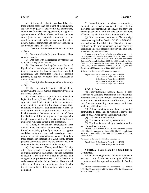(a) Statewide elected officers and candidates for these offices other than the Board of Equalization, supreme court justices, their controlled committees, committees formed or existing primarily to support or oppose these candidates, elected officers, supreme court justices, or statewide measures, or the qualification of state ballot measures, and all state general purpose committees and filers not specified in subdivisions (b) to (e), inclusive:

(1) The original and one copy with the Secretary of State.

(2) One copy with the Registrar-Recorder of Los Angeles County.

(3) One copy with the Registrar of Voters of the City and County of San Francisco.

(b) Members of the Legislature or Board of Equalization, court of appeal justices, superior court judges, candidates for those offices, their controlled committees, and committees formed or existing primarily to support or oppose these candidates or officeholders:

(1) The original and one copy with the Secretary of State.

(2) One copy with the elections official of the county with the largest number of registered voters in the districts affected.

(c) Elected officers in jurisdictions other than legislative districts, Board of Equalization districts, or appellate court districts that contain parts of two or more counties, candidates for these offices, their controlled committees, and committees formed or existing primarily to support or oppose candidates or local measures to be voted upon in one of these jurisdictions shall file the original and one copy with the elections official of the county with the largest number of registered voters in the jurisdiction.

(d) County elected officers, candidates for these offices, their controlled committees, committees formed or existing primarily to support or oppose candidates or local measures to be voted upon in any number of jurisdictions within one county, other than those specified in subdivision (e), and county general purpose committees shall file the original and one copy with the elections official of the county.

(e) City elected officers, candidates for city office, their controlled committees, committees formed or existing primarily to support or oppose candidates or local measures to be voted upon in one city, and city general purpose committees shall file the original and one copy with the clerk of the city. These elected officers, candidates, and committees need not file with the elections official of the county in which they are domiciled.

(f) Notwithstanding the above, a committee, candidate, or elected officer is not required to file more than the original and one copy, or one copy, of a campaign statement with any one county elections official or city clerk or with the Secretary of State.

(g) If a committee is required to file campaign statements required by Section 84200 or 84200.5 in places designated in subdivisions (d) and (e), it shall continue to file these statements in those places, in addition to any other places required by this title, until the end of the calendar year.

History: Added by Stats. 1978, Ch. 1408, effective October 1, 1978; repealed and reenacted as amended by Stats. 1980, Ch. 289. (Formerly titled "Combination of Pre-election and Semiannual Statements"); amended by Stats. 1982, Ch. 1060; amended by Stats. 1985, Ch. 1456; amended by Stats. 1986, Ch. 490; amended by Stats. 1990, Ch. 581; amended by Stats. 2001, Ch. 241, effective September 4, 2001; amended by Stats. 2007, Ch. 54.

References at the time of publication (see page 3):

Regulations: 2 Cal. Code of Regs. Section 18227 2 Cal. Code of Regs. Section 18401 2 Cal. Code of Regs. Section 18404.1 2 Cal. Code of Regs. Section 18405 2 Cal. Code of Regs. Section 18421.2

#### **§ 84216. Loans.**

(a) Notwithstanding Section 82015, a loan received by a candidate or committee is a contribution unless the loan is received from a commercial lending institution in the ordinary course of business, or it is clear from the surrounding circumstances that it is not made for political purposes.

(b) A loan, whether or not there is a written contract for the loan, shall be reported as provided in Section 84211 when any of the following apply:

(1) The loan is a contribution.

(2) The loan is received by a committee.

(3) The loan is received by a candidate and is used for political purposes.

History: Added by Stats. 1977, Ch. 1119; amended by Stats. 1980, Ch. 289; amended by Stats. 1982, Ch. 29; repealed and reenacted as amended by Stats. 1985, Ch. 899; amended by Stats. 2000, Ch. 853.

References at the time of publication (see page 3):

Regulations: 2 Cal. Code of Regs. Section 18401 2 Cal. Code of Regs. Section 18421.2

#### **§ 84216.5. Loans Made by a Candidate or Committee.**

A loan of campaign funds, whether or not there is a written contract for the loan, made by a candidate or committee shall be reported as provided in Section 84211.

History: Former Section 84216.5 renumbered 84213 by Stats. 1980, Ch. 289; new section added by Stats. 1985, Ch. 899; amended by Stats. 2000, Ch. 853.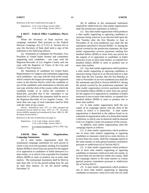References at the time of publication (see page 3):

Regulations: 2 Cal. Code of Regs. Section 18401 2 Cal. Code of Regs. Section 18421.2

## **§ 84217. Federal Office Candidates; Places Filed.**

When the Secretary of State receives any campaign statement filed pursuant to the Federal Election Campaign Act, (2 U.S.C.A. Section 431 et seq.) the Secretary of State shall send a copy of the statement to the following officers:

(a) Statements of candidates for President, Vice President or United States Senator and committees supporting such candidates - one copy with the Registrar-Recorder of Los Angeles County and one copy with the Registrar of Voters of the City and County of San Francisco;

(b) Statements of candidates for United States Representative in Congress and committees supporting such candidates - one copy with the clerk of the county which contains the largest percentage of the registered voters in the election district which the candidate or any of the candidates seek nomination or election and one copy with the clerk of the county within which the candidate resides or in which the committee is domiciled, provided that if the committee is not domiciled in California the statement shall be sent to the Registrar-Recorder of Los Angeles County. No more than one copy of each statement need be filed with the clerk of any county.

History: Amended by Stats. 1977, Ch. 1095; amended and renumbered Section 84226 by Stats. 1979, Ch. 779. (Formerly Section 84208); amended and renumbered by Stats. 1980, Ch. 289. (Formerly Section 84226.)

References at the time of publication (see page 3):

Regulations: 2 Cal. Code of Regs. Section 18401 2 Cal. Code of Regs. Section 18421.2 Opinions: In re Dennis-Strathmeyer (1976) 2 FPPC Ops. 61

## **§ 84218. Slate Mailer Organization; Campaign Statements.**

(a) A slate mailer organization shall file semiannual campaign statements for each period in which it has received payments totaling five hundred dollars (\$500) or more from any person for the support of or opposition to candidates or ballot measures in a slate mailer, or in which it has expended five hundred dollars (\$500) or more to produce one or more slate mailers. The semiannual statements shall be filed no later than July 31 for the period ending June 30, and no later than January 31, for the period ending December 31.

(b) In addition to the semiannual statements required by subdivision (a), slate mailer organizations shall file preelection statements as follows:

(1) Any slate mailer organization which produces a slate mailer supporting or opposing candidates or measures being voted on in an election held upon the first Tuesday after the first Monday in June or November of an even-numbered year shall file the statements specified in Section 84200.7 if, during the period covered by the preelection statement, the slate mailer organization receives payments totaling five hundred dollars (\$500) or more from any person for the support of or opposition to candidates or ballot measures in one or more slate mailers, or expends five hundred dollars (\$500) or more to produce one or more slate mailers.

(2) Any slate mailer organization which produces a slate mailer supporting or opposing candidates or measures being voted on in an election held on a date other than the first Tuesday after the first Monday in June or November of an even-numbered year shall file the statements specified in Section 84200.8 if, during the period covered by the preelection statement, the slate mailer organization receives payments totaling five hundred dollars (\$500) or more from any person for the support of or opposition to candidates or ballot measures in one or more slate mailers, or expends five hundred dollars (\$500) or more to produce one or more slate mailers.

(c) A slate mailer organization shall file two copies of its campaign reports with the clerk of the county in which it is domiciled. A slate mailer organization is domiciled at the address listed on its statement of organization unless it is domiciled outside California, in which case its domicile shall be deemed to be Los Angeles County for purposes of this section.

In addition, slate mailer organizations shall file campaign reports as follows:

(1) A slate mailer organization which produces one or more slate mailers supporting or opposing candidates or measures voted on in a state election, or in more than one county, shall file campaign reports in the same manner as state general purpose committees pursuant to subdivision (a) of Section 84215.

(2) A slate mailer organization which produces one or more slate mailers supporting or opposing candidates or measures voted on in only one county, or in more than one jurisdiction within one county, shall file campaign reports in the same manner as county general purpose committees pursuant to subdivision (d) of Section 84215.

(3) A slate mailer organization which produces one or more slate mailers supporting or opposing candidates or measures voted on in only one city shall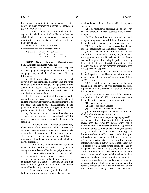file campaign reports in the same manner as city general purpose committees pursuant to subdivision (e) of Section 84215.

(4) Notwithstanding the above, no slate mailer organization shall be required to file more than the original and one copy, or two copies, of a campaign report with any one county or city clerk or with the Secretary of State.

History: Added by Stats. 1987, Ch. 905.

References at the time of publication (see page 3):

```
Regulations: 2 Cal. Code of Regs. Section 18117 
 2 Cal. Code of Regs. Section 18401 
 2 Cal. Code of Regs. Section 18421.2
```
## **§ 84219. Slate Mailer Organization; Semi-Annual Statements; Contents.**

Whenever a slate mailer organization is required to file campaign reports pursuant to Section 84218, the campaign report shall include the following information:

(a) The total amount of receipts during the period covered by the campaign statement and the total cumulative amount of receipts. For purposes of this section only, "receipts" means payments received by a slate mailer organization for production and distribution of slate mailers.

(b) The total amount of disbursements made during the period covered by the campaign statement and the total cumulative amount of disbursements. For purposes of this section only, "disbursements" means payment made by a slate mailer organization for the production or distribution of slate mailers.

(c) For each candidate or committee that is a source of receipts totaling one hundred dollars (\$100) or more during the period covered by the campaign statement:

(1) The name of the candidate or committee, identification of the jurisdiction and the office sought or ballot measure number or letter, and if the source is a committee, the committee's identification number, street address, and the name of the candidate or measure on whose behalf or in opposition to which the payment is made.

(2) The date and amount received for each receipt totaling one hundred dollars (\$100) or more during the period covered by the campaign statement.

(3) The cumulative amount of receipts on behalf of or in opposition to the candidate or measure.

(d) For each person other than a candidate or committee who is a source of receipts totaling one hundred dollars (\$100) or more during the period covered by the campaign statement:

(1) Identification of the jurisdiction, office or ballot measure, and name of the candidate or measure on whose behalf or in opposition to which the payment was made.

(2) Full name, street address, name of employer, or, if self-employed, name of business of the source of receipts.

(3) The date and amount received for each receipt totaling one hundred dollars (\$100) or more during the period covered by the campaign statement.

(4) The cumulative amount of receipts on behalf of or in opposition to the candidate or measure.

(e) For each candidate or ballot measure not reported pursuant to subdivision (c) or (d), but who was supported or opposed in a slate mailer sent by the slate mailer organization during the period covered by the report, identification of jurisdiction, office or ballot measure, and name of the candidate or measure who was supported or opposed.

(f) The total amount of disbursements made during the period covered by the campaign statement to persons who have received one hundred dollars (\$100) or more.

(g) The total amount of disbursements made during the period covered by the campaign statement to persons who have received less than one hundred dollars (\$100).

(h) For each person to whom a disbursement of one hundred dollars (\$100) or more has been made during the period covered by the campaign statement:

(1) His or her full name.

(2) His or her street address.

(3) The amount of each disbursement.

(4) A brief description of the consideration for which each disbursement was made.

(5) The information required in paragraphs (1) to (4), inclusive, for each person, if different from the payee, who has provided consideration for a disbursement of five hundred dollars (\$500) or more during the period covered by the campaign statement.

(i) Cumulative disbursements, totaling one thousand dollars (\$1,000) or more, made directly or indirectly to any person listed in the slate mailer organization's statement of organization. For purposes of this subdivision, a disbursement is made indirectly to a person if it is intended for the benefit of or use by that person or a member of the person's immediate family, or if it is made to a business entity in which the person or member of the person's immediate family is a partner, shareholder, owner, director, trustee, officer, employee, consultant, or holds any position of management or in which the person or member of the person's immediate family has an investment of one thousand dollars (\$1,000) or more. This subdivision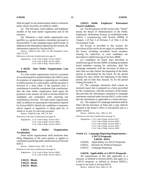shall not apply to any disbursement made to a business entity whose securities are publicly traded.

(j) The full name, street address, and telephone number of the slate mailer organization and of the treasurer.

(k) Whenever a slate mailer organization also qualifies as a general purpose committee pursuant to Section 82027.5, the campaign report shall include, in addition to the information required by this section, the information required by Section 84211.

History: Added by Stats. 1987, Ch. 905; amended by Stats. 2000, Ch. 853.

References at the time of publication (see page 3):

Regulations: 2 Cal. Code of Regs. Section 18229.1 2 Cal. Code of Regs. Section 18401 2 Cal. Code of Regs. Section 18421.2

## **§ 84220. Slate Mailer Organization; Late Payments.**

If a slate mailer organization receives a payment of two thousand five hundred dollars (\$2,500) or more for purposes of supporting or opposing any candidate or ballot measure in a slate mailer, and the payment is received at a time when, if the payment were a contribution it would be considered a late contribution, then the slate mailer organization shall report the payment in the manner set forth in Section 84203 for candidates and committees when reporting late contributions received. The slate mailer organization shall, in addition to reporting the information required by Section 84203, identify the candidates or measures whose support or opposition is being paid for, in whole or in part, by each late payment.

History: Added by Stats. 1987, Ch. 905.

References at the time of publication (see page 3):

Regulations: 2 Cal. Code of Regs. Section 18117 2 Cal. Code of Regs. Section 18401 2 Cal. Code of Regs. Section 18421.2

### **§ 84221. Slate Mailer Organization; Termination.**

Slate mailer organizations shall terminate their filing obligations in the same manner as applies to committees qualifying under subdivision (a) of Section 82013.

History: Added by Stats. 1987, Ch. 905.

References at the time of publication (see page 3):

Regulations: 2 Cal. Code of Regs. Section 18401 2 Cal. Code of Regs. Section 18421.2

**§ 84222. Blank. § 84223. Blank.** 

**§ 84224. Blank.** 

## **§ 84225. Public Employees' Retirement Board Candidates.**

(a) For the purposes of this section only, "board" means the Board of Administration of the Public Employees' Retirement System, as established under Article 1 (commencing with Section 20090) of Chapter 2 of Part 3 of Division 5 of Title 2 of the Government Code.

(b) Except as provided in this section, the provisions of this article do not apply to candidates for the board, including incumbent board members running for reelection, as such candidates are described in subdivision (g) of Section 20090.

(c) Candidates for board seats described in subdivision (g) of Section 20090, including incumbent board members running for reelection, shall file campaign statements with the Secretary of State no later than two days before the beginning of the ballot period, as determined by the board, for the period ending five days before the beginning of the ballot period, and no later than January 10, for the period ending December 31.

(1) The campaign statements shall contain an itemized report that is prepared on a form prescribed by the Commission, with the assistance of the board, that provides the information contained in campaign statements required under Section 84211 to the extent that the information is applicable to a board election.

(2) The original of a campaign statement shall be filed with the Secretary of State and a copy shall be retained at the board's office in Sacramento and is a public record.

History: Added by Stats. 1998, Ch. 923.

References at the time of publication (see page 3):

| Regulations: 2 Cal. Code of Regs. Section 18117 |
|-------------------------------------------------|
| 2 Cal. Code of Regs. Section 18401              |
| 2 Cal. Code of Regs. Section 18421.2            |
| 2 Cal. Code of Regs. Section 18451              |
| 2 Cal. Code of Regs. Section 18452              |

## **Article 2.5. Campaign Reporting Requirements – LAFCO Proposals.**

**§ 84250 - 84252**

- § 84250. Applicability to LAFCO Proposals.
- § 84251. Payment for Political Purposes.
- § 84252. Campaign Reporting.

## **§ 84250. Applicability to LAFCO Proposals.**

All requirements of this title applicable to a measure, as defined in Section 82043, also apply to a LAFCO proposal, as defined in Section 82035.5, except as set forth in Section 84252.

History: Added by Stats. 2008, Ch. 192.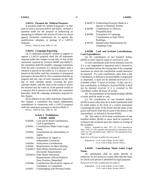## **§ 84251. Payment for Political Purposes.**

A payment made for "political purposes," as that term is used in Sections 82015 and 82025, includes a payment made for the purpose of influencing or attempting to influence the actions of voters or a local agency formation commission for or against the qualification, adoption, or passage of a LAFCO proposal.

History: Added by Stats. 2008, Ch. 192.

#### **§ 84252. Campaign Reporting.**

(a) A committee primarily formed to support or oppose a LAFCO proposal shall file all statements required under this chapter except that, in lieu of the statements required by Sections 84200 and 84202.3, the committee shall file monthly campaign statements from the time circulation of a petition begins until a measure is placed on the ballot or, if a measure is not placed on the ballot, until the committee is terminated pursuant to Section 84214. The committee shall file an original and one copy of each statement on the 15th day of each calendar month, covering the prior calendar month, with the clerk of the county in which the measure may be voted on. If the petition results in a measure that is placed on the ballot, the committee thereafter shall file campaign statements required by this chapter.

(b) In addition to any other statements required by this chapter, a committee that makes independent expenditures in connection with a LAFCO proposal shall file statements pursuant to Section 84203.5.

History: Added by Stats. 2008, Ch. 192.

## **Article 3. Prohibitions. § 84300 - 84309**

|  | \$84300. | Cash and In-Kind Contributions;              |
|--|----------|----------------------------------------------|
|  |          | Cash Expenditures.                           |
|  | § 84301. | Contributions Made Under Legal               |
|  |          | Name.                                        |
|  | § 84302. | Contributions by Intermediary or             |
|  |          | Agent.                                       |
|  | § 84303. | Expenditure by Agent or                      |
|  |          | Independent Contractor.                      |
|  | § 84304. | Anonymous Contributions.                     |
|  |          | § 84305. Requirements for Mass Mailing.      |
|  |          | § 84305.5. Slate Mailer Identification and   |
|  |          | Disclaimer Requirements.                     |
|  |          | § 84305.6. Slate Mailer Disclosure           |
|  |          | Requirements; Official Political             |
|  |          | Party Position. [Repealed]                   |
|  |          | § 84306. Contributions Received by Agents of |
|  |          | Candidates or Committees.                    |
|  | \$84307. | Commingling with Personal Funds.             |

- 
- § 84307.5. Fundraising Payments Made to a Spouse or Domestic Partner.
- § 84308. Contributions to Officers; Disqualification.
- § 84309. Transmittal of Campaign Contributions in State Office Buildings.
- § 84310. Identification Requirements for Telephone Calls.

## **§ 84300. Cash and In-Kind Contributions; Cash Expenditures.**

(a) No contribution of one hundred dollars (\$100) or more shall be made or received in cash.

A cash contribution shall not be deemed received if it is not negotiated or deposited and is returned to the contributor before the closing date of the campaign statement on which the contribution would otherwise be reported. If a cash contribution, other than a late contribution, as defined in Section 82036, is negotiated or deposited, it shall not be deemed received if it is refunded within 72 hours of receipt. In the case of a late contribution, as defined in Section 82036, it shall not be deemed received if it is returned to the contributor within 48 hours of receipt.

(b) No expenditure of one hundred dollars (\$100) or more shall be made in cash.

(c) No contribution of one hundred dollars (\$100) or more other than an in-kind contribution shall be made unless in the form of a written instrument containing the name of the donor and the name of the payee and drawn from the account of the donor or the intermediary, as defined in Section 84302.

(d) The value of all in-kind contributions of one hundred dollars (\$100) or more shall be reported in writing to the recipient upon the request in writing of the recipient.

History: Amended by Stats. 1977, Ch. 1213; amended by Stats. 1978, Ch. 650; repealed and reenacted as amended by Stats. 1979, Ch. 779; amended by Stats. 1980, Ch. 759; amended by Stats. 1996, Ch. 898.

References at the time of publication (see page 3):

Regulations: 2 Cal. Code of Regs. Section 18401 2 Cal. Code of Regs. Section 18421.2

## **§ 84301. Contributions Made Under Legal Name.**

No contribution shall be made, directly or indirectly, by any person in a name other than the name by which such person is identified for legal purposes.

References at the time of publication (see page 3):

Regulations: 2 Cal. Code of Regs. Section 18401 2 Cal. Code of Regs. Section 18421.2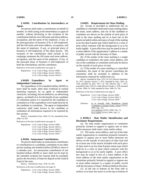## **§ 84302. Contributions by Intermediary or Agent.**

No person shall make a contribution on behalf of another, or while acting as the intermediary or agent of another, without disclosing to the recipient of the contribution both his own full name and street address, occupation, and the name of his employer, if any, or his principal place of business if he is self-employed, and the full name and street address, occupation, and the name of employer, if any, or principal place of business if self-employed, of the other person. The recipient of the contribution shall include in his campaign statement the full name and street address, occupation, and the name of the employer, if any, or the principal place of business if self-employed, of both the intermediary and the contributor.

References at the time of publication (see page 3):

Regulations: 2 Cal. Code of Regs. Section 18401 2 Cal. Code of Regs. Section 18421.2 2 Cal. Code of Regs. Section 18432.5

## **§ 84303. Expenditure by Agent or Independent Contractor.**

No expenditure of five hundred dollars (\$500) or more shall be made, other than overhead or normal operating expenses, by an agent or independent contractor, including, but not limited to, an advertising agency, on behalf of or for the benefit of any candidate or committee unless it is reported by the candidate or committee as if the expenditure were made directly by the candidate or committee. The agent or independent contractor shall make known to the candidate or committee all information required to be reported by this section.

History: Amended by Stats. 1984, Ch. 161; amended by Stats. 2000, Ch. 853.

References at the time of publication (see page 3):

| Regulations: 2 Cal. Code of Regs. Section 18401 |
|-------------------------------------------------|
| 2 Cal. Code of Regs. Section 18421.2            |
| 2 Cal. Code of Regs. Section 18421.7            |
| 2 Cal. Code of Regs. Section 18421.8            |
| 2 Cal. Code of Regs. Section 18431              |

#### **§ 84304. Anonymous Contributions.**

No person shall make an anonymous contribution or contributions to a candidate, committee or any other person totaling one hundred dollars (\$100) or more in a calendar year. An anonymous contribution of one hundred dollars (\$100) or more shall not be kept by the intended recipient but instead shall be promptly paid to the Secretary of State for deposit in the General Fund of the state.

History: Amended by Stats. 1978, Ch. 650.

References at the time of publication (see page 3):

Regulations: 2 Cal. Code of Regs. Section 18401 2 Cal. Code of Regs. Section 18421.2

#### **§ 84305. Requirements for Mass Mailing.**

(a) Except as provided in subdivision (b), no candidate or committee shall send a mass mailing unless the name, street address, and city of the candidate or committee are shown on the outside of each piece of mail in the mass mailing and on at least one of the inserts included within each piece of mail of the mailing in no less than 6-point type which shall be in a color or print which contrasts with the background so as to be easily legible. A post office box may be stated in lieu of a street address if the organization's address is a matter of public record with the Secretary of State.

(b) If the sender of the mass mailing is a single candidate or committee, the name, street address, and city of the candidate or committee need only be shown on the outside of each piece of mail.

(c) If the sender of a mass mailing is a controlled committee, the name of the person controlling the committee shall be included in addition to the information required by subdivision (a).

History: Amended by Stats. 1975, Ch. 915, effective September 20, 1975, operative January 7, 1975; amended by Stats. 1976, Ch. 1106; amended by Stats. 1977, Ch. 230, effective July 7, 1977; amended by Stats. 1978, Ch. 1408, effective October 1, 1978; amended by Stats. 1984, Ch. 1368; amended by Stats. 1989, Ch. 764.

References at the time of publication (see page 3):

|           | Regulations: 2 Cal. Code of Regs. Section 18401                                          |
|-----------|------------------------------------------------------------------------------------------|
|           | 2 Cal. Code of Regs. Section 18421.2                                                     |
|           | 2 Cal. Code of Regs. Section 18435                                                       |
| Opinions: | In re Juvinall, Stull, Republican Central<br>Committee of Orange County, Tuteur (1976) 2 |
|           | FPPC Ops. 110                                                                            |
|           | In re Sobieski (1976) 2 FPPC Ops. 73                                                     |
|           | In re Valdez (1976) 2 FPPC Ops. 21                                                       |

## **§ 84305.5. Slate Mailer Identification and Disclaimer Requirements.**

(a) No slate mailer organization or committee primarily formed to support or oppose one or more ballot measures shall send a slate mailer unless:

(1) The name, street address, and city of the slate mailer organization or committee primarily formed to support or oppose one or more ballot measures are shown on the outside of each piece of slate mail and on at least one of the inserts included with each piece of slate mail in no less than 8-point roman type which shall be in a color or print which contrasts with the background so as to be easily legible. A post office box may be stated in lieu of a street address if the street address of the slate mailer organization or the committee primarily formed to support or oppose one or more ballot measure is a matter of public record with the Secretary of State's Political Reform Division.

(2) At the top or bottom of the front side or surface of at least one insert or at the top or bottom of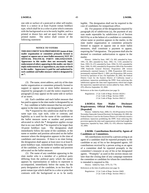one side or surface of a postcard or other self-mailer, there is a notice in at least 8-point roman boldface type, which shall be in a color or print which contrasts with the background so as to be easily legible, and in a printed or drawn box and set apart from any other printed matter. The notice shall consist of the following statement:

## **NOTICE TO VOTERS**

**THIS DOCUMENT WAS PREPARED BY (name of slate mailer organization or committee primarily formed to support or oppose one or more ballot measures), NOT AN OFFICIAL POLITICAL PARTY ORGANIZATION. Appearance in this mailer does not necessarily imply endorsement of others appearing in this mailer, nor does it imply endorsement of, or opposition to, any issues set forth in this mailer. Appearance is paid for and authorized by each candidate and ballot measure which is designated by an \*.** 

(3) The name, street address, and city of the slate mailer organization or committee primarily formed to support or oppose one or more ballot measures as required by paragraph (1) and the notice required by paragraph (2) may appear on the same side or surface of an insert.

(4) Each candidate and each ballot measure that has paid to appear in the slate mailer is designated by an **\*** . Any candidate or ballot measure that has not paid to appear in the slate mailer is not designated by an **\*** .

The **\*** required by this subdivision shall be of the same type size, type style, color or contrast, and legibility as is used for the name of the candidate or the ballot measure name or number and position advocated to which the **\*** designation applies except that in no case shall the **\*** be required to be larger than 10-point boldface type. The designation shall immediately follow the name of the candidate, or the name or number and position advocated on the ballot measure where the designation appears in the slate of candidates and measures. If there is no slate listing, the designation shall appear at least once in at least 8 point boldface type, immediately following the name of the candidate, or the name or number and position advocated on the ballot measure.

(5) The name of any candidate appearing in the slate mailer who is a member of a political party differing from the political party which the mailer appears by representation or indicia to represent is accompanied, immediately below the name, by the party designation of the candidate, in no less than 9 point roman type which shall be in a color or print that contrasts with the background so as to be easily

(b) For purposes of the designations required by paragraph (4) of subdivision (a), the payment of any sum made reportable by subdivision (c) of Section 84219 by or at the behest of a candidate or committee, whose name or position appears in the mailer, to the slate mailer organization or committee primarily formed to support or oppose one or more ballot measures, shall constitute a payment to appear, requiring the **\*** designation. The payment shall also be deemed to constitute authorization to appear in the mailer.

History: Added by Stats. 1987, Ch. 905; amended by Stats. 1991, Ch. 403; amended by Stats. 1992, Ch. 1143; amended by Stats. 1993, Ch. 472; amended by Stats. 1994, Ch. 923; amended by Stats. 1996, Ch. 893; amended by Proposition 208 of the November 1996 Statewide General Election; Proposition 208 version preliminarily enjoined January 6, 1998; Proposition 208 version permanently enjoined March 1, 2001; pre-Proposition 208 version revived by operation of law; On September 20, 2002, the Federal District Court for the Eastern District of California issued a preliminary injunction prohibiting the FPPC from enforcing this subdivision against the slate mail organizations which had sought the injunction; repealed and new section added by Stats. 2004, Ch. 478, effective September 10, 2004.

References at the time of publication (see page 3):

Regulations: 2 Cal. Code of Regs. Section 18229.1 2 Cal. Code of Regs. Section 18401 2 Cal. Code of Regs. Section 18421.2

## **§ 84305.6. Slate Mailer Disclosure Requirements; Official Political Party Position. [Repealed]**

History: Added by Stats. 2000, Ch. 102 [Proposition 34 of the November Statewide General Election]; On September 20, 2002, the Federal District Court for the Eastern District of California issued a preliminary injunction prohibiting the FPPC from enforcing this provision against the slate mail organizations which had sought the injunction; repealed by Stats. 2004, Ch. 478, effective September 10, 2004.

## **§ 84306. Contributions Received by Agents of Candidates or Committees.**

All contributions received by a person acting as an agent of a candidate shall be reported promptly to the candidate or any of his or her designated agents. All contributions received by a person acting as an agent of a committee shall be reported promptly to the committee's treasurer or any of his or her designated agents. "Promptly" as used in this section means not later than the closing date of any campaign statement the committee or candidate for whom the contribution is intended is required to file.

History: Added by Stats. 1979, Ch. 779.

References at the time of publication (see page 3):

Regulations: 2 Cal. Code of Regs. Section 18401 2 Cal. Code of Regs. Section 18421.1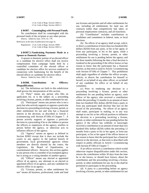2 Cal. Code of Regs. Section 18421.2 2 Cal. Code of Regs. Section 18421.3

#### **§ 84307. Commingling with Personal Funds.**

No contribution shall be commingled with the personal funds of the recipient or any other person. History: Added by Stats. 1979, Ch. 779.

References at the time of publication (see page 3):

Regulations: 2 Cal. Code of Regs. Section 18401 2 Cal. Code of Regs. Section 18421.2

#### **§ 84307.5. Fundraising Payments Made to a Spouse or Domestic Partner.**

A spouse or domestic partner of an elected officer or a candidate for elective office shall not receive compensation from campaign funds held by a controlled committee of the elected officer or candidate for elective office for services rendered in connection with fundraising for the benefit of the elected officer or candidate for elective office.

History: Added by Stats. 2009, Ch. 360.

#### **§ 84308. Contributions to Officers; Disqualification.**

(a) The definitions set forth in this subdivision shall govern the interpretation of this section.

(1) "Party" means any person who files an application for, or is the subject of, a proceeding involving a license, permit, or other entitlement for use.

(2) "Participant" means any person who is not a party but who actively supports or opposes a particular decision in a proceeding involving a license, permit, or other entitlement for use and who has a financial interest in the decision, as described in Article 1 (commencing with Section 87100) of Chapter 7. A person actively supports or opposes a particular decision in a proceeding if he or she lobbies in person the officers or employees of the agency, testifies in person before the agency, or otherwise acts to influence officers of the agency.

(3) "Agency" means an agency as defined in Section 82003 except that it does not include the courts or any agency in the judicial branch of government, local governmental agencies whose members are directly elected by the voters, the Legislature, the Board of Equalization, or constitutional officers. However, this section applies to any person who is a member of an exempted agency but is acting as a voting member of another agency.

(4) "Officer" means any elected or appointed officer of an agency, any alternate to an elected or appointed officer of an agency, and any candidate for elective office in an agency.

(5) "License, permit, or other entitlement for use" means all business, professional, trade and land use licenses and permits and all other entitlements for use, including all entitlements for land use, all contracts (other than competitively bid, labor, or personal employment contracts), and all franchises.

(6) "Contribution" includes contributions to candidates and committees in federal, state, or local elections.

(b) No officer of an agency shall accept, solicit, or direct a contribution of more than two hundred fifty dollars (\$250) from any party, or his or her agent, or from any participant, or his or her agent, while a proceeding involving a license, permit, or other entitlement for use is pending before the agency and for three months following the date a final decision is rendered in the proceeding if the officer knows or has reason to know that the participant has a financial interest, as that term is used in Article 1 (commencing with Section 87100) of Chapter 7. This prohibition shall apply regardless of whether the officer accepts, solicits, or directs the contribution for himself or herself, or on behalf of any other officer, or on behalf of any candidate for office or on behalf of any committee.

(c) Prior to rendering any decision in a proceeding involving a license, permit or other entitlement for use pending before an agency, each officer of the agency who received a contribution within the preceding 12 months in an amount of more than two hundred fifty dollars (\$250) from a party or from any participant shall disclose that fact on the record of the proceeding. No officer of an agency shall make, participate in making, or in any way attempt to use his or her official position to influence the decision in a proceeding involving a license, permit, or other entitlement for use pending before the agency if the officer has willfully or knowingly received a contribution in an amount of more than two hundred fifty dollars (\$250) within the preceding 12 months from a party or his or her agent, or from any participant, or his or her agent if the officer knows or has reason to know that the participant has a financial interest in the decision, as that term is described with respect to public officials in Article 1 (commencing with Section 87100) of Chapter 7.

If an officer receives a contribution which would otherwise require disqualification under this section, returns the contribution within 30 days from the time he or she knows, or should have known, about the contribution and the proceeding involving a license, permit, or other entitlement for use, he or she shall be permitted to participate in the proceeding.

(d) A party to a proceeding before an agency involving a license, permit, or other entitlement for use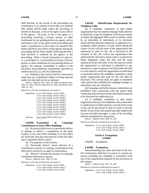shall disclose on the record of the proceeding any contribution in an amount of more than two hundred fifty dollars (\$250) made within the preceding 12 months by the party, or his or her agent, to any officer of the agency. No party, or his or her agent, to a proceeding involving a license, permit, or other entitlement for use pending before any agency and no participant, or his or her agent, in the proceeding shall make a contribution of more than two hundred fifty dollars (\$250) to any officer of that agency during the proceeding and for three months following the date a final decision is rendered by the agency in the proceeding. When a closed corporation is a party to, or a participant in, a proceeding involving a license, permit, or other entitlement for use pending before an agency, the majority shareholder is subject to the disclosure and prohibition requirements specified in subdivisions (b), (c), and this subdivision.

(e) Nothing in this section shall be construed to imply that any contribution subject to being reported under this title shall not be so reported.

History: Added by Stats. 1982, Ch. 1049; amended by Stats. 1984, Ch. 1681, effective September 30, 1984; amended by Stats. 1989, Ch. 764.

References at the time of publication (see page 3):

Regulations: 2 Cal. Code of Regs. Section 18401 2 Cal. Code of Regs. Section 18421.2 2 Cal. Code of Regs. Section 18438.1 2 Cal. Code of Regs. Section 18438.2 2 Cal. Code of Regs. Section 18438.3 2 Cal. Code of Regs. Section 18438.4 2 Cal. Code of Regs. Section 18438.5 2 Cal. Code of Regs. Section 18438.6 2 Cal. Code of Regs. Section 18438.7 2 Cal. Code of Regs. Section 18438.8

Opinions: In re Curiel (1983) 8 FPPC Ops. 1

#### **§ 84309. Transmittal of Campaign Contributions in State Office Buildings.**

(a) No person shall receive or personally deliver or attempt to deliver a contribution in the State Capitol, in any state office building, or in any office for which the state pays the majority of the rent other than a legislative district office.

(b) For purposes of this section:

(1) "Personally deliver" means delivery of a contribution in person or causing a contribution to be delivered in person by an agent or intermediary.

(2) "Receive" includes the receipt of a campaign contribution delivered in person.

History: Added by Stats. 1982, Ch. 920.

References at the time of publication (see page 3):

Regulations: 2 Cal. Code of Regs. Section 18401 2 Cal. Code of Regs. Section 18421.2 2 Cal. Code of Regs. Section 18439

**§ 84310. Identification Requirements for Telephone Calls.** 

 (a) A candidate, committee, or slate mailer organization may not expend campaign funds, directly or indirectly, to pay for telephone calls that are similar in nature and aggregate 500 or more in number, made by an individual, or individuals, or by electronic means and that advocate support of, or opposition to, a candidate, ballot measure, or both, unless during the course of each call the name of the organization that authorized or paid for the call is disclosed to the recipient of the call. Unless the organization that authorized the call and in whose name it is placed has filing obligations under this title, and the name announced in the call either is the full name by which the organization or individual is identified in any statement or report required to be filed under this title or is the name by which the organization or individual is commonly known, the candidate, committee, or slate mailer organization that paid for the call shall be disclosed. This section shall not apply to telephone calls made by the candidate, the campaign manager, or individuals who are volunteers.

 (b) Campaign and ballot measure committees are prohibited from contracting with any phone bank vendor that does not disclose the information required to be disclosed by subdivision (a).

 (c) A candidate, committee, or slate mailer organization that pays for telephone calls as described in subdivision (a) shall maintain a record of the script of the call for the period of time set forth in Section 84104. If any of the calls qualifying under subdivision (a) were recorded messages, a copy of the recording shall be maintained for that period.

History: Added by Stats. 2006, Ch. 439.

References at the time of publication (see page 3):

Regulations: 2 Cal. Code of Regs. Section 18401 2 Cal. Code of Regs. Section 18421.2 2 Cal. Code of Regs. Section 18440

## **Article 4. Exemptions. § 84400**

§ 84400. Exemptions.

## **§ 84400. Exemptions.**

Notwithstanding any other provision of the law, the Commission shall have no power to exempt any person, including any candidate or committee, from any of the requirements imposed by the provisions of this chapter.

History: Added by Stats. 1977, Ch. 403.

References at the time of publication (see page 3):

Regulations: 2 Cal. Code of Regs. Section 18401 2 Cal. Code of Regs. Section 18421.2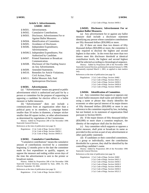## **Article 5. Advertisements. § 84501 - 84511**

| § 84501. | Advertisement.                           |
|----------|------------------------------------------|
| § 84502. | Cumulative Contributions.                |
| § 84503. | Disclosure; Advertisement For or         |
|          | <b>Against Ballot Measures.</b>          |
| § 84504. | Identification of Committee.             |
|          | § 84505. Avoidance of Disclosure.        |
| § 84506. | Independent Expenditures;                |
|          | Advertisements.                          |
|          | § 84506.5. Independent Expenditures; Not |
|          | Authorized by Candidate.                 |
| § 84507. | <b>Printed Statement or Broadcast</b>    |
|          | Communication.                           |
| \$84508. | Disclosure of One Funding Source         |
|          | on Any Advertisement.                    |
| § 84509. | Amended Statements.                      |
| § 84510. | Remedies for Article Violations;         |
|          | Civil Action; Fines.                     |
| § 84511. | Ballot Measure Ads; Paid                 |
|          | Spokesperson Disclosure.                 |

#### **§ 84501. Advertisement.**

(a) "Advertisement" means any general or public advertisement which is authorized and paid for by a person or committee for the purpose of supporting or opposing a candidate for elective office or a ballot measure or ballot measures.

(b) "Advertisement" does not include a communication from an organization other than a political party to its members, a campaign button smaller than 10 inches in diameter, a bumper sticker smaller than 60 square inches, or other advertisement as determined by regulations of the Commission.

History: Added by Proposition 208 of the November 1996 Statewide General Election.

References at the time of publication (see page 3):

```
Regulations: 2 Cal. Code of Regs. Section 18421.2 
   2 Cal. Code of Regs. Section 18450.1 
 2 Cal. Code of Regs. Section 18450.11
```
#### **§ 84502. Cumulative Contributions.**

"Cumulative contributions" means the cumulative amount of contributions received by a committee beginning 12 months prior to the date the committee made its first expenditure to qualify, support, or oppose the measure and ending within seven days of the time the advertisement is sent to the printer or broadcast station.

History: Added by Proposition 208 of the November 1996 Statewide General Election; amended by Stats. 2004, Ch. 478, effective September 10, 2004.

References at the time of publication (see page 3):

Regulations: 2 Cal. Code of Regs. Section 18421.2

2 Cal. Code of Regs. Section 18450.1

## **§ 84503. Disclosure; Advertisement For or Against Ballot Measures.**

(a) Any advertisement for or against any ballot measure shall include a disclosure statement identifying any person whose cumulative contributions are fifty thousand dollars (\$50,000) or more.

(b) If there are more than two donors of fifty thousand dollars (\$50,000) or more, the committee is only required to disclose the highest and second highest in that order. In the event that more than two donors meet this disclosure threshold at identical contribution levels, the highest and second highest shall be selected according to chronological sequence.

History: Added by Proposition 208 of the November 1996 Statewide General Election; preliminarily enjoined January 6, 1998; permanently enjoined March 1, 2001, as applied to slate mailers only.

References at the time of publication (see page 3):

Regulations: 2 Cal. Code of Regs. Section 18402 2 Cal. Code of Regs. Section 18421.2 2 Cal. Code of Regs. Section 18450.1 2 Cal. Code of Regs. Section 18450.4 2 Cal. Code of Regs. Section 18450.5

#### **§ 84504. Identification of Committee.**

(a) Any committee that supports or opposes one or more ballot measures shall name and identify itself using a name or phrase that clearly identifies the economic or other special interest of its major donors of fifty thousand dollars (\$50,000) or more in any reference to the committee required by law, including, but not limited, to its statement of organization filed pursuant to Section 84101.

(b) If the major donors of fifty thousand dollars (\$50,000) or more share a common employer, the identity of the employer shall also be disclosed.

(c) Any committee which supports or opposes a ballot measure, shall print or broadcast its name as provided in this section as part of any advertisement or other paid public statement.

(d) If candidates or their controlled committees, as a group or individually, meet the contribution thresholds for a person, they shall be identified by the controlling candidate's name.

History: Added by Proposition 208 of the November 1996 Statewide General Election.

References at the time of publication (see page 3):

Regulations: 2 Cal. Code of Regs. Section 18402

2 Cal. Code of Regs. Section 18421.2

2 Cal. Code of Regs. Section 18450.1

2 Cal. Code of Regs. Section 18450.3

2 Cal. Code of Regs. Section 18450.4 2 Cal. Code of Regs. Section 18450.5

2 Cal. Code of Regs. Section 18521.5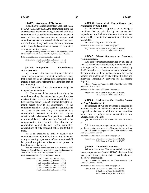### **§ 84505. Avoidance of Disclosure.**

In addition to the requirements of Sections 84503, 84504, 84506, and 84506.5, the committee placing the advertisement or persons acting in concert with that committee shall be prohibited from creating or using a noncandidate-controlled committee or a nonsponsored committee to avoid, or that results in the avoidance of, the disclosure of any individual, industry, business entity, controlled committee, or sponsored committee as a major funding source.

History: Added by Proposition 208 of the November 1996 Statewide General Election; amended by Stats. 2007, Ch. 495.

References at the time of publication (see page 3):

Regulations: 2 Cal. Code of Regs. Section 18421.2 2 Cal. Code of Regs. Section 18450.1

## **§ 84506. Independent Expenditures; Advertisements.**

(a) A broadcast or mass mailing advertisement supporting or opposing a candidate or ballot measure, that is paid for by an independent expenditure, shall include a disclosure statement that identifies both of the following:

(1) The name of the committee making the independent expenditure.

(2) The names of the persons from whom the committee making the independent expenditure has received its two highest cumulative contributions of fifty thousand dollars (\$50,000) or more during the 12 month period prior to the expenditure. If the committee can show, on the basis that contributions are spent in the order they are received, that contributions received from the two highest contributors have been used for expenditures unrelated to the candidate or ballot measure featured in the communication, the committee shall disclose the contributors making the next largest cumulative contributions of fifty thousand dollars (\$50,000) or more.

(b) If an acronym is used to identify any committee names required by this section, the names of any sponsoring organization of the committee shall be printed on print advertisements or spoken in broadcast advertisements.

History: Added by Proposition 208 of the November 1996 Statewide General Election; repealed and new section added by Stats. 2004, Ch. 478, effective September 10, 2004.

References at the time of publication (see page 3):

Regulations: 2 Cal. Code of Regs. Section 18402 2 Cal. Code of Regs. Section 18421.2 2 Cal. Code of Regs. Section 18450.1 2 Cal. Code of Regs. Section 18450.3

2 Cal. Code of Regs. Section 18450.4

2 Cal. Code of Regs. Section 18450.5

**§ 84506.5. Independent Expenditures; Not Authorized by Candidate.** 

An advertisement supporting or opposing a candidate that is paid for by an independent expenditure must include a statement that it was not authorized by a candidate or a committee controlled by a candidate.

History: Added by Stats. 2007, Ch. 495.

References at the time of publication (see page 3):

Regulations: 2 Cal. Code of Regs. Section 18421.2 2 Cal. Code of Regs. Section 18450.4

## **§ 84507. Printed Statement or Broadcast Communication.**

Any disclosure statement required by this article shall be printed clearly and legibly in no less than 10 point type and in a conspicuous manner as defined by the Commission or, if the communication is broadcast, the information shall be spoken so as to be clearly audible and understood by the intended public and otherwise appropriately conveyed for the hearing impaired.

History: Added by Proposition 208 of the November 1996 Statewide General Election.

References at the time of publication (see page 3):

Regulations: 2 Cal. Code of Regs. Section 18421.2 2 Cal. Code of Regs. Section 18450.1

#### **§ 84508. Disclosure of One Funding Source on Any Advertisement.**

If disclosure of two major donors is required by Sections 84503 and 84506, the committee shall be required to disclose, in addition to the committee name, only its highest major contributor in any advertisement which is:

(a) An electronic broadcast of 15 seconds or less, or

(b) A newspaper, magazine, or other public print media advertisement which is 20 square inches or less.

History: Added by Proposition 208 of the November 1996 Statewide General Election.

References at the time of publication (see page 3):

Regulations: 2 Cal. Code of Regs. Section 18421.2 2 Cal. Code of Regs. Section 18450.1

#### **§ 84509. Amended Statements.**

When a committee files an amended campaign statement pursuant to Section 81004.5, the committee shall change its advertisements to reflect the changed disclosure information.

History: Added by Proposition 208 of the November 1996 Statewide General Election.

References at the time of publication (see page 3):

Regulations: 2 Cal. Code of Regs. Section 18421.2 2 Cal. Code of Regs. Section 18450.1 2 Cal. Code of Regs. Section 18450.5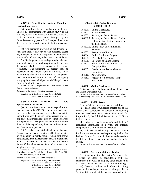## **§ 84510. Remedies for Article Violations; Civil Action; Fines.**

(a) In addition to the remedies provided for in Chapter 11 (commencing with Section 91000) of this title, any person who violates this article is liable in a civil or administrative action brought by the Commission or any person for a fine up to three times the cost of the advertisement, including placement costs.

(b) The remedies provided in subdivision (a) shall also apply to any person who purposely causes any other person to violate any provision of this article or who aids and abets any other person in a violation.

(c) If a judgment is entered against the defendant or defendants in an action brought under this section, the plaintiff shall receive 50 percent of the amount recovered. The remaining 50 percent shall be deposited in the General Fund of the state. In an action brought by a local civil prosecutor, 50 percent shall be deposited in the account of the agency bringing the action and 50 percent shall be paid to the General Fund of the state.

History: Added by Proposition 208 of the November 1996 Statewide General Election.

References at the time of publication (see page 3):

Regulations: 2 Cal. Code of Regs. Section 18421.2 2 Cal. Code of Regs. Section 18450.1

## **§ 84511. Ballot Measure Ads; Paid Spokesperson Disclosure.**

(a) A committee that makes an expenditure of five thousand dollars (\$5,000) or more to an individual for his or her appearance in an advertisement to support or oppose the qualification, passage or defeat of a ballot measure shall file a report within 10 days of the expenditure. The report shall identify the measure, the date of the expenditure, the name of the recipient, and the amount expended.

(b) The advertisement shall include the statement "(spokesperson's name) is being paid by this campaign or its donors" in highly visible roman font shown continuously if the advertisement consists of printed or televised material, or spoken in a clearly audible format if the advertisement is a radio broadcast or telephone message.

History: Added by Stats. 2000, Ch. 102 [Proposition 34 of the November Statewide General Election]; amended by Stats. 2001, Ch. 241, effective September 4, 2001.

References at the time of publication (see page 3):

Regulations: 2 Cal. Code of Regs. Section 18117 2 Cal. Code of Regs. Section 18421.2 2 Cal. Code of Regs. Section 18450.1 2 Cal. Code of Regs. Section 18450.11

## **Chapter 4.6. Online Disclosure. § 84600 - 84612**

| § 84600. |  |  | Online Disclosure. |
|----------|--|--|--------------------|
|----------|--|--|--------------------|

- § 84601. Public Access.
- § 84602. Secretary of State's Duties.
- § 84602.1. Secretary of State's Duties; Online Lobbying Registration; Reports to the Legislature.
- § 84602.5. Online Index of Identification Numbers.
- § 84603. Acceptance of Reports.
- § 84604. Online Disclosure Program.
- § 84605. Who Shall File Online.
- § 84606. Operation of Online System.
- § 84607. Prohibition Against Political or Campaign Use.
- § 84609. Candidate and Ballot Measure Committees.
- § 84610. Appropriation.
- § 84612. Rejection of Electronic Filing; Procedures.

#### **§ 84600. Online Disclosure.**

This chapter may be known and may be cited as the Online Disclosure Act.

History: Added by Stats. 1997, Ch. 866, effective October 11, 1997; amended by Stats. 2001, Ch. 917, effective October 14, 2001.

#### **§ 84601. Public Access.**

The Legislature finds and declares as follows:

(a) The people of California enacted one of the nation's most comprehensive campaign and lobbying financial disclosure laws when they voted for Proposition 9, the Political Reform Act of 1974, an initiative statute.

(b) Public access to campaign and lobbying disclosure information is a vital and integral component of a fully informed electorate.

(c) Advances in technology have made it viable for disclosure statements and reports required by the Political Reform Act to be filed online and placed on the Internet, thereby maximizing availability to the public.

History: Added by Stats. 1997, Ch. 866, effective October 11, 1997.

#### **§ 84602. Secretary of State's Duties.**

To implement the Legislature's intent, the Secretary of State, in consultation with the commission, notwithstanding any other provision of the Government Code, shall do all of the following:

(a) Develop online and electronic filing processes for use by persons and entities specified in Sections 84604 and 84605 that are required to file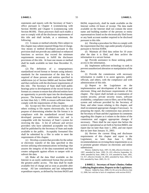statements and reports with the Secretary of State's office pursuant to Chapter 4 (commencing with Section 84100) and Chapter 6 (commencing with Section 86100). Those processes shall each enable a user to comply with all the disclosure requirements of this title and shall include, at a minimum, the following:

(1) A means or method whereby filers subject to this chapter may submit required filings free of charge. Any means or method developed pursuant to this provision shall not provide any additional or enhanced functions or services that exceed the minimum requirements necessary to fulfill the disclosure provisions of this title. At least one means or method shall be made available no later than December 31, 2002.

(2) The definition of a nonproprietary standardized record format or formats using industry standards for the transmission of the data that is required of those persons and entities specified in subdivision (a) of Section 84604 and Section 84605 and that conforms with the disclosure requirements of this title. The Secretary of State shall hold public hearings prior to development of the record format or formats as a means to ensure that affected entities have an opportunity to provide input into the development process. The format or formats shall be made public no later than July 1, 1999, to ensure sufficient time to comply with the requirements of this chapter.

(b) Accept test files from software vendors and others wishing to file reports electronically, for the purpose of determining whether the file format is in compliance with the standardized record format developed pursuant to subdivision (a) and is compatible with the Secretary of State's system for receiving the data. A list of software and service providers who have submitted acceptable test files shall be published by the Secretary of State and made available to the public. Acceptably formatted files shall be submitted by a filer in order to meet the requirements of this chapter.

(c) Develop a system that provides for the online or electronic transfer of the data specified in this section utilizing telecommunications technology that assures the integrity of the data transmitted and that creates safeguards against efforts to tamper with or subvert the data.

(d) Make all the data filed available on the Internet in an easily understood format that provides the greatest public access. The data shall be made available free of charge and as soon as possible after receipt. All late contribution and late independent expenditure reports, as defined by Sections 84203 and 84204, respectively, shall be made available on the Internet within 24 hours of receipt. The data made available on the Internet shall not contain the street name and building number of the persons or entity representatives listed on the electronically filed forms or any bank account number required to be disclosed pursuant to this title.

(e) Develop a procedure for filers to comply with the requirement that they sign under penalty of perjury pursuant to Section 81004.

(f) Maintain all filed data online for 10 years after the date it is filed, and then archive the information in a secure format.

(g) Provide assistance to those seeking public access to the information.

(h) Implement sufficient technology to seek to prevent unauthorized alteration or manipulation of the data.

(i) Provide the commission with necessary information to enable it to assist agencies, public officials, and others, with the compliance and with administration of this title.

(j) Report to the Legislature on the implementation and development of the online and electronic filing and disclosure requirements of this chapter. The report shall include an examination of system security, private security issues, software availability, compliance costs to filers, use of the filing system and software provided by the Secretary of State, and other issues relating to this chapter, and shall recommend appropriate changes if necessary. In preparing the report, the commission may present to the Secretary of State and the Legislature its comments regarding this chapter as it relates to the duties of the commission and suggest appropriate changes if necessary. There shall be one report due before the system is operational as set forth in Section 84603, one report due no later than June 1, 2002, and one report due no later than January 31, 2003.

(k) Review the current filing and disclosure requirements of this chapter and report to the Legislature, no later than June 1, 2005, recommendations on revising these requirements so as to promote greater reliance on electronic and online submissions.

History: Added by Stats. 1997, Ch. 866, effective October 11, 1997; amended by Stats. 1999, Ch. 433, effective September 16, 1999; amended by Stats. 2000, Ch. 319; amended by Stats. 2001, Ch. 917, effective October 14, 2001; amended by Stats. 2004, Ch. 816; amended by Stats. 2005, Ch. 22.

**§ 84602.1. Secretary of State's Duties; Online Lobbying Registration; Reports to the Legislature.**

History: Added by Stats. 2006, Ch. 69, set to be effective July 12, 2006, but void due to lack of compliance with section 81012.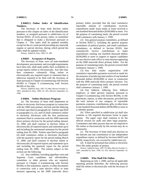## **§ 84602.5. Online Index of Identification Numbers.**

The Secretary of State shall disclose online pursuant to this chapter an index of the identification numbers, as assigned pursuant to subdivision (a) of Section 84101, of every person, entity, or committee that is obligated to make a disclosure pursuant to Chapter 4. This index shall be updated monthly except for the six-week period preceding any statewide regular or special election, during which period the index shall be updated weekly.

History: Added by Stats. 1999, Ch. 208.

#### **§ 84603. Acceptance of Reports.**

The Secretary of State, once all state-mandated development, procurement, and oversight requirements have been met, shall make public their availability to accept reports online or electronically. Any filer may then commence voluntarily filing online or electronically any required report or statement that is otherwise required to be filed with the Secretary of State pursuant to Chapter 4 (commencing with Section 84100) or Chapter 6 (commencing with Section 86100) of this title.

History: Added by Stats. 1997, Ch. 866, effective October 11, 1997; amended by Stats. 1999, Ch. 433, effective September 16, 1999.

#### **§ 84604. Online Disclosure Program.**

(a) The Secretary of State shall implement an online or electronic disclosure program in connection with the 2000 state primary election and the lobbying activities specified in paragraph (4). Entities specified in paragraphs (1), (2), and (3) shall commence online or electronic disclosure with the first preelection statement filed in connection with the 2000 statewide direct primary election for the period ending January 22, 2000, and shall continue to disclose online or electronically all required reports and statements up to and including the semiannual statement for the period ending June 30, 2000. Entities specified in paragraph (4) shall commence online or electronic disclosure with the quarterly report for the period ending March 31, 2000, and shall continue to disclose online or electronically all required reports and statements up to and including the quarterly report for the period ending June 30, 2000. The entities subject to this section are the following:

(1) Any candidate, including appellate court and Supreme Court candidates and officeholders, committee, or other persons who are required, pursuant to Chapter 4 (commencing with Section 84100), to file statements, reports, or other documents in connection with a state elective office or state measure appearing on the 2000 statewide direct primary ballot, provided that the total cumulative reportable amount of contributions received, expenditures made, loans made, or loans received is one hundred thousand dollars (\$100,000) or more. For the purpose of cumulating totals, the period covered shall commence with January 1, 1999.

(2) Any general purpose committees, as defined in Section 82027.5, including the general purpose committees of political parties, and small contributor committees, as defined in Section 85203, that cumulatively receive contributions or make expenditures totaling one hundred thousand dollars (\$100,000) or more to support or oppose candidates for any elective state office or state measure appearing on the 2000 statewide direct primary ballot. For the purpose of cumulating totals, the period covered shall commence January 1, 1999.

(3) Any slate mailer organization with cumulative reportable payments received or made for the purposes of producing slate mailers of one hundred thousand dollars (\$100,000) or more in connection with the 2000 statewide direct primary election. For the purpose of cumulating totals, the period covered shall commence January 1, 1999.

(4) Any lobbyist, lobbying firm, lobbyist employer, or other persons required, pursuant to Chapter 6 (commencing with Section 86100), to file statements, reports, or other documents, provided that the total amount of any category of reportable payments, expenses, contributions, gifts, or other items is one hundred thousand dollars (\$100,000) or more in a calendar quarter.

(b) Filers specified in subdivision (a) shall also continue to file required disclosure forms in paper format. The paper copy shall continue to be the official version for audit and other legal purposes. Committees and other persons that are not required to file online or electronically by this section may do so voluntarily.

(c) The Secretary of State shall also disclose on the Internet any late contribution or late independent expenditure report, as defined by Sections 84203 and 84204, respectively, not covered by subdivision (a).

(d) It shall be presumed that online or electronic filers file under penalty of perjury.

History: Added by Stats. 1997, Ch. 866, effective October 11, 1997; amended by Stats. 1999, Ch. 433, effective September 16, 1999.

#### **§ 84605. Who Shall File Online.**

Beginning on July 1, 2000, and for all applicable reporting periods thereafter, the following persons shall file online or electronically with the Secretary of State: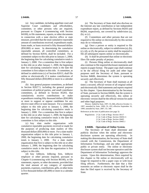(a) Any candidate, including appellate court and Supreme Court candidates and officeholders, committee, or other persons who are required, pursuant to Chapter 4 (commencing with Section 84100), to file statements, reports, or other documents in connection with a state elective office or state measure, provided that the total cumulative reportable amount of contributions received, expenditures made, loans made, or loans received is fifty thousand dollars (\$50,000) or more. In determining the cumulative reportable amount, all controlled committees, as defined by Section 82016, shall be included. For a committee subject to this title prior to January 1, 2000, the beginning date for calculating cumulative totals is January 1, 2000. For a committee that is first subject to this title on or after January 1, 2000, the beginning date for calculating cumulative totals is the date the committee is first subject to this title. A committee, as defined in subdivision (c) of Section 82013, shall file online or electronically if it makes contributions of fifty thousand dollars (\$50,000) or more in a calendar year.

(b) Any general purpose committees, as defined in Section 82027.5, including the general purpose committees of political parties, and small contributor committees, as defined in Section 85203, that cumulatively receive contributions or make expenditures totaling fifty thousand dollars (\$50,000) or more to support or oppose candidates for any elective state office or state measure. For a committee subject to this title prior to January 1, 2000, the beginning date for calculating cumulative totals is January 1, 2000. For a committee that first is subject to this title on or after January 1, 2000, the beginning date for calculating cumulative totals is the date the committee is first subject to this title.

(c) Any slate mailer organization with cumulative reportable payments received or made for the purposes of producing slate mailers of fifty thousand dollars (\$50,000) or more. For a slate mailer organization subject to this title prior to January 1, 2000, the beginning date for calculating cumulative totals is January 1, 2000. For a slate mailer organization that first is subject to this title on or after January 1, 2000, the beginning date for calculating cumulative totals is the date the organization is first subject to this title.

(d) Any lobbyist, lobbying firm, lobbyist employer or other persons required, pursuant to Chapter 6 (commencing with Section 86100), to file statements, reports, or other documents, provided that the total amount of any category of reportable payments, expenses, contributions, gifts, or other items is five thousand dollars (\$5,000) or more in a calendar quarter.

(e) The Secretary of State shall also disclose on the Internet any late contribution or late independent expenditure report, as defined by Sections 84203 and 84204, respectively, not covered by subdivision (a), (b), or (c).

(f) Committees and other persons that are not required to file online or electronically by this section may do so voluntarily.

(g) Once a person or entity is required to file online or electronically, subject to subdivision (a), (b), (c), (d), or (f), the person or entity shall be required to file all subsequent reports online or electronically.

(h) It shall be presumed that online or electronic filers file under penalty of perjury.

(i) Persons filing online or electronically shall also continue to file required disclosure statements and reports in paper format. The paper copy shall continue to be the official filing for audit and other legal purposes until the Secretary of State, pursuant to Section 84606, determines the system is operating securely and effectively.

(j) The Secretary of State shall maintain at all times a secured, official version of all original online and electronically filed statements and reports required by this chapter. Upon determination by the Secretary of State, pursuant to Section 84606, that the system is operating securely and effectively, this online or electronic version shall be the official version for audit and other legal purposes.

History: Added by Stats. 1997, Ch. 866, effective October 11, 1997; amended by Stats. 1999, Ch. 433, effective September 16, 1999; amended by Stats. 2007, Ch. 348.

References at the time of publication (see page 3):

Regulations: 2 Cal. Code of Regs. Section 18117 2 Cal. Code of Regs. Section 18450.11 2 Cal. Code of Regs. Section 18465 2 Cal. Code of Regs. Section 18465.1

#### **§ 84606. Operation of Online System.**

The Secretary of State shall determine and publicly disclose when the online and electronic disclosure systems are operating effectively. In making this determination, the Secretary of State shall consult with the Commission, the Department of Information Technology, and any other appropriate public or private entity. The online or electronic disclosure system shall not become operative until the Department of Information Technology approves the system. Upon this determination, filers required by this chapter to file online or electronically will no longer be required to file a paper copy or with local filing officers. Furthermore, the date that a filer transmits an online or electronic report shall be the date the filed report is received by the Secretary of State.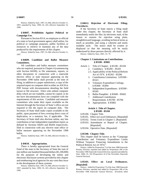History: Added by Stats. 1997, Ch. 866, effective October 11, 1997; amended by Stats. 1999, Ch. 433, effective September 16, 1999.

## **§ 84607. Prohibition Against Political or Campaign Use.**

Pursuant to Section 8314, no employee or official of a state or local government agency shall utilize, for political or campaign purposes, public facilities or resources to retrieve or maintain any of the data produced by the requirements of this chapter.

History: Added by Stats. 1997, Ch. 866, effective October 11, 1997.

## **§ 84609. Candidate and Ballot Measure Committees.**

All candidates and ballot measure committees who are required, pursuant to Chapter 4 (commencing with Section 84100), to file statements, reports, or other documents in connection with a statewide elective office or state measure appearing on the November 1998 ballot shall provide at the time of filing, in addition to a paper submission, a copy of the required report on computer disk in either an ASCII or PDF format with documentation detailing the field layout or file structure. Filers who submit computer disks which are not readable, cannot be copied, or do not have documentation have not complied with the requirements of this section. Candidate and measure committees who make their report available on the Internet through the Secretary of State's office are not required to file the report on computer disk. The Secretary of State shall make copies available to the public, upon payment of fees covering direct costs of duplication, or a statutory fee, if applicable. The Secretary of State shall also disclose online, any late contribution or late independent expenditure report, as defined by Sections 84203 and 84204 respectively, filed in connection with any elective state office or ballot measure appearing on the November 1998 ballot.

History: Added by Stats. 1997, Ch. 866, effective October 11, 1997.

#### **§ 84610. Appropriation.**

There is hereby appropriated from the General Fund of the state to the Secretary of State the sum of one million one hundred thousand dollars (\$1,100,000) for the purposes of developing the online and electronic disclosure systems provided by this chapter and reimbursing local agencies for any costs they incur in the development of these systems.

History: Added by Stats. 1997, Ch. 866, effective October 11, 1997; amended by Stats. 1999, Ch. 433, effective September 16, 1999.

## **§ 84612. Rejection of Electronic Filing; Procedures.**

If the Secretary of State rejects a filing made under this chapter, the Secretary of State shall immediately notify the filer, by electronic mail, of the reason or reasons for rejection using plain, straightforward language, avoiding technical terms as much as possible, and using a coherent and easily readable style. The notice shall be written or displayed so that the meaning will be easily understood by those persons directly affected by it.

History: Added by Stats. 2001, Ch. 79.

## **Chapter 5. Limitations on Contributions. § 85100 - 85802**

- Article 1. Title of Chapter. § 85100 85104
	- 2. Candidacy. § 85200 85201
	- 2.5. Applicability of the Political Reform Act of 1974. § 85202 - 85206
	- 3. Contribution Limitations. § 85300 85321
	- 4. Voluntary Expenditure Ceilings. § 85400 - 85404
	- 5. Independent Expenditures. § 85500 85505
	- 6. Ballot Pamphlet. § 85600 85602
	- 7. Additional Contribution Requirements. § 85700 - 85706
	- 8. Appropriation. § 85802

## **Article 1. Title of Chapter. § 85100 - 85104**

- § 85100. Chapter Title.
- § 85101. Effect on Local Ordinances. [Repealed]
- § 85102. Terms Used in Chapter 5. [Repealed]
- § 85103. Amendment or Repeal of Chapter. [Repealed]
- § 85104. Operative Date. [Repealed]

## **§ 85100. Chapter Title.**

This chapter shall be known as the "Campaign Contribution and Voluntary Expenditure Limits Without Taxpayer Financing Amendments to the Political Reform Act of 1974."

History: Added by Proposition 73 of the June 1988 Statewide Primary Election; repealed and added by Proposition 208 of the November 1996 Statewide General Election; repealed and added by Stats. 2000, Ch. 102 [Proposition 34 of the November Statewide General Election].

#### **§ 85101. Effect on Local Ordinances. [Repealed]**

History: Added by Proposition 73 of the June 1988 Statewide Primary Election; repealed and added by Proposition 208 of the November 1996 Statewide General Election. (Formerly titled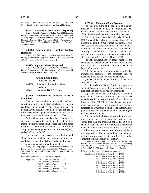"Findings and Declarations"); repealed by Stats. 2000, Ch. 102 [Proposition 34 of the November Statewide General Election].

#### **§ 85102. Terms Used in Chapter 5. [Repealed]**

History: Added by Proposition 73 of the June 1988 Statewide Primary Election; amended by Stats. 1994, Ch. 1010; repealed and added by Proposition 208 of the November 1996 Statewide General Election. (Formerly titled "Purpose of This Law"); repealed by Stats. 2000, Ch. 102 [Proposition 34 of the November Statewide General Election].

#### **§ 85103. Amendment or Repeal of Chapter. [Repealed]**

History: Added by Proposition 73 of the June 1988 Statewide Primary Election; repealed by Stats. 2000, Ch. 102 [Proposition 34 of the November Statewide General Election].

#### **§ 85104. Operative Date. [Repealed]**

History: Added by Proposition 73 of the June 1988 Statewide Primary Election; repealed by Stats. 2000, Ch. 102 [Proposition 34 of the November Statewide General Election].

#### **Article 2. Candidacy. § 85200 - 85201**

§ 85200. Statement of Intention to be a Candidate.

§ 85201. Campaign Bank Account.

## **§ 85200. Statement of Intention to be a Candidate.**

Prior to the solicitation or receipt of any contribution or loan, an individual who intends to be a candidate for an elective state office, pursuant to Section 82024, shall file with the Secretary of State an original statement, signed under penalty of perjury, of intention to be a candidate for a specific office.

An individual who intends to be a candidate for any other elective office shall file the statement of intention with the same filing officer and in the same location as the individual would file an original campaign statement pursuant to subdivisions (c), (d), and (e) of Section 84215.

For purposes of this section, "contribution" and "loan" do not include any payments from the candidate's personal funds for a candidate filing fee or a candidate statement of qualifications fee.

History: Added by Proposition 73 of the June 1988 Statewide Primary Election; amended by Stats. 1991, Ch. 1078; amended by Stats. 1996, Ch. 289; amended by Stats. 1997, Ch. 394; amended by Stats. 2000, Ch. 853.

References at the time of publication (see page 3):

Regulations: 2 Cal. Code of Regs. Section 18520 2 Cal. Code of Regs. Section 18521 2 Cal. Code of Regs. Section 18531.5 2 Cal. Code of Regs. Section 18536 2 Cal. Code of Regs. Section 18537.1 2 Cal. Code of Regs. Section 18542

#### **§ 85201. Campaign Bank Account.**

(a) Upon the filing of the statement of intention pursuant to Section 85200, the individual shall establish one campaign contribution account at an office of a financial institution located in the state.

(b) As required by subdivision (f) of Section 84102, a candidate who raises contributions of one thousand dollars (\$1,000) or more in a calendar year shall set forth the name and address of the financial institution where the candidate has established a campaign contribution account and the account number on the committee statement of organization filed pursuant to Sections 84101 and 84103.

(c) All contributions or loans made to the candidate, to a person on behalf of the candidate, or to the candidate's controlled committee shall be deposited in the account.

(d) Any personal funds which will be utilized to promote the election of the candidate shall be deposited in the account prior to expenditure.

(e) All campaign expenditures shall be made from the account.

(f) Subdivisions (d) and (e) do not apply to a candidate's payment for a filing fee and statement of qualifications from his or her personal funds.

(g) This section does not apply to a candidate who will not receive contributions and who makes expenditures from personal funds of less than one thousand dollars (\$1,000) in a calendar year to support his or her candidacy. For purposes of this section, a candidate's payment for a filing fee and statement of qualifications shall not be included in calculating the total expenditures made.

(h) An individual who raises contributions from others for his or her campaign, but who raises or spends less than one thousand dollars (\$1,000) in a calendar year, and does not qualify as a committee under Section 82013, shall establish a campaign contribution account pursuant to subdivision (a), but is not required to file a committee statement of organization pursuant to Section 84101 or other statement of bank account information.

History: Added by Proposition 73 of the June 1988 Statewide Primary Election; amended by Stats. 1990, Ch. 387; amended by Stats. 1991, Ch. 1078; amended by Stats. 1996, Ch. 289; amended by Stats. 1997, Ch. 394; amended by Stats. 2000, Ch. 853.

References at the time of publication (see page 3):

Regulations: 2 Cal. Code of Regs. Section 18520

2 Cal. Code of Regs. Section 18521

2 Cal. Code of Regs. Section 18521.3

2 Cal. Code of Regs. Section 18523

- 2 Cal. Code of Regs. Section 18523.1
- 2 Cal. Code of Regs. Section 18524
- 2 Cal. Code of Regs. Section 18525 2 Cal. Code of Regs. Section 18526
- 2 Cal. Code of Regs. Section 18531.6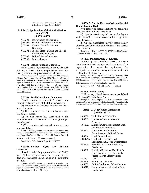2 Cal. Code of Regs. Section 18531.61 2 Cal. Code of Regs. Section 18537.1

## **Article 2.5. Applicability of the Political Reform Act of 1974.**

## **§ 85202 - 85206**

- § 85202. Interpretation of Chapter 5.
- § 85203. Small Contributor Committee.
- § 85204. Election Cycle for 24-Hour Disclosure.
- § 85204.5. Special Election Cycle and Special Runoff Election Cycle.
- § 85205. Political Party Committee.
- § 85206. Public Moneys.

#### **§ 85202. Interpretation of Chapter 5.**

Unless specifically superseded by the act that adds this section, the definitions and provisions of this title shall govern the interpretation of this chapter.

History: Added by Proposition 73 of the June 1988 Statewide Primary Election; amended by Stats. 1989, Ch. 303. (Formerly titled "Contributions to Candidates; Trust for Specific Office"); repealed by Stats. 1990, Ch. 84. Added by Proposition 208 of the November 1996 Statewide General Election. (Formerly titled "Applicability of the Political Reform Act"); repealed and added by Stats. 2000, Ch. 102 [Proposition 34 of the November Statewide General Election].

## **§ 85203. Small Contributor Committee.**

"Small contributor committee" means any committee that meets all of the following criteria:

(a) The committee has been in existence for at least six months.

(b) The committee receives contributions from 100 or more persons.

(c) No one person has contributed to the committee more than two hundred dollars (\$200) per calendar year.

(d) The committee makes contributions to five or more candidates.

History: Added by Proposition 208 of the November 1996 Statewide General Election; repealed and added by Stats. 2000, Ch. 102 [Proposition 34 of the November Statewide General Election].

References at the time of publication (see page 3):

Regulations: 2 Cal. Code of Regs. Section 18503

#### **§ 85204. Election Cycle for 24-Hour Disclosure.**

"Election cycle" for purposes of Sections 85309 and 85500, means the period of time commencing 90 days prior to an election and ending on the date of the election.

History: Added by Proposition 208 of the November 1996 Statewide General Election. (Formerly titled "Two-Year Period"); repealed and added by Stats. 2000, Ch. 102 [Proposition 34 of the November Statewide General Election].

With respect to special elections, the following terms have the following meanings:

(a) "Special election cycle" means the day on which the office becomes vacant until the day of the special election.

(b) "Special runoff election cycle" means the day after the special election until the day of the special runoff election.

History: Added by Stats. 2000, Ch. 102 [Proposition 34 of the November Statewide General Election].

#### **§ 85205. Political Party Committee.**

"Political party committee" means the state central committee or county central committee of an organization that meets the requirements for recognition as a political party pursuant to Section 5100 of the Elections Code.

History: Added by Proposition 208 of the November 1996 Statewide General Election; repealed and added by Stats. 2000, Ch. 102 [Proposition 34 of the November Statewide General Election]. References at the time of publication (see page 3):

Regulations: 2 Cal. Code of Regs. Section 18530.3

#### **§ 85206. Public Moneys.**

"Public moneys" has the same meaning as defined in Section 426 of the Penal Code.

History: Added by Proposition 208 of the November 1996 Statewide General Election; repealed and added by Stats. 2000, Ch. 102 [Proposition 34 of the November Statewide General Election].

#### **Article 3. Contribution Limitations. § 85300 - 85321**

| § 85300. | Public Funds; Prohibition. |
|----------|----------------------------|
|----------|----------------------------|

- § 85301. Limits on Contributions from Persons.
- § 85302. Limits on Contributions from Small Contributor Committees.
- § 85303. Limits on Contributions to Committees and Political Parties.
- § 85304. Legal Defense Fund.
- § 85304.5. Legal Defense Fund; Local Candidates and Elected Officeholders.
- § 85305. Restrictions on Contributions by Candidates.
- § 85306. Transfers Between a Candidate's Own Committees; Use of Funds Raised Prior to Effective Date.
- § 85307. Loans.
- § 85308. Family Contributions.
- § 85309. Online Disclosure of Contributions.
- § 85310. Communications Identifying State Candidates.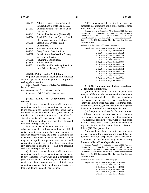| § 85311. | Affiliated Entities; Aggregation of  |
|----------|--------------------------------------|
|          | Contributions to State Candidates.   |
| § 85312. | Communications to Members of an      |
|          | Organization.                        |
| § 85313. | Officeholder Account. [Repealed]     |
| § 85314. | Special Elections and Special Runoff |
|          | Elections as Separate Elections.     |
| § 85315. | Elected State Officer Recall         |
|          | Committees.                          |
| § 85316. | Post-Election Fundraising.           |
| § 85317. | Carry Over of Contributions.         |
| § 85318. | Contributions Received for Primary   |
|          | and General Elections.               |
| § 85319. | Returning Contributions.             |
| § 85320. | Foreign Entities.                    |
| 8 05271  | Doet Floction Eundraising: Floctions |

§ 85321. Post-Election Fundraising; Elections Held Prior to January 1, 2001.

## **§ 85300. Public Funds; Prohibition.**

No public officer shall expend and no candidate shall accept any public moneys for the purpose of seeking elective office.

History: Added by Proposition 73 of the June 1988 Statewide Primary Election.

References at the time of publication (see page 3):

Regulations: 2 Cal. Code of Regs. Section 18530

## **§ 85301. Limits on Contributions from Persons.**

(a) A person, other than a small contributor committee or political party committee, may not make to any candidate for elective state office other than a candidate for statewide elective office, and a candidate for elective state office other than a candidate for statewide elective office may not accept from a person, any contribution totaling more than three thousand dollars (\$3,000) per election.

(b) Except to a candidate for Governor, a person, other than a small contributor committee or political party committee, may not make to any candidate for statewide elective office, and except a candidate for Governor, a candidate for statewide elective office may not accept from a person other than a small contributor committee or a political party committee, any contribution totaling more than five thousand dollars (\$5,000) per election.

(c) A person, other than a small contributor committee or political party committee, may not make to any candidate for Governor, and a candidate for governor may not accept from any person other than a small contributor committee or political party committee, any contribution totaling more than twenty thousand dollars (\$20,000) per election.

(d) The provisions of this section do not apply to a candidate's contributions of his or her personal funds to his or her own campaign.

History: Added by Proposition 73 of the June 1988 Statewide Primary Election. (Formerly titled "Contributions by Persons to Candidates"); repealed and added by Proposition 208 of the November 1996 Statewide General Election; repealed and added by Stats. 2000, Ch. 102 [Proposition 34 of the November Statewide General Election].

References at the time of publication (see page 3):

Regulations: 2 Cal. Code of Regs. Section 18421.4 2 Cal. Code of Regs. Section 18503 2 Cal. Code of Regs. Section 18521 2 Cal. Code of Regs. Section 18521.5 2 Cal. Code of Regs. Section 18523 2 Cal. Code of Regs. Section 18523.1 2 Cal. Code of Regs. Section 18530.4 2 Cal. Code of Regs. Section 18531 2 Cal. Code of Regs. Section 18531.5 2 Cal. Code of Regs. Section 18531.6 2 Cal. Code of Regs. Section 18531.61 2 Cal. Code of Regs. Section 18533 2 Cal. Code of Regs. Section 18537 2 Cal. Code of Regs. Section 18544 2 Cal. Code of Regs. Section 18545

## **§ 85302. Limits on Contributions from Small Contributor Committees.**

(a) A small contributor committee may not make to any candidate for elective state office other than a candidate for statewide elective office, and a candidate for elective state office, other than a candidate for statewide elective office may not accept from a small contributor committee, any contribution totaling more than six thousand dollars (\$6,000) per election.

(b) Except to a candidate for Governor, a small contributor committee may not make to any candidate for statewide elective office and except for a candidate for Governor, a candidate for statewide elective office may not accept from a small contributor committee, any contribution totaling more than ten thousand dollars (\$10,000) per election.

(c) A small contributor committee may not make to any candidate for Governor, and a candidate for governor may not accept from a small contributor committee, any contribution totaling more than twenty thousand dollars (\$20,000) per election.

History: Added by Proposition 73 of the June 1988 Statewide Primary Election. (Formerly titled "Contributions by Persons to Committees"); repealed and added by Proposition 208 of the November 1996 Statewide General Election; repealed and added by Stats. 2000, Ch. 102 [Proposition 34 of the November Statewide General Election].

References at the time of publication (see page 3):

Regulations: 2 Cal. Code of Regs. Section 18421.4

- 2 Cal. Code of Regs. Section 18503
- 2 Cal. Code of Regs. Section 18521
- 2 Cal. Code of Regs. Section 18521.5
- 2 Cal. Code of Regs. Section 18523
- 2 Cal. Code of Regs. Section 18523.1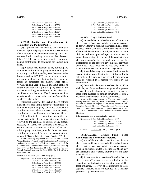| 2 Cal. Code of Regs. Section 18530.4 |  |
|--------------------------------------|--|
| 2 Cal. Code of Regs. Section 18531   |  |
| 2 Cal. Code of Regs. Section 18531.5 |  |
| 2 Cal. Code of Regs. Section 18531.6 |  |
| 2 Cal. Code of Regs. Section 18537   |  |
| 2 Cal. Code of Regs. Section 18544   |  |
| 2 Cal. Code of Regs. Section 18545   |  |
|                                      |  |

## **§ 85303. Limits on Contributions to Committees and Political Parties.**

(a) A person may not make to any committee, other than a political party committee, and a committee other than a political party committee may not accept, any contribution totaling more than five thousand dollars (\$5,000) per calendar year for the purpose of making contributions to candidates for elective state office.

(b) A person may not make to any political party committee, and a political party committee may not accept, any contribution totaling more than twenty-five thousand dollars (\$25,000) per calendar year for the purpose of making contributions for the support or defeat of candidates for elective state office. Notwithstanding Section 85312, this limit applies to contributions made to a political party used for the purpose of making expenditures at the behest of a candidate for elective state office for communications to party members related to the candidate's candidacy for elective state office.

(c) Except as provided in Section 85310, nothing in this chapter shall limit a person's contributions to a committee or political party committee provided the contributions are used for purposes other than making contributions to candidates for elective state office.

(d) Nothing in this chapter limits a candidate for elected state office from transferring contributions received by the candidate in excess of any amount necessary to defray the candidate's expenses for election related activities or holding office to a political party committee, provided those transferred contributions are used for purposes consistent with paragraph (4) of subdivision (b) of Section 89519.

History: Added by Proposition 73 of the June 1988 Statewide Primary Election. (Formerly titled "Contributions by Committees to Candidates"); repealed and added by Proposition 208 of the November 1996 Statewide General Election; repealed and added by Stats. 2000, Ch. 102 [Proposition 34 of the November Statewide General Election]; amended by Stats. 2001, Ch. 241, effective September 4, 2001.

References at the time of publication (see page 3):

| Regulations: 2 Cal. Code of Regs. Section 18421.4 |
|---------------------------------------------------|
| 2 Cal. Code of Regs. Section 18521.5              |
| 2 Cal. Code of Regs. Section 18530.3              |
| 2 Cal. Code of Regs. Section 18530.4              |
| 2 Cal. Code of Regs. Section 18531                |
| 2 Cal. Code of Regs. Section 18531.61             |
| 2 Cal. Code of Regs. Section 18531.7              |

2 Cal. Code of Regs. Section 18533 2 Cal. Code of Regs. Section 18534 2 Cal. Code of Regs. Section 18537 2 Cal. Code of Regs. Section 18544 2 Cal. Code of Regs. Section 18545

#### **§ 85304. Legal Defense Fund.**

(a) A candidate for elective state office or an elected state officer may establish a separate account to defray attorney's fees and other related legal costs incurred for the candidate's or officer's legal defense if the candidate or officer is subject to one or more civil or criminal proceedings or administrative proceedings arising directly out of the conduct of an election campaign, the electoral process, or the performance of the officer's governmental activities and duties. These funds may be used only to defray those attorney fees and other related legal costs.

(b) A candidate may receive contributions to this account that are not subject to the contribution limits set forth in this article. However, all contributions shall be reported in a manner prescribed by the commission.

(c) Once the legal dispute is resolved, the candidate shall dispose of any funds remaining after all expenses associated with the dispute are discharged for one or more of the purposes set forth in paragraphs (1) to (5), inclusive, of subdivision (b) of Section 89519.

History: Added by Proposition 73 of the June 1988 Statewide Primary Election. (Formerly titled "Prohibition on Transfers"); repealed and added by Proposition 208 of the November 1996 Statewide General Election. (Formerly titled "Limitations on Contributions from Political Parties"); repealed and added by Stats. 2000, Ch. 102 [Proposition 34 of the November Statewide General Election].

References at the time of publication (see page 3):

|           | Regulations: 2 Cal. Code of Regs. Section 18117 |
|-----------|-------------------------------------------------|
|           | 2 Cal. Code of Regs. Section 18530.4            |
|           | 2 Cal. Code of Regs. Section 18530.45           |
|           | 2 Cal. Code of Regs. Section 18537              |
| Opinions: | In re Pelham (2001) 15 FPPC Ops. 1              |

## **§ 85304.5. Legal Defense Fund; Local Candidates and Elected Officeholders.**

(a) A candidate for elective office other than an elective state office or an elected officer other than an elected state officer may establish a separate account pursuant to subdivision (a) of Section 85304 and may use these funds only to defray attorney's fees and other related legal costs.

(b) A candidate for an elective office other than an elective state office may receive contributions to the separate account subject to any limitations provided by local ordinance. However, all contributions to these separate accounts shall be reported in a manner prescribed by the commission.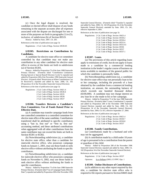(c) Once the legal dispute is resolved, the candidate or elected officer shall dispose of any funds remaining in the separate accounts after all expenses associated with the dispute are discharged for one or more of the purposes set forth in paragraphs (1) to (5), inclusive, of subdivision (b) of Section 89519.

History: Added by Stats. 2007, Ch. 283.

References at the time of publication (see page 3):

Regulations: 2 Cal. Code of Regs. Section 18530.45

#### **§ 85305. Restrictions on Contributions by Candidates.**

A candidate for elective state office or committee controlled by that candidate may not make any contribution to any other candidate for elective state office in excess of the limits set forth in subdivision (a) of Section 85301.

History: Added by Proposition 73 of the June 1988 Statewide Primary Election. (Formerly titled "Contribution Limitations During Special or Special Runoff Election Cycles"); repealed and added by Proposition 208 of the November 1996 Statewide General Election. (Formerly titled "Restrictions on When Contributions Can be Received"); repealed and added by Stats. 2000, Ch. 102 [Proposition 34 of the November Statewide General Election]. References at the time of publication (see page 3):

Regulations: 2 Cal. Code of Regs. Section 18421.4 2 Cal. Code of Regs. Section 18530.4 2 Cal. Code of Regs. Section 18535 2 Cal. Code of Regs. Section 18536 2 Cal. Code of Regs. Section 18537

## **§ 85306. Transfers Between a Candidate's Own Committees; Use of Funds Raised Prior to Effective Date.**

(a) A candidate may transfer campaign funds from one controlled committee to a controlled committee for elective state office of the same candidate. Contributions transferred shall be attributed to specific contributors using a "last in, first out" or "first in, first out" accounting method, and these attributed contributions when aggregated with all other contributions from the same contributor may not exceed the limits set forth in Section 85301 or 85302.

(b) Notwithstanding subdivision (a), a candidate for elective state office, other than a candidate for statewide elective office, who possesses campaign funds on January 1, 2001, may use those funds to seek elective office without attributing the funds to specific contributors.

(c) Notwithstanding subdivision (a), a candidate for statewide elective office who possesses campaign funds on November 6, 2002, may use those funds to seek elective office without attributing the funds to specific contributors.

History: Added by Proposition 73 of the June 1988 Statewide Primary Election. (Formerly titled "Use of Campaign Funds; Effective Date"); repealed and added by Proposition 208 of the November 1996 Statewide General Election. (Formerly titled "Transfers"); repealed and added by Stats. 2000, Ch. 102 [Proposition 34 of the November Statewide General Election]; amended by Stats. 2001, Ch. 241, effective September 4, 2001.

References at the time of publication (see page 3):

| Regulations: 2 Cal. Code of Regs. Section 18421.4 |
|---------------------------------------------------|
| 2 Cal. Code of Regs. Section 18530.2              |
| 2 Cal. Code of Regs. Section 18530.4              |
| 2 Cal. Code of Regs. Section 18531.6              |
| 2 Cal. Code of Regs. Section 18531.61             |
| 2 Cal. Code of Regs. Section 18536                |
| 2 Cal. Code of Regs. Section 18537                |
| 2 Cal. Code of Regs. Section 18537.1              |
|                                                   |

#### **§ 85307. Loans.**

(a) The provisions of this article regarding loans apply to extensions of credit, but do not apply to loans made to a candidate by a commercial lending institution in the lender's regular course of business on terms available to members of the general public for which the candidate is personally liable.

(b) Notwithstanding subdivision (a), a candidate for elective state office may not personally loan to his or her campaign, including the proceeds of a loan obtained by the candidate from a commercial lending institution, an amount, the outstanding balance of which exceeds one hundred thousand dollars (\$100,000). A candidate may not charge interest on any loan he or she made to his or her campaign.

History: Added by Proposition 73 of the June 1988 Statewide Primary Election. (Formerly titled "Loans; Contributions"); repealed and added by Proposition 208 of the November 1996 Statewide General Election; repealed and added by Stats. 2000, Ch. 102 [Proposition 34 of the November Statewide General Election]; amended by Stats. 2004, Ch. 815, effective September 27, 2004.

References at the time of publication (see page 3):

Regulations: 2 Cal. Code of Regs. Section 18421.4 2 Cal. Code of Regs. Section 18530.7 2 Cal. Code of Regs. Section 18530.8 2 Cal. Code of Regs. Section 18537

#### **§ 85308. Family Contributions.**

(a) Contributions made by a husband and wife may not be aggregated.

(b) A contribution made by a child under 18 years of age is presumed to be a contribution from the parent or guardian of the child.

History: Added by Proposition 208 of the November 1996 Statewide General Election; repealed and added by Stats. 2000, Ch. 102 [Proposition 34 of the November Statewide General Election].

References at the time of publication (see page 3):

Regulations: 2 Cal. Code of Regs. Section 18537

Opinions: In re Pelham (2001) 15 FPPC Ops. 1

#### **§ 85309. Online Disclosure of Contributions.**

(a) In addition to any other report required by this title, a candidate for elective state office who is required to file reports pursuant to Section 84605 shall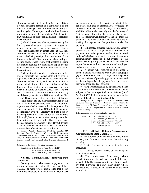file online or electronically with the Secretary of State a report disclosing receipt of a contribution of one thousand dollars (\$1,000) or more received during an election cycle. Those reports shall disclose the same information required by subdivision (a) of Section 84203 and shall be filed within 24 hours of receipt of the contribution.

(b) In addition to any other report required by this title, any committee primarily formed to support or oppose one or more state ballot measures that is required to file reports pursuant to Section 84605 shall file online or electronically with the Secretary of State a report disclosing receipt of a contribution of one thousand dollars (\$1,000) or more received during an election cycle. Those reports shall disclose the same information required by subdivision (a) of Section 84203 and shall be filed within 24 hours of receipt of the contribution.

(c) In addition to any other report required by this title, a candidate for elective state office who is required to file reports pursuant to Section 84605 shall file online or electronically with the Secretary of State a report disclosing receipt of a contribution of five thousand dollars (\$5,000) or more received at any time other than during an election cycle. Those reports shall disclose the same information required by subdivision (a) of Section 84203 and shall be filed within 10 business days of receipt of the contribution.

(d) In addition to any other report required by this title, a committee primarily formed to support or oppose a state ballot measure that is required to file reports pursuant to Section 84605 shall file online or electronically with the Secretary of State a report disclosing receipt of a contribution of five thousand dollars (\$5,000) or more received at any time other than during an election cycle. Those reports shall disclose the same information required by subdivision (a) of Section 84203 and shall be filed within 10 business days of receipt of the contribution.

History: Added by Proposition 208 of the November 1996 Statewide General Election. (Formerly titled "Aggregate Contributions from Non-individuals"); repealed and added by Stats. 2000, Ch. 102 [Proposition 34 of the November Statewide General Election]; amended by Stats. 2001, Ch. 241, effective September 4, 2001.

References at the time of publication (see page 3):

Regulations: 2 Cal. Code of Regs. Section 18117 2 Cal. Code of Regs. Section 18537 2 Cal. Code of Regs. Section 18539

#### **§ 85310. Communications Identifying State Candidates.**

(a) Any person who makes a payment or a promise of payment totaling fifty thousand dollars (\$50,000) or more for a communication that clearly identifies a candidate for elective state office, but does not expressly advocate the election or defeat of the candidate, and that is disseminated, broadcast, or otherwise published within 45 days of an election, shall file online or electronically with the Secretary of State a report disclosing the name of the person, address, occupation, and employer, and amount of the payment. The report shall be filed within 48 hours of making the payment or the promise to make the payment.

(b) (1) Except as provided in paragraph (2), if any person has received a payment or a promise of a payment from other persons totaling five thousand dollars (\$5,000) or more for the purpose of making a communication described in subdivision (a), the person receiving the payments shall disclose on the report the name, address, occupation and employer, and date and amount received from the person.

(2) A person who receives or is promised a payment that is otherwise reportable under paragraph (1) is not required to report the payment if the person is in the business of providing goods or services and receives or is promised the payment for the purpose of providing those goods or services.

(c) Any payment received by a person who makes a communication described in subdivision (a) is subject to the limits specified in subdivision (b) of Section 85303 if the communication is made at the behest of the clearly identified candidate.

History: Added by Proposition 208 of the November 1996 Statewide General Election. (Formerly titled "Aggregate Contributions to All State Candidates"); repealed and added by Stats. 2000, Ch. 102 [Proposition 34 of the November Statewide General Election].

References at the time of publication (see page 3):

Regulations: 2 Cal. Code of Regs. Section 18117 2 Cal. Code of Regs. Section 18521.5 2 Cal. Code of Regs. Section 18531.10 2 Cal. Code of Regs. Section 18537 2 Cal. Code of Regs. Section 18539.2

## **§ 85311. Affiliated Entities; Aggregation of Contributions to State Candidates.**

(a) For purposes of the contribution limits of this chapter, the following terms have the following meanings:

(1) "Entity" means any person, other than an individual.

(2) "Majority owned" means an ownership of more than 50 percent.

(b) The contributions of an entity whose contributions are directed and controlled by any individual shall be aggregated with contributions made by that individual and any other entity whose contributions are directed and controlled by the same individual.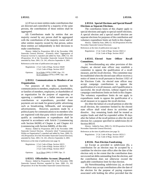(c) If two or more entities make contributions that are directed and controlled by a majority of the same persons, the contributions of those entities shall be aggregated.

(d) Contributions made by entities that are majority owned by any person shall be aggregated with the contributions of the majority owner and all other entities majority owned by that person, unless those entities act independently in their decisions to make contributions.

History: Added by Proposition 208 of the November 1996 Statewide General Election. (Formerly titled "Aggregation of Financial Activity"); repealed and added by Stats. 2000, Ch. 102 [Proposition 34 of the November Statewide General Election]; amended by Stats. 2001, Ch. 241, effective September 4, 2001.

References at the time of publication (see page 3):

|           | Regulations: 2 Cal. Code of Regs. Section 18428<br>2 Cal. Code of Regs. Section 18537 |
|-----------|---------------------------------------------------------------------------------------|
| Opinions: | In re Kahn (1976) 2 FPPC Ops. 151<br>In re Lumsdon (1976) 2 FPPC Ops. 140             |

## **§ 85312. Communications to Members of an Organization.**

For purposes of this title, payments for communications to members, employees, shareholders, or families of members, employees, or shareholders of an organization for the purpose of supporting or opposing a candidate or a ballot measure are not contributions or expenditures, provided those payments are not made for general public advertising such as broadcasting, billboards, and newspaper advertisements. However, payments made by a political party for communications to its members who are registered with that party which would otherwise qualify as contributions or expenditures shall be reported in accordance with Article 2 (commencing with Section 84200) of Chapter 4, and Chapter 4.6 (commencing with Section 84600), of this title.

History: Added by Proposition 208 of the November 1996 Statewide General Election. (Formerly titled "Communications Within an Organization"); repealed and added by Stats. 2000, Ch. 102 [Proposition 34 of the November Statewide General Election]; amended by Stats. 2001, Ch. 241, effective September 4, 2001.

References at the time of publication (see page 3):

Regulations: 2 Cal. Code of Regs. Section 18215 2 Cal. Code of Regs. Section 18531.7 2 Cal. Code of Regs. Section 18537

Opinions: In re Olson (2001) 15 FPPC Ops. 13

#### **§ 85313. Officeholder Account. [Repealed]**

History: Added by Proposition 208 of the November 1996 Statewide General Election; repealed by Stats. 2000, Ch. 102 [Proposition 34 of the November Statewide General Election].

## **§ 85314. Special Elections and Special Runoff Elections as Separate Elections.**

The contribution limits of this chapter apply to special elections and apply to special runoff elections. A special election and a special runoff election are separate elections for purposes of the contribution and voluntary expenditure limits set forth in this chapter.

History: Added by Stats. 2000, Ch. 102 [Proposition 34 of the November Statewide General Election].

References at the time of publication (see page 3):

Regulations: 2 Cal. Code of Regs. Section 18421.4 2 Cal. Code of Regs. Section 18537

## **§ 85315. Elected State Officer Recall Committees.**

(a) Notwithstanding any other provision of this chapter, an elected state officer may establish a committee to oppose the qualification of a recall measure, and the recall election. This committee may be established when the elected state officer receives a notice of intent to recall pursuant to Section 11021 of the Elections Code. An elected state officer may accept campaign contributions to oppose the qualification of a recall measure, and if qualification is successful, the recall election, without regard to the campaign contributions limits set forth in this chapter. The voluntary expenditure limits do not apply to expenditures made to oppose the qualification of a recall measure or to oppose the recall election.

(b) After the failure of a recall petition or after the recall election, the committee formed by the elected state officer shall wind down its activities and dissolve. Any remaining funds shall be treated as surplus funds and shall be expended within 30 days after the failure of the recall petition or after the recall election for a purpose specified in subdivision (b) of Section 89519.

History: Added by Stats. 2000, Ch. 102 [Proposition 34 of the November Statewide General Election].

References at the time of publication (see page 3):

Regulations: 2 Cal. Code of Regs. Section 18531.5 2 Cal. Code of Regs. Section 18537

#### **§ 85316. Post-Election Fundraising.**

(a) Except as provided in subdivision (b), a contribution for an election may be accepted by a candidate for elective state office after the date of the election only to the extent that the contribution does not exceed net debts outstanding from the election, and the contribution does not otherwise exceed the applicable contribution limit for that election.

 (b) Notwithstanding subdivision (a), an elected state officer may accept contributions after the date of the election for the purpose of paying expenses associated with holding the office provided that the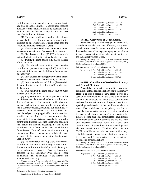contributions are not expended for any contribution to any state or local committee. Contributions received pursuant to this subdivision shall be deposited into a bank account established solely for the purposes specified in this subdivision.

 (1) No person shall make, and no elected state officer shall receive from a person, a contribution pursuant to this subdivision totaling more than the following amounts per calendar year:

 (A) Three thousand dollars (\$3,000) in the case of an elected state officer of the Assembly or Senate.

 (B) Five thousand dollars (\$5,000) in the case of a statewide elected state officer other than the Governor.

 (C) Twenty thousand dollars (\$20,000) in the case of the Governor.

 (2) No elected state officer shall receive contributions pursuant to paragraph (1) that, in the aggregate, total more than the following amounts per calendar year:

 (A) Fifty thousand dollars (\$50,000) in the case of an elected state officer of the Assembly or Senate.

 (B) One hundred thousand dollars (\$100,000) in the case of a statewide elected state officer other than the Governor.

 (C) Two hundred thousand dollars (\$200,000) in the case of the Governor.

 (3) Any contribution received pursuant to this subdivision shall be deemed to be a contribution to that candidate for election to any state office that he or she may seek during the term of office to which he or she is currently elected, including, but not limited to, reelection to the office he or she currently holds, and shall be subject to any applicable contribution limit provided in this title. If a contribution received pursuant to this subdivision exceeds the allowable contribution limit for the office sought, the candidate shall return the amount exceeding the limit to the contributor on a basis to be determined by the Commission. None of the expenditures made by elected state officers pursuant to this subdivision shall be subject to the voluntary expenditure limitations in Section 85400.

 (4) The commission shall adjust the calendar year contribution limitations and aggregate contribution limitations set forth in this subdivision in January of every odd-numbered year to reflect any increase or decrease in the Consumer Price Index. Those adjustments shall be rounded to the nearest one hundred dollars (\$100).

History: Added by Stats. 2000, Ch. 102 [Proposition 34 of the November Statewide General Election]; amended by Stats. 2006, Ch. 624, effective September 29, 2006; amended by Stats. 2007, Ch. 130.

References at the time of publication (see page 3):

Regulations: 2 Cal. Code of Regs. Section 18531.6

2 Cal. Code of Regs. Section 18531.61 2 Cal. Code of Regs. Section 18531.62 2 Cal. Code of Regs. Section 18537 2 Cal. Code of Regs. Section 18537.1 2 Cal. Code of Regs. Section 18544 2 Cal. Code of Regs. Section 18545

## **§ 85317. Carry Over of Contributions.**

Notwithstanding subdivision (a) of Section 85306, a candidate for elective state office may carry over contributions raised in connection with one election for elective state office to pay campaign expenditures incurred in connection with a subsequent election for the same elective state office.

History: Added by Stats. 2000, Ch. 102 [Proposition 34 of the November Statewide General Election]; amended by Stats. 2001, Ch. 241, effective September 4, 2001.

References at the time of publication (see page 3):

Regulations: 2 Cal. Code of Regs. Section 18531.6 2 Cal. Code of Regs. Section 18531.61 2 Cal. Code of Regs. Section 18537 2 Cal. Code of Regs. Section 18537.1

## **§ 85318. Contributions Received for Primary and General Elections.**

A candidate for elective state office may raise contributions for a general election prior to the primary election, and for a special general election prior to a special primary election, for the same elective state office if the candidate sets aside these contributions and uses these contributions for the general election or special general election. If the candidate for elective state office is defeated in the primary election or special primary election, or otherwise withdraws from the general election or special general election, the general election or special general election funds shall be refunded to the contributors on a pro rata basis less any expenses associated with the raising and administration of general election or special general election contributions. Notwithstanding Section 85201, candidates for elective state office may establish separate campaign contribution accounts for the primary and general elections or special primary and special general elections.

History: Added by Stats. 2000, Ch. 102 [Proposition 34 of the November Statewide General Election]; amended by Stats. 2001, Ch. 241, effective September 4, 2001.

References at the time of publication (see page 3):

Regulations: 2 Cal. Code of Regs. Section 18521 2 Cal. Code of Regs. Section 18531.2

2 Cal. Code of Regs. Section 18531.6

2 Cal. Code of Regs. Section 18531.61

2 Cal. Code of Regs. Section 18536

2 Cal. Code of Regs. Section 18537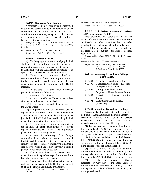### **§ 85319. Returning Contributions.**

A candidate for state elective office may return all or part of any contribution to the donor who made the contribution at any time, whether or not other contributions are returned, except a contribution that the candidate made for state elective office to his or her own controlled committee.

History: Added by Stats. 2000, Ch. 102 [Proposition 34 of the November Statewide General Election]; amended by Stats. 2002, Ch. 212.

References at the time of publication (see page 3):

Regulations: 2 Cal. Code of Regs. Section 18537

#### **§ 85320. Foreign Entities.**

(a) No foreign government or foreign principal shall make, directly or through any other person, any contribution, expenditure, or independent expenditure in connection with the qualification or support of, or opposition to, any state or local ballot measure.

(b) No person and no committee shall solicit or accept a contribution from a foreign government or foreign principal in connection with the qualification or support of, or opposition to, any state or local ballot measure.

(c) For the purposes of this section, a "foreign principal" includes the following:

(1) A foreign political party.

(2) A person outside the United States, unless either of the following is established:

(A) The person is an individual and a citizen of the United States.

(B) The person is not an individual and is organized under or created by the laws of the United States or of any state or other place subject to the jurisdiction of the United States and has its principal place of business within the United States.

(3) A partnership, association, corporation, organization, or other combination of persons organized under the laws of or having its principal place of business in a foreign country.

(4) A domestic subsidiary of a foreign corporation if the decision to contribute or expend funds is made by an officer, director, or management employee of the foreign corporation who is neither a citizen of the United States nor a lawfully admitted permanent resident of the United States.

(d) This section shall not prohibit a contribution, expenditure, or independent expenditure made by a lawfully admitted permanent resident.

(e) Any person who violates this section shall be guilty of a misdemeanor and shall be fined an amount equal to the amount contributed or expended.

History: Added by Stats. 1997, Ch. 67; amended by Stats. 2000, Ch. 349.

References at the time of publication (see page 3):

Regulations: 2 Cal. Code of Regs. Section 18537

## **§ 85321. Post-Election Fundraising; Elections Held Prior to January 1, 2001.**

Notwithstanding any other provision of this chapter, if a candidate for elective state office or the candidate's controlled committee had net debts resulting from an election held prior to January 1, 2001, contributions to that candidate or committee for that election are not subject to the limits of Sections 85301 and 85302.

History: Added by Stats. 2001, Ch. 241, effective September 4, 2001.

References at the time of publication (see page 3):

Regulations: 2 Cal. Code of Regs. Section 18531.6 2 Cal. Code of Regs. Section 18531.61 2 Cal. Code of Regs. Section 18537

#### **Article 4. Voluntary Expenditure Ceilings. § 85400 - 85404**

- § 85400. Voluntary Expenditure Ceilings.
- § 85401. Candidate Acceptance or Rejection of Expenditure Ceilings.
- § 85402. Lifting Expenditure Limits; Opponent's Use of Personal Funds.
- § 85403. Violations of Voluntary Expenditure Limits.
- § 85404. Expenditure Ceiling Lifted. [Repealed]

#### **§ 85400. Voluntary Expenditure Ceilings.**

(a) A candidate for elective state office, other than the Board of Administration of the Public Employees' Retirement System, who voluntarily accepts expenditure limits may not make campaign expenditures in excess of the following:

(1) For an Assembly candidate, four hundred thousand dollars (\$400,000) in the primary or special primary election and seven hundred thousand dollars (\$700,000) in the general or special general election.

(2) For a Senate candidate, six hundred thousand dollars (\$600,000) in the primary or special primary election and nine hundred thousand dollars (\$900,000) in the general or special general election.

(3) For a candidate for the State Board of Equalization, one million dollars (\$1,000,000) in the primary election and one million five hundred thousand dollars (\$1,500,000) in the general election.

(4) For a statewide candidate other than a candidate for Governor or the State Board of Equalization, four million dollars (\$4,000,000) in the primary election and six million dollars (\$6,000,000) in the general election.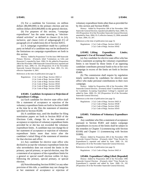(5) For a candidate for Governor, six million dollars (\$6,000,000) in the primary election and ten million dollars (\$10,000,000) in the general election.

(b) For purposes of this section, "campaign expenditures" has the same meaning as "electionrelated activities" as defined in clauses (i) to (vi), inclusive, and clause (viii) of subparagraph (C) of paragraph (2) of subdivision (b) of Section 82015.

(c) A campaign expenditure made by a political party on behalf of a candidate may not be attributed to the limitations on campaign expenditures set forth in this section.

History: Added by Proposition 73 of the June 1988 Statewide Primary Election. (Formerly titled "Limitations on Gifts and Honoraria"); repealed by Stats. 1990, Ch. 84; added by Proposition 208 of the November 1996 Statewide General Election; repealed and added by Stats. 2000, Ch. 102 [Proposition 34 of the November Statewide General Election]; amended by Stats. 2001, Ch. 241, effective September 4, 2001.

References at the time of publication (see page 3):

| Regulations: 2 Cal. Code of Regs. Section 18421.4 |
|---------------------------------------------------|
| 2 Cal. Code of Regs. Section 18540                |
| 2 Cal. Code of Regs. Section 18542                |
| 2 Cal. Code of Regs. Section 18543                |
| 2 Cal. Code of Regs. Section 18544                |
| 2 Cal. Code of Regs. Section 18545                |
|                                                   |

## **§ 85401. Candidate Acceptance or Rejection of Expenditure Ceilings.**

(a) Each candidate for elective state office shall file a statement of acceptance or rejection of the voluntary expenditure limits set forth in Section 85400 at the time he or she files the statement of intention specified in Section 85200.

(b) A candidate may, until the deadline for filing nomination papers set forth in Section 8020 of the Elections Code, change his or her statement of acceptance or rejection of voluntary expenditure limits provided he or she has not exceeded the voluntary expenditure limits. A candidate may not change his or her statement of acceptance or rejection of voluntary expenditure limits more than twice after the candidate's initial filing of the statement of intention for that election and office.

(c) Any candidate for elective state office who declined to accept the voluntary expenditure limits but who nevertheless does not exceed the limits in the primary, special primary, or special election, may file a statement of acceptance of the expenditure limits for a general or special runoff election within 14 days following the primary, special primary, or special election.

(d) Notwithstanding Section 81004.5 or any other provision of this title, a candidate may not change his or her statement of acceptance or rejection of voluntary expenditure limits other than as provided for by this section and Section 85402.

History: Added by Proposition 208 of the November 1996 Statewide General Election; repealed and added by Stats. 2000, Ch. 102 [Proposition 34 of the November Statewide General Election]; amended by Stats. 2004, Ch. 9, effective January 22, 2004; amended by Stats. 2004, Ch. 207.

References at the time of publication (see page 3):

Regulations: 2 Cal. Code of Regs. Section 18421.4 2 Cal. Code of Regs. Section 18542

## **§ 85402. Lifting Expenditure Limits; Opponent's Use of Personal Funds.**

(a) Any candidate for elective state office who has filed a statement accepting the voluntary expenditure limits is not bound by those limits if an opposing candidate contributes personal funds to his or her own campaign in excess of the limits set forth in Section 85400.

(b) The commission shall require by regulation timely notification by candidates for elective state office who make personal contributions to their own campaign.

History: Added by Proposition 208 of the November 1996 Statewide General Election. (Formerly titled "Contribution Limits for Candidates Accepting Expenditure Ceilings"); repealed and added by Stats. 2000, Ch. 102 [Proposition 34 of the November Statewide General Election].

References at the time of publication (see page 3):

Regulations: 2 Cal. Code of Regs. Section 18421.4 2 Cal. Code of Regs. Section 18540 2 Cal. Code of Regs. Section 18542 2 Cal. Code of Regs. Section 18543

#### **§ 85403. Violations of Voluntary Expenditure Limits.**

Any candidate who files a statement of acceptance pursuant to Section 85401 and makes campaign expenditures in excess of the limits shall be subject to the remedies in Chapter 3 (commencing with Section 83100) and Chapter 11 (commencing with Section 91000).

History: Added by Proposition 208 of the November 1996 Statewide General Election. (Formerly titled "Time Periods for Expenditures"); repealed and added by Stats. 2000, Ch. 102 [Proposition 34 of the November Statewide General Election].

References at the time of publication (see page 3):

Regulations: 2 Cal. Code of Regs. Section 18421.4

**§ 85404. Expenditure Ceiling Lifted. [Repealed]**

History: Added by Proposition 208 of the November 1996 Statewide General Election. (Formerly titled "Time Periods for Expenditures"); repealed and added by Stats. 2000, Ch. 102 [Proposition 34 of the November Statewide General Election].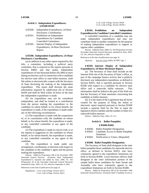## **Article 5. Independent Expenditures. § 85500-85505**

- § 85500. Independent Expenditures; 24-Hour Disclosure; Coordination.
- § 85501. Prohibition on Independent Expenditures by Candidate Controlled Committees.
- § 85505. Internet Display of Independent Expenditures; 24-Hour Disclosure Report.

## **§ 85500. Independent Expenditures; 24-Hour Disclosure; Coordination.**

(a) In addition to any other report required by this title, a committee, including a political party committee, that is required to file reports pursuant to Section 84605 and that makes independent expenditures of one thousand dollars (\$1,000) or more during an election cycle in connection with a candidate for elective state office or state ballot measure, shall file online or electronically a report with the Secretary of State disclosing the making of the independent expenditure. This report shall disclose the same information required by subdivision (b) of Section 84204 and shall be filed within 24 hours of the time the independent expenditure is made.

(b) An expenditure may not be considered independent, and shall be treated as a contribution from the person making the expenditure to the candidate on whose behalf, or for whose benefit, the expenditure is made, if the expenditure is made under any of the following circumstances:

(1) The expenditure is made with the cooperation of, or in consultation with, the candidate on whose behalf, or for whose benefit, the expenditure is made, or any controlled committee or any agent of the candidate.

(2) The expenditure is made in concert with, or at the request or suggestion of, the candidate on whose behalf, or for whose benefit, the expenditure is made, or any controlled committee or any agent of the candidate.

(3) The expenditure is made under any arrangement, coordination, or direction with respect to the candidate or the candidate's agent and the person making the expenditure.

History: Added by Proposition 208 of the November 1996 Statewide General Election. (Formerly titled "Independent Expenditures"); repealed and added by Stats. 2000, Ch. 102 [Proposition 34 of the November Statewide General Election]; amended by Stats. 2001, Ch. 241, effective September 4, 2001.

References at the time of publication (see page 3):

Regulations: 2 Cal. Code of Regs. Section 18117 2 Cal. Code of Regs. Section 18413 2 Cal. Code of Regs. Section 18550 2 Cal. Code of Regs. Section 18550.1

## **§ 85501. Prohibition on Independent Expenditures by Candidate Controlled Committees.**

A controlled committee of a candidate may not make independent expenditures and may not contribute funds to another committee for the purpose of making independent expenditures to support or oppose other candidates.

History: Added by Stats. 2000, Ch. 102 [Proposition 34 of the November Statewide General Election]; amended by Stats. 2001, Ch. 241, effective September 4, 2001.

References at the time of publication (see page 3):

Opinions: In re St. Croix (2005) 18 FPPC Ops. 1

## **§ 85505. Internet Display of Independent Expenditures; 24-Hour Disclosure Report.**

(a) The Secretary of State shall include on the Internet Web site of the Secretary of State's office, as part of the campaign finance activity that is publicly disclosed, any independent expenditure, as defined in Section 82031, that is reported pursuant to Section 85500 with respect to a candidate for elective state office and a statewide ballot measure. This information shall be linked to the part of the Web site that the Secretary of State maintains concerning that candidate or ballot measure.

(b) It is the intent of the Legislature that all forms created for the purpose of filing the online or electronic report required pursuant to Section 85500 include a separate field for the filer to input the legislative district number and the number or letter of a statewide ballot measure.

History: Added by Stats. 2002, Ch. 511.

## **Article 6. Ballot Pamphlet.**

#### **§ 85600-85602**

- § 85600. Ballot Pamphlet Designation.
- § 85601. Candidate Access to Ballot Pamphlet Statement.
- § 85602. Notification to Voters. [Repealed]

#### **§ 85600. Ballot Pamphlet Designation.**

The Secretary of State shall designate in the state ballot pamphlet those candidates for statewide elective office, as defined in Section 82053, who have voluntarily agreed to the expenditure limitations set forth in Section 85400. Local elections officers shall designate in the voter information portion of the sample ballot those candidates for State Senate and Assembly who have voluntarily agreed to the expenditure limitations set forth in Section 85400.

History: Added by Proposition 208 of the November 1996 Statewide General Election. (Formerly titled "Candidate Access to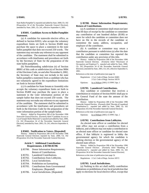State Ballot Pamphlet"); repealed and added by Stats. 2000, Ch. 102 [Proposition 34 of the November Statewide General Election]; amended by Stats. 2001, Ch. 241, effective September 4, 2001.

#### **§ 85601. Candidate Access to Ballot Pamphlet Statement.**

(a) A candidate for statewide elective office, as defined in Section 82053, who accepts the voluntary expenditure limits set forth in Section 85400 may purchase the space to place a statement in the state ballot pamphlet that does not exceed 250 words. The statement may not make any reference to any opponent of the candidate. The statement shall be submitted in accordance with timeframes and procedures set forth by the Secretary of State for the preparation of the state ballot pamphlets.

(b) Notwithstanding subdivision (e) of Section 88001 of this code or subdivision (e) of Section 9084 of the Elections Code, on and after November 6, 2002, the Secretary of State may not include in the state ballot pamphlet a statement from a candidate who has not voluntarily agreed to the expenditure limitations set forth in Section 85400.

(c) A candidate for State Senate or Assembly who accepts the voluntary expenditure limits set forth in Section 85400 may purchase the space to place a statement in the voter information portion of the sample ballot that does not exceed 250 words. The statement may not make any reference to any opponent of the candidate. The statement shall be submitted in accordance with the timeframes and procedures set forth in the Elections Code for the preparation of the voter information portion of the sample ballot.

History: Added by Proposition 208 of the November 1996 Statewide General Election. (Formerly titled "Candidate Access to Local Sample Ballot Materials"); repealed and added by Stats. 2000, Ch. 102 [Proposition 34 of the November Statewide General Election]; amended by Stats. 2001, Ch. 241, effective September 4, 2001.

#### **§ 85602. Notification to Voters. [Repealed]**

History: Added by Proposition 208 of the November 1996 Statewide General Election; repealed by Stats. 2000, Ch. 102 [Proposition 34 of the November Statewide General Election].

#### **Article 7. Additional Contribution Requirements. § 85700-85706**

- § 85700. Donor Information Requirements; Return of Contributions.
- § 85701. Laundered Contributions.
- § 85702. Contributions from Lobbyists.
- § 85703. Local Jurisdictions.
- § 85704. Prohibition on Earmarking.
- § 85705. Contributions from Governmental Employees. [Repealed]
- § 85706. Local Jurisdictions. [Repealed]

## **§ 85700. Donor Information Requirements; Return of Contributions.**

(a) A candidate or committee shall return not later than 60 days of receipt by the candidate or committee any contribution of one hundred dollars (\$100) or more for which the candidate or committee does not have on file in the records of the candidate or committee the name, address, occupation, and employer of the contributor.

(b) A candidate or committee may return a contribution pursuant to subdivision (a) after the date that the candidate or committee has reported the contribution under any provision of this title.

History: Added by Proposition 208 of the November 1996 Statewide General Election. (Formerly titled "Disclosure of Occupation and Employer"); repealed and added by Stats. 2000, Ch. 102 [Proposition 34 of the November Statewide General Election]; amended by Stats. 2001, Ch. 241, effective September 4, 2001.

References at the time of publication (see page 3):

Regulations: 2 Cal. Code of Regs. Section 18401 2 Cal. Code of Regs. Section 18570

Opinions: In re Pelham (2001) 15 FPPC Ops. 1

## **§ 85701. Laundered Contributions.**

Any candidate or committee that receives a contribution in violation of Section 84301 shall pay to the General Fund of the state the amount of the contribution.

History: Added by Proposition 208 of the November 1996 Statewide General Election. (Formerly titled "Receipt of Laundered Contributions"); repealed and added by Stats. 2000, Ch. 102 [Proposition 34 of the November Statewide General Election].

References at the time of publication (see page 3):

Opinions: In re Pelham (2001) 15 FPPC Ops. 1

#### **§ 85702. Contributions from Lobbyists.**

An elected state officer or candidate for elected state office may not accept a contribution from a lobbyist, and a lobbyist may not make a contribution to an elected state officer or candidate for elected state office, if that lobbyist is registered to lobby the governmental agency for which the candidate is seeking election or the governmental agency of the elected state officer.

History: Added by Proposition 208 of the November 1996 Statewide General Election. (Formerly titled "Bundling of Contributions"); repealed and added by Stats. 2000, Ch. 102 [Proposition 34 of the November Statewide General Election].

References at the time of publication (see page 3):

Regulations: 2 Cal. Code of Regs. Section 18572

#### **§ 85703. Local Jurisdictions.**

(a) Nothing in this act shall nullify contribution limitations or prohibitions of any local jurisdiction that apply to elections for local elective office, except that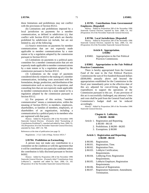these limitations and prohibitions may not conflict with the provisions of Section 85312.

(b) Limitations and prohibitions imposed by a local jurisdiction on payments for a member communication, as defined in subdivision (c), that conflict with Section 85312 and which are thereby prohibited by subdivision (a) include, but are not limited to, any of the following:

(1) Source restrictions on payments for member communications that are not expressly made applicable to member communications by a state statute or by a regulation adopted by the commission pursuant to Section 83112.

(2) Limitations on payments to a political party committee for a member communication that are not expressly made applicable to member communications by a state statute or by a regulation adopted by the commission pursuant to Section 83112.

(3) Limitations on the scope of payments considered directly related to the making of a member communication, including costs associated with the formulation, design, production, and distribution of the communication such as surveys, list acquisition, and consulting fees that are not expressly made applicable to member communications by a state statute or by a regulation adopted by the commission pursuant to Section 83112.

(c) For purposes of this section, "member communication" means a communication, within the meaning of Section 85312, to members, employees, shareholders, or families of members, employees, or shareholders of an organization, including a communication by a political party to its members who are registered with that party.

History: Added by Proposition 208 of the November 1996 Statewide General Election. (Formerly titled "Earmarking of Contributions Prohibited"); repealed and added by Stats. 2000, Ch. 102 [Proposition 34 of the November Statewide General Election]; amended by Stats. 2007, Ch. 708.

References at the time of publication (see page 3):

Regulations: 2 Cal. Code of Regs. Section 18531.7

#### **§ 85704. Prohibition on Earmarking.**

A person may not make any contribution to a committee on the condition or with the agreement that it will be contributed to any particular candidate unless the contribution is fully disclosed pursuant to Section 84302.

History: Added by Proposition 208 of the November 1996 Statewide General Election. (Formerly titled "Contributions from Lobbyists"); repealed and added by Stats. 2000, Ch. 102 [Proposition 34 of the November Statewide General Election].

## **§ 85705. Contributions from Governmental Employees. [Repealed]**

History: Added by Proposition 208 of the November 1996 Statewide General Election; repealed by Stats. 2000, Ch. 102 [Proposition 34 of the November Statewide General Election].

#### **§ 85706. Local Jurisdictions. [Repealed]**

History: Added by Proposition 208 of the November 1996 Statewide General Election; repealed by Stats. 2000, Ch. 102 [Proposition 34 of the November Statewide General Election].

#### **Article 8. Appropriation. § 85802**

§ 85802. Appropriation to the Fair Political Practices Commission.

## **§ 85802. Appropriation to the Fair Political Practices Commission.**

There is hereby appropriated from the General Fund of the state to the Fair Political Practices Commission the sum of five hundred thousand dollars (\$500,000) annually above and beyond the appropriations established for the Commission in the fiscal year immediately prior to the effective date of this act, adjusted for cost-of-living changes, for expenditures to support the operations of the Commission pursuant to this act. If any provision of this act is successfully challenged, any attorney's fees and costs shall be paid from the General Fund and the Commission's budget shall not be reduced accordingly.

History: Added by Proposition 208 of the November 1996 Statewide General Election.

#### **Chapter 6. Lobbyists. § 86100 - 86300**

- Article 1. Registration and Reporting. § 86100 - 86118
	- 2. Prohibitions. § 86200 86205
	- 3. Exemptions. § 86300

## **Article 1. Registration and Reporting. § 86100 - 86118**

- § 86100. Registration.
- § 86101. Registration; Time.
- § 86102. Registration Fees.
- § 86103. Lobbyist Certification; Requirements.
- § 86104. Lobbying Firm; Registration Requirements.
- § 86105. Lobbyist Employer; Registration Requirements.
- § 86106. Renewal of Registration.
- § 86107. Registration Statement; Amendment; Termination.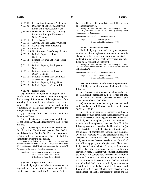- § 86108. Registration Statement; Publication.
- § 86109. Directory of Lobbyists, Lobbying Firms, and Lobbyist Employers.
- § 86109.5. Directory of Lobbyists, Lobbying Firms, and Lobbyist Employers; Online Version.
- § 86110. Recordkeeping.
- § 86111. Activity Expense; Agency Official.
- § 86112. Activity Expenses; Reporting.
- § 86112.3. Invitations.
- § 86112.5. Notification to Beneficiary of a Gift.
- § 86113. Periodic Reports; Lobbyists; Contents.
- § 86114. Periodic Reports; Lobbying Firms; Contents.
- § 86115. Periodic Reports; Employers and Others.
- § 86116. Periodic Reports; Employers and Others; Contents.
- § 86116.5. Periodic Reports; State and Local Government Agencies.
- § 86117. Periodic Reports; Filing; Time.
- § 86118. Periodic Reports; Where to File.

# **§ 86100. Registration.**

(a) Individual lobbyists shall prepare lobbyist certifications pursuant to Section 86103 for filing with the Secretary of State as part of the registration of the lobbying firm in which the lobbyist is a partner, owner, officer, or employee or as part of the registration of the lobbyist employer by which the lobbyist is employed.

(b) Lobbying firms shall register with the Secretary of State.

(c) Lobbyist employers as defined in subdivision (a) of Section 82039.5 shall register with the Secretary of State.

(d) Lobbyist employers as defined in subdivision (b) of Section 82039.5 and persons described in subdivision (b) of Section 86115 are not required to register with the Secretary of State but shall file statements pursuant to this article.

History: Amended by Stats. 1983, Chapter 209; repealed and reenacted as amended by Stats. 1985, Ch. 1183, effective September 29, 1985. (Formerly titled "Registration with Secretary of State.") References at the time of publication (see page 3):

Regulations: 2 Cal. Code of Regs. Section 18117 2 Cal. Code of Regs. Section 18249 2 Cal. Code of Regs. Section 18601

#### **§ 86101. Registration; Time.**

Every lobbying firm and lobbyist employer who is required to file a registration statement under this chapter shall register with the Secretary of State no

later than 10 days after qualifying as a lobbying firm or lobbyist employer.

History: Repealed and reenacted as amended by Stats. 1985, Ch. 1183, effective September 29, 1985. (Formerly titled "Requirement of Registration.")

References at the time of publication (see page 3):

Regulations: 2 Cal. Code of Regs. Section 18117 2 Cal. Code of Regs. Section 18601

#### **§ 86102. Registration Fees.**

Each lobbying firm and lobbyist employer required to file a registration statement under this chapter may be charged not more than twenty-five dollars (\$25) per year for each lobbyist required to be listed on its registration statement.

History: Repealed and reenacted as amended by Stats. 1985, Ch. 1183, effective September 29, 1985. (Formerly titled "Renewal of Registration.")

References at the time of publication (see page 3):

Regulations: 2 Cal. Code of Regs. Section 18117 2 Cal. Code of Regs. Section 18601

**§ 86103. Lobbyist Certification; Requirements.**

A lobbyist certification shall include all of the following:

(a) A recent photograph of the lobbyist, the size of which shall be prescribed by the Secretary of State.

(b) The full name, business address, and telephone number of the lobbyist.

(c) A statement that the lobbyist has read and understands the prohibitions contained in Sections 86203 and 86205.

(d) (1) In the case of a lobbyist who filed a completed lobbyist certification in connection with the last regular session of the Legislature, a statement that the lobbyist has completed, within the previous 12 months or will complete no later than June 30 of the following year, the course described in subdivision (b) of Section 8956. If the lobbyist certification states that the lobbyist will complete the course no later than June 30 of the following year, the certification shall be accepted on a conditional basis. Thereafter, if the lobbyist completes the course no later than June 30 of the following year, the lobbyist shall file a new lobbyist certification with the Secretary of State which shall replace the conditional lobbyist certification previously filed. If the lobbyist certification states that the lobbyist will complete the course no later than June 30 of the following year and the lobbyist fails to do so, the conditional lobbyist certification shall be void and the individual shall not act as a lobbyist pursuant to this title until he or she has completed the course and filed with the Secretary of State a lobbyist certification stating that he or she has completed the course and the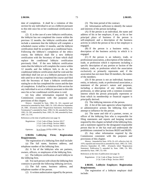date of completion. It shall be a violation of this section for any individual to act as a lobbyist pursuant to this title once his or her conditional certification is void.

(2) If, in the case of a new lobbyist certification, the lobbyist has not completed the course within the previous 12 months, the lobbyist certification shall include a statement that the lobbyist will complete a scheduled course within 12 months, and the lobbyist certification shall be accepted on a conditional basis. Following the lobbyist's completion of the ethics course, the lobbyist shall file a new lobbyist certification with the Secretary of State which shall replace the conditional lobbyist certification previously filed. If the new lobbyist certification states that the lobbyist will complete the course within 12 months and the lobbyist fails to do so, the conditional lobbyist certification shall be void and the individual shall not act as a lobbyist pursuant to this title until he or she has completed the course and filed with the Secretary of State a lobbyist certification stating he or she has completed the course and the date of completion. It shall be a violation of this section for any individual to act as a lobbyist pursuant to this title once his or her conditional certification is void.

(e) Any other information required by the Commission consistent with the purposes and provisions of this chapter.

History: Amended by Stats. 1984, Ch. 161; repealed and reenacted as amended by Stats. 1985, Ch. 1183, effective September 29, 1985. (Formerly titled "Registration Statement; Amendment; Termination"); amended by Stats. 1990, Ch. 84; amended by Stats. 1991, Ch. 391; amended by Stats. 1995, Ch. 346; amended by Stats. 1997, Ch. 574.

References at the time of publication (see page 3):

Regulations: 2 Cal. Code of Regs. Section 18117 2 Cal. Code of Regs. Section 18601 2 Cal. Code of Regs. Section 18603.1

Opinions: In re Evans (1978) 4 FPPC Ops. 54

# **§ 86104. Lobbying Firm; Registration Requirements.**

The registration of a lobbying firm shall include:

(a) The full name, business address, and telephone number of the lobbying firm.

(b) A list of the lobbyists who are partners, owners, officers, or employees of the lobbying firm.

(c) The lobbyist certification of each lobbyist in the lobbying firm.

(d) For each person with whom the lobbying firm contracts to provide the following lobbying services.

(1) The full name, business address, and telephone number of the person.

(2) A written authorization signed by the person.

(3) The time period of the contract.

(4) Information sufficient to identify the nature and interests of the person including:

(A) If the person is an individual, the name and address of his or her employer, if any, or his or her principal place of business if the person is self-employed, and a description of the business activity in which the person or his or her employer is engaged.

(B) If the person is a business entity, a description of the business activity in which it is engaged.

(C) If the person is an industry, trade, or professional association, a description of the industry, trade, or profession which it represents including a specific description of any portion or faction of the industry, trade, or profession which the association exclusively or primarily represents and, if the association has not more than 50 members, the names of the members.

(D) If the person is not an individual, business entity, or industry, trade, or professional association, a statement of the person's nature and purposes, including a description of any industry, trade, profession, or other group with a common economic interest which the person principally represents or from which its membership or financial support is principally derived.

(5) The lobbying interests of the person.

(6) A list of the state agencies whose legislative or administrative actions the lobbying firm will attempt to influence for the person.

(e) The name and title of a partner, owner, or officer of the lobbying firm who is responsible for filing statements and reports and keeping records required by this chapter on behalf of the lobbying firm, and a statement signed by the designated responsible person that he or she has read and understands the prohibitions contained in Sections 86203 and 86205.

(f) Any other information required by the Commission consistent with the purposes and provisions of this chapter.

History: Amended by Stats. 1976, Ch. 415, effective July 10, 1976; repealed and reenacted as amended by Stats. 1985, Ch. 1183, effective September 29, 1985. (Formerly titled "Registration Statement; Publication."); amended by Stats. 1986, Ch. 905; amended by Stats. 1987, Ch. 459.

References at the time of publication (see page 3):

Regulations: 2 Cal. Code of Regs. Section 18117 2 Cal. Code of Regs. Section 18601

**§ 86105. Lobbyist Employer; Registration Requirements.**

The registration of a lobbyist employer shall include: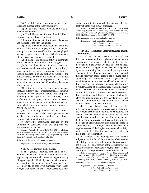(a) The full name, business address, and telephone number of the lobbyist employer.

(b) A list of the lobbyists who are employed by the lobbyist employer.

(c) The lobbyist certification of each lobbyist employed by the lobbyist employer.

(d) Information sufficient to identify the nature and interests of the filer, including:

(1) If the filer is an individual, the name and address of the filer's employer, if any, or his or her principal place of business if the filer is self-employed, and a description of the business activity in which the filer or his or her employer is engaged.

(2) If the filer is a business entity, a description of the business activity in which it is engaged.

(3) If the filer is an industry, trade, or professional association, a description of the industry, trade, or profession which it represents including a specific description of any portion or faction of the industry, trade, or profession which the association exclusively or primarily represents and, if the association has not more than 50 members, the names of the members.

(4) If the filer is not an individual, business entity, or industry, trade, or professional association, a statement of the person's nature and purposes, including a description of any industry, trade, profession, or other group with a common economic interest which the person principally represents or from which its membership or financial support is principally derived.

(e) The lobbying interests of the lobbyist employer, and a list of the state agencies whose legislative or administrative actions the lobbyist employer will attempt to influence.

(f) Any other information required by the Commission consistent with the purposes and provisions of this chapter.

History: Amended by Stats. 1979, Ch. 592; repealed and reenacted as amended by Stats. 1985, Ch. 1183, effective September 29, 1985. (Formerly titled "Accounts; Designation by Name; Deposits."); amended by Stats. 1987, Ch. 459.

References at the time of publication (see page 3):

Regulations: 2 Cal. Code of Regs. Section 18117

#### **§ 86106. Renewal of Registration.**

Each registered lobbying firm and lobbyist employer which will be conducting activities which require registration shall renew its registration by filing photographs of its lobbyists, authorizations, and a registration statement between November 1 and December 31, of each even-numbered year. Each lobbyist shall renew his or her lobbyist certification in

connection with the renewal of registration by the lobbyist's lobbying firm or employer.

History: Repealed by Stats. 1979, Ch. 592; (Formerly titled "Accounts; Payment of Expenses; Petty Cash"); added by Stats, 1985, Ch. 1183 effective September 29, 1985; amended by Stats. 1987, Ch. 936; amended by Stats. 1997, Ch. 574.

References at the time of publication (see page 3):

Regulations: 2 Cal. Code of Regs. Section 18117 2 Cal. Code of Regs. Section 18603 2 Cal. Code of Regs. Section 18603.1

# **§ 86107. Registration Statement; Amendment; Termination.**

(a) If any change occurs in any of the information contained in a registration statement, an appropriate amendment shall be filed with the Secretary of State within 20 days after the change. However, if the change includes the name of a person by whom a lobbying firm is retained, the registration statement of the lobbying firm shall be amended and filed to show that change prior to the lobbying firm's attempting to influence any legislative or administrative action on behalf of that person. Lobbying firms and lobbyist employers which, during a regular session of the Legislature, cease all activity which required registration shall file a notice of termination within 20 days after such cessation. Lobbying firms and lobbyist employers which at the close of a regular session of the Legislature cease all activity which required registration, shall not be required to file a notice of termination.

(b) If any change occurs in any of the information contained in a lobbyist certification or if the lobbyist terminates all activity which required the certification, the lobbyist shall submit an amended certification or notice of termination to his or her lobbying firm or lobbyist employer for filing with the Secretary of State within the time limits specified in subdivision (a). A lobbyist who at the close of a regular session of the Legislature ceases all activity which required certification, shall not be required to file a notice of termination.

(c) Lobbyists and lobbying firms shall remain subject to Section 86203 for the earlier of six months after filing a notice of termination or six months after the close of a regular session of the Legislature at the close of which the lobbyist or lobbying firm ceased all activity which required certification or registration.

History: Amended by Stats. 1979, Ch. 592; repealed and reenacted as amended by Stats. 1985, Ch. 1183, effective September 29, 1985. (Formerly titled "Contents of Periodic Reports."); amended by Stats. 1986, Ch. 905; amended by Stats. 1987, Ch. 936. References at the time of publication (see page 3):

Regulations: 2 Cal. Code of Regs. Section 18117 2 Cal. Code of Regs. Section 18601 2 Cal. Code of Regs. Section 18603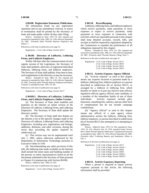### **§ 86108. Registration Statement; Publication.**

All information listed on any registration statement and on any amendment, renewal, or notice of termination shall be printed by the Secretary of State and made public within 30 days after filing.

History: Amended by Stats. 1979, Ch. 592; repealed and reenacted as amended by Stats. 1985, Ch. 1183, effective September 29, 1985. (Formerly titled "Periodic Reports; Employers and Others.")

References at the time of publication (see page 3):

Regulations: 2 Cal. Code of Regs. Section 18117

#### **§ 86109. Directory of Lobbyists, Lobbying Firms, and Lobbyist Employers.**

Within 140 days after the commencement of each regular session of the Legislature, the Secretary of State shall publish a directory of registered individual lobbyists, lobbying firms, and lobbyist employers. The Secretary of State shall publish, from time to time, such supplements to the directory as may be necessary.

History: Amended by Stats. 1984, Ch. 161; repealed and reenacted as amended by Stats, 1985, Ch. 1183, effective September 29, 1985. (Formerly titled "Periodic Reports; Employers and Others; Contents."); amended by Stats. 1991, Ch. 391.

References at the time of publication (see page 3):

Regulations: 2 Cal. Code of Regs. Section 18117

# **§ 86109.5. Directory of Lobbyists, Lobbying Firms, and Lobbyist Employers; Online Version.**

(a) The Secretary of State shall establish and maintain on the Internet an online version of the Directory of Lobbyist, Lobbying Firms, and Lobbying Employers. The Secretary of State shall update the directory weekly.

(b) The Secretary of State shall also display on the Internet a list of the specific changes made to the Directory of Lobbyist, Lobbying Firms, and Lobbying Employers, including new registrations and listings, additions, deletions, and other revisions, during the seven days preceding the update required by subdivision (a).

(c) This section may not be implemented until July 1, 2001, unless otherwise authorized by the Department of Information Technology pursuant to Executive Order D-3-99.

(d) Notwithstanding any other provision of this title, the lobbying data made available on the Internet shall include the street name and building number of the persons or entity representatives listed on all the documents submitted to the Secretary of State pursuant to Chapter 6 (commencing with Section 86100).

History: Added by Stats. 1999, Ch. 855.

References at the time of publication (see page 3):

Regulations: 2 Cal. Code of Regs. Section 18117

#### **§ 86110. Recordkeeping.**

Lobbyists, lobbying firms, and lobbyist employers which receive payments, make payments or incur expenses or expect to receive payments, make payments or incur expenses in connection with activities which are reportable pursuant to this chapter shall keep detailed accounts, records, bills, and receipts as shall be required by regulations adopted by the Commission to expedite the performance of all obligations imposed by this chapter.

History: Amended by Stats. 1979, Ch. 592; repealed and reenacted as amended by Stats. 1985, Ch. 1183, effective September 29, 1985. (Formerly titled "Periodic Reports; Filing; Time.")

References at the time of publication (see page 3):

Regulations: 2 Cal. Code of Regs. Section 18117 2 Cal. Code of Regs. Section 18610 2 Cal. Code of Regs. Section 18612 2 Cal. Code of Regs. Section 18615

### **§ 86111. Activity Expense; Agency Official.**

(a) "Activity expense" as used in this chapter means any expense incurred or payment made by a lobbyist, lobbying firm, lobbyist employer or a person described in subdivision (b) of Section 86115, or arranged by a lobbyist or lobbying firm, which benefits in whole or in part any elective state official, legislative official, agency official, state candidate, or a member of the immediate family of one of these individuals. Activity expenses include gifts, honoraria, consulting fees, salaries, and any other form of compensation but do not include campaign contributions.

(b) "Agency official" as used in this chapter means any official of a state agency whose administrative actions the lobbyist, lobbying firm, lobbyist employer, or person described in subdivision (b) of Section 86115 has attempted or is attempting to influence.

History: Added by Stats. 1979, Ch. 592; amended by Stats. 1976, Ch. 415, effective July 10, 1976, repealed former Section 86111 titled "Periodic Reports; Publication"; repealed and reenacted as amended by Stats. 1985, Ch. 1183, effective September 29, 1985. (Formerly titled "Lobbying Reports and Statements; Where to File.")

References at the time of publication (see page 3):

Regulations: 2 Cal. Code of Regs. Section 18117 2 Cal. Code of Regs. Section 18229.1 2 Cal. Code of Regs. Section 18945 2 Cal. Code of Regs. Section 18950 2 Cal. Code of Regs. Section 18950.1 2 Cal. Code of Regs. Section 18950.3

### **§ 86112. Activity Expenses; Reporting.**

When a person is required to report activity expenses pursuant to this article, the following information shall be provided: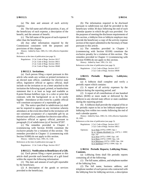(a) The date and amount of each activity expense.

(b) The full name and official position, if any, of the beneficiary of each expense, a description of the benefit, and the amount of benefit.

(c) The full name of the payee of each expense if other than the beneficiary.

(d) Any other information required by the Commission consistent with the purposes and provisions of this chapter.

History: Added by Stats. 1985, Ch. 1183, effective September 29, 1985.

References at the time of publication (see page 3):

Regulations: 2 Cal. Code of Regs. Section 18117 2 Cal. Code of Regs. Section 18611 2 Cal. Code of Regs. Section 18613 2 Cal. Code of Regs. Section 18640

#### **§ 86112.3. Invitations.**

(a) Each person filing a report pursuant to this article who sends any written or printed invitation to an elected state officer, candidate for elective state office, legislative official or agency official, shall include on the invitation or on a letter attached to the invitation the following typed, printed, or handwritten statement that is at least as large and readable as 8-point Roman boldface type, in a color or print that contrasts with the background so as to be easily legible: Attendance at this event by a public official will constitute acceptance of a reportable gift.

(b) The notice specified in subdivision (a) shall not be required to appear on any invitation wherein attendance at the event described in the invitation will not constitute acceptance of a reportable gift by an elected state officer, candidate for elective state office, legislative official or agency official, pursuant to paragraph (1) of subdivision (a) of Section 87207.

(c) The remedies provided in Chapter 3 (commencing with Section 83100) constitute the exclusive penalty for a violation of this section. The remedies provided in Chapter 11 (commencing with Section 91000) do not apply to this section.

History: Added by Stats. 1993, Ch. 1140.

References at the time of publication (see page 3):

Regulations: 2 Cal. Code of Regs. Section 18117

# **§ 86112.5. Notification to Beneficiary of a Gift.**

(a) Each person filing a report pursuant to this article shall provide each beneficiary of a gift listed within the report the following information:

(1) The date and amount of each gift reportable by the beneficiary.

(2) A description of the goods or services provided to the beneficiary.

(b) The information required to be disclosed pursuant to subdivision (a) shall be provided to the beneficiary within 30 days following the end of each calendar quarter in which the gift was provided. For the purposes of meeting the disclosure requirements of this section, a lobbyist firm or lobbyist employer may provide the beneficiary a copy of the activity expense section of the report submitted to the Secretary of State pursuant to this article.

(c) The remedies provided in Chapter 3 (commencing with Section 83100) constitute the exclusive penalty for a violation of this section. The remedies provided in Chapter 11 (commencing with Section 91000) do not apply to this section.

History: Added by Stats. 1991, Ch. 322.

References at the time of publication (see page 3):

Regulations: 2 Cal. Code of Regs. Section 18117 2 Cal. Code of Regs. Section 18640

**§ 86113. Periodic Reports; Lobbyists; Contents.**

(a) A lobbyist shall complete and verify a periodic report which contains:

(1) A report of all activity expenses by the lobbyist during the reporting period; and

(2) A report of all contributions of one hundred dollars (\$100) or more made or delivered by the lobbyist to any elected state officer or state candidate during the reporting period.

(b) A lobbyist shall provide the original of his or her periodic report to his or her lobbyist employer or lobbying firm within two weeks following the end of each calendar quarter.

History: Added by Stats. 1985, Ch. 1183, effective September 29, 1985.

References at the time of publication (see page 3):

|           | Regulations: 2 Cal. Code of Regs. Section 18117<br>2 Cal. Code of Regs. Section 18611                                                                                                                                                                  |
|-----------|--------------------------------------------------------------------------------------------------------------------------------------------------------------------------------------------------------------------------------------------------------|
| Opinions: | In re Nida $(1976)$ 2 FPPC Ops 1<br>In re Atlantic-Richfield Co. (1975) 1 FPPC<br>Ops. 147<br>In re Witt (1975) 1 FPPC Ops. 145<br>In re Horn (1975) 1 FPPC Ops. 126<br>In re Morrissey (1975) 1 FPPC Ops. 104<br>In re Spellman (1975) 1 FPPC Ops. 16 |

### **§ 86114. Periodic Reports; Lobbying Firms; Contents.**

(a) Lobbying firms shall file periodic reports containing all of the following:

(1) The full name, address, and telephone number of the lobbying firm.

(2) The full name, business address, and telephone number of each person who contracted with the lobbying firm for lobbying services, a description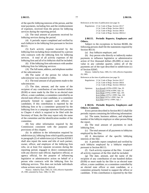of the specific lobbying interests of the person, and the total payments, including fees and the reimbursement of expenses, received from the person for lobbying services during the reporting period.

(3) The total amount of payments received for lobbying services during the period.

(4) A periodic report completed and verified by each lobbyist in the lobbying firm pursuant to Section 86113.

(5) Each activity expense incurred by the lobbying firm including those reimbursed by a person who contracts with the lobbying firm for lobbying services. A total of all activity expenses of the lobbying firm and all of its lobbyists shall be included.

(6) If the lobbying firm subcontracts with another lobbying firm for lobbying services:

(A) The full name, address, and telephone number of the subcontractor.

(B) The name of the person for whom the subcontractor was retained to lobby.

(C) The total amount of all payments made to the subcontractor.

(7) The date, amount, and the name of the recipient of any contribution of one hundred dollars (\$100) or more made by the filer to an elected state officer, a state candidate, a committee controlled by an elected state officer or state candidate, or a committee primarily formed to support such officers or candidates. If this contribution is reported by the lobbying firm or by a committee sponsored by the lobbying firm in a campaign statement filed pursuant to Chapter 4 which is required to be filed with the Secretary of State, the filer may report only the name of the committee and the identification number of the committee.

(8) Any other information required by the Commission consistent with the purposes and provisions of this chapter.

(b) In addition to the information required by subdivision (a), lobbying firms which qualify pursuant to paragraph (2) of subdivision (a) of Section 82038.5 shall also report the name and title of each partner, owner, officer, and employee of the lobbying firm who, on at least five separate occasions during the reporting period, engaged in direct communication with any elective state official, legislative official, or agency official, for the purpose of influencing legislative or administrative action on behalf of a person who contracts with the lobbying firm for lobbying services. This does not include individuals whose actions were purely clerical.

History: Added by Stats. 1985, Ch. 1183, effective September 29, 1985; amended by Stats. 1986, Ch. 905.

References at the time of publication (see page 3):

Regulations: 2 Cal. Code of Regs. Section 18117 2 Cal. Code of Regs. Section 18613 2 Cal. Code of Regs. Section 18614 2 Cal. Code of Regs. Section 18616.4

# **§ 86115. Periodic Reports; Employers and Others.**

Subject to the exceptions in Section 86300, the following persons shall file the statements required by Section 86116:

(a) Any lobbyist employer; and

(b) Any person who directly or indirectly makes payments to influence legislative or administrative action of five thousand dollars (\$5,000) or more in value in any calendar quarter, unless all of the payments are of the type described in subdivision (c) of Section 82045.

History: Added by Stats. 1985, Ch. 1183, effective September 29, 1985.

References at the time of publication (see page 3):

| Regulations: 2 Cal. Code of Regs. Section 18117 |
|-------------------------------------------------|
| 2 Cal. Code of Regs. Section 18616              |
| 2 Cal. Code of Regs. Section 18616.4            |

Opinions: In re Kovall (1978) 4 FPPC Ops. 95 In re Evans (1978) 4 FPPC Ops. 54 In re Sloan (1976) 2 FPPC Ops. 105 In re Gillies (1975) 1 FPPC Ops. 165 In re Stern (1975) 1 FPPC Ops. 59 In re Witt (1975) 1 FPPC Ops. 1

**§ 86116. Periodic Reports; Employers and Others; Contents.**

Every person described in Section 86115 shall file periodic reports containing the following information:

(a) The name, business address, and telephone number of the lobbyist employer or other person filing the report.

(b) The total amount of payments to each lobbying firm.

(c) The total amount of all payments to lobbyists employed by the filer.

(d) A description of the specific lobbying interests of the filer.

(e) A periodic report completed and verified by each lobbyist employed by a lobbyist employer pursuant to Section 86113.

(f) Each activity expense of the filer. A total of all activity expenses of the filer shall be included.

(g) The date, amount, and the name of the recipient of any contribution of one hundred dollars (\$100) or more made by the filer to an elected state officer, a state candidate, or a committee controlled by an elected state officer or state candidate, or a committee primarily formed to support the officer or candidate. If this contribution is reported by the filer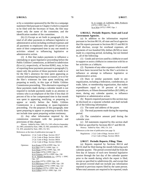or by a committee sponsored by the filer in a campaign statement filed pursuant to Chapter 4 which is required to be filed with the Secretary of State, the filer may report only the name of the committee, and the identification number of the committee.

(h) (1) Except as set forth in paragraph (2), the total of all other payments to influence legislative or administrative action including overhead expenses and all payments to employees who spend 10 percent or more of their compensated time in any one month in activities related to influencing legislative or administrative action.

(2) A filer that makes payments to influence a ratemaking or quasi-legislative proceeding before the Public Utilities Commission, as defined in subdivision (b) or (c), respectively, of Section 82002, may, in lieu of reporting those payments pursuant to paragraph (1), report only the portion of those payments made to or for the filer's attorneys for time spent appearing as counsel and preparing to appear as counsel, or to or for the filer's witnesses for time spent testifying and preparing to testify, in this type of Public Utilities Commission proceeding. This alternative reporting of these payments made during a calendar month is not required to include payments made to an attorney or witness who is an employee of the filer if less than 10 percent of his or her compensated time in that month was spent in appearing, testifying, or preparing to appear or testify before the Public Utilities Commission in a ratemaking or quasi-legislative proceeding. For the purposes of this paragraph, time spent preparing to appear or preparing to testify does not include time spent preparing written testimony.

(i) Any other information required by the commission consistent with the purposes and provisions of this chapter.

History: Added by Stats. 1985, Ch. 1183, effective September 29, 1985; amended by Stats. 1986, Ch. 905; amended by Stats. 1987, Ch. 459; amended by Stats. 2001, Ch. 921.

References at the time of publication (see

|           | ences at the time of publication (see page 5).                                                                                                                                                                                                                                                                                                                              |  |
|-----------|-----------------------------------------------------------------------------------------------------------------------------------------------------------------------------------------------------------------------------------------------------------------------------------------------------------------------------------------------------------------------------|--|
|           | Regulations: 2 Cal. Code of Regs. Section 18117<br>2 Cal. Code of Regs. Section 18614<br>2 Cal. Code of Regs. Section 18616<br>2 Cal. Code of Regs. Section 18616.4                                                                                                                                                                                                         |  |
| Opinions: | In re Evans (1978) 4 FPPC Ops. 54<br>In re Herr (1977) 3 FPPC Ops. 11<br>In re Sloan (1976) 2 FPPC Ops. 105<br>In re Nida (1976) 2 FPPC Ops. 1<br>In re Grunsky $(1975)$ 1 FPPC Ops. 158<br>In re Atlantic-Richfield Co. (1975) 1 FPPC<br>Ops. 147<br>In re Witt (1975) 1 FPPC Ops. 145<br>In re Morrissey (1975) 1 FPPC Ops. 130<br>In re Carothers (1975) 1 FPPC Ops. 122 |  |

In re Wallace (1975) 1 FPPC Ops. 118 In re Gillies (1975) 1 FPPC Ops. 110

In re League of California Milk Producers (1975) 1 FPPC Ops. 13 In re Witt (1975) 1 FPPC Ops. 1

# **§ 86116.5. Periodic Reports; State and Local Government Agencies.**

(a) In addition to the information required pursuant to Section 86116, all state and local agencies that file reports pursuant to Sections 86115 and 86116 shall disclose, except for overhead expenses, all payments of two hundred fifty dollars (\$250) or more made in a reporting period, including, but not limited to, all of the following:

(1) Goods and services used by a lobbyist or used to support or assist a lobbyist in connection with his or her activities as a lobbyist.

(2) Payments of any other expenses which would not have been incurred but for the filer's activities to influence or attempt to influence legislative or administrative action.

(3) Dues or similar payments made to any organization, including a federation, confederation, or trade, labor, or membership organization, that makes expenditures equal to 10 percent of its total expenditures, or fifteen thousand dollars (\$15,000), or more, during any calendar quarter, to influence legislative or administrative action.

(b) Reports required pursuant to this section may be disclosed on a separate schedule and shall include all of the following information:

(1) The name and address of the payee.

(2) The total payments made during the reporting period.

(3) The cumulative amount paid during the calendar year.

(c) All statements required by this section shall be filed as specified by Sections 86117 and 86118.

History: Added by Stats. 1992, Ch. 214.

References at the time of publication (see page 3):

Regulations: 2 Cal. Code of Regs. Section 18117 2 Cal. Code of Regs. Section 18616

### **§ 86117. Periodic Reports; Filing; Time.**

(a) Reports required by Sections 86114 and 86116 shall be filed during the month following each calendar quarter. The period covered shall be from the first day of January of each new biennial legislative session through the last day of the calendar quarter prior to the month during which the report is filed, except as specified in subdivision (b), and except that the period covered shall not include any information reported in previous reports filed by the same person. When total amounts are required to be reported, totals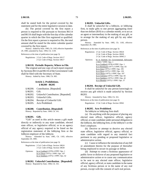shall be stated both for the period covered by the statement and for the entire legislative session to date.

(b) The period covered by the first report a person is required to file pursuant to Sections 86114 and 86116 shall begin with the first day of the calendar quarter in which the filer first registered or qualified. On the first report a person is required to file, the total amount shall be stated for the entire calendar quarter covered by the first report.

History: Added by Stats. 1985, Ch. 1183, effective September 29, 1985; amended by Stats. 1994, Ch. 1139.

References at the time of publication (see page 3):

Regulations: 2 Cal. Code of Regs. Section 18117 2 Cal. Code of Regs. Section 18617

#### **§ 86118. Periodic Reports; Where to File.**

The original and one copy of each report required by Sections 86114 and 86116 of the Government Code shall be filed with the Secretary of State.

History: Added by Stats. 1986, Ch. 905.

# **Article 2. Prohibitions. § 86200 - 86205**

- § 86200. Contribution. [Repealed]
- § 86201. Gift.
- § 86202. Unlawful Contribution. [Repealed]
- § 86203. Unlawful Gifts.
- § 86204. Receipt of Unlawful Gift.
- § 86205. Acts Prohibited.

# **§ 86200. Contribution. [Repealed]**

History: Repealed by Stats. 1984, Ch. 161.

#### **§ 86201. Gift.**

"Gift" as used in this article means a gift made directly or indirectly to any state candidate, elected state officer, or legislative official, or to an agency official of any agency required to be listed on the registration statement of the lobbying firm or the lobbyist employer of the lobbyist.

History: Amended by Stats. 1985, Ch. 1183, effective September 29, 1985.

References at the time of publication (see page 3):

| Regulations: 2 Cal. Code of Regs. Section 18624 |  |
|-------------------------------------------------|--|
| 2 Cal. Code of Regs. Section 18630              |  |

| Opinions: | In re Goddard (1978) 4 FPPC Ops. 1     |
|-----------|----------------------------------------|
|           | In re Olson (1975) 1 FPPC Ops. 107     |
|           | In re Smithers $(1975)$ 1 FPPC Ops. 42 |

**§ 86202. Unlawful Contribution. [Repealed]**  History: Repealed by Stats. 1984, Ch. 161.

#### **§ 86203. Unlawful Gifts.**

It shall be unlawful for a lobbyist, or lobbying firm, to make gifts to one person aggregating more than ten dollars (\$10) in a calendar month, or to act as an agent or intermediary in the making of any gift, or to arrange for the making of any gift by any other person.

History: Amended by Stats. 1985, Ch. 1183, effective September 29, 1985.

References at the time of publication (see page 3):

| Regulations: 2 Cal. Code of Regs. Section 18624 |
|-------------------------------------------------|
| 2 Cal. Code of Regs. Section 18630              |
| 2 Cal. Code of Regs. Section 18945.3            |

Opinions: In re Institute for Governmental Advocates (1982) 7 FPPC Ops. 1 In re Goddard (1978) 4 FPPC Ops. 1 In re Reinhardt (1977) 3 FPPC Ops. 83 In re Zenz (1975) 1 FPPC Ops. 195 In re Horn (1975) 1 FPPC Ops. 126 In re Olson (1975) 1 FPPC Ops. 107 In re Gilchrist (1975) 1 FPPC Ops. 82 In re Smithers (1975) 1 FPPC Ops. 42 In re Blenkle (1975) 1 FPPC Ops. 37

#### **§ 86204. Receipt of Unlawful Gift.**

It shall be unlawful for any person knowingly to receive any gift which is made unlawful by Section 86203.

History: Amended by Stats. 1984, Ch. 161.

References at the time of publication (see page 3):

Regulations: 2 Cal. Code of Regs. Section 18941

#### **§ 86205. Acts Prohibited.**

No lobbyist or lobbying firm shall:

(a) Do anything with the purpose of placing any elected state officer, legislative official, agency official, or state candidate under personal obligation to the lobbyist, the lobbying firm, or the lobbyist's or the firm's employer.

(b) Deceive or attempt to deceive any elected state officer, legislative official, agency official, or state candidate with regard to any material fact pertinent to any pending or proposed legislative or administrative action.

(c) Cause or influence the introduction of any bill or amendment thereto for the purpose of thereafter being employed to secure its passage or defeat.

(d) Attempt to create a fictitious appearance of public favor or disfavor of any proposed legislative or administrative action or to cause any communication to be sent to any elected state officer, legislative official, agency official, or state candidate in the name of any fictitious person or in the name of any real person, except with the consent of such real person.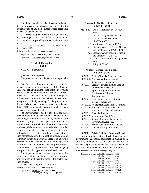(e) Represent falsely, either directly or indirectly, that the lobbyist or the lobbying firm can control the official action of any elected state officer, legislative official, or agency official.

(f) Accept or agree to accept any payment in any way contingent upon the defeat, enactment, or outcome of any proposed legislative or administrative action.

History: Amended by Stats. 1985, Ch. 1183, effective September 29, 1985.

References at the time of publication (see page 3):

Regulations: 2 Cal. Code of Regs. Section 18625

Opinions: In re Reinhardt (1977) 3 FPPC Ops. 83

# **Article 3. Exemptions. § 86300**

§ 86300. Exemptions.

### **§ 86300. Exemptions.**

The provisions of this chapter are not applicable to:

(a) Any elected public official acting in his official capacity, or any employee of the State of California acting within the scope of his employment; provided that, an employee of the State of California, other than a legislative official, who attempts to influence legislative action and who would be required to register as a lobbyist except for the provisions of this subdivision shall not make gifts of more than ten dollars (\$10) in a calendar month to an elected state officer or legislative official.

(b) Any newspaper or other periodical of general circulation, book publisher, radio or television station (including any individual who owns, publishes, or is employed by any such newspaper or periodical, radio or television station) which in the ordinary course of business publishes news items, editorials, or other comments, or paid advertisement, which directly or indirectly urge legislative or administrative action if such newspaper, periodical, book publisher, radio or television station or individual, engages in no further or other activities in connection with urging legislative or administrative action other than to appear before a committee of the Legislature or before a state agency in support of or in opposition to such action; or

(c) A person when representing a bona fide church or religious society solely for the purpose of protecting the public right to practice the doctrines of such church.

History: Amended by Stats. 1975, Ch. 1079.

|           | References at the time of publication (see page 3): |
|-----------|-----------------------------------------------------|
| Opinions: | In re Herr (1977) 3 FPPC Ops. 11                    |
|           | In re Morgan (1975) 1 FPPC Ops. 177                 |

# **Chapter 7. Conflicts of Interests**. **§ 87100 - 87500**

- Article 1. General Prohibitions. § 87100 87105
	- 2. Disclosure. § 87200 87210
	- 3. Conflict of Interest Codes. § 87300 - 87313
	- 3.5. Multiagency Filers. § 87350
	- 4. Disqualification of Former Officers and Employees. § 87400 - 87407
	- 4.5. Disqualification of State Officers and Employees. § 87450
	- 4.6. Loans to Public Officials. § 87460- 87462
	- 5. Filing. § 87500

### **Article 1. General Prohibitions. § 87100 - 87105**

- § 87100. Public Officials; State and Local.
- § 87100.1. Professional Engineers and Surveyors as Consultants.
- § 87101. Legally Required Participation in Governmental Decision.
- § 87102. Applicability of Enforcement Provisions; Additional Requirements.
- § 87102.5. Legislature; Use of Position to Influence Decisions.
- § 87102.6. Nongeneral Legislation; Definitions.
- § 87102.8. Elected State Officer; Use of
- Position to Influence Decisions. § 87103. Financial Interest.
- § 87103.5. Income from Retail Sales.
- § 87103.6. Source of Income; Payments to Government Agencies.
- § 87104. Prohibitions on Public Officials.
- § 87105. Manner of Disqualification.

#### **§ 87100. Public Officials; State and Local.**

No public official at any level of state or local government shall make, participate in making or in any way attempt to use his official position to influence a governmental decision in which he knows or has reason to know he has a financial interest.

References at the time of publication (see page 3):

| Regulations: 2 Cal. Code of Regs. Section 18232 |
|-------------------------------------------------|
| 2 Cal. Code of Regs. Section 18700              |
| 2 Cal. Code of Regs. Section 18701              |
| 2 Cal. Code of Regs. Section 18702              |
| 2 Cal. Code of Regs. Section 18702.1            |
| 2 Cal. Code of Regs. Section 18702.2            |
| 2 Cal. Code of Regs. Section 18702.3            |
| 2 Cal. Code of Regs. Section 18702.4            |
| 2 Cal. Code of Regs. Section 18702.5            |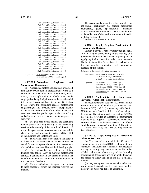Opinions:

| 2 Cal. Code of Regs. Section 18703   |  |
|--------------------------------------|--|
| 2 Cal. Code of Regs. Section 18703.1 |  |
| 2 Cal. Code of Regs. Section 18703.2 |  |
| 2 Cal. Code of Regs. Section 18703.3 |  |
| 2 Cal. Code of Regs. Section 18703.4 |  |
| 2 Cal. Code of Regs. Section 18703.5 |  |
| 2 Cal. Code of Regs. Section 18704   |  |
| 2 Cal. Code of Regs. Section 18704.1 |  |
| 2 Cal. Code of Regs. Section 18704.2 |  |
|                                      |  |
| 2 Cal. Code of Regs. Section 18704.5 |  |
| 2 Cal. Code of Regs. Section 18705   |  |
| 2 Cal. Code of Regs. Section 18705.1 |  |
| 2 Cal. Code of Regs. Section 18705.2 |  |
| 2 Cal. Code of Regs. Section 18705.3 |  |
| 2 Cal. Code of Regs. Section 18705.4 |  |
| 2 Cal. Code of Regs. Section 18705.5 |  |
| 2 Cal. Code of Regs. Section 18706   |  |
|                                      |  |
| 2 Cal. Code of Regs. Section 18709   |  |
| 2 Cal. Code of Regs. Section 18940   |  |
| 2 Cal. Code of Regs. Section 18942   |  |
| 2 Cal. Code of Regs. Section 18943   |  |
|                                      |  |
| 2 Cal. Code of Regs. Section 18944.2 |  |
| In re Hanko (2002) 16 FPPC Ops. 1    |  |
|                                      |  |
| In re Galligan (2000) 14 FPPC Ops. 1 |  |

# **§ 87100.1. Professional Engineers and Surveyors as Consultants.**

(a) A registered professional engineer or licensed land surveyor who renders professional services as a consultant to a state or local government, either directly or through a firm in which he or she is employed or is a principal, does not have a financial interest in a governmental decision pursuant to Section 87100 where the consultant renders professional engineering or land surveying services independently of the control and direction of the public agency and does not exercise public agency decisionmaking authority as a contract city or county engineer or surveyor.

(b) For purposes of this section, the consultant renders professional engineering or land surveying services independently of the control and direction of the public agency when the consultant is in responsible charge of the work pursuant to Section 6703 or 8703 of the Business and Professions Code.

(c) Subdivision (a) does not apply to that portion of the work that constitutes the recommendation of the actual formula to spread the costs of an assessment district's improvements if both of the following apply:

(1) The engineer has received income of two hundred fifty dollars (\$250) or more for professional services in connection with any parcel included in the benefit assessment district within 12 months prior to the creation of the district.

(2) The district includes other parcels in addition to those parcels for which the engineer received the income.

The recommendation of the actual formula does not include preliminary site studies, preliminary engineering, plans, specifications, estimates, compliance with environmental laws and regulations, or the collection of data and information, utilized in applying the formula.

History: Added by Stats. 1991, Ch. 887.

# **§ 87101. Legally Required Participation in Governmental Decision.**

Section 87100 does not prevent any public official from making or participating in the making of a governmental decision to the extent his participation is legally required for the action or decision to be made. The fact that an official's vote is needed to break a tie does not make his participation legally required for purposes of this section.

References at the time of publication (see page 3):

|           | Regulations: 2 Cal. Code of Regs. Section 18702<br>2 Cal. Code of Regs. Section 18702.1<br>2 Cal. Code of Regs. Section 18708                                                               |
|-----------|---------------------------------------------------------------------------------------------------------------------------------------------------------------------------------------------|
| Opinions: | In re Tobias (1999) 5 FPPC Ops. 5<br>In re Brown (1978) 4 FPPC Ops. 19<br>In re Hudson (1978) 4 FPPC Ops. 13<br>In re Hopkins (1977) 3 FPPC Ops. 107<br>In re Maloney (1977) 3 FPPC Ops. 69 |

# **§ 87102. Applicability of Enforcement Provisions; Additional Requirements.**

The requirements of Section 87100 are in addition to the requirements of Articles 2 (commencing with Section 87200) and 3 (commencing with Section 87300) and any Conflict of Interest Code adopted thereunder. Except as provided in Section 87102.5, the remedies provided in Chapters 3 (commencing with Section 83100) and 11 (commencing with Section 91000) shall not be applicable to elected state officers for violations or threatened violations of this article.

History: Amended by Stats. 1980, Ch. 1029; amended by Stats. 1990, Ch. 84.

# **§ 87102.5. Legislature; Use of Position to Influence Decisions.**

(a) The remedies provided in Chapter 3 (commencing with Section 83100) shall apply to any Member of the Legislature who makes, participates in making, or in any way attempts to use his or her official position to influence any of the following governmental decisions in which he or she knows or has reason to know that he or she has a financial interest:

(1) Any state governmental decision, other than any action or decision before the Legislature, made in the course of his or her duties as a member.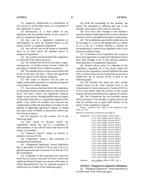(2) Approval, modification, or cancellation of any contract to which either house or a committee of the Legislature is a party.

(3) Introduction as a lead author of any legislation that the member knows or has reason to know is nongeneral legislation.

(4) Any vote in a legislative committee or subcommittee on what the member knows or has reason to know is nongeneral legislation.

(5) Any rollcall vote on the Senate or Assembly floor on an item which the member knows is nongeneral legislation.

(6) Any action or decision before the Legislature in which all of the following occur:

(A) The member has received any salary, wages, commissions, or similar earned income within the preceding 12 months from a lobbyist employer.

(B) The member knows or has reason to know the action or decision will have a direct and significant financial impact on the lobbyist employer.

(C) The action or decision will not have an impact on the public generally or a significant segment of the public in a similar manner.

(7) Any action or decision before the Legislature on legislation that the member knows or has reason to know will have a direct and significant financial impact on any person, distinguishable from its impact on the public generally or a significant segment of the public, from whom the member has received any compensation within the preceding 12 months for the purpose of appearing, agreeing to appear, or taking any other action on behalf of that person, before any local board or agency.

(b) For purposes of this section, all of the following apply:

(1) "Any action or decision before the Legislature" means any vote in a committee or subcommittee, or any rollcall vote on the floor of the Senate or Assembly.

(2) "Financial interest" means an interest as defined in Section 87103.

(3) "Legislation" means a bill, resolution, or constitutional amendment.

(4) "Nongeneral legislation" means legislation that is described in Section 87102.6 and is not of a general nature pursuant to Section 16 of Article IV of the Constitution.

(5) A Member of the Legislature has reason to know that an action or decision will have a direct and significant financial impact on a person with respect to which disqualification may be required pursuant to subdivision (a) if either of the following apply:

person has attempted to influence the vote of the member with respect to the action or decision.

(B) Facts have been brought to the member's personal attention indicating that the action or decision will have a direct and significant impact on the person.

(6) The prohibitions specified in subdivision (a) do not apply to a vote on the Budget Bill as a whole, or to a vote on a consent calendar, a motion for reconsideration, a waiver of any legislative rule, or any purely procedural matter.

(7) A Member of the Legislature has reason to know that legislation is nongeneral legislation if facts have been brought to his or her personal attention indicating that it is nongeneral legislation.

(8) Written advice given to a Member of the Legislature regarding his or her duties under this section by the Legislative Counsel shall have the same effect as advice given by the Commission pursuant to subdivision (b) of Section 83114 if both of the following apply:

(A) The member has made the same written request based on the same material facts to the Commission for advice pursuant to Section 83114 as to his or her duties under this section, as the written request and facts presented to the Legislative Counsel.

(B) The Commission has not provided written advice pursuant to the member's request prior to the time the member acts in good faith reliance on the advice of the Legislative Counsel.

History: Added by Stats. 1990, Ch. 84; amended by Stats. 1990, Ch. 1075.

References at the time of publication (see page 3):

| Regulations: | 2 Cal. Code of Regs. Section 18232   |
|--------------|--------------------------------------|
|              | 2 Cal. Code of Regs. Section 18702.5 |
|              | 2 Cal. Code of Regs. Section 18703   |
|              | 2 Cal. Code of Regs. Section 18703.1 |
|              | 2 Cal. Code of Regs. Section 18703.2 |
|              | 2 Cal. Code of Regs. Section 18703.3 |
|              | 2 Cal. Code of Regs. Section 18703.4 |
|              | 2 Cal. Code of Regs. Section 18703.5 |
|              | 2 Cal. Code of Regs. Section 18704   |
|              | 2 Cal. Code of Regs. Section 18704.1 |
|              | 2 Cal. Code of Regs. Section 18704.2 |
|              | 2 Cal. Code of Regs. Section 18704.5 |
|              | 2 Cal. Code of Regs. Section 18705   |
|              | 2 Cal. Code of Regs. Section 18705.1 |
|              | 2 Cal. Code of Regs. Section 18705.2 |
|              | 2 Cal. Code of Regs. Section 18705.3 |
|              | 2 Cal. Code of Regs. Section 18705.4 |
|              | 2 Cal. Code of Regs. Section 18705.5 |
|              | 2 Cal. Code of Regs. Section 18706   |
| Opinions:    | In re Galligan (2000) 14 FPPC Ops. 1 |

#### **§ 87102.6. Nongeneral Legislation; Definitions.**

(a) "Nongeneral legislation" means legislation as to which both of the following apply: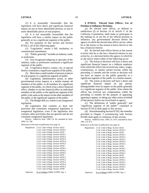(1) It is reasonably foreseeable that the legislation will have direct and significant financial impact on one or more identifiable persons, or one or more identifiable pieces of real property.

(2) It is not reasonably foreseeable that the legislation will have a similar impact on the public generally or on a significant segment of the public.

(b) For purposes of this section and Section 87102.5, all of the following apply:

(1) "Legislation" means a bill, resolution, or constitutional amendment.

(2) "Public generally" includes an industry, trade, or profession.

(3) Any recognized subgroup or specialty of the industry, trade, or profession constitutes a significant segment of the public.

(4) A legislative district, county, city, or special district constitutes a significant segment of the public.

(5) More than a small number of persons or pieces of real property is a significant segment of public.

(6) Legislation, administrative action, or other governmental action impacts in a similar manner all members of the public, or all members of a significant segment of the public, on which it has a direct financial effect, whether or not the financial effect on individual members of the public or the significant segment of the public is the same as the impact on the other members of the public or the significant segment of the public.

(7) The Budget Bill as a whole is not nongeneral legislation.

(8) Legislation that contains at least one provision that constitutes nongeneral legislation is nongeneral legislation, even if the legislation also contains other provisions that are general and do not constitute nongeneral legislation.

History: Added by Stats. 1990, Ch. 84; amended by Stats. 2006, Ch. 538.

References at the time of publication (see page 3):

```
Regulations: 2 Cal. Code of Regs. Section 18232 
             2 Cal. Code of Regs. Section 18702.5 
             2 Cal. Code of Regs. Section 18703 
             2 Cal. Code of Regs. Section 18703.1 
             2 Cal. Code of Regs. Section 18703.2 
             2 Cal. Code of Regs. Section 18703.3 
             2 Cal. Code of Regs. Section 18703.4 
             2 Cal. Code of Regs. Section 18703.5 
             2 Cal. Code of Regs. Section 18704 
             2 Cal. Code of Regs. Section 18704.1 
             2 Cal. Code of Regs. Section 18704.2 
             2 Cal. Code of Regs. Section 18704.5 
             2 Cal. Code of Regs. Section 18705 
             2 Cal. Code of Regs. Section 18705.1 
             2 Cal. Code of Regs. Section 18705.2 
             2 Cal. Code of Regs. Section 18705.3 
             2 Cal. Code of Regs. Section 18705.4 
             2 Cal. Code of Regs. Section 18705.5 
             2 Cal. Code of Regs. Section 18706 
Opinions: In re Galligan (2000) 14 FPPC Ops. 1
```
(a) No elected state officer, as defined in subdivision (f) of Section 14 of Article V of the California Constitution, shall make or participate in the making of, or use his or her official position to influence, any governmental decision before the agency in which the elected state officer serves, where he or she knows or has reason to know that he or she has a financial interest.

(b) An elected state officer knows or has reason to know that he or she has a financial interest in any action by, or a decision before the agency in which he or she serves where either of the following occur:

(1) The action or decision will have a direct and significant financial impact on a lobbyist employer from which the officer has received any salary, wages, commissions, or similar earned income within the preceding 12 months and the action or decision will not have an impact on the public generally or a significant segment of the public in a similar manner.

(2) The action or decision will have a direct and significant financial impact on any person, distinguishable from its impact on the public generally or a significant segment of the public, from whom the officer has received any compensation within the preceding 12 months for the purpose of appearing, agreeing to appear, or taking any other action on behalf of that person, before any local board or agency.

(c) The definitions of "public generally" and "significant segment of the public" contained in Section 87102.6 shall apply to this section.

(d) Notwithstanding Section 87102, the remedies provided in Chapter 3 (commencing with Section 83100) shall apply to violations of this section.

History: Added by Stats. 1990, Ch. 1075; amended by Stats. 1991, Ch. 674.

References at the time of publication (see page 3):

Regulations: 2 Cal. Code of Regs. Section 18232 2 Cal. Code of Regs. Section 18702.5 2 Cal. Code of Regs. Section 18703 2 Cal. Code of Regs. Section 18703.1 2 Cal. Code of Regs. Section 18703.2 2 Cal. Code of Regs. Section 18703.3 2 Cal. Code of Regs. Section 18703.4 2 Cal. Code of Regs. Section 18703.5 2 Cal. Code of Regs. Section 18704 2 Cal. Code of Regs. Section 18704.1 2 Cal. Code of Regs. Section 18704.2 2 Cal. Code of Regs. Section 18704.5 2 Cal. Code of Regs. Section 18705 2 Cal. Code of Regs. Section 18705.1 2 Cal. Code of Regs. Section 18705.2 2 Cal. Code of Regs. Section 18705.3 2 Cal. Code of Regs. Section 18705.4 2 Cal. Code of Regs. Section 18705.5 2 Cal. Code of Regs. Section 18706

Opinions: In re Galligan (2000) 14 FPPC Ops. 1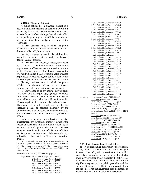#### **§ 87103. Financial Interest.**

A public official has a financial interest in a decision within the meaning of Section 87100 if it is reasonably foreseeable that the decision will have a material financial effect, distinguishable from its effect on the public generally, on the official, a member of his or her immediate family, or on any of the following:

(a) Any business entity in which the public official has a direct or indirect investment worth two thousand dollars (\$2,000) or more.

(b) Any real property in which the public official has a direct or indirect interest worth two thousand dollars (\$2,000) or more.

(c) Any source of income, except gifts or loans by a commercial lending institution made in the regular course of business on terms available to the public without regard to official status, aggregating five hundred dollars (\$500) or more in value provided or promised to, received by, the public official within 12 months prior to the time when the decision is made.

(d) Any business entity in which the public official is a director, officer, partner, trustee, employee, or holds any position of management.

(e) Any donor of, or any intermediary or agent for a donor of, a gift or gifts aggregating two hundred fifty dollars (\$250) or more in value provided to, received by, or promised to the public official within 12 months prior to the time when the decision is made. The amount of the value of gifts specified by this subdivision shall be adjusted biennially by the Commission to equal the same amount determined by the Commission pursuant to subdivision (f) of Section 89503.

For purposes of this section, indirect investment or interest means any investment or interest owned by the spouse or dependent child of a public official, by an agent on behalf of a public official, or by a business entity or trust in which the official, the official's agents, spouse, and dependent children own directly, indirectly, or beneficially a 10-percent interest or greater.

History: Amended by Stats. 1979, Ch. 686; amended by Stats. 1980, Ch. 183; amended by Stats. 1984, Ch. 931; amended by Stats. 1985, Ch. 611; amended by Stats. 1994, Ch. 386; amended by Stats. 1997, Ch. 455, effective September 24, 1997; amended by Stats. 2000, Ch. 130.

References at the time of publication (see page 3):

Regulations: 2 Cal. Code of Regs. Section 18229 2 Cal. Code of Regs. Section 18229.1 2 Cal. Code of Regs. Section 18232 2 Cal. Code of Regs. Section 18700 2 Cal. Code of Regs. Section 18702.5 2 Cal. Code of Regs. Section 18703 2 Cal. Code of Regs. Section 18703.1 2 Cal. Code of Regs. Section 18703.2

2 Cal. Code of Regs. Section 18703.3 2 Cal. Code of Regs. Section 18703.4 2 Cal. Code of Regs. Section 18703.5 2 Cal. Code of Regs. Section 18704 2 Cal. Code of Regs. Section 18704.1 2 Cal. Code of Regs. Section 18704.2 2 Cal. Code of Regs. Section 18704.5 2 Cal. Code of Regs. Section 18705 2 Cal. Code of Regs. Section 18705.1 2 Cal. Code of Regs. Section 18705.2 2 Cal. Code of Regs. Section 18705.3 2 Cal. Code of Regs. Section 18705.4 2 Cal. Code of Regs. Section 18705.5 2 Cal. Code of Regs. Section 18706 2 Cal. Code of Regs. Section 18707 2 Cal. Code of Regs. Section 18707.1 2 Cal. Code of Regs. Section 18707.2 2 Cal. Code of Regs. Section 18707.4 2 Cal. Code of Regs. Section 18707.5 2 Cal. Code of Regs. Section 18707.6 2 Cal. Code of Regs. Section 18707.7 2 Cal. Code of Regs. Section 18707.9 2 Cal. Code of Regs. Section 18707.10 2 Cal. Code of Regs. Section 18709 2 Cal. Code of Regs. Section 18730 2 Cal. Code of Regs. Section 18940 2 Cal. Code of Regs. Section 18940.2 2 Cal. Code of Regs. Section 18941 2 Cal. Code of Regs. Section 18942 2 Cal. Code of Regs. Section 18942.1 2 Cal. Code of Regs. Section 18943 2 Cal. Code of Regs. Section 18944.2 Opinions: In re Roberts (2004) 17 FPPC Ops. 9 In re Hanko (2002) 16 FPPC Ops. 1 In re Galligan (2000) 14 FPPC Ops. 1 In re Legan (1985) 9 FPPC Ops. 1 In re Nord (1983) 8 FPPC Ops. 6 In re Ferraro (1978) 4 FPPC Ops. 62 In re Callanan, Sands and Hill (1978) 4 FPPC Ops. 33 In re Brown (1978) 4 FPPC Ops. 19 In re Hopkins (1977) 3 FPPC Ops. 107 In re Gillmor (1977) 3 FPPC Ops. 38 In re Moore (1977) 3 FPPC Ops. 33 In re Thomas (1977) 3 FPPC Ops. 30 In re Sherwood (1976) 2 FPPC Ops. 168 In re Sankey (1976) 2 FPPC Ops. 157 In re Owen (1976) 2 FPPC Ops. 77 In re Thorner (1975) 1 FPPC Ops. 198 In re Biondo (1975) 1 FPPC Ops. 54 In re Presley (1975) 1 FPPC Ops. 39

#### **§ 87103.5. Income from Retail Sales.**

(a) Notwithstanding subdivision (c) of Section 87103, a retail customer of a business entity engaged in retail sales of goods or services to the public generally is not a source of income to an official who owns a 10-percent or greater interest in the entity if the retail customers of the business entity constitute a significant segment of the public generally, and the amount of income received by the business entity from the customer is not distinguishable from the amount of income received from its other retail customers.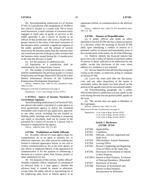(b) Notwithstanding subdivision (c) of Section 87103, in a jurisdiction with a population of 10,000 or less which is located in a county with 350 or fewer retail businesses, a retail customer of a business entity engaged in retail sales of goods or services to the public generally is not a source of income to an official of that jurisdiction who owns a 10-percent or greater interest in the entity, if the retail customers of the business entity constitute a significant segment of the public generally, and the amount of income received by the business entity from the customer does not exceed one percent of the gross sales revenues that the business entity earned during the 12 months prior to the time the decision is made.

(c) For the purposes of subdivision (b):

(1) Population in a jurisdiction shall be established by the United States Census.

(2) The number of retail businesses in a county shall be established by the previous quarter's Covered Employment and Wages Report (ES-202) of the Labor Market Information Division of the California Employment Development Department.

History: Added by Stats. 1984, Ch. 931; amended by Stats. 2002, Ch. 654.

References at the time of publication (see page 3):

Regulations: 2 Cal. Code of Regs. Section 18707.5

### **§ 87103.6. Source of Income; Payments to Government Agencies.**

Notwithstanding subdivision (c) of Section 87103, any person who makes a payment to a state agency or local government agency to defray the estimated reasonable costs to process any application, approval, or any other action, including but not limited to, holding public hearings and evaluating or preparing any report or document, shall not by reason of the payments be a source of income to a person who is retained or employed by the agency.

History: Added by Stats. 1991, Ch. 887.

#### **§ 87104. Prohibitions on Public Officials.**

(a) No public official of a state agency shall, for compensation, act as an agent or attorney for, or otherwise represent, any other person by making any formal or informal appearance before, or any oral or written communication to, his or her state agency or any officer or employee thereof, if the appearance or communication is for the purpose of influencing a decision on a contract, grant, loan, license, permit, or other entitlement for use.

(b) For purposes of this section, "public official" includes a member, officer, employee, or consultant of an advisory body to a state agency, whether the advisory body is created by statute or otherwise, except when the public official is representing his or her employing state, local, or federal agency in an appearance before, or communication to, the advisory body.

History: Added by Stats. 1994, Ch. 414; amended by Stats. 1997, Ch. 145.

#### **§ 87105. Manner of Disqualification.**

(a) A public official who holds an office specified in Section 87200 who has a financial interest in a decision within the meaning of Section 87100 shall, upon identifying a conflict of interest or a potential conflict of interest and immediately prior to the consideration of the matter, do all of the following:

(1) Publicly identify the financial interest that gives rise to the conflict of interest or potential conflict of interest in detail sufficient to be understood by the public, except that disclosure of the exact street address of a residence is not required.

(2) Recuse himself or herself from discussing and voting on the matter, or otherwise acting in violation of Section 87100.

(3) Leave the room until after the discussion, vote, and any other disposition of the matter is concluded, unless the matter has been placed on the portion of the agenda reserved for uncontested matters.

(4) Notwithstanding paragraph (3), a public official described in subdivision (a) may speak on the issue during the time that the general public speaks on the issue.

(b) This section does not apply to Members of the Legislature.

History: Added by Stats. 2002, Ch. 233.

References at the time of publication (see page 3):

Regulations: 2 Cal. Code of Regs. Section 18702 2 Cal. Code of Regs. Section 18702.1 2 Cal. Code of Regs. Section 18702.5

### **Article 2. Disclosure. § 87200 - 87210**

§ 87200. Applicability. § 87201. Candidates.

- § 87202. Officials Elected, Appointed and Hold Over.
- § 87203. Officeholders; Annual Statements.
- § 87204. Leaving Office.
- § 87205. Persons Completing and Beginning Term of Office on the Same Day.
- § 87206. Disclosure of Investment or Interest in Real Property.
- § 87206.5. Interest in Real Property; Exclusion of Principal Residence. [Repealed]
- § 87207. Disclosure of Income.
- § 87208. Disclosure of Investments and Interest in Real Property; Incorporation by Reference.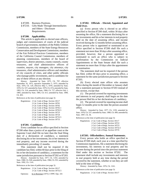- § 87209. Business Positions.
- § 87210. Gifts Made Through Intermediaries and Others - Disclosure Requirements.

#### **§ 87200. Applicability.**

This article is applicable to elected state officers, judges and commissioners of courts of the judicial branch of government, members of the Public Utilities Commission, members of the State Energy Resources Conservation and Development Commission, members of the Fair Political Practices Commission, members of the California Coastal Commission, members of planning commissions, members of the board of supervisors, district attorneys, county counsels, county treasurers, and chief administrative officers of counties, mayors, city managers, city attorneys, city treasurers, chief administrative officers and members of city councils of cities, and other public officials who manage public investments, and to candidates for any of these offices at any election.

History: Amended by Stats. 1975, Ch. 797; effective September 16, 1975, operative September 5, 1975; amended by Stats. 1976, Ch. 129, effective May 5, 1976; amended by Stats. 1978, Ch. 537; amended by Stats. 1979, Ch. 674; amended by Stats. 1983, Ch. 214; amended by Stats. 1984, Ch. 727, effective July 1, 1985; amended by Stats. 1985, Ch. 611; amended by Stats. 1989, Ch. 403.

References at the time of publication (see page 3):

| Regulations: 2 Cal. Code of Regs. Section 18117 |
|-------------------------------------------------|
| 2 Cal. Code of Regs. Section 18701              |
| 2 Cal. Code of Regs. Section 18702              |
| 2 Cal. Code of Regs. Section 18702.1            |
| 2 Cal. Code of Regs. Section 18702.5            |
| 2 Cal. Code of Regs. Section 18723              |
| 2 Cal. Code of Regs. Section 18724              |
| 2 Cal. Code of Regs. Section 18732.5            |
| 2 Cal. Code of Regs. Section 18753              |

### **§ 87201. Candidates.**

Every candidate for an office specified in Section 87200 other than a justice of an appellate court or the Supreme Court shall file no later than the final filing date of a declaration of candidacy, a statement disclosing his or her investments, his or her interests in real property, and any income received during the immediately preceding 12 months.

This statement shall not be required if the candidate has filed, within 60 days prior to the filing of his or her declaration of candidacy, a statement for the same jurisdiction pursuant to Section 87202 or 87203.

History: Amended by Stats. 1977, Ch. 1193; amended by Stats. 1980, Ch. 928; amended by Stats. 1984, Ch. 931; amended by Stats. 1992, Ch. 1141.

References at the time of publication (see page 3):

Regulations: 2 Cal. Code of Regs. Section 18117 2 Cal. Code of Regs. Section 18732.5 Opinions: In re Boreman (1975) 1 FPPC Ops. 101

### **§ 87202. Officials - Elected, Appointed and Hold Over.**

(a) Every person who is elected to an office specified in Section 87200 shall, within 30 days after assuming the office, file a statement disclosing his or her investments and his or her interests in real property held on the date of assuming office, and income received during the 12 months before assuming office. Every person who is appointed or nominated to an office specified in Section 87200 shall file such a statement not more than 30 days after assuming office, provided, however, that a person appointed or nominated to such an office who is subject to confirmation by the Commission on Judicial Appointments or the State Senate shall file such a statement no more than 10 days after the appointment or nomination.

The statement shall not be required if the person has filed, within 60 days prior to assuming office, a statement for the same jurisdiction pursuant to Section 87203.

(b) Every elected state officer who assumes office during the month of December or January shall file a statement pursuant to Section 87203 instead of this section, except that:

(1) The period covered for reporting investments and interests in real property shall begin on the date the person filed his or her declarations of candidacy.

(2) The period covered for reporting income shall begin 12 months prior to the date the person assumed office.

History: Amended by Stats. 1977, Ch. 1193; amended by Stats. 1978, Ch. 537; amended by Stats. 1989, Ch. 499; amended by Stats. 1997, Ch. 36.

References at the time of publication (see page 3):

Regulations: 2 Cal. Code of Regs. Section 18117 2 Cal. Code of Regs. Section 18722 2 Cal. Code of Regs. Section 18723 2 Cal. Code of Regs. Section 18732.5 2 Cal. Code of Regs. Section 18735

#### **§ 87203. Officeholders; Annual Statements.**

Every person who holds an office specified in Section 87200 shall, each year at a time specified by Commission regulations, file a statement disclosing his investments, his interests in real property and his income during the period since the previous statement filed under this section or Section 87202. The statement shall include any investments and interests in real property held at any time during the period covered by the statement, whether or not they are still held at the time of filing.

History: Amended by Stats. 1976, Ch. 1161.

References at the time of publication (see page 3):

Regulations: 2 Cal. Code of Regs. Section 18117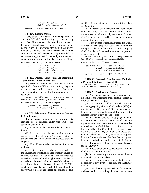2 Cal. Code of Regs. Section 18723 2 Cal. Code of Regs. Section 18732.5 Opinions: In re Sampson (1975) 1 FPPC Ops. 183

### **§ 87204. Leaving Office.**

Every person who leaves an office specified in Section 87200 shall, within thirty days after leaving the office, file a statement disclosing his investments, his interests in real property, and his income during the period since the previous statement filed under Sections 87202 or 87203. The statement shall include any investments and interests in real property held at any time during the period covered by the statement, whether or not they are still held at the time of filing.

References at the time of publication (see page 3):

Regulations: 2 Cal. Code of Regs. Section 18117 2 Cal. Code of Regs. Section 18722 2 Cal. Code of Regs. Section 18723 2 Cal. Code of Regs. Section 18732.5

# **§ 87205. Persons Completing and Beginning Term of Office on the Same Day.**

A person who completes a term of an office specified in Section 87200 and within 45 days begins a term of the same office or another such office of the same jurisdiction is deemed not to assume office or leave office.

History: Amended by Stats. 1977, Ch. 1193; amended by Stats. 1997, Ch. 145; amended by Stats. 2005, Ch. 200.

References at the time of publication (see page 3):

Regulations: 2 Cal. Code of Regs. Section 18117 2 Cal. Code of Regs. Section 18732.5

### **§ 87206. Disclosure of Investment or Interest in Real Property.**

If an investment or an interest in real property is required to be disclosed under this article, the statement shall contain:

(a) A statement of the nature of the investment or interest.

(b) The name of the business entity in which each investment is held, and a general description of the business activity in which the business entity is engaged.

(c) The address or other precise location of the real property.

(d) A statement whether the fair market value of the investment or interest in real property equals or exceeds two thousand dollars (\$2,000) but does not exceed ten thousand dollars (\$10,000), whether it exceeds ten thousand dollars (\$10,000) but does not exceed one hundred thousand dollars (\$100,000), whether it exceeds one hundred thousand dollars (\$100,000), but does not exceed one million dollars (\$1,000,000) or whether it exceeds one million dollars (\$1,000,000).

(e) In the case of a statement filed under Sections 87203 or 87204, if the investment or interest in real property was partially or wholly acquired or disposed of during the period covered by the statement, the date of acquisition or disposal.

(f) For purposes of disclosure under this article, "interest in real property" does not include the principal residence of the filer or any other property which the filer utilizes exclusively as the personal residence of the filer.

History: Amended by Stats. 1980, Ch. 1000; amended by Stats. 1984, Ch. 931; amended by Stats. 2000, Ch. 130.

References at the time of publication (see page 3):

|           | Regulations: 2 Cal. Code of Regs. Section 18233 |
|-----------|-------------------------------------------------|
|           | 2 Cal. Code of Regs. Section 18729              |
|           | 2 Cal. Code of Regs. Section 18732.5            |
| Opinions: | In re Schabarum (1975) 1 FPPC Ops. 95           |

# **§ 87206.5. Interest in Real Property; Exclusion of Principal Residence. [Repealed]**

History: Added by Stats. 1976, Ch. 1161; repealed by Stats. 1980, Ch. 1000. (Now contained in Section 87206.)

#### **§ 87207. Disclosure of Income.**

(a) When income is required to be reported under this article, the statement shall contain, except as provided in subdivision (b):

(1) The name and address of each source of income aggregating five hundred dollars (\$500) or more in value, or fifty dollars (\$50) or more in value if the income was a gift, and a general description of the business activity, if any, of each source.

(2) A statement whether the aggregate value of income from each source, or in the case of a loan, the highest amount owed to each source, was at least five hundred dollars (\$500) but did not exceed one thousand dollars (\$1,000), whether it was in excess of one thousand dollars (\$1,000) but was not greater than ten thousand dollars (\$10,000), whether it was greater than ten thousand dollars (\$10,000) but not greater than one hundred thousand dollars (\$100,000), or whether it was greater than one hundred thousand dollars (\$100,000).

(3) A description of the consideration, if any, for which the income was received.

(4) In the case of a gift, the amount and the date on which the gift was received.

(5) In the case of a loan, the annual interest rate, the security, if any, given for the loan, and the term of the loan.

(b) When the filer's pro rata share of income to a business entity, including income to a sole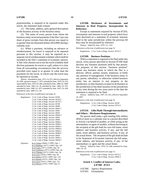proprietorship, is required to be reported under this article, the statement shall contain:

(1) The name, address, and a general description of the business activity of the business entity.

(2) The name of every person from whom the business entity received payments if the filer's pro rata share of gross receipts from that person was equal to or greater than ten thousand dollars (\$10,000) during a calendar year.

(c) When a payment, including an advance or reimbursement, for travel is required to be reported pursuant to this section, it may be reported on a separate travel reimbursement schedule which shall be included in the filer's statement of economic interest. A filer who chooses not to use the travel schedule shall disclose payments for travel as a gift, unless it is clear from all surrounding circumstances that the services provided were equal to or greater in value than the payments for the travel, in which case the travel may be reported as income.

History: Amended by Stats. 1975, Ch. 915, effective September 20, 1995, operative January 7, 1975; amended by Stats. 1979, Ch. 674; superseded by Stats. 1979, Ch. 686; amended by Stats. 1980, Ch. 1000; amended by Stats. 1982, Ch. 29; amended by Stats. 1984, Ch. 931; amended by Stats. 1990, Ch. 1075; amended by Stats. 1997, Ch. 638; amended by Stats. 2000, Ch. 130.

References at the time of publication (see page 3):

Regulations: 2 Cal. Code of Regs. Section 18704 2 Cal. Code of Regs. Section 18728.5 2 Cal. Code of Regs. Section 18732.5 2 Cal. Code of Regs. Section 18740 2 Cal. Code of Regs. Section 18940 2 Cal. Code of Regs. Section 18941.1 2 Cal. Code of Regs. Section 18942 2 Cal. Code of Regs. Section 18943 2 Cal. Code of Regs. Section 18944.2 2 Cal. Code of Regs. Section 18945 2 Cal. Code of Regs. Section 18946 2 Cal. Code of Regs. Section 18946.1 2 Cal. Code of Regs. Section 18946.2 2 Cal. Code of Regs. Section 18946.3 2 Cal. Code of Regs. Section 18946.4 2 Cal. Code of Regs. Section 18946.5 2 Cal. Code of Regs. Section 18946.6 2 Cal. Code of Regs. Section 18950 2 Cal. Code of Regs. Section 18950.1 2 Cal. Code of Regs. Section 18950.3 Opinions: In re Taylor (2004) 17 FPPC Ops. 1 In re Hopkins (1977) 3 FPPC Ops. 107

In re Carey (1977) 3 FPPC Ops. 99 In re Gutierrez (1977) 3 FPPC Ops. 44 In re Thomas (1977) 3 FPPC Ops. 30 In re Cory (1976) 2 FPPC Ops. 48 In re Hayes (1975) 1 FPPC Ops. 210 In re Russel (1975) 1 FPPC Ops. 191 In re Cory (1975) 1 FPPC Ops. 153 In re Brown (1975) 1 FPPC Ops. 67

**§ 87208. Disclosure of Investments and Interests in Real Property; Incorporation by Reference.**

Except in statements required by Section 87203, investments and interests in real property which have been disclosed on a statement of economic interests filed in the same jurisdiction within the previous 60 days may be incorporated by reference.

History: Added by Stats. 1976, Ch. 1161.

References at the time of publication (see page 3):

Regulations: 2 Cal. Code of Regs. Section 18732.5

### **§ 87209. Business Positions.**

When a statement is required to be filed under this article, every person specified in Section 87200 shall disclose any business positions held by that person. For purposes of this section, "business position" means any business entity in which the filer is a director, officer, partner, trustee, employee, or holds any position of management, if the business entity or any parent, subsidiary, or otherwise related business entity has an interest in real property in the jurisdiction, or does business or plans to do business in the jurisdiction or has done business in the jurisdiction at any time during the two years prior to the date the statement is required to be filed.

History: Added by Stats. 1997, Ch. 455, effective September 24, 1997.

References at the time of publication (see page 3):

Regulations: 2 Cal. Code of Regs. Section 18230 2 Cal. Code of Regs. Section 18732.5

# **§ 87210. Gifts Made Through Intermediaries and Others - Disclosure Requirements.**

No person shall make a gift totaling fifty dollars (\$50) or more in a calendar year to a person described in Article 2 on behalf of another, or while acting as the intermediary or agent of another, without disclosing to the recipient of the gift both his own full name, street address, and business activity, if any, and the full name, street address, and business activity, if any, of the actual donor. The recipient of the gift shall include in his Statement of Economic Interests the full name, street address, and business activity, if any, of the intermediary or agent and the actual donor.

History: Added by Stats. 1978, Ch. 640; amended by Stats. 1982, Ch. 29.

References at the time of publication (see page 3):

Regulations: 2 Cal. Code of Regs. Section 18732.5 2 Cal. Code of Regs. Section 18945.3

# **Article 3. Conflict of Interest Codes. § 87300 - 87313**

§ 87300. Agency Requirement.

§ 87301. Formulation.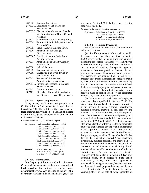|          | § 87302. Required Provisions.                |
|----------|----------------------------------------------|
|          | § 87302.3. Disclosure by Candidates for      |
|          | Elective Office.                             |
|          | § 87302.6. Disclosure by Members of Boards   |
|          | and Commissions of Newly Created             |
|          | Agencies.                                    |
|          | § 87303. Submission; Code Reviewing Body.    |
|          | § 87304. Failure to Submit, Adopt or Amend a |
|          | Proposed Code.                               |
| § 87305. | Order to Adopt; Superior Court.              |
| § 87306. | Amendments for Changed                       |
|          | Circumstances.                               |
|          | § 87306.5. Conflict of Interest Code; Local  |
|          | Agency Review.                               |
| § 87307. | Amendments to Code by Agency;                |
|          | Failure to Act.                              |
| § 87308. | Judicial Review.                             |
|          | § 87309. Requirements for Approval.          |
| § 87310. | Designated Employee; Broad or                |
|          | Indefinable Duties.                          |
| § 87311. | Review and Preparation;                      |
|          | Administrative Procedure Act.                |
|          | § 87311.5. Review and Preparation; Judicial  |
|          | Branch Agencies.                             |
| § 87312. | Commission Assistance.                       |
|          |                                              |

§ 87313. Gifts Made Through Intermediaries and Others - Disclosure Requirements.

### **§ 87300. Agency Requirement.**

Every agency shall adopt and promulgate a Conflict of Interest Code pursuant to the provisions of this article. A Conflict of Interest Code shall have the force of law and any violation of a Conflict of Interest Code by a designated employee shall be deemed a violation of this chapter.

References at the time of publication (see page 3):

|           | Regulations: 2 Cal. Code of Regs. Section 18329.5 |
|-----------|---------------------------------------------------|
|           | 2 Cal. Code of Regs. Section 18351                |
|           | 2 Cal. Code of Regs. Section 18730                |
|           | 2 Cal. Code of Regs. Section 18732.5              |
|           | 2 Cal. Code of Regs. Section 18750                |
|           | 2 Cal. Code of Regs. Section 18750.1              |
|           | 2 Cal. Code of Regs. Section 18750.2              |
|           | 2 Cal. Code of Regs. Section 18751                |
|           | 2 Cal. Code of Regs. Section 18754                |
|           | 2 Cal. Code of Regs. Section 18755                |
| Opinions: | In re Vonk (1981) 6 FPPC Ops. 1                   |
|           | In re Leach (1978) 4 FPPC Ops. 48                 |
|           | In re Siegel $(1977)$ 3 FPPC Ops. 62              |

#### **§ 87301. Formulation.**

It is the policy of this act that Conflict of Interest Codes shall be formulated at the most decentralized level possible, but without precluding intradepartmental review. Any question of the level of a department which should be deemed an "agency" for purposes of Section 87300 shall be resolved by the code reviewing body.

References at the time of publication (see page 3):

Regulations: 2 Cal. Code of Regs. Section 18329.5 2 Cal. Code of Regs. Section 18730 2 Cal. Code of Regs. Section 18732.5 2 Cal. Code of Regs. Section 18754

#### **§ 87302. Required Provisions.**

Each Conflict of Interest Code shall contain the following provisions:

(a) Specific enumeration of the positions within the agency, other than those specified in Section 87200, which involve the making or participation in the making of decisions which may foreseeably have a material effect on any financial interest and for each such enumerated position, the specific types of investments, business positions, interests in real property, and sources of income which are reportable. An investment, business position, interest in real property, or source of income shall be made reportable by the Conflict of Interest Code if the business entity in which the investment or business position is held, the interest in real property, or the income or source of income may foreseeably be affected materially by any decision made or participated in by the designated employee by virtue of his or her position.

(b) Requirements that each designated employee, other than those specified in Section 87200, file statements at times and under circumstances described in this section, disclosing reportable investments, business positions, interests in real property and income. The information disclosed with respect to reportable investments, interests in real property, and income shall be the same as the information required by Sections 87206 and 87207. The first statement filed under a Conflict of Interest Code by a designated employee shall disclose any reportable investments, business positions, interests in real property, and income. An initial statement shall be filed by each designated employee within 30 days after the effective date of the Conflict of Interest Code, disclosing investments, business positions, and interests in real property held on the effective date of the Conflict of Interest Code and income received during the 12 months before the effective date of the Conflict of Interest Code. Thereafter, each new designated employee shall file a statement within 30 days after assuming office, or if subject to State Senate confirmation, 30 days after being appointed or nominated, disclosing investments, business positions, and interests in real property held on, and income received during the 12 months before, the date of assuming office or the date of being appointed or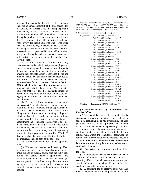nominated, respectively. Each designated employee shall file an annual statement, at the time specified in the Conflict of Interest Code, disclosing reportable investments, business positions, interest in real property and income held or received at any time during the previous calendar year or since the date the designated employee took office if during the calendar year. Every designated employee who leaves office shall file, within 30 days of leaving office, a statement disclosing reportable investments, business positions, interests in real property, and income held or received at any time during the period between the closing date of the last statement required to be filed and the date of leaving office.

(c) Specific provisions setting forth any circumstances under which designated employees or categories of designated employees must disqualify themselves from making, participating in the making, or using their official position to influence the making of any decision. Disqualification shall be required by the Conflict of Interest Code when the designated employee has a financial interest as defined in Section 87103, which it is reasonably foreseeable may be affected materially by the decision. No designated employee shall be required to disqualify himself or herself with respect to any matter which could not legally be acted upon or decided without his or her participation.

(d) For any position enumerated pursuant to subdivision (a), an individual who resigns the position within 12 months following initial appointment or within 30 days of the date of a notice mailed by the filing officer of the individual's filing obligation, whichever is earlier, is not deemed to assume or leave office, provided that during the period between appointment and resignation, the individual does not make, participate in making, or use the position to influence any decision of the agency or receive, or become entitled to receive, any form of payment by virtue of being appointed to the position. Within 30 days of the date of a notice mailed by the filing officer, the individual shall do both of the following:

(1) File a written resignation with the appointing power.

(2) File a written statement with the filing officer on a form prescribed by the Commission and signed under penalty of perjury stating that the individual, during the period between appointment and resignation, did not make, participate in the making, or use the position to influence any decision of the agency or receive, or become entitled to receive, any form of payment by virtue of being appointed to the position.

History: Amended by Stats. 1978, Ch. 537; amended by Stats. 1979, Ch. 674; amended by Stats. 1980, Ch. 765; amended by Stats. 1987, Ch. 1188; amended by Stats. 1989, Ch. 499; amended by Stats. 1991, Ch. 857; amended by Stats. 1992, Ch. 441.

References at the time of publication (see page 3):

| Regulations: | 2 Cal. Code of Regs. Section 18117   |
|--------------|--------------------------------------|
|              | 2 Cal. Code of Regs. Section 18329.5 |
|              | 2 Cal. Code of Regs. Section 18351   |
|              | 2 Cal. Code of Regs. Section 18701   |
|              | 2 Cal. Code of Regs. Section 18722   |
|              | 2 Cal. Code of Regs. Section 18730   |
|              | 2 Cal. Code of Regs. Section 18732   |
|              | 2 Cal. Code of Regs. Section 18732.5 |
|              | 2 Cal. Code of Regs. Section 18733   |
|              | 2 Cal. Code of Regs. Section 18734   |
|              | 2 Cal. Code of Regs. Section 18735   |
|              | 2 Cal. Code of Regs. Section 18736   |
|              | 2 Cal. Code of Regs. Section 18736.1 |
|              | 2 Cal. Code of Regs. Section 18737   |
|              | 2 Cal. Code of Regs. Section 18754   |
|              | 2 Cal. Code of Regs. Section 18940   |
|              | 2 Cal. Code of Regs. Section 18942   |
|              | 2 Cal. Code of Regs. Section 18943   |
|              | 2 Cal. Code of Regs. Section 18944.2 |
|              | 2 Cal. Code of Regs. Section 18945   |
|              | 2 Cal. Code of Regs. Section 18946   |
|              | 2 Cal. Code of Regs. Section 18946.1 |
|              | 2 Cal. Code of Regs. Section 18946.2 |
|              | 2 Cal. Code of Regs. Section 18946.3 |
|              | 2 Cal. Code of Regs. Section 18946.4 |
|              | 2 Cal. Code of Regs. Section 18946.5 |
|              | 2 Cal. Code of Regs. Section 18946.6 |
|              | 2 Cal. Code of Regs. Section 18950   |
|              | 2 Cal. Code of Regs. Section 18950.3 |
|              |                                      |

Opinions: In re Alperin (1977) 3 FPPC Ops. 77

### **§ 87302.3. Disclosure by Candidates for Elective Office.**

(a) Every candidate for an elective office that is designated in a conflict of interest code shall file a statement disclosing his or her investments, business positions, interests in real property, and income received during the immediately preceding 12 months, as enumerated in the disclosure requirements for that position. The statement shall be filed with the election official with whom the candidate's declaration of candidacy or other nomination documents to appear on the ballot are required to be filed and shall be filed no later than the final filing date for the declaration or nomination documents.

(b) This section does not apply to either of the following:

(1) A candidate for an elective office designated in a conflict of interest code who has filed an initial, assuming office, or annual statement pursuant to that conflict of interest code within 60 days before the deadline specified in subdivision (a).

(2) A candidate for an elective office who has filed a statement for the office pursuant to Section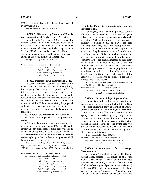87302.6 within 60 days before the deadline specified in subdivision (a).

History: Added by Stats. 2007, Ch. 348.

# **§ 87302.6. Disclosure by Members of Boards and Commissions of Newly Created Agencies.**

Notwithstanding Section 87302, a member of a board or commission of a newly created agency shall file a statement at the same time and in the same manner as those individuals required to file pursuant to Section 87200. A member shall file his or her statement pursuant to Section 87302 once the agency adopts an approved conflict-of-interest code.

History: Added by Stats. 2002, Ch. 264.

References at the time of publication (see page 3):

Regulations: 2 Cal. Code of Regs. Section 18117 2 Cal. Code of Regs. Section 18329.5 2 Cal. Code of Regs. Section 18732.5 2 Cal. Code of Regs. Section 18754

#### **§ 87303. Submission; Code Reviewing Body.**

No conflict of interest code shall be effective until it has been approved by the code reviewing body. Each agency shall submit a proposed conflict of interest code to the code reviewing body by the deadline established for the agency by the code reviewing body. The deadline for a new agency shall be not later than six months after it comes into existence. Within 90 days after receiving the proposed code or receiving any proposed amendments or revisions, the code reviewing body shall do one of the following:

(a) Approve the proposed code as submitted.

(b) Revise the proposed code and approve it as revised.

(c) Return the proposed code to the agency for revision and resubmission within 60 days. The code reviewing body shall either approve the revised code or revise it and approve it. When a proposed conflict of interest code or amendment is approved by the code reviewing body, it shall be deemed adopted and shall be promulgated by the agency.

History: Amended by Stats. 1975, Ch. 915, effective September 20, 1975, operative January 7, 1975; amended by Stats. 1979, Ch. 686.; amended by Stats. 1997, effective September 24, 1997.

References at the time of publication (see page 3):

Regulations: 2 Cal. Code of Regs. Section 18329.5

2 Cal. Code of Regs. Section 18351

2 Cal. Code of Regs. Section 18732.5

2 Cal. Code of Regs. Section 18750

2 Cal. Code of Regs. Section 18750.1

2 Cal. Code of Regs. Section 18750.2

2 Cal. Code of Regs. Section 18755

**§ 87304. Failure to Submit, Adopt or Amend a Proposed Code.**

If any agency fails to submit a proposed conflict of interest code or amendments, or if any state agency fails to report amendments pursuant to subdivision (b) of Section 87306 within the time limits prescribed pursuant to Section 87303 or 87306, the code reviewing body may issue any appropriate order directed to the agency or take any other appropriate action, including the adoption of a conflict of interest code for the agency. If the code reviewing body does not issue an appropriate order or take other action within 90 days of the deadline imposed on the agency as prescribed in Section 87303 or 87306, the Commission may issue any appropriate order directed to the agency or take any other appropriate action, including the adoption of a conflict of interest code for the agency. The Commission shall consult with the agency before ordering the adoption of a conflict of interest code for the agency.

History: Amended by Stats. 1988, Ch. 923; amended by Stats. 1990, Ch. 84; amended by Stats. 1991, Ch. 491.

References at the time of publication (see page 3):

Regulations: 2 Cal. Code of Regs. Section 18329.5 2 Cal. Code of Regs. Section 18732.5

#### **§ 87305. Order to Adopt; Superior Court.**

If after six months following the deadline for submission of the proposed Conflict of Interest Code to the code reviewing body no Conflict of Interest Code has been adopted and promulgated, the superior court may, in an action filed by the Commission, the agency, the code reviewing body, any officer, employee, member or consultant of the agency, or any resident of the jurisdiction, prepare a Conflict of Interest Code and order its adoption by the agency or grant any other appropriate relief. The agency and the code reviewing body shall be parties to any action filed pursuant to this section.

History: Amended by Stats. 1980, Ch. 765. References at the time of publication (see page 3):

Regulations: 2 Cal. Code of Regs. Section 18329.5 2 Cal. Code of Regs. Section 18732.5

# **§ 87306. Amendments for Changed Circumstances.**

(a) Every agency shall amend its Conflict of Interest Code, subject to the provisions of Section 87303, when change is necessitated by changed circumstances, including the creation of new positions which must be designated pursuant to subdivision (a) of Section 87302 and relevant changes in the duties assigned to existing positions. Amendments or revisions shall be submitted to the code reviewing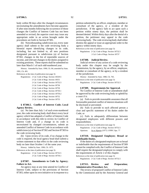body within 90 days after the changed circumstances necessitating the amendments have become apparent. If after nine months following the occurrence of those changes the Conflict of Interest Code has not been amended or revised, the superior court may issue any appropriate order in an action brought under the procedures set forth in Section 87305.

(b) Notwithstanding subdivision (a), every state agency shall submit to the code reviewing body a biennial report identifying changes in its code, including, but not limited to, all new positions designated pursuant to subdivision (a) of Section 87302, changes in the list of reportable sources of income, and relevant changes in the duties assigned to existing positions. These reports shall be submitted no later than March 1 of each odd-numbered year.

History: Amended by Stats. 1990, Ch. 84; amended by Stats. 1991, Ch. 491.

References at the time of publication (see page 3):

Regulations: 2 Cal. Code of Regs. Section 18329.5

2 Cal. Code of Regs. Section 18351 2 Cal. Code of Regs. Section 18732.5 2 Cal. Code of Regs. Section 18736 2 Cal. Code of Regs. Section 18750 2 Cal. Code of Regs. Section 18750.1 2 Cal. Code of Regs. Section 18750.2 2 Cal. Code of Regs. Section 18752 2 Cal. Code of Regs. Section 18755

# **§ 87306.5. Conflict of Interest Code; Local Agency Review.**

(a) No later than July 1 of each even-numbered year, the code reviewing body shall direct every local agency which has adopted a Conflict of Interest Code in accordance with this title to review its Conflict of Interest Code and, if a change in its code is necessitated by changed circumstances, submit an amended Conflict of Interest Code in accordance with subdivision (a) of Section 87302 and Section 87303 to the code reviewing body.

(b) Upon review of its code, if no change in the code is required, the local agency head shall submit a written statement to that effect to the code reviewing body no later than October 1 of the same year.

History: Added by Stats. 1990, Ch. 1075.

References at the time of publication (see page 3): Regulations: 2 Cal. Code of Regs. Section 18732.5

2 Cal. Code of Regs. Section 18736.1

# **§ 87307. Amendments to Code by Agency; Failure to Act.**

An agency may at any time amend its Conflict of Interest Code, subject to the provisions of Section 87303, either upon its own initiative or in response to a petition submitted by an officer, employee, member or consultant of the agency, or a resident of the jurisdiction. If the agency fails to act upon such a petition within ninety days, the petition shall be deemed denied. Within thirty days after the denial of a petition, the petitioner may appeal to the code reviewing body. The code reviewing body shall either dismiss the appeal or issue an appropriate order to the agency within ninety days.

References at the time of publication (see page 3):

Regulations: 2 Cal. Code of Regs. Section 18732.5 2 Cal. Code of Regs. Section 18737

#### **§ 87308. Judicial Review.**

Judicial review of any action of a code reviewing body under this chapter may be sought by the Commission, by the agency, by an officer, employee, member or consultant of the agency, or by a resident of the jurisdiction.

History: Amended by Stats. 1980, Ch. 765.

References at the time of publication (see page 3): Regulations: 2 Cal. Code of Regs. Section 18732.5

#### **§ 87309. Requirements for Approval.**

No Conflict of Interest Code or amendment shall be approved by the code reviewing body or upheld by a court if it:

(a) Fails to provide reasonable assurance that all foreseeable potential conflict of interest situations will be disclosed or prevented;

(b) Fails to provide to each affected person a clear and specific statement of his duties under the Code; or

(c) Fails to adequately differentiate between designated employees with different powers and responsibilities.

References at the time of publication (see page 3):

Regulations: 2 Cal. Code of Regs. Section 18732.5 Opinions: In re Alperin (1977) 3 FPPC Ops. 77

# **§ 87310. Designated Employee; Broad or Indefinable Duties.**

If the duties of a designated employee are so broad or indefinable that the requirements of Section 87309 cannot be complied with, the Conflict of Interest Code shall require the designated employee to comply with the requirements of Article 2 of this chapter.

References at the time of publication (see page 3):

Regulations: 2 Cal. Code of Regs. Section 18732.5

### **§ 87311. Review and Preparation; Administrative Procedure Act.**

The review of proposed Conflict of Interest Codes by the Commission and by the Attorney General and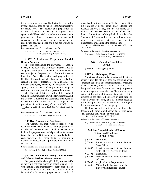the preparation of proposed Conflict of Interest Codes by state agencies shall be subject to the Administrative Procedure Act. The review and preparation of Conflict of Interest Codes by local government agencies shall be carried out under procedures which guarantee to officers, employees, members, and consultants of the agency and to residents of the jurisdiction adequate notice and a fair opportunity to present their views.

References at the time of publication (see page 3):

Regulations: 2 Cal. Code of Regs. Section 18351 2 Cal. Code of Regs. Section 18732.5

# **§ 87311.5. Review and Preparation; Judicial Branch Agencies.**

(a) Notwithstanding the provisions of Section 87311, the review of the Conflict of Interest Code of an agency in the judicial branch of government shall not be subject to the provisions of the Administrative Procedure Act. The review and preparation of Conflict of Interest Codes by these agencies shall be carried out under procedures which guarantee to officers, employees, members, and consultants of the agency and to residents of the jurisdiction adequate notice and a fair opportunity to present their views.

(b) Conflict of Interest Codes of the Judicial Council, the Commission on Judicial Performance, and the Board of Governors and designated employees of the State Bar of California shall not be subject to the provisions of subdivision (c) of Section 87302.

History: Added by Stats. 1984, Ch. 727, effective July 1, 1985.

References at the time of publication (see page 3):

Regulations: 2 Cal. Code of Regs. Section 18732.5

#### **§ 87312. Commission Assistance.**

The Commission shall, upon request, provide technical assistance to agencies in the preparation of Conflict of Interest Codes. Such assistance may include the preparation of model provisions for various types of agencies. Nothing in this section shall relieve each agency of the responsibility for adopting a Conflict of Interest Code appropriate to its individual circumstances.

References at the time of publication (see page 3):

Regulations: 2 Cal. Code of Regs. Section 18732.5

# **§ 87313. Gifts Made Through Intermediaries and Others - Disclosure Requirements.**

No person shall make a gift of fifty dollars (\$50) or more in a calendar month on behalf of another, or while acting as the intermediary or agent of another to a person whom he knows or has reason to know may be required to disclose the gift pursuant to a conflict of interest code, without disclosing to the recipient of the gift both his own full name, street address, and business activity, if any, and the full name, street address, and business activity, if any, of the actual donor. The recipient of the gift shall include in his Statement of Economic Interests the full name, street address, and business activity, if any, of the intermediary or agent and the actual donor.

History: Added by Stats. 1978, Ch. 640; amended by Stats. 1984, Ch. 931.

References at the time of publication (see page 3):

Regulations: 2 Cal. Code of Regs. Section 18732.5 2 Cal. Code of Regs. Section 18945.3

# **Article 3.5. Multiagency Filers. § 87350**

§ 87350. Multiagency Filers.

### **§ 87350. Multiagency Filers.**

Notwithstanding any other provision of this title, a person required to file more than one assuming office statement, statement of economic interests, or leaving office statement, due to his or her status as a designated employee for more than one joint powers insurance agency, may elect to file a multiagency statement disclosing all investments in entities doing business in the state, all interests in real property located within the state, and all income received during the applicable time period, in lieu of filing the disclosure statements for each agency.

The filer shall notify the Commission of his or her decision to become a multiagency filer. This status shall continue until revoked by the filer.

History: Added by Stats. 1990, Ch. 69.

References at the time of publication (see page 3):

Regulations: 2 Cal. Code of Regs. Section 18732.5 2 Cal. Code of Regs. Section 18735.5

# **Article 4. Disqualification of Former Officers and Employees. § 87400 - 87407**

- § 87400. Definitions.
- § 87401. Restrictions on Activities of Former State Officers.
- § 87402. Restrictions on Activities of Former State Officers; Assisting Others.
- § 87403. Exemptions.
- § 87404. Proceedings to Exclude Former State Officers.
- § 87405. Application of Requirements.
- § 87406. Milton Marks Postgovernmental Employment Restrictions Act.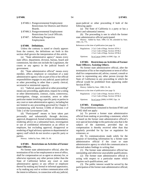- § 87406.1. Postgovernmental Employment Restrictions for Districts and District Boards.
- § 87406.3. Postgovernmental Employment Restrictions for Local Officials.
- § 87407. Influencing Prospective Employment.

# **§ 87400. Definitions.**

Unless the contrary is stated or clearly appears from the context, the definitions set forth in this section shall govern the interpretation of this article.

(a) "State administrative agency" means every state office, department, division, bureau, board and commission, but does not include the Legislature, the courts or any agency in the judicial branch of government.

(b) "State administrative official" means every member, officer, employee or consultant of a state administrative agency who as part of his or her official responsibilities engages in any judicial, quasi-judicial or other proceeding in other than a purely clerical, secretarial or ministerial capacity.

(c) "Judicial, quasi-judicial or other proceeding" means any proceeding, application, request for a ruling or other determination, contract, claim, controversy, investigation, charge, accusation, arrest or other particular matter involving a specific party or parties in any court or state administrative agency, including but not limited to any proceeding governed by Chapter 5 (commencing with Section 11500) of Division 3 of Title 2 of the Government Code.

(d) "Participated" means to have taken part personally and substantially through decision, approval, disapproval, formal written recommendation, rendering advice on a substantial basis, investigation or use of confidential information as an officer or employee, but excluding approval, disapproval or rendering of legal advisory opinions to departmental or agency staff which do not involve a specific party or parties.

History: Added by Stats. 1980, Ch. 66.

# **§ 87401. Restrictions on Activities of Former State Officers.**

No former state administrative official, after the termination of his or her employment or term of office, shall for compensation act as agent or attorney for, or otherwise represent, any other person (other than the State of California) before any court or state administrative agency or any officer or employee thereof by making any formal or informal appearance, or by making any oral or written communication with the intent to influence, in connection with any judicial,

quasi-judicial or other proceeding if both of the following apply:

(a) The State of California is a party or has a direct and substantial interest.

(b) The proceeding is one in which the former state administrative official participated.

History: Added by Stats. 1980, Ch. 66; amended by Stats. 1985, Ch. 775.

References at the time of publication (see page 3):

| Regulations: 2 Cal. Code of Regs. Section 18741.1 |
|---------------------------------------------------|
| 2 Cal. Code of Regs. Section 18746.2              |
| 2 Cal. Code of Regs. Section 18746.4              |
|                                                   |

Opinions: In re Lucas (2000) 14 FPPC Ops. 14

### **§ 87402. Restrictions on Activities of Former State Officers; Assisting Others.**

No former state administrative official, after the termination of his or her employment or term of office shall for compensation aid, advise, counsel, consult or assist in representing any other person (except the State of California) in any proceeding in which the official would be prohibited from appearing under Section 87401.

History: Added by Stats. 1980, Ch. 66.

References at the time of publication (see page 3):

|           | Regulations: 2 Cal. Code of Regs. Section 18741.1 |
|-----------|---------------------------------------------------|
|           | 2 Cal. Code of Regs. Section 18746.4              |
| Opinions: | In re Lucas (2000) 14 FPPC Ops. 14                |

#### **§ 87403. Exemptions.**

The prohibitions contained in Sections 87401 and 87402 shall not apply:

(a) To prevent a former state administrative official from making or providing a statement, which is based on the former state administrative official's own special knowledge in the particular area that is the subject of the statement, provided that no compensation is thereby received other than that regularly provided for by law or regulation for witnesses; or

(b) To communications made solely for the purpose of furnishing information by a former state administrative official if the court or state administrative agency to which the communication is directed makes findings in writing that:

(1) The former state administrative official has outstanding and otherwise unavailable qualifications;

(2) The former state administrative official is acting with respect to a particular matter which requires such qualifications; and

(3) The public interest would be served by the participation of the former state administrative official; or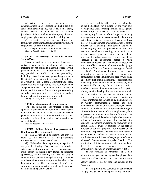(c) With respect to appearances or communications in a proceeding in which a court or state administrative agency has issued a final order, decree, decision or judgment but has retained jurisdiction if the state administrative agency of former employment gives its consent by determining that:

(1) At least five years have elapsed since the termination of the former state administrative official's employment or term of office; and

(2) The public interest would not be harmed. History: Added by Stats. 1980, Ch. 66.

# **§ 87404. Proceedings to Exclude Former State Officers.**

Upon the petition of any interested person or party, the court or the presiding or other officer, including but not limited to a hearing officer serving pursuant to Section 11512 of the Government Code, in any judicial, quasi-judicial or other proceeding, including but not limited to any proceeding pursuant to Chapter 5 (commencing with Section 11500) of Part 1 of Division 3 of Title 2 of the Government Code may, after notice and an opportunity for a hearing, exclude any person found to be in violation of this article from further participation, or from assisting or counseling any other participant, in the proceeding then pending before such court or presiding or other officer.

History: Added by Stats. 1980, Ch. 66.

# **§ 87405. Application of Requirements.**

The requirements imposed by this article shall not apply to any person who left government service prior to the effective date of this article except that any such person who returns to government service on or after the effective date of this article shall thereafter be covered thereby.

History: Added by Stats. 1980, Ch. 66.

## **§ 87406. Milton Marks Postgovernmental Employment Restrictions Act.**

(a) This section shall be known, and may be cited, as the Milton Marks Postgovernment Employment Restrictions Act of 1990.

(b) No Member of the Legislature, for a period of one year after leaving office, shall, for compensation, act as agent or attorney for, or otherwise represent, any other person by making any formal or informal appearance, or by making any oral or written communication, before the Legislature, any committee or subcommittee thereof, any present Member of the Legislature, or any officer or employee thereof, if the appearance or communication is made for the purpose of influencing legislative action.

(c) No elected state officer, other than a Member of the Legislature, for a period of one year after leaving office, shall, for compensation, act as agent or attorney for, or otherwise represent, any other person by making any formal or informal appearance, or by making any oral or written communication, before any state administrative agency, or any officer or employee thereof, if the appearance or communication is for the purpose of influencing administrative action, or influencing any action or proceeding involving the issuance, amendment, awarding, or revocation of a permit, license, grant, or contract, or the sale or purchase of goods or property. For purposes of this subdivision, an appearance before a "state administrative agency" does not include an appearance in a court of law, before an administrative law judge, or before the Workers' Compensation Appeals Board.

(d) (1) No designated employee of a state administrative agency, any officer, employee, or consultant of a state administrative agency who holds a position which entails the making, or participation in the making, of decisions which may foreseeably have a material effect on any financial interest, and no member of a state administrative agency, for a period of one year after leaving office or employment, shall, for compensation, act as agent or attorney for, or otherwise represent, any other person, by making any formal or informal appearance, or by making any oral or written communication, before any state administrative agency, or officer or employee thereof, for which he or she worked or represented during the 12 months before leaving office or employment, if the appearance or communication is made for the purpose of influencing administrative or legislative action, or influencing any action or proceeding involving the issuance, amendment, awarding, or revocation of a permit, license, grant, or contract, or the sale or purchase of goods or property. For purposes of this paragraph, an appearance before a state administrative agency does not include an appearance in a court of law, before an administrative law judge, or before the Workers' Compensation Appeals Board. The prohibition of this paragraph shall only apply to designated employees employed by a state administrative agency on or after January 7, 1991.

(2) For purposes of paragraph (1), a state administrative agency of a designated employee of the Governor's office includes any state administrative agency subject to the direction and control of the Governor.

(e) The prohibitions contained in subdivisions (b), (c), and (d) shall not apply to any individual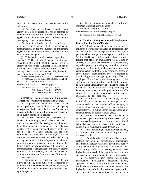(1) An officer or employee of another state agency, board, or commission if the appearance or communication is for the purpose of influencing legislative or administrative action on behalf of the state agency, board, or commission.

(2) An official holding an elective office of a local government agency if the appearance or communication is for the purpose of influencing legislative or administrative action on behalf of the local government agency.

(f) This section shall become operative on January 1, 1991, but only if Senate Constitutional Amendment No. 32 of the 1989-90 Regular Session is approved by the voters. With respect to Members of the Legislature whose current term of office on January 1, 1991, began in December 1988, this section shall not apply until January 1, 1993.

History: Added by Stats. 1990, Ch. 84; amended by Stats. 1990, Ch. 1075; amended by Stats. 1993, Ch. 230; amended by Stats. 1999, Ch. 10, effective April 15, 1999.

References at the time of publication (see page 3):

Regulations: 2 Cal. Code of Regs. Section 18746.1 2 Cal. Code of Regs. Section 18746.2 2 Cal. Code of Regs. Section 18746.4

# **§ 87406.1. Postgovernmental Employment Restrictions for Districts and District Boards.**

(a) For purposes of this section, "district" means an air pollution control district or air quality management district and "district board" means the governing body of an air pollution control district or an air quality management district.

(b) No former member of a district board, and no former officer or employee of a district who held a position which entailed the making, or participation in the making, of decisions which may foreseeably have a material effect on any financial interest, shall, for a period of one year after leaving that office or employment, act as agent or attorney for, or otherwise represent, for compensation, any other person, by making any formal or informal appearance before, or by making any oral or written communication to, that district board, or any committee, subcommittee, or present member of that district board, or any officer or employee of the district, if the appearance or communication is made for the purpose of influencing regulatory action.

(c) Subdivision (b) shall not apply to any individual who is, at the time of the appearance or communication, a board member, officer, or employee of another district or an employee or representative of a public agency.

**§ 87406.1.** 96 **§ 87406.3.** 

(d) This section applies to members and former members of district hearing boards.

History: Added by Stats. 1994, Ch. 747.

References at the time of publication (see page 3):

Regulations: 2 Cal. Code of Regs. Section 18746.2

### **§ 87406.3. Postgovernmental Employment Restrictions for Local Officials.**

(a) A local elected official, chief administrative officer of a county, city manager, or general manager or chief administrator of a special district who held a position with a local government agency as defined in Section 82041 shall not, for a period of one year after leaving that office or employment, act as agent or attorney for, or otherwise represent, for compensation, any other person, by making any formal or informal appearance before, or by making any oral or written communication to, that local government agency, or any committee, subcommittee, or present member of that local government agency, or any officer or employee of the local government agency, if the appearance or communication is made for the purpose of influencing administrative or legislative action, or influencing any action or proceeding involving the issuance, amendment, awarding, or revocation of a permit, license, grant, or contract, or the sale or purchase of goods or property.

(b) Subdivision (a) shall not apply to any individual who is, at the time of the appearance or communication, a board member, officer, or employee of another local government agency or an employee or representative of a public agency and is appearing or communicating on behalf of that agency.

(c) Nothing in this section shall preclude a local government agency from adopting an ordinance or policy that restricts the appearance of a former local official before that local government agency if that ordinance or policy is more restrictive than subdivision (a).

(d) Notwithstanding Sections 82002 and 82037, the following definitions shall apply for purposes of this section only:

(1) "Administrative action" means the proposal, drafting, development, consideration, amendment, enactment, or defeat by any local government agency of any matter, including any rule, regulation, or other action in any regulatory proceeding, whether quasilegislative or quasi-judicial. Administrative action does not include any action that is solely ministerial.

(2) "Legislative action" means the drafting, introduction, modification, enactment, defeat, approval, or veto of any ordinance, amendment, resolution, report, nomination, or other matter by the legislative body of a local government agency or by any committee or subcommittee thereof, or by a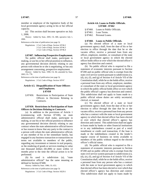member or employee of the legislative body of the local government agency acting in his or her official capacity.

(e) This section shall become operative on July 1, 2006.

History: Added by Stats. 2005, Ch. 680, operative July 1, 2006.

References at the time of publication (see page 3):

Regulations: 2 Cal. Code of Regs. Section 18746.2 2 Cal. Code of Regs. Section 18746.3 2 Cal. Code of Regs. Section 18746.4

### **§ 87407. Influencing Prospective Employment.**

No public official shall make, participate in making, or use his or her official position to influence, any governmental decision directly relating to any person with whom he or she is negotiating, or has any arrangement concerning, prospective employment.

History: Added by Stats. 1990, Ch. 84; amended by Stats. 2003, Ch. 778.

References at the time of publication (see page 3):

Regulations: 2 Cal. Code of Regs. Section 18747

# **Article 4.5. Disqualification of State Officers and Employees. § 87450**

§ 87450. Restrictions in Participation of State Officers in Decisions Relating to Contracts.

# **§ 87450. Restrictions in Participation of State Officers in Decisions Relating to Contracts.**

(a) In addition to the provisions of Article 1 (commencing with Section 87100), no state administrative official shall make, participate in making, or use his or her official position to influence any governmental decision directly relating to any contract where the state administrative official knows or has reason to know that any party to the contract is a person with whom the state administrative official, or any member of his or her immediate family, has engaged in any business transaction or transactions on terms not available to members of the public, regarding any investment or interest in real property, or the rendering of goods or services totaling in value one thousand dollars (\$1,000) or more within 12 months prior to the time the official action is to be performed.

(b) As used is subdivision (a), "state administrative official" has the same meaning as defined in Section 87400.

History: Added by Stats. 1986, Ch. 653.

References at the time of publication (see page 3):

Regulations: 2 Cal. Code of Regs. Section 18229.1

### **Article 4.6. Loans to Public Officials. § 87460 - 87462**

§ 87461. Loan Terms.

§ 87462. Personal Loans.

#### **§ 87460. Loans to Public Officials.**

(a) No elected officer of a state or local government agency shall, from the date of his or her election to office through the date that he or she vacates office, receive a personal loan from any officer, employee, member, or consultant of the state or local government agency in which the elected officer holds office or over which the elected officer's agency has direction and control.

(b) No public official who is required to file a statement of economic interests pursuant to Section 87200 and no public official who is exempt from the state civil service system pursuant to subdivisions (c), (d), (e), (f), and (g) of Section 4 of Article VII of the Constitution shall, while he or she holds office, receive a personal loan from any officer, employee, member, or consultant of the state or local government agency in which the public official holds office or over which the public official's agency has direction and control. This subdivision shall not apply to loans made to a public official whose duties are solely secretarial, clerical, or manual.

(c) No elected officer of a state or local government agency shall, from the date of his or her election to office through the date that he or she vacates office, receive a personal loan from any person who has a contract with the state or local government agency to which that elected officer has been elected or over which that elected officer's agency has direction and control. This subdivision shall not apply to loans made by banks or other financial institutions or to any indebtedness created as part of a retail installment or credit card transaction, if the loan is made or the indebtedness created in the lender's regular course of business on terms available to members of the public without regard to the elected officer's official status.

(d) No public official who is required to file a statement of economic interests pursuant to Section 87200 and no public official who is exempt from the state civil service system pursuant to subdivisions (c), (d), (e), (f), and (g) of Section 4 of Article VII of the Constitution shall, while he or she holds office, receive a personal loan from any person who has a contract with the state or local government agency to which that elected officer has been elected or over which that elected officer's agency has direction and control. This subdivision shall not apply to loans made by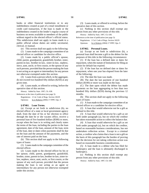banks or other financial institutions or to any indebtedness created as part of a retail installment or credit card transaction, if the loan is made or the indebtedness created in the lender's regular course of business on terms available to members of the public without regard to the elected officer's official status. This subdivision shall not apply to loans made to a public official whose duties are solely secretarial, clerical, or manual.

(e) This section shall not apply to the following:

(1) Loans made to the campaign committee of an elected officer or candidate for elective office.

(2) Loans made by a public official's spouse, child, parent, grandparent, grandchild, brother, sister, parent-in-law, brother-in-law, sister-in-law, nephew, niece, aunt, uncle, or first cousin, or the spouse of any such persons, provided that the person making the loan is not acting as an agent or intermediary for any person not otherwise exempted under this section.

(3) Loans from a person which, in the aggregate, do not exceed two hundred fifty dollars (\$250) at any given time.

(4) Loans made, or offered in writing, before the operative date of this section.

History: Added by Stats. 1997, Ch. 638.

References at the time of publication (see page 3):

Regulations: 2 Cal. Code of Regs. Section 18229 Opinions: In re Roberts (2004) 17 FPPC Ops. 9

#### **§ 87461. Loan Terms.**

(a) Except as set forth in subdivision (b), no elected officer of a state or local government agency shall, from the date of his or her election to office through the date he or she vacates office, receive a personal loan of five hundred dollars (\$500) or more, except when the loan is in writing and clearly states the terms of the loan, including the parties to the loan agreement, date of the loan, amount of the loan, term of the loan, date or dates when payments shall be due on the loan and the amount of the payments, and the rate of interest paid on the loan.

(b) This section shall not apply to the following types of loans:

(1) Loans made to the campaign committee of the elected officer.

(2) Loans made to the elected officer by his or her spouse, child, parent, grandparent, grandchild, brother, sister, parent-in-law, brother-in-law, sister-inlaw, nephew, niece, aunt, uncle, or first cousin, or the spouse of any such person, provided that the person making the loan is not acting as an agent or intermediary for any person not otherwise exempted under this section.

(3) Loans made, or offered in writing, before the operative date of this section.

(c) Nothing in this section shall exempt any person from any other provisions of this title.

History: Added by Stats. 1997, Ch. 638.

References at the time of publication (see page 3):

Regulations: 2 Cal. Code of Regs. Section 18229 Opinions: In re Roberts (2004) 17 FPPC Ops. 9

#### **§ 87462. Personal Loans.**

(a) Except as set forth in subdivision (b), a personal loan shall become a gift to the debtor for the purposes of this title in the following circumstances:

(1) If the loan has a defined date or dates for repayment, when the statute of limitations for filing an action for default has expired.

(2) If the loan has no defined date or dates for repayment, when one year has elapsed from the later of the following:

(A) The date the loan was made.

(B) The date the last payment of one hundred dollars (\$100) or more was made on the loan.

(C) The date upon which the debtor has made payments on the loan aggregating to less than two hundred fifty dollars (\$250) during the previous 12 months.

(b) This section shall not apply to the following types of loans:

(1) A loan made to the campaign committee of an elected officer or a candidate for elective office.

(2) A loan that would otherwise not be a gift as defined in this title.

(3) A loan that would otherwise be a gift as set forth under paragraph (a), but on which the creditor has taken reasonable action to collect the balance due.

(4) A loan that would otherwise be a gift as set forth under paragraph (a), but on which the creditor, based on reasonable business considerations, has not undertaken collection action. Except in a criminal action, a creditor who claims that a loan is not a gift on the basis of this paragraph has the burden of proving that the decision for not taking collection action was based on reasonable business considerations.

(5) A loan made to a debtor who has filed for bankruptcy and the loan is ultimately discharged in bankruptcy.

(c) Nothing in this section shall exempt any person from any other provisions of this title.

History: Added by Stats. 1997, Ch. 638.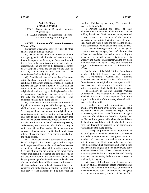# **Article 5. Filing. § 87500 – § 87500.1**

- § 87500. Statements of Economic Interests-Where to File.
- § 87500.1. Statements of Economic Interests-Electronic Filing; Pilot Program.

# **§ 87500. Statements of Economic Interests – Where to File.**

Statements of economic interests required by this chapter shall be filed as follows:

(a) Statewide elected officer – one original with the agency, which shall make and retain a copy, forward a copy to the Secretary of State, and forward the original to the commission, which shall retain the original and send one copy to the Registrar-Recorder of Los Angeles County and one copy to the Clerk of the City and County of San Francisco. The commission shall be the filing officer.

(b) Candidates for statewide elective office – one original and one copy with the person with whom the candidate's declaration of candidacy is filed, who shall forward the copy to the Secretary of State and the original to the commission, which shall retain the original and send one copy to the Registrar-Recorder of Los Angeles County and one copy to the Clerk of the City and County of San Francisco. The commission shall be the filing officer.

(c) Members of the Legislature and Board of Equalization – one original with the agency, which shall make and retain a copy, forward a copy to the Secretary of State, and forward the original to the commission, which shall retain the original and send one copy to the elections official of the county that contains the largest percentage of registered voters in the election district that the officeholder represents, and one copy to the elections official of the county in which the officeholder resides. No more than one copy of each statement need be filed with the elections official of any one county. The commission shall be the filing officer.

(d) Candidates for the Legislature or the State Board of Equalization – one original and one copy with the person with whom the candidate's declaration of candidacy is filed, who shall forward the copy to the Secretary of State and the original to the commission, which shall retain the original and send one copy to the elections official of the county that contains the largest percentage of registered voters in the election district in which the candidate seeks nomination or election, and one copy to the elections official of the county in which the candidate resides. No more than one copy of each statement need be filed with the elections official of any one county. The commission shall be the filing officer.

(e) Persons holding the office of chief administrative officer and candidates for and persons holding the office of district attorney, county counsel, county treasurer, and member of the board of supervisors – one original with the county clerk, who shall make and retain a copy and forward the original to the commission, which shall be the filing officer.

(f) Persons holding the office of city manager or, if there is no city manager, the chief administrative officer, and candidates for and persons holding the office of city council member, city treasurer, city attorney, and mayor – one original with the city clerk, who shall make and retain a copy and forward the original to the commission, which shall be the filing officer.

(g) Members of the Public Utilities Commission, members of the State Energy Resources Conservation and Development Commission, planning commissioners, and members of the California Coastal Commission – one original with the agency, which shall make and retain a copy and forward the original to the commission, which shall be the filing officer.

(h) Members of the Fair Political Practices Commission – one original with the commission, which shall make and retain a copy and forward the original to the office of the Attorney General, which shall be the filing officer.

(i) Judges and court commissioners – one original with the clerk of the court, who shall make and retain a copy and forward the original to the commission, which shall be the filing officer. Original statements of candidates for the office of judge shall be filed with the person with whom the candidate's declaration of candidacy is filed, who shall retain a copy and forward the original to the commission, which shall be the filing officer.

(j) Except as provided for in subdivision (k), heads of agencies, members of boards or commissions not under a department of state government, and members of boards or commissions not under the jurisdiction of a local legislative body – one original with the agency, which shall make and retain a copy and forward the original to the code reviewing body, which shall be the filing officer. The code reviewing body may provide that the original be filed directly with the code reviewing body and that no copy be retained by the agency.

(k) Heads of local government agencies and members of local government boards or commissions, for which the Fair Political Practices Commission is the code reviewing body – one original to the agency or board or commission, which shall be the filing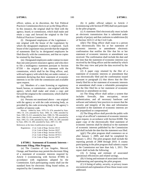officer, unless, at its discretion, the Fair Political Practices Commission elects to act as the filing officer. In this instance, the original shall be filed with the agency, board, or commission, which shall make and retain a copy and forward the original to the Fair Political Practices Commission.

(l) Designated employees of the Legislature – one original with the house of the Legislature by which the designated employee is employed. Each house of the Legislature may provide that the originals of statements filed by its designated employees be filed directly with the commission, and that no copies be retained by that house.

(m) Designated employees under contract to more than one joint powers insurance agency and who elect to file a multiagency statement pursuant to Section 87350 – the original of the statement with the commission, which shall be the filing officer, and, with each agency with which they are under contract, a statement declaring that their statement of economic interests is on file with the commission and available upon request.

(n) Members of a state licensing or regulatory board, bureau, or commission – one original with the agency, which shall make and retain a copy and forward the original to the commission, which shall be the filing officer.

(o) Persons not mentioned above – one original with the agency or with the code reviewing body, as provided by the code reviewing body in the agency's conflict of interest code.

History: Added by Stats. 1979, Ch. 674; amended by Stats. 1983, Ch. 214; amended by Stats. 1984, Ch. 1368; amended by Stats. 1985, Ch. 611; amended by Stats. 1988, Ch. 708; amended by Stats. 1990, Ch. 69; amended by Stats. 1992, Ch. 405; amended by Stats. 1993, Ch. 1140; amended by Stats. 1996, Ch. 289; amended by Stats. 2005, Ch. 200; amended by Stats. 2007, Ch. 348.

References at the time of publication (see page 3):

```
Regulations: 2 Cal. Code of Regs. Section 18115 
             2 Cal. Code of Regs. Section 18227 
             2 Cal. Code of Regs. Section 18732.5
             2 Cal. Code of Regs. Section 18735.5
             2 Cal. Code of Regs. Section 18753
```
# **§ 87500.1. Statements of Economic Interests – Electronic Filing; Pilot Program.**

(a) The Counties of Los Angeles, Merced, Orange, and Stanislaus may permit the electronic filing of a statement of economic interests required by Article 3 (commencing with Section 87300) in accordance with regulations adopted by the Commission. Each participating county shall use the standard form for electronic filing found online, as required by the Commission.

(b) A public official subject to Article 2 (commencing with Section 87200) shall not participate in the pilot program.

(c) A statement filed electronically must include an electronic transmission that is submitted under penalty of perjury and that conforms to subdivision (b) of Section 1633.11 of the Civil Code.

 $(d)(1)$  The filing officer shall issue to a person who electronically files his or her statement of economic interests or amendment electronic confirmation that notifies the filer that his or her statement of economic interests or amendment was received. The confirmation shall include the date and the time that the statement of economic interests was received by the filing officer and the method by which the filer may view and print the data received by the filing officer.

(2) A paper copy retained by the filer of a statement of economic interests or amendment that was electronically filed and the confirmation issued pursuant to paragraph (1) that shows that the filer timely filed his or her statement of economic interests or amendment shall create a rebuttable presumption that the filer filed his or her statement of economic interests or amendment on time.

(e) The filing officer shall utilize a system that includes firewalls, data encryption, secure authentication, and all necessary hardware and software and industry best practices to ensure that the security and integrity of the data and information contained in the statement of economic interests are not jeopardized or compromised.

(f) The filing officer shall provide the public with a copy of an official's statement of economic interests upon request, in accordance with Section 81008. The paper copy of the electronically filed statement of economic interests shall be identical to the statement of economic interests published by the Commission and shall include the date that the statement was filed.

 $(g)(1)$  The pilot program shall commence on or after January 1, 2009, and shall be completed by January 1, 2012. The pilot program shall include the reporting periods of 2008 through 2010. A county participating in the pilot program shall submit a report to the Commission not later than July 1, 2011. The report shall include the following:

(A) A listing and estimate of associated operational efficiencies and related savings.

(B) A listing and estimate of associated costs from implementing and operating the pilot program.

(C) A listing of safety, security, or privacy issues encountered and explanation of how those issues were addressed.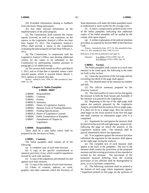(D) Available information relating to feedback from electronic filing participants.

(E) Any other relevant information on the implementation of the pilot program.

(2) The Commission shall transmit the county reports received, as well as any comments on the reports, to the Legislative Analyst's Office not later than August 15, 2011. The Legislative Analyst's Office shall provide a report to the Legislature evaluating the pilot program not later than February 1, 2012.

(h) The Commission, in conjunction with the Legislative Analyst's Office, may develop additional criteria for the report to be submitted to the Commission by participating counties pursuant to paragraph (1) of subdivision (g).

(i) This section shall remain in effect until March 1, 2012, and as of that date is repealed, unless a later enacted statute, which is enacted before March 1, 2012, deletes or extends that date.

History: Added by Stats. 2008, Ch. 498; amended by Stats. 2009, Ch. 139.

### **Chapter 8. Ballot Pamphlet. § 88000 - 88007**

- § 88000. Responsibility.
- § 88001. Contents.
- § 88002. Format.
- § 88002.5. Summary.
- § 88003. Duties of Legislative Analyst.
- § 88004. Manner, Form of Printing Measures.
- § 88005. Printing Specifications.
- § 88005.5. Duties of Legislative Counsel.
- § 88006. Public Examination of Pamphlet.
- § 88007. Amendment of Chapter by Legislature.

#### **§ 88000. Responsibility.**

There shall be a state ballot which shall be prepared by the Secretary of State.

#### **§ 88001. Contents.**

The ballot pamphlet shall contain all of the following:

(a) A complete copy of each state measure.

(b) A copy of the specific constitutional or statutory provision, if any, which would be repealed or revised by each state measure.

(c) A copy of the arguments and rebuttals for and against each state measure.

(d) A copy of the analysis of each state measure.

(e) Tables of contents, indexes, art work, graphics and other materials which the Secretary of State determines will make the ballot pamphlet easier to understand or more useful for the average voter.

(f) A notice, conspicuously printed on the cover of the ballot pamphlet, indicating that additional copies of the ballot pamphlet will be mailed by the county clerk upon request.

(g) A written explanation of the judicial retention procedure as required by Section 9083 of the Elections Code.

History: Amended by Stats. 1977, Ch. 520; amended by Stats. 1991, Ch. 491; amended by Stats. 1994, Ch. 923.

References at the time of publication (see page 3):

Opinions: In re Miller (1978) 4 FPPC Ops. 26 In re Bunyan (1976) 2 FPPC Ops. 10

#### **§ 88002. Format.**

The ballot pamphlet shall contain as to each state measure to be voted upon, the following in the order set forth in this section:

(a) Upon the top portion of the first page and not exceeding one-third of the page shall appear:

(1) The identification of the measure by number and title.

(2) The official summary prepared by the Attorney General.

(3) The total number of votes cast for and against the measure in both the State Senate and Assembly if the measure was passed by the Legislature.

(b) Beginning at the top of the right page shall appear the analysis prepared by the Legislative Analyst, provided that the analysis fits on single page. If it does not fit on a single page, then the analysis shall begin on the lower portion of the first left page and shall continue on subsequent pages until it is completed.

(c) Arguments for and against the measure shall be placed on the next left and right pages, respectively, following the page on which the analysis of the Legislative Analyst ends. The rebuttals shall be placed immediately below the arguments.

(d) If no argument against the measure has been submitted, the argument for the measure shall appear on the right page facing the analysis.

(e) The complete text of each measure shall appear at the back of the pamphlet. The text of the measure shall contain the provisions of the proposed measure and the existing provisions of law repealed or revised by the measure. The provisions of the proposed measure differing from the existing provisions of law affected shall be distinguished in print, so as to facilitate comparison.

(f) The following statement shall be printed at the bottom of each page where arguments appear: "Arguments printed on this page are the opinions of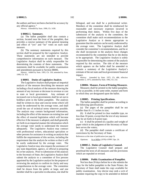the authors and have not been checked for accuracy by any official agency."

History: Amended by Stats. 1990, Ch. 1430.

#### **§ 88002.5. Summary.**

(a) The ballot pamphlet shall also contain a section, located near the front of the pamphlet, that provides a concise summary of the general meaning and effect of "yes" and "no" votes on each state measure.

(b) The summary statements required by this section shall be prepared by the Legislative Analyst. These statements are not intended to provide comprehensive information on each measure. The Legislative Analyst shall be solely responsible for determining the contents of these statements. The statements shall be available for public examination and amendment pursuant to Section 88006.

History: Added by Stats. 1993, Ch. 156; amended by Stats. 1999, Ch. 312.

### **§ 88003. Duties of Legislative Analyst.**

The Legislative Analyst shall prepare an impartial analysis of the measure describing the measure and including a fiscal analysis of the measure showing the amount of any increase or decrease in revenue or cost to state or local government. Any estimate of increased cost to local governments shall be set out in boldface print in the ballot pamphlet. The analysis shall be written in clear and concise terms which will easily be understood by the average voter, and shall avoid the use of technical terms wherever possible. The analysis may contain background information, including the effect of the measure on existing law and the effect of enacted legislation which will become effective if the measure is adopted, and shall generally set forth in an impartial manner the information which the average voter needs to understand the measure adequately. The Legislative Analyst may contract with professional writers, educational specialists or other persons for assistance in writing an analysis that fulfills the requirements of this section, including the requirement that the analysis be written so that it will be easily understood by the average voter. The Legislative Analyst may also request the assistance of any state department, agency, or official in preparing his or her analysis. Prior to submission of the analysis to the Secretary of State, the Legislative Analyst shall submit the analysis to a committee of five persons appointed by the Legislative analyst for the purpose of reviewing the analysis to confirm its clarity and easy comprehension to the average voter. The committee shall be drawn from the public at large, and one member shall be a specialist in education, one shall be bilingual, and one shall be a professional writer. Members of the committee shall be reimbursed for reasonable and necessary expenses incurred in performing their duties. Within five days of the submission of the analysis to the committee, the committee shall make such recommendations to the Legislative Analyst as it deems appropriate to guarantee that the analysis can be easily understood by the average voter. The Legislative Analyst shall consider the committee's recommendations, and he or she shall incorporate in the analysis those changes recommended by the committee that he or she deems to be appropriate. The Legislative Analyst is solely responsible for determining the content of the analysis required by this section. The title of the measure which appears on the ballot shall be amended to contain a summary of the Legislative Analyst's estimate of the net state and local government financial impact.

History: Amended by Stats. 1975, Ch. 486, effective September 2, 1975; amended by Stats. 1992, Ch. 232.

#### **§ 88004. Manner, Form of Printing Measures**.

Measures shall be printed in the ballot pamphlet, so far as possible, in the same order, manner and form in which they are designated upon the ballot.

#### **§ 88005. Printing Specifications.**

The ballot pamphlet shall be printed according to the following specifications:

(a) The pages of the pamphlet shall be not smaller than  $8 \times 11$  inches in size;

(b) It shall be printed in clear readable type, no less than 10-point, except that the text of any measure may be set forth in 8-point type;

(c) It shall be printed on a quality and weight of paper which in the judgment of the Secretary of State best serves the voters;

(d) The pamphlet shall contain a certificate of correctness by the Secretary of State.

References at the time of publication (see page 3):

Opinions: In re Miller (1978) 4 FPPC Ops. 26.

#### **§ 88005.5. Duties of Legislative Counsel.**

The Legislative Counsel shall prepare and proofread the texts of all measures and the provisions which are repealed or revised.

#### **§ 88006. Public Examination of Pamphlet.**

Not less than 20 days before he or she submits the copy for the ballot pamphlet to the State Printer, the Secretary of State shall make the copy available for public examination. Any elector may seek a writ of mandate requiring the copy to be amended or deleted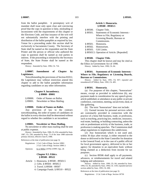from the ballot pamphlet. A peremptory writ of mandate shall issue only upon clear and convincing proof that the copy in question is false, misleading or inconsistent with the requirements of this chapter or the Elections Code, and that issuance of the writ will not substantially interfere with the printing and distribution of the ballot pamphlet as required by law. Venue for a proceeding under this section shall be exclusively in Sacramento County. The Secretary of State shall be named as the respondent and the State Printer and the person or official who authored the copy in question shall be named as real parties in interest. If the proceeding is initiated by the Secretary of State, the State Printer shall be named as the respondent.

History: Amended by Stats. 1996, Ch. 724.

# **§ 88007. Amendment of Chapter by Legislature.**

Notwithstanding the provisions of Section 81012, the Legislature may without restriction amend this chapter to add to the ballot pamphlet information regarding candidates or any other information.

# **Chapter 9. Incumbency. § 89000 - 89001**

| \$89000. | Order of Names on Ballot.   |
|----------|-----------------------------|
| \$89001. | Newsletter or Mass Mailing. |

# **§ 89000. Order of Names on Ballot.**

Any provision of law to the contrary notwithstanding, the order of names of candidates on the ballot in every election shall be determined without regard to whether the candidate is an incumbent.

#### **§ 89001. Newsletter or Mass Mailing.**

No newsletter or other mass mailing shall be sent at public expense.

History: Amended by Stats. 1986, Ch. 654; amended by Stats. 1987, Ch. 230; amended by Prop. 73 of the June 1988 statewide primary election, effective June 8, 1988.

References at the time of publication (see page 3):

| Regulations: 2 Cal. Code of Regs. Section 18901 |
|-------------------------------------------------|
| 2 Cal. Code of Regs. Section 18901.1            |

Opinions: In re Miller (1978) 4 FPPC Ops. 26

# **Chapter 9.5. Ethics. § 89500 - 89522**

Article 1. Honoraria. § 89500 - 89503.5

- 2. Gifts. § 89504 89505.5
- 3. Travel. § 89506 89507
- 4. Campaign Funds. § 89510 89522

# **Article 1. Honoraria. § 89500 - 89503.5**

|  | § 89500. Chapter Title.                     |
|--|---------------------------------------------|
|  | § 89501. Statements of Economic Interests - |
|  | Where to File; Regulatory or                |
|  | Licensing Boards, Bureaus or                |
|  | Commissions.                                |
|  | § 89501. Honoraria.                         |
|  | § 89502. Honorarium.                        |
|  | § 89503. Gift Limits.                       |
|  | § 89503.5. Operation of Article. [Repealed] |

### **§ 89500. Chapter Title.**

This chapter shall be known and may be cited as the Ethics in Government Act of 1990.

History: Added by Stats. 1990, Ch. 84.

# **§ 89501. Statements of Economic Interests - Where to File; Regulatory or Licensing Boards, Bureaus or Commissions.**

History: Added by Stats. 1991, Ch. 857; repealed and renumbered § 87500(n), Stats. 1992, Ch. 405.

#### **§ 89501. Honoraria.**

(a) For purposes of this chapter, "honorarium" means, except as provided in subdivision (b), any payment made in consideration for any speech given, article published, or attendance at any public or private conference, convention, meeting, social event, meal, or like gathering.

(b) The term "honorarium" does not include:

(1) Earned income for personal services which are customarily provided in connection with the practice of a bona fide business, trade, or profession, such as teaching, practicing law, medicine, insurance, real estate, banking, or building contracting, unless the sole or predominant activity of the business, trade, or profession is making speeches. The Commission shall adopt regulations to implement this subdivision.

(2) Any honorarium which is not used and, within 30 days after receipt, is either returned to the donor or delivered to the State Controller for donation to the General Fund, or in the case of a public official for local government agency, delivered to his or her agency for donation to an equivalent fund, without being claimed as a deduction from income for tax purposes.

(c) Section 89506 shall apply to all payments, advances, or reimbursements for travel and related lodging and subsistence.

History: Added by Stats. 1990, Ch. 84; amended by Stats. 1994, Ch. 36; amended by Stats. 1994, Ch. 1105; repealed and new section added by Stats. 1995, Ch. 690.

References at the time of publication (see page 3):

Regulations: 2 Cal. Code of Regs. Section 18730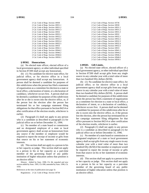| 2 Cal. Code of Regs. Section 18930   |
|--------------------------------------|
| 2 Cal. Code of Regs. Section 18931.1 |
| 2 Cal. Code of Regs. Section 18931.2 |
| 2 Cal. Code of Regs. Section 18931.3 |
| 2 Cal. Code of Regs. Section 18932   |
| 2 Cal. Code of Regs. Section 18932.1 |
| 2 Cal. Code of Regs. Section 18932.2 |
| 2 Cal. Code of Regs. Section 18932.3 |
| 2 Cal. Code of Regs. Section 18932.4 |
| 2 Cal. Code of Regs. Section 18932.5 |
| 2 Cal. Code of Regs. Section 18933   |
| 2 Cal. Code of Regs. Section 18941.1 |
| 2 Cal. Code of Regs. Section 18944.2 |
| 2 Cal. Code of Regs. Section 18946.2 |
| 2 Cal. Code of Regs. Section 18946.6 |
| 2 Cal. Code of Regs. Section 18950.1 |

#### **§ 89502. Honorarium.**

(a) No elected state officer, elected officer of a local government agency, or other individual specified in Section 87200 shall accept any honorarium.

(b) (1) No candidate for elective state office, for judicial office, or for elective office in a local government agency shall accept any honorarium. A person shall be deemed a candidate for purposes of this subdivision when the person has filed a statement of organization as a committee for election to a state or local office, a declaration of intent, or a declaration of candidacy, whichever occurs first. A person shall not be deemed a candidate for purposes of this subdivision after he or she is sworn into the elective office, or, if the person lost the election after the person has terminated his or her campaign statement filing obligations for that office pursuant to Section 84214 or after certification of the election results, whichever is earlier.

(2) Paragraph (1) shall not apply to any person who is a candidate as described in paragraph (1) for judicial office on or before December 31, 1996.

(c) No member of a state board or commission and no designated employee of a state or local government agency shall accept an honorarium from any source if the member or employee would be required to report the receipt of income or gifts from that source on his or her statement of economic interests.

(d) This section shall not apply to a person in his or her capacity as judge. This section shall not apply to a person in his or her capacity as a part-time member of the governing board of any public institution of higher education unless that position is an elective office.

History: Added by Stats. 1990, Ch. 84; repealed and new section added by Stats. 1995, Ch. 690; amended by Stats. 1996, Ch. 1056.

References at the time of publication (see page 3):

Regulations: 2 Cal. Code of Regs. Section 18730

2 Cal. Code of Regs. Section 18736 2 Cal. Code of Regs. Section 18930 2 Cal. Code of Regs. Section 18931.1 2 Cal. Code of Regs. Section 18931.2 2 Cal. Code of Regs. Section 18931.3 2 Cal. Code of Regs. Section 18932 2 Cal. Code of Regs. Section 18932.1 2 Cal. Code of Regs. Section 18932.2 2 Cal. Code of Regs. Section 18932.3 2 Cal. Code of Regs. Section 18932.4 2 Cal. Code of Regs. Section 18932.5 2 Cal. Code of Regs. Section 18933 2 Cal. Code of Regs. Section 18941.1 2 Cal. Code of Regs. Section 18944.2 2 Cal. Code of Regs. Section 18946.2 2 Cal. Code of Regs. Section 18946.6

# 2 Cal. Code of Regs. Section 18950.1

# **§ 89503. Gift Limits.**

(a) No elected state officer, elected officer of a local government agency, or other individual specified in Section 87200 shall accept gifts from any single source in any calendar year with a total value of more than two hundred fifty dollars (\$250).

(b) (1) No candidate for elective state office, for judicial office, or for elective office in a local government agency shall accept gifts from any single source in any calendar year with a total value of more than two hundred fifty dollars (\$250). A person shall be deemed a candidate for purposes of this subdivision when the person has filed a statement of organization as a committee for election to a state or local office, a declaration of intent, or a declaration of candidacy, whichever occurs first. A person shall not be deemed a candidate for purposes of this subdivision after he or she is sworn into the elective office, or, if the person lost the election, after the person has terminated his or her campaign statement filing obligations for that office pursuant to Section 84214 or after certification of the election results, whichever is earlier.

(2) Paragraph (1) shall not apply to any person who is a candidate as described in paragraph (1) for judicial office on or before December 31, 1996.

(c) No member of a state board or commission or designated employee of a state or local government agency shall accept gifts from any single source in any calendar year with a total value of more than two hundred fifty (\$250) if the member or employee would be required to report the receipt of income or gifts from that source on his or her statement of economic interests.

(d) This section shall not apply to a person in his or her capacity as judge. This section shall not apply to a person in his or her capacity as a part-time member of the governing board of any public institution of higher education unless that position is an elective office.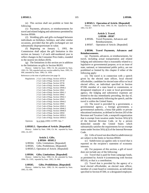(e) This section shall not prohibit or limit the following:

(1) Payments, advances, or reimbursements for travel and related lodging and subsistence permitted by Section 89506.

(2) Wedding gifts and gifts exchanged between individuals on birthdays, holidays, and other similar occasions, provided that the gifts exchanged are not substantially disproportionate in value.

(f) Beginning on January 1, 1993, the Commission shall adjust the gift limitation in this section on January 1 of each odd-numbered year to reflect changes in the Consumer Price Index, rounded to the nearest ten dollars (\$10).

(g) The limitations in this section are in addition to the limitations on gifts in Section 86203.

History: Added by Stats. 1990, Ch. 84; amended by Stats. 1993, Ch. 769; repealed and new section added by Stats. 1995, Ch. 690; amended by Stats. 1996, Ch. 1056.

References at the time of publication (see page 3):

Regulations: 2 Cal. Code of Regs. Section 18703.4 2 Cal. Code of Regs. Section 18730 2 Cal. Code of Regs. Section 18736 2 Cal. Code of Regs. Section 18940 2 Cal. Code of Regs. Section 18940.2 2 Cal. Code of Regs. Section 18941 2 Cal. Code of Regs. Section 18941.1 2 Cal. Code of Regs. Section 18942 2 Cal. Code of Regs. Section 18942.1 2 Cal. Code of Regs. Section 18943 2 Cal. Code of Regs. Section 18944.2 2 Cal. Code of Regs. Section 18945 2 Cal. Code of Regs. Section 18945.1 2 Cal. Code of Regs. Section 18946.2 2 Cal. Code of Regs. Section 18946.6 2 Cal. Code of Regs. Section 18950 2 Cal. Code of Regs. Section 18950.1 2 Cal. Code of Regs. Section 18950.3

Opinions: In re Solis (2000) 14 FPPC Ops. 7

#### **§ 89503.5. Operation of Article. [Repealed]**

History: Added by Stats. 1990, Ch. 84; repealed by Stats. 1991, Ch. 857.

#### **Article 2. Gifts. § 89504 - 89505.5**

|  | § 89504. Gifts; Limitations. [Repealed]     |
|--|---------------------------------------------|
|  | § 89505. Gifts; Prohibitions. [Repealed]    |
|  | § 89505.5. Operation of Article. [Repealed] |

#### **§ 89504. Gifts; Limitations. [Repealed]**

History: Added by Stats. 1990, Ch. 84; amended by Stats. 1994, Ch. 1105; repealed by Stats. 1995, Ch. 690.

### **§ 89505. Gifts; Prohibitions. [Repealed]**

History: Added by Stats. 1990, Ch. 84; repealed by Stats. 1995, Ch. 690.

History: Added by Stats. 1990, Ch. 84; repealed by Stats. 1991, Ch. 857.

# **Article 3. Travel.**

# **§ 89506 - 89507** § 89506. Travel Payments, Advances and Reimbursements.

§ 89507. Operation of Article. [Repealed]

# **§ 89506. Travel Payments, Advances and Reimbursements.**

(a) Payments, advances, or reimbursements, for travel, including actual transportation and related lodging and subsistence that is reasonably related to a legislative or governmental purpose, or to an issue of state, national, or international public policy, are not prohibited or limited by this chapter if either of the following apply:

(1) The travel is in connection with a speech given by the elected state officer, local elected officeholder, candidate for elected state office or local elected office, an individual specified in Section 87200, member of a state board or commission, or designated employee of a state or local government agency, the lodging and subsistence expenses are limited to the day immediately preceding, the day of, and the day immediately following the speech, and the travel is within the United States.

(2) The travel is provided by a government, a governmental agency, a foreign government, a governmental authority, a bona fide public or private educational institution, as defined in Section 203 of the Revenue and Taxation Code, a nonprofit organization that is exempt from taxation under Section  $501(c)(3)$ of the Internal Revenue Code, or by a person domiciled outside the United States which substantially satisfies the requirements for tax-exempt status under Section 501(c)(3) of the Internal Revenue Code.

(b) Gifts of travel not described in subdivision (a) are subject to the limits in Section 89503.

(c) Subdivision (a) applies only to travel that is reported on the recipient's statement of economic interests.

(d) For purposes of this section, a gift of travel does not include any of the following:

(1) Travel that is paid for from campaign funds, as permitted by Article 4 (commencing with Section 89510), or that is a contribution.

(2) Travel that is provided by the agency of a local elected officeholder, an elected state officer, member of a state board or commission, an individual specified in Section 87200, or a designated employee.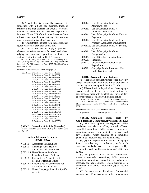(3) Travel that is reasonably necessary in connection with a bona fide business, trade, or profession and that satisfies the criteria for federal income tax deduction for business expenses in Sections 162 and 274 of the Internal Revenue Code, unless the sole or predominant activity of the business, trade, or profession is making speeches.

(4) Travel that is excluded from the definition of a gift by any other provision of this title.

(e) This section does not apply to payments, advances, or reimbursements for travel and related lodging and subsistence permitted or limited by Section 170.9 of the Code of Civil Procedure.

History: Added by Stats. 1990, Ch. 84; amended by Stats. 1991, Ch. 674; amended by Stats. 1994, Ch. 1105; amended by Stats. 1995, Ch. 690; amended by Stats. 1997, Ch. 455, effective September 24, 1997.

References at the time of publication (see page 3):

Regulations: 2 Cal. Code of Regs. Section 18930 2 Cal. Code of Regs. Section 18931.1 2 Cal. Code of Regs. Section 18931.2 2 Cal. Code of Regs. Section 18931.3 2 Cal. Code of Regs. Section 18932 2 Cal. Code of Regs. Section 18932.1 2 Cal. Code of Regs. Section 18932.2 2 Cal. Code of Regs. Section 18932.3 2 Cal. Code of Regs. Section 18932.4 2 Cal. Code of Regs. Section 18932.5 2 Cal. Code of Regs. Section 18933 2 Cal. Code of Regs. Section 18940 2 Cal. Code of Regs. Section 18940.2 2 Cal. Code of Regs. Section 18941 2 Cal. Code of Regs. Section 18941.1 2 Cal. Code of Regs. Section 18944.2 2 Cal. Code of Regs. Section 18945.1 2 Cal. Code of Regs. Section 18946.2 2 Cal. Code of Regs. Section 18946.6 2 Cal. Code of Regs. Section 18950 2 Cal. Code of Regs. Section 18950.1 2 Cal. Code of Regs. Section 18950.3

#### **§ 89507. Operation of Article. [Repealed]**

History: Added by Stats. 1990, Ch. 84; Repealed by Stats. 1991, Ch. 1271.

# **Article 4. Campaign Funds. § 89510 - 89522**

- § 89510. Acceptable Contributions.
- § 89511. Campaign Funds Held by Candidates and Committees.
- § 89511.5. Use of Personal Funds for Incumbent Elected Officers.
- § 89512. Expenditures Associated with Seeking or Holding Office.
- § 89512.5. Expenditures by Committees not Controlled by Candidates.
- § 89513. Use of Campaign Funds for Specific Activities.
- § 89514. Use of Campaign Funds for Attorney's Fees. § 89515. Use of Campaign Funds for
- Donations and Loans. § 89516. Use of Campaign Funds for Vehicle
- Expenses.
- § 89517. Use of Campaign Funds for Real Property, Appliances or Equipment.
- § 89517.5. Use of Campaign Funds for Security System.
- § 89518. Use of Campaign Funds for Compensation.
- § 89519. Use of Surplus Campaign Funds.
- § 89520. Violations.
- § 89521. Unlawful Honorarium, Gift or Expenditure.
- § 89522. Campaign Funds; Prohibited Use Under Elections Code.

#### **§ 89510. Acceptable Contributions.**

(a) A candidate for elective state office may only accept contributions within the limits provided in Chapter 5 (commencing with Section 85100).

(b) All contributions deposited into the campaign account shall be deemed to be held in trust for expenses associated with the election of the candidate or for expenses associated with holding office.

History: Added by Stats. 1990, Ch. 84; amended by Stats. 2000, Ch. 102 [Proposition 34 of the November Statewide General Election]; amended by Stats. 2001, Ch. 241, effective September 4, 2001.

References at the time of publication (see page 3):

Regulations: 2 Cal. Code of Regs. Section 18421.7

### **§ 89511. Campaign Funds Held by Candidates and Committees. [Previously § 85800.]**

(a) This article applies to campaign funds held by candidates for elective office, elected officers, controlled committees, ballot measure committees, committees opposed to a candidate or measure, and any committee which qualifies as a committee pursuant to subdivision (a) of Section 82013.

(b) (1) For purposes of this chapter, "campaign funds" includes any contributions, cash, cash equivalents, and other assets received or possessed by a committee as defined by subdivision (a) of Section 82013.

(2) For purposes of this chapter, "committee" means a controlled committee, ballot measure committee, committee opposed to a candidate or measure, and any committee which qualifies as a committee pursuant to subdivision (a) of Section 82013.

(3) For purposes of this chapter, "substantial personal benefit" means an expenditure of campaign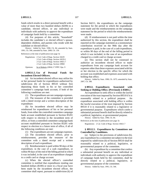funds which results in a direct personal benefit with a value of more than two hundred dollars (\$200) to a candidate, elected officer, or any individual or individuals with authority to approve the expenditure of campaign funds held by a committee.

(4) For purposes of this article, "household" includes the candidate's or elected officer's spouse, dependent children, and parents who reside with the candidate or elected officer.

History: Added by Stats. 1990, Ch. 84; amended by Stats. 1991, Ch. 546; amended by Stats. 2000, Ch. 130.

References at the time of publication (see page 3):

Regulations: 2 Cal. Code of Regs. Section 18229 2 Cal. Code of Regs. Section 18229.1 2 Cal. Code of Regs. Section 18421.7 2 Cal. Code of Regs. Section 18960 Opinions: In re Roberts (2004) 17 FPPC Ops. 9

# **§ 89511.5. Use of Personal Funds for Incumbent Elected Officers.**

(a) An incumbent elected officer may utilize his or her personal funds for expenditures authorized by subdivision (b) of Section 89510 without first depositing those funds in his or her controlled committee's campaign bank account, if both of the following conditions are met:

(1) The expenditures are not campaign expenses.

(2) The treasurer of the committee is provided with a dated receipt and a written description of the expenditure.

(b) An incumbent elected officer may be reimbursed for expenditures of his or her personal funds, from either the controlled committee campaign bank account established pursuant to Section 85201 with respect to election to the incumbent term of office, or from a controlled committee campaign bank account established pursuant to Section 85201 with respect to election to a future term of office, if all of the following conditions are met:

(1) The expenditures are not campaign expenses.

(2) The incumbent elected officer, prior to reimbursement, provides the treasurer of the committee with a dated receipt and a written description of each expenditure.

(3) Reimbursement is paid within 90 days of the expenditure, in the case of a cash expenditure, or within 90 days of the end of the billing period in which it was included, in the case of an expenditure charged to a credit card or charge account.

(c) When the elected officer's controlled committee is notified that expenditures totaling one hundred dollars (\$100) or more in a fiscal year have been made by the incumbent elected officer, the committee shall report, pursuant to subdivision (k) of Section 84211, the expenditures on the campaign statement for the period in which the expenditures were made and the reimbursements on the campaign statement for the period in which the reimbursements were made.

(d) If reimbursement is not paid within the time authorized by this section, the expenditure shall be reported on the campaign statement as a nonmonetary contribution received on the 90th day after the expenditure is paid, in the case of a cash expenditure, or within 90 days of the end of the billing period in which it was included, in the case of an expenditure charged to a credit card or charge account.

(e) This section shall not be construed to authorize an incumbent elected officer to make expenditures from any campaign bank account for expenses other than those expenses associated with his or her election to the specific office for which the account was established and expenses associated with holding that office.

History: Added by Stats. 1990, Ch. 1075; amended by Stats. 2007, Ch. 348.

# **§ 89512. Expenditures Associated with Seeking or Holding Office. [Previously § 85801.]**

An expenditure to seek office is within the lawful execution of the trust imposed by Section 89510 if it is reasonably related to a political purpose. An expenditure associated with holding office is within the lawful execution of the trust imposed by Section 89510 if it is reasonably related to a legislative or governmental purpose. Expenditures which confer a substantial personal benefit shall be directly related to a political, legislative, or governmental purpose.

History: Added by Stats. 1990, Ch. 84.

References at the time of publication (see page 3): Regulations: 2 Cal. Code of Regs. Section 18421.7

# **§ 89512.5. Expenditures by Committees not Controlled by Candidates.**

(a) Subject to the provisions of subdivision (b), any expenditure by a committee not subject to the trust imposed by subdivision (b) of Section 89510 shall be reasonably related to a political, legislative, or governmental purpose of the committee.

(b) Any expenditure by a committee that confers a substantial personal benefit on any individual or individuals with authority to approve the expenditure of campaign funds held by the committee, shall be directly related to a political, legislative, or governmental purpose of the committee.

History: Added by Stats. 1991, Ch. 546.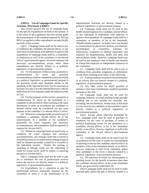## **§ 89513. Use of Campaign Funds for Specific Activities. [Previously § 85802.]**

This section governs the use of campaign funds for the specific expenditures set forth in this section. It is the intent of the Legislature that this section guide the interpretation of the standard imposed by Section 89512 as applied to other expenditures not specifically set forth in this section.

 $(a)(1)$  Campaign funds shall not be used to pay or reimburse the candidate, the elected officer, or any individual or individuals with authority to approve the expenditure of campaign funds held by a committee, or employees or staff of the committee or the elected officer's governmental agency for travel expenses and necessary accommodations except when these expenditures are directly related to a political, legislative, or governmental purpose.

(2) For the purposes of this section, payments or reimbursements for travel and necessary accommodations shall be considered as directly related to a political, legislative, or governmental purpose if the payments would meet standards similar to the standards of the Internal Revenue Service pursuant to Sections 162 and 274 of the Internal Revenue Code for deductions of travel expenses under the federal income tax law.

(3) For the purposes of this section, payments or reimbursement for travel by the household of a candidate or elected officer when traveling to the same destination in order to accompany the candidate or elected officer shall be considered for the same purpose as the candidate's or elected officer's travel.

(4) Whenever campaign funds are used to pay or reimburse a candidate, elected officer, his or her representative, or a member of the candidate's household for travel expenses and necessary accommodations, the expenditure shall be reported as required by Section 84211.

(5) Whenever campaign funds are used to pay or reimburse for travel expenses and necessary accommodations, any mileage credit that is earned or awarded pursuant to an airline bonus mileage program shall be deemed personally earned by or awarded to the individual traveler. Neither the earning or awarding of mileage credit, nor the redeeming of credit for actual travel, shall be subject to reporting pursuant to Section 84211.

(b)(1) Campaign funds shall not be used to pay for or reimburse the cost of professional services unless the services are directly related to a political, legislative, or governmental purpose.

(2) Expenditures by a committee to pay for professional services reasonably required by the committee to assist it in the performance of its administrative functions are directly related to a political, legislative, or governmental purpose.

(3) Campaign funds shall not be used to pay health-related expenses for a candidate, elected officer, or any individual or individuals with authority to approve the expenditure of campaign funds held by a committee, or members of his or her household. "Health-related expenses" includes, but is not limited to, examinations by physicians, dentists, psychiatrists, psychologists, or counselors, expenses for medications, treatments or medical equipment, and expenses for hospitalization, health club dues, and special dietary foods. However, campaign funds may be used to pay employer costs of health care benefits of a bona fide employee or independent contractor of the committee.

(c) Campaign funds shall not be used to pay or reimburse fines, penalties, judgments, or settlements, except those resulting from either of the following:

(1) Parking citations incurred in the performance of an activity that was directly related to a political, legislative, or governmental purpose.

(2) Any other action for which payment of attorney's fees from contributions would be permitted pursuant to this title.

(d) Campaign funds shall not be used for campaign, business, or casual clothing except specialty clothing that is not suitable for everyday use, including, but not limited to, formal wear, if this attire is to be worn by the candidate or elected officer and is directly related to a political, legislative, or governmental purpose.

(e)(1) Except where otherwise prohibited by law, campaign funds may be used to purchase or reimburse for the costs of purchase of tickets to political fundraising events for the attendance of a candidate, elected officer, or his or her immediate family, or an officer, director, employee, or staff of the committee or the elected officer's governmental agency.

(2) Campaign funds shall not be used to pay for or reimburse for the costs of tickets for entertainment or sporting events for the candidate, elected officer, or members of his or her immediate family, or an officer, director, employee, or staff of the committee, unless their attendance at the event is directly related to a political, legislative, or governmental purpose.

(3) The purchase of tickets for entertainment or sporting events for the benefit of persons other than the candidate, elected officer, or his or her immediate family are governed by subdivision (f).

(f)(1) Campaign funds shall not be used to make personal gifts unless the gift is directly related to a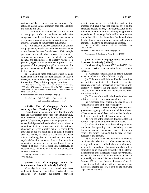political, legislative, or governmental purpose. The refund of a campaign contribution does not constitute the making of a gift.

(2) Nothing in this section shall prohibit the use of campaign funds to reimburse or otherwise compensate a public employee for services rendered to a candidate or committee while on vacation, leave, or otherwise outside of compensated public time.

(3) An election victory celebration or similar campaign event, or gifts with a total cumulative value of less than two hundred fifty dollars (\$250) in a single year made to an individual employee, a committee worker, or an employee of the elected officer's agency, are considered to be directly related to a political, legislative, or governmental purpose. For purposes of this paragraph, a gift to a member of a person's immediate family shall be deemed to be a gift to that person.

(g) Campaign funds shall not be used to make loans other than to organizations pursuant to Section 89515, or, unless otherwise prohibited, to a candidate for elective office, political party, or committee.

History: Added by Stats. 1990, Ch. 84; amended by Stats. 1990, Ch. 1075; amended by Stats. 1991, Ch. 546; amended by Stats. 2006, Ch. 155; amended by Stats. 2006, Ch. 538; amended by Stats. 2007, Ch. 130.

References at the time of publication (see page 3):

Regulations: 2 Cal. Code of Regs. Section 18229.1 2 Cal. Code of Regs. Section 18421.7

## **§ 89514. Use of Campaign Funds for Attorney's Fees. [Previously § 85802.5.]**

Expenditures of campaign funds for attorney's fees and other costs in connection with administrative, civil, or criminal litigation are not directly related to a political, legislative, or governmental purpose except where the litigation is directly related to activities of a committee that are consistent with its primary objectives or arises directly out of a committee's activities or out of a candidate's or elected officer's activities, duties, or status as a candidate or elected officer, including, but not limited to, an action to enjoin defamation, defense of an action to enjoin defamation, defense of an action brought for a violation of state or local campaign, disclosure, or election laws, and an action arising from an election contest or recount.

History: Added by Stats. 1990, Ch. 84; amended by Stats. 1991, Ch. 546.

## **§ 89515. Use of Campaign Funds for Donations and Loans. [Previously § 85803.]**

Campaign funds may be used to make donations or loans to bona fide charitable, educational, civic, religious, or similar tax-exempt, nonprofit organizations, where no substantial part of the proceeds will have a material financial effect on the candidate, elected officer, campaign treasurer, or any individual or individuals with authority to approve the expenditure of campaign funds held by a committee, or member of his or her immediate family, and where the donation or loan bears a reasonable relation to a political, legislative, or governmental purpose.

History: Added by Stats. 1990, Ch. 84; amended by Stats. 1991, Ch. 546.

References at the time of publication (see page 3):

Regulations: 2 Cal. Code of Regs. Section 18229.1

### **§ 89516. Use of Campaign Funds for Vehicle Expenses. [Previously § 85804.]**

Notwithstanding Sections 89512 and 89513, this section governs the use of campaign funds for vehicle expenses.

(a) Campaign funds shall not be used to purchase a vehicle unless both of the following apply:

(1) Title to the vehicle is held by the committee and not the candidate, elected officer, campaign treasurer, or any other individual or individuals with authority to approve the expenditure of campaign funds held by a committee, or a member of his or her immediate family.

(2) The use of the vehicle is directly related to a political, legislative, or governmental purpose.

(b) Campaign funds shall not be used to lease a vehicle unless both of the following apply:

(1) The lessee is the committee, or a state or local government agency and not the candidate, elected officer, or a member of his or her immediate family; or the lessor is a state or local government agency.

(2) The use of the vehicle is directly related to a political, legislative, or governmental purpose.

(c) Campaign funds may be used to pay for or reimburse the operating costs, including, but not limited to, insurance, maintenance, and repairs, for any vehicle for which campaign funds may be spent pursuant to this section.

(d) Campaign funds may be used to reimburse a candidate, elected officer, his or her immediate family, or any individual or individuals with authority to approve the expenditure of campaign funds held by a committee, or an employee or member of the staff of the committee or of the elected officer's governmental agency, for the use of his or her vehicle at the rate approved by the Internal Revenue Service pursuant to Section 162 of the Internal Revenue Code in connection with deductible mileage expenses under the federal income tax law, if both of the following requirements are met: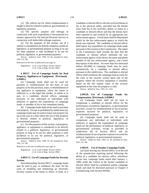(1) The vehicle use for which reimbursement is sought is directly related to political, governmental, or legislative purposes.

(2) The specific purpose and mileage in connection with each expenditure is documented in a manner approved by the Internal Revenue Service in connection with deductible mileage expenses.

(e) For the purposes of this section, use of a vehicle is considered to be directly related to a political, legislative, or governmental purpose as long as its use for other purposes is only incidental to its use for political, legislative, or governmental purposes.

History: Added by Stats. 1990, Ch. 84; amended by Stats. 1991, Ch. 546.

References at the time of publication (see page 3):

Regulations: 2 Cal. Code of Regs. Section 18229.1 2 Cal. Code of Regs. Section 18961

## **§ 89517. Use of Campaign Funds for Real Property, Appliances or Equipment. [Previously § 85805.]**

(a) Campaign funds shall not be used for payment or reimbursement for the lease of real property or for the purchase, lease, or refurbishment of any appliance or equipment, where the lessee or sublessor is, or the legal title resides, in whole or in part, in a candidate, elected officer, campaign treasurer, or any individual or individuals with authority to approve the expenditure of campaign funds, or member of his or her immediate family.

(b) Campaign funds shall not be used to purchase real property. Except as prohibited by subdivision (a), campaign funds may be used to lease real property for up to one year at a time where the use of that property is directly related to political, legislative, or governmental purposes.

(c) For the purposes of this section, real property, appliance, or equipment is considered to be directly related to a political, legislative, or governmental purpose as long as its use for other purposes is only incidental to its use for political, legislative, or governmental purposes.

History: Added by Stats. 1990, Ch. 84; amended by Stats. 1991, Ch. 546.

References at the time of publication (see page 3):

Regulations: 2 Cal. Code of Regs. Section 18229.1 2 Cal. Code of Regs. Section 18961

### **§ 89517.5. Use of Campaign Funds for Security System.**

Notwithstanding Section 89517, campaign funds may be used to pay, or reimburse the state, for the costs of installing and monitoring an electronic security system in the home or office, or both, of a candidate or elected officer who has received threats to his or her physical safety, provided that the threats arise from his or her activities, duties, or status as a candidate or elected officer and that the threats have been reported to and verified by an appropriate law enforcement agency. Verification shall be determined solely by the law enforcement agency to which the threat was reported. The candidate or elected officer shall report any expenditure of campaign funds made pursuant to this section to the Commission. The report to the Commission shall include the date that the candidate or elected officer informed the law enforcement agency of the threat, the name and phone number of the law enforcement agency, and a brief description of the threat. No more than five thousand dollars (\$5,000) in campaign funds may be used, cumulatively, by a candidate or elected officer pursuant to this subdivision. The candidate or elected officer shall reimburse the campaign fund account for the costs of the security system upon sale of the property where the security equipment is installed, based on the fair market value of the security equipment at the time the property is sold.

History: Added by Stats. 1993, Ch. 1143.

## **§ 89518. Use of Campaign Funds for Compensation. [Previously § 85806.]**

(a) Campaign funds shall not be used to compensate a candidate or elected officer for the performance of political, legislative, or governmental activities, except for reimbursement of out-of-pocket expenses incurred for political, legislative, or governmental purposes.

(b) Campaign funds shall not be used to compensate any individual or individuals with authority to approve the expenditure of campaign funds for the performance of political, legislative, or governmental activities, except as provided in subdivision (b) of Section 89513 and for reimbursement of out-of-pocket expenses incurred for political, legislative, or governmental purposes.

History: Added by Stats. 1990, Ch. 84; amended by Stats. 1991, Ch. 546.

#### **§ 89519. Use of Surplus Campaign Funds.**

(a) Upon leaving any elected office, or at the end of the postelection reporting period following the defeat of a candidate for elective office, whichever occurs last, campaign funds raised after January 1, 1989, under the control of the former candidate or elected officer shall be considered surplus campaign funds and shall be disclosed pursuant to Chapter 4 (commencing with Section 84100).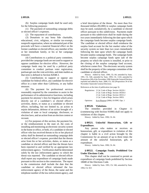(b) Surplus campaign funds shall be used only for the following purposes:

(1) The payment of outstanding campaign debts or elected officer's expenses.

(2) The repayment of contributions.

(3) Donations to any bona fide charitable, educational, civic, religious, or similar tax-exempt, nonprofit organization, where no substantial part of the proceeds will have a material financial effect on the former candidate or elected officer, any member of his or her immediate family, or his or her campaign treasurer.

(4) Contributions to a political party committee, provided the campaign funds are not used to support or oppose candidates for elective office. However, the campaign funds may be used by a political party committee to conduct partisan voter registration, partisan get-out-the-vote activities, and slate mailers as that term is defined in Section 82048.3.

(5) Contributions to support or oppose any candidate for federal office, any candidate for elective office in a state other than California, or any ballot measure.

(6) The payment for professional services reasonably required by the committee to assist in the performance of its administrative functions, including payment for attorney's fees for litigation which arises directly out of a candidate's or elected officer's activities, duties, or status as a candidate or elected officer, including, but not limited to, an action to enjoin defamation, defense of an action brought of a violation of state or local campaign, disclosure, or election laws, and an action from an election contest or recount.

(c) For purposes of this section, the payment for, or the reimbursement to the state of, the costs of installing and monitoring an electronic security system in the home or office, or both, of a candidate or elected officer who has received threats to his or her physical safety shall be deemed an outstanding campaign debt or elected officer's expense, provided that the threats arise from his or her activities, duties, or status as a candidate or elected officer and that the threats have been reported to and verified by an appropriate law enforcement agency. Verification shall be determined solely by the law enforcement agency to which the threat was reported. The candidate or elected officer shall report any expenditure of campaign funds made pursuant to this section to the commission. The report to the commission shall include the date that the candidate or elected officer informed the law enforcement agency of the threat, the name and the telephone number of the law enforcement agency, and a brief description of the threat. No more than five thousand dollars (\$5,000) in surplus campaign funds may be used, cumulatively, by a candidate or elected officer pursuant to this subdivision. Payments made pursuant to this subdivision shall be made during the two years immediately following the date upon which the campaign funds become surplus campaign funds. The candidate or elected officer shall reimburse the surplus fund account for the fair market value of the security system no later than two years immediately following the date upon which the campaign funds became surplus campaign funds. The campaign funds become surplus campaign funds upon sale of the property on which the system is installed, or prior to the closing of the surplus campaign fund account, whichever comes first. The electronic security system shall be the property of the campaign committee of the candidate or elected officer.

History: Added by Stats. 1990, Ch. 84; amended by Stats. 1991, Ch. 546; amended by Stats. 1993, Ch. 1143; amended by Proposition 208 of the November 1996 Statewide General Election; repealed and added by Stats. 2000, Ch. 102 [Proposition 34 of the November Statewide General Election].

References at the time of publication (see page 3):

|           | Regulations: 2 Cal. Code of Regs. Section 18229.1 |
|-----------|---------------------------------------------------|
|           | 2 Cal. Code of Regs. Section 18530.4              |
|           | 2 Cal. Code of Regs. Section 18531.2              |
|           | 2 Cal. Code of Regs. Section 18951                |
| Opinions: | In re Pirayou $(2006)$ 19 FPPC Ops. 1             |

#### **§ 89520. Violations.**

The remedies provided in Chapter 11 (commencing with Section 91000) shall not apply to violations of this chapter.

History: Added by Stats. 1990, Ch. 84.

**§ 89521. Unlawful Honorarium, Gift or Expenditure.**

Any person who makes or receives an honorarium, gift, or expenditure in violation of this chapter is liable in a civil action brought by the Commission for an amount of up to three times the amount of the unlawful honorarium, gift, or expenditure.

History: Added by Stats. 1990, Ch. 84.

## **§ 89522. Campaign Funds; Prohibited Use Under Elections Code.**

This chapter shall not be construed to permit an expenditure of campaign funds prohibited by Section 18680 of the Elections Code.

History: Added by Stats. 1991, Ch. 546; amended by Stats. 1994, Ch. 923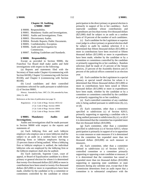### **Chapter 10. Auditing. § 90000 - 90007**

- § 90000. Responsibility.
- § 90001. Mandatory Audits and Investigations.
- § 90002. Audits and Investigations; Time.
- § 90003. Discretionary Audits.
- § 90004. Periodic Reports; Public Documents.
- § 90005. Confidentiality; Exception.
- § 90006. Audit and Investigation by Commission.
- § 90007. Auditing Guidelines and Standards.

### **§ 90000. Responsibility.**

Except as provided in Section 90006, the Franchise Tax Board shall make audits and field investigations with respect to the following:

(a) Reports and statements filed with the Secretary of State under Chapter 4 (commencing with Section 84100), Chapter 5 (commencing with Section 85100), and Chapter 6 (commencing with Section 86100).

(b) Local candidates and their controlled committees selected for audit pursuant to subdivision (i) of Section 90001.

History: Amended by Stats. 1987, Ch. 230; amended by Stats. 2004, Ch. 483.

References at the time of publication (see page 3):

Regulations: 2 Cal. Code of Regs. Section 18531.62 2 Cal. Code of Regs. Section 18993 2 Cal. Code of Regs. Section 18994 2 Cal. Code of Regs. Section 18995

### **§ 90001. Mandatory Audits and Investigations.**

Audits and investigations shall be made pursuant to Section 90000 with respect to the reports and statements of:

(a) Each lobbying firm and each lobbyist employer who employs one or more lobbyists shall be subject to an audit on a random basis with these lobbying firms or lobbyist employers having a 25-percent chance of being audited. When a lobbying firm or lobbyist employer is audited, the individual lobbyists who are employed by the lobbying firm or the lobbyist employer shall also be audited.

(b) Each statewide, Supreme Court, court of appeal, or Board of Equalization candidate in a direct primary or general election for whom it is determined that twenty-five thousand dollars (\$25,000) or more in contributions have been raised or twenty-five thousand dollars (\$25,000) or more in expenditures have been made, whether by the candidate or by a committee or committees controlled by the candidate or whose participation in the direct primary or general election is primarily in support of his or her candidacy. Each statewide candidate whose contributions and expenditures are less than twenty-five thousand dollars (\$25,000) shall be subject to an audit on a random basis of 10 percent of the number of such candidates.

(c) Each candidate for the Legislature or superior court judge in a direct primary or general election shall be subject to audit by random selection if it is determined that fifteen thousand dollars (\$15,000) or more in contributions have been received or fifteen thousand dollars (\$15,000) or more in expenditures have been made, whether by the candidate or by a committee or committees controlled by the candidate or primarily supporting his or her candidacy. Random selection shall be made of 25 percent of the Senate districts, 25 percent of the Assembly districts and 25 percent of the judicial offices contested in an election year.

(d) Each candidate for the Legislature in a special primary or special runoff election for whom it is determined that fifteen thousand dollars (\$15,000) or more in contributions have been raised or fifteen thousand dollars (\$15,000) or more in expenditures have been made, whether by the candidate or by a committee or committees controlled by the candidate or primarily supporting his or her candidacy.

(e) Each controlled committee of any candidate who is being audited pursuant to subdivision (b), (c), or (d).

(f) Each committee, other than a committee specified in subdivision (c) of Section 82013, primarily supporting or opposing a candidate who is being audited pursuant to subdivision (b), (c), or (d) if it is determined that the committee has expended more than ten thousand dollars (\$10,000).

(g) Each committee, other than a committee specified in subdivision (c) of Section 82013, whose participation is primarily in support of or in opposition to a state measure or state measures if it is determined that the committee has expended more than ten thousand dollars (\$10,000) on such measure or measures.

(h) Each committee, other than a committee defined in subdivision (c) of Section 82013, a controlled committee or a committee primarily supporting or opposing a state candidate or measure, if it is determined that the committee has raised or expended more than ten thousand dollars (\$10,000) supporting or opposing state candidates or state measures during any calendar year, except that if the Commission determines from an audit report that a committee is in substantial compliance with the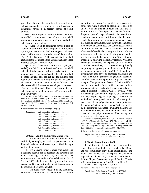provisions of the act, the committee thereafter shall be subject to an audit on a random basis with each such committee having a 25-percent chance of being audited.

(i) (1) With respect to local candidates and their controlled committees, the Commission shall promulgate regulations which provide a method of selection for these audits.

(2) With respect to candidates for the Board of Administration of the Public Employees' Retirement System, the Commission shall promulgate regulations that provide a method for selection of these audits. The Public Employees' Retirement System shall reimburse the Commission for all reasonable expenses incurred pursuant to this section.

(i) In accordance with subdivisions  $(a)$ ,  $(b)$ ,  $(c)$ , and (h), the Fair Political Practices Commission shall select by lot the persons or districts to be audited on a random basis. For campaign audits the selection shall be made in public after the last date for filing the first report or statement following the general or special election for which the candidate ran, or following the election at which the measure was adopted or defeated. For lobbying firm and lobbyist employer audits, the selection shall be made in public in February of oddnumbered years.

History: Amended by Stats. 1978, Ch. 1411; amended by Stats. 1979, Ch. 551; amended by Stats. 1984, Ch. 1368; amended by Stats. 1985, Ch. 1183, effective September 29, 1985; amended by Stats. 1986, Ch. 835; amended by Stats. 1994, Ch. 1139; amended by Stats. 1998, Ch. 923.

References at the time of publication (see page 3):

Regulations: 2 Cal. Code of Regs. Section 18453 2 Cal. Code of Regs. Section 18531.62 2 Cal. Code of Regs. Section 18601 2 Cal. Code of Regs. Section 18991 2 Cal. Code of Regs. Section 18992 2 Cal. Code of Regs. Section 18993 2 Cal. Code of Regs. Section 18994 2 Cal. Code of Regs. Section 18995 2 Cal. Code of Regs. Section 18997

### **§ 90002. Audits and Investigations; Time.**

(a) Audits and investigations of lobbying firms and lobbyist employers shall be performed on a biennial basis and shall cover reports filed during a period of two years.

(b) If a lobbying firm or lobbyist employer keeps a separate account for all receipts and payments for which reporting is required by this chapter, the requirement of an audit under subdivision (a) of Section 90001 shall be satisfied by an audit of that account and the supporting documentation required to be maintained by Section 86110.

(c) No audit or investigation of any candidate, controlled committee, or committee primarily supporting or opposing a candidate or a measure in connection with a report or statement required by Chapter 4 of this title, shall begin until after the last date for filing the first report or statement following the general, runoff or special election for the office for which the candidate ran, or following the election at which the measure was adopted or defeated, except that audits and investigations of statewide candidates, their controlled committees, and committees primarily supporting or opposing those statewide candidates who were defeated in the primary election and who are not required to file statements for the general election may begin after the last date for filing the first report or statement following the primary election. When the campaign statements or reports of a candidate, controlled committee, or a committee primarily supporting or opposing a candidate are audited and investigated pursuant to Section 90001, the audit and investigation shall cover all campaign statements and reports filed for the primary and general or special or runoff elections and any previous campaign statement or report filed pursuant to Section 84200 or 84200.5 since the last election for that office, but shall exclude any statements or reports which have previously been audited pursuant to Section 90001 or 90003. When the campaign statements or reports of a committee primarily supporting or opposing a measure are audited and investigated, the audit and investigation shall cover all campaign statements and reports from the beginning date of the first campaign statement filed by the committee in connection with the measure. For all other committees, the audit and investigation shall cover all campaign statements filed during the previous two calendar years.

History: Amended by Stats. 1976, Ch. 564; amended by Stats. 1977, Ch. 492; amended by Stats. 1978, Ch. 1411; amended by Stats. 1980, Ch. 289; operative January 1, 1982; amended by Stats. 1985, Ch. 1456; amended by Stats. 1986, Ch. 905; amended by Stats. 1988, Ch. 442; amended by Stats. 1994, Ch. 1139.

References at the time of publication (see page 3):

Regulations: 2 Cal. Code of Regs. Section 18531.62 2 Cal. Code of Regs. Section 18996

#### **§ 90003. Discretionary Audits.**

In addition to the audits and investigations required by Section 90001, the Franchise Tax Board and the commission may make investigations and audits with respect to any reports or statements required by Chapter 4 (commencing with Section 84100), Chapter 5 (commencing with Section 85100), or Chapter 6 (commencing with Section 86100).

History: Amended by Stats. 2004, Ch. 483.

References at the time of publication (see page 3):

Regulations: 2 Cal. Code of Regs. Section 18531.62 2 Cal. Code of Regs. Section 18996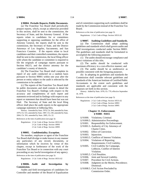(a) The Franchise Tax Board shall periodically prepare reports, which, except as otherwise provided in this section, shall be sent to the commission, the Secretary of State, and the Attorney General. If the reports relate to candidates for or committees supporting or opposing candidates for the office of Attorney General, the reports shall be sent to the commission, the Secretary of State, and the District Attorneys of Los Angeles, Sacramento, and San Francisco Counties. If the reports relate to local candidates and their controlled committees, the reports shall be sent to the commission, the local filing officer with whom the candidate or committee is required to file the originals of campaign reports pursuant to Section 84215, and the district attorney for the candidate's county of domicile.

(b) The Franchise Tax Board shall complete its report of any audit conducted on a random basis pursuant to Section 90001 within one year after the person or entity subject to the audit is selected by the commission to be audited.

(c) The reports of the Franchise Tax Board shall be public documents and shall contain in detail the Franchise Tax Board's findings with respect to the accuracy and completeness of each report and statement reviewed and its findings with respect to any report or statement that should have been but was not filed. The Secretary of State and the local filing officer shall place the audit reports in the appropriate campaign statement or lobbying files.

History: Amended by Stats. 1976, Ch. 564; amended by Stats. 1979, Ch. 531; amended by Stats. 1987, Ch. 230; amended by Stats. 2004, Ch. 591; amended by Stats. 2005, Ch. 22.

References at the time of publication (see page 3):

Regulations: 2 Cal. Code of Regs. Section 18531.62 2 Cal. Code of Regs. Section 18993 2 Cal. Code of Regs. Section 18995

## **§ 90005. Confidentiality; Exception.**

No member, employee or agent of the Franchise Tax Board shall divulge or make known in any manner any particulars of any record, documents, or information which he receives by virtue of this chapter, except in furtherance of the work of the Franchise Tax Board or in connection with any court proceeding or any lawful investigation of any agency. References at the time of publication (see page 3):

Regulations: 2 Cal. Code of Regs. Section 18531.62

### **§ 90006. Audit and Investigation by Commission.**

Audits and field investigations of candidates for Controller and member of the Board of Equalization and of committees supporting such candidates shall be made by the Commission instead of the Franchise Tax Board.

References at the time of publication (see page 3):

Regulations: 2 Cal. Code of Regs. Section 18531.62

**§ 90007. Auditing Guidelines and Standards.**

(a) The Commission shall adopt auditing guidelines and standards which shall govern audits and field investigations conducted under Section 90001. The guidelines and standards shall be formulated to accomplish the following purposes:

(1) The audits should encourage compliance and detect violations of this title;

(2) The audits should be conducted with maximum efficiency in a cost-effective manner; and

(3) The audits should be as unobtrusive as possible consistent with the foregoing purposes.

(b) In adopting its guidelines and standards the Commission shall consider relevant guidelines and standards of the American Institute of Certified Public Accountants to the extent such guidelines and standards are applicable and consistent with the purposes set forth in this section.

History: Added by Stats. 1978, Ch. 779, effective September 18, 1978.

References at the time of publication (see page 3):

Regulations: 2 Cal. Code of Regs. Section 18531.62 2 Cal. Code of Regs. Section 18993 2 Cal. Code of Regs. Section 18995

## **Chapter 11. Enforcement. § 91000 - 91015**

- § 91000. Violations; Criminal.
- § 91000.5. Administrative Proceedings.
- § 91001. Responsibility for Enforcement.
- § 91001.5. Authority of City Attorneys of Charter Cities.
- § 91002. Effect of Conviction.
- § 91003. Injunction.
- § 91003.5. Conflicts of Interest Violation.
- § 91004. Violations of Reporting Requirements; Civil Liability.
- § 91005. Civil Liability for Campaign, Lobbyist, Conflict of Interest Violation.
- § 91005.5. Civil Penalties.
- § 91006. Joint and Several Liability.
- § 91007. Procedure for Civil Actions.
- § 91008. Judgment on the Merits; Precedence; Dismissal.
- § 91008.5. Civil Action Precluded by Commission Order.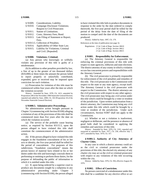- § 91009. Considerations; Liability.
- § 91010. Campaign Disclosure Violations; Request to Civil Prosecutor.
- § 91011. Statute of Limitations.
- § 91012. Costs; Attorney Fees; Bond.
- § 91013. Late Filing of Statement or Report; Fees.
- § 91013.5. Collection of Penalties.
- § 91014. Applicability of Other State Law.
- § 91015. Liability for Violations; Criminal and Civil. [Repealed]

#### **§ 91000. Violations; Criminal.**

(a) Any person who knowingly or willfully violates any provision of this title is guilty of a misdemeanor.

(b) In addition to other penalties provided by law, a fine of up to the greater of ten thousand dollars (\$10,000) or three times the amount the person failed to report properly or unlawfully contributed, expended, gave or received may be imposed upon conviction for each violation.

(c) Prosecution for violation of this title must be commenced within four years after the date on which the violation occurred.

History: Amended by Stats. 1978, Ch. 1411; amended by Proposition 208 of the November 1996 Statewide General Election; repealed and added by Stats. 2000, Ch. 102 [Proposition 34 of the November Statewide General Election].

### **§ 91000.5. Administrative Proceedings.**

No administrative action brought pursuant to Chapter 3 (commencing with Section 83100) alleging a violation of any of the provisions of this title shall be commenced more than five years after the date on which the violation occurred.

(a) The service of the probable cause hearing notice, as required by Section 83115.5, upon the person alleged to have violated this title shall constitute the commencement of the administrative action.

(b) If the person alleged to have violated this title engages in the fraudulent concealment of his or her acts or identity, the five-year period shall be tolled for the period of concealment. For purposes of this subdivision, "fraudulent concealment" means the person knows of material facts related to his or her duties under this title and knowingly conceals them in performing or omitting to perform those duties, for the purpose of defrauding the public of information to which it is entitled under this title.

(c) If, upon being ordered by a superior court to produce any documents sought by a subpoena in any administrative proceeding under Chapter 3 (commencing with Section 83100), the person alleged to have violated this title fails to produce documents in response to the order by the date ordered to comply therewith, the five-year period shall be tolled for the period of the delay from the date of filing of the motion to compel until the date of the documents are produced.

History: Added by Stats. 1997, Ch. 179.

References at the time of publication (see page 3):

Regulations: 2 Cal. Code of Regs. Section 18610 2 Cal. Code of Regs. Section 18612 2 Cal. Code of Regs. Section 18615

#### **§ 91001. Responsibility for Enforcement.**

(a) The Attorney General is responsible for enforcing the criminal provisions of this title with respect to state agencies, lobbyists and state elections. The district attorney of any county in which a violation occurs has concurrent powers and responsibilities with the Attorney General.

(b) The civil prosecutor is primarily responsible for enforcement of the civil penalties and remedies of this title. The civil prosecutor is the Commission with respect to the state or any state agency, except itself. The Attorney General is the civil prosecutor with respect to the Commission. The district attorneys are the civil prosecutors with respect to any other agency. The civil prosecutor may bring any civil action under this title which could be brought by a voter or resident of the jurisdiction. Upon written authorization from a district attorney, the Commission may bring any civil action under this title which could be brought by a voter or resident of the jurisdiction. Under such circumstances, Section 91007 shall not apply to the Commission.

(c) Whether or not a violation is inadvertent, negligent or deliberate, and the presence or absence of good faith shall be considered in applying the remedies and sanctions of this title.

History: Amended by Stats. 1976, Ch. 1161; repealed and reenacted as amended by Stats. 1977, Ch. 230, effective July 7, 1977; amended by Stats. 1979, Ch. 357.

### **§ 91001.5. Authority of City Attorneys of Charter Cities.**

In any case in which a district attorney could act as the civil or criminal prosecutor under the provisions of this title, the elected city attorney of any charter city may act as the civil or criminal prosecutor with respect to any violations of this title occurring within the city.

History: Added by Stats. 1976, Ch. 594, effective August 26, 1976.

#### **§ 91002. Effect of Conviction.**

No person convicted of a misdemeanor under this title shall be a candidate for any elective office or act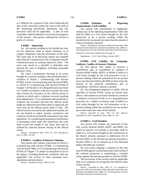as a lobbyist for a period of four years following the date of the conviction unless the court at the time of the sentencing specifically determines that this provision shall not be applicable. A plea of nolo contendere shall be deemed a conviction for purposes of this section. Any person violating this section is guilty of a felony.

### **§ 91003. Injunction.**

(a) Any person residing in the jurisdiction may sue for injunctive relief to enjoin violations or to compel compliance with the provisions of this title. The court may in its discretion require any plaintiff other than the Commission to file a complaint with the Commission prior to seeking injunctive relief. The court may award to a plaintiff or defendant who prevails his costs of litigation, including reasonable attorney's fees.

(b) Upon a preliminary showing in an action brought by a person residing in the jurisdiction that a violation of Article 1 (commencing with Section 87100), Article 4 (commencing with Section 87400), or Article 4.5 (commencing with Section 87450) of Chapter 7 of this title or of a disqualification provision of a Conflict of Interest Code has occurred, the court may restrain the execution of any official action in relation to which such a violation occurred, pending final adjudication. If it is ultimately determined that a violation has occurred and that the official action might not otherwise have been taken or approved, the court may set the official action aside as void. The official actions covered by this subsection include, but are not limited to orders, permits, resolutions and contracts, but do not include the enactment of any state legislation. In considering the granting of preliminary or permanent relief under this subsection, the court shall accord due weight to any injury that may be suffered by innocent persons relying on the official action.

History: Amended by Stats. 1976, Ch. 1161; amended by Stats. of 1987, Ch. 628.

#### **§ 91003.5. Conflicts of Interest Violation.**

Any person who violates a provision of Article 2 (commencing with Section 87200), 3 (commencing with Section 87300), or 4.5 (commencing with Section 87450) of Chapter 7 is subject to discipline by his or her agency, including dismissal, consistent with any applicable civil service or other personnel laws, regulations and procedures.

History: Amended by Stats. 1986, Ch. 653.

## **§ 91004. Violations of Reporting Requirements; Civil Liability.**

Any person who intentionally or negligently violates any of the reporting requirements of this title shall be liable in a civil action brought by the civil prosecutor or by a person residing within the jurisdiction for an amount not more than the amount or value not properly reported.

History: Amended by Proposition 208 of the November 1996 Statewide General Election; repealed and added by Stats. 2000, Ch. 102 [Proposition 34 of the November Statewide General Election]. References at the time of publication (see page 3):

Regulations: 2 Cal. Code of Regs. Section 18427

### **§ 91005. Civil Liability for Campaign, Lobbyist, Conflict of Interest Violation.**

(a) Any person who makes or receives a contribution, gift, or expenditure in violation of Section 84300, 84304, 86203, or 86204 is liable in a civil action brought by the civil prosecutor or by a person residing within the jurisdiction for an amount up to one thousand dollars (\$1,000) or three times the amount of the unlawful contribution, gift, or expenditure, whichever amount is greater.

(b) Any designated employee or public official specified in Section 87200, except an elected state officer, who realizes an economic benefit as a result of a violation of Section 87100 or of a disqualification provision of a conflict of interest code is liable in a civil action brought by the civil prosecutor or by a person residing within the jurisdiction for an amount up to three times the value of the benefit.

History: Amended by Stats. 1997, Ch. 455, effective September 24, 1997; amended by Stats. 2000, Ch. 130.

#### **§ 91005.5. Civil Penalties.**

Any person who violates any provision of this title, except Sections 84305, 84307, and 89001, for which no specific civil penalty is provided, shall be liable in a civil action brought by the commission or the district attorney pursuant to subdivision (b) of Section 91001, or the elected city attorney pursuant to Section 91001.5, for an amount up to five thousand dollars (\$5,000) per violation.

No civil action alleging a violation of this title may be filed against a person pursuant to this section if the criminal prosecutor is maintaining a criminal action against that person pursuant to Section 91000.

The provisions of this section shall be applicable only as to violations occurring after the effective date of this section.

History: Amended by Stats. 1982, Ch. 727; amended by Proposition 208 of the November 1996 Statewide General Election; Repealed and added by Stats. 2000, Ch. 102 [Proposition 34 of the November Statewide General Election].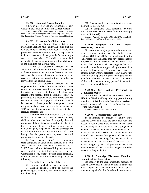If two or more persons are responsible for any violation, they shall be jointly and severally liable.

History: Amended by Proposition 208 of the November 1996 Statewide General Election; repealed and added by Stats. 2000, Ch. 102 [Proposition 34 of the November Statewide General Election].

#### **§ 91007. Procedure for Civil Actions.**

(a) Any person, before filing a civil action pursuant to Sections 91004 and 91005, must first file with the civil prosecutor a written request for the civil prosecutor to commence the action. The request shall include a statement of the grounds for believing a cause of action exists. The civil prosecutor shall respond to the person in writing, indicating whether he or she intends to file a civil action.

(1) If the civil prosecutor responds in the affirmative and files suit within 120 days from receipt of the written request to commence the action, no other action may be brought unless the action brought by the civil prosecutor is dismissed without prejudice as provided for in Section 91008.

(2) If the civil prosecutor responds in the negative within 120 days from receipt of the written request to commence the action, the person requesting the action may proceed to file a civil action upon receipt of the response from the civil prosecutor. If, pursuant to this subdivision, the civil prosecutor does not respond within 120 days, the civil prosecutor shall be deemed to have provided a negative written response to the person requesting the action on the  $120<sup>th</sup>$  day and the person shall be deemed to have received that response.

(3) The time period within which a civil action shall be commenced, as set forth in Section 91011, shall be tolled from the date of receipt by the civil prosecutor of the written request to either the date that the civil action is dismissed without prejudice, or the date of receipt by the person of the negative response from the civil prosecutor, but only for a civil action brought by the person who requested the civil prosecutor to commence the action.

(b) Any person filing a complaint, cross-complaint or other initial pleading in a civil action pursuant to Sections 91003, 91004, 91005, or 91005.5 shall, within 10 days of filing the complaint, cross-complaint, or initial pleading, serve on the Commission a copy of the complaint, cross-complaint, or initial pleading or a notice containing all of the following:

(1) The full title and number of the case.

(2) The court in which the case is pending.

(3) The name and address of the attorney for the person filing the complaint, cross-complaint, or other initial pleading.

(4) A statement that the case raises issues under the Political Reform Act.

(c) No complaint, cross-complaint, or other initial pleading shall be dismissed for failure to comply with subdivision (b).

History: Amended by Stats. 1985, Ch. 1200; amended by Stats. 1999, Ch. 577, effective September 29, 1999.

### **§ 91008. Judgment on the Merits; Precedence; Dismissal.**

Not more than one judgment on the merits with respect to any violation may be obtained under Sections 91004 and 91005. Actions brought for the same violation or violations shall have precedence for purposes of trial in order of the time filed. Such actions shall be dismissed once judgment has been entered or a settlement approved by the court in a previously filed action. The court may dismiss a pending action without prejudice to any other action for failure of the plaintiff to proceed diligently and in good faith. The action may be so dismissed on motion of the civil prosecutor or any plaintiff in an action based on the same violation.

## **§ 91008.5. Civil Action Precluded by Commission Order.**

No civil action may be filed under Section 91004, 91005, or 91005.5 with regard to any person for any violations of this title after the Commission has issued an order pursuant to Section 83116 against that person for the same violation.

History: Added by Stats. 1984, Ch. 670.

### **§ 91009. Considerations; Liability.**

In determining the amount of liability under Sections 91004 or 91005, the court may take into account the seriousness of the violation and the degree of culpability of the defendant. If a judgment is entered against the defendant or defendants in an action brought under Section 91004 or 91005, the plaintiff shall receive fifty percent of the amount recovered. The remaining fifty percent shall be deposited in the General Fund of the state. In an action brought by the civil prosecutor, the entire amount recovered shall be paid to the general fund or treasury of the jurisdiction.

## **§ 91010. Campaign Disclosure Violations; Request to Civil Prosecutor.**

No request to the civil prosecutor pursuant to Section 91007 shall be made or filed in connection with a report or statement required by Chapter 4 (commencing with Section 84100) until the time when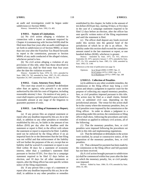an audit and investigation could be begun under subdivision (c) Section 90002.

History: Amended by Stats. 1992, Ch. 405.

#### **§ 91011. Statute of Limitations.**

(a) No civil action alleging a violation in connection with a report or statement required by Chapter 4 (commencing with Section 84100) shall be filed more than four years after an audit could begin as set forth in subdivision (c) of Section 90002, or more than one year after the Franchise Tax Board forwards its report to the commission, pursuant to Section 90004, of any audit conducted of the alleged violator, whichever period is less.

(b) No civil action alleging a violation of any provisions of this title, other than those described in subdivision (a), shall be filed more than four years after the date the violation occurred.

History: Amended by Stats. 1978, Ch. 1411; amended by Stats. 1980, Ch. 742; amended by Stats. 1997, Ch. 455, effective September 24, 1997; amended by Stats. 2004, Ch. 591.

#### **§ 91012. Costs; Attorney Fees; Bond.**

The court may award to a plaintiff or defendant other than an agency, who prevails in any action authorized by this title his costs of litigation, including reasonable attorney's fees. On motion of any party, a court shall require a private plaintiff to post a bond in a reasonable amount at any stage of the litigation to guarantee payment of costs.

### **§ 91013. Late Filing of Statement or Report; Fees.**

(a) If any person files an original statement or report after any deadline imposed by this act, he or she shall, in addition to any other penalties or remedies established by this act, be liable in the amount of ten dollars (\$10) per day after the deadline until the statement or report is filed, to the officer with whom the statement or report is required to be filed. Liability need not be enforced by the filing officer if on an impartial basis he or she determines that the late filing was not willful and that enforcement of the liability will not further the purposes of the act, except that no liability shall be waived if a statement or report is not filed within 30 days for a statement of economic interest, other than a candidate's statement filed pursuant to Section 87201, five days for a campaign statement required to be filed 12 days before an election, and 10 days for all other statements or reports, after the filing officer has sent specific written notice of the filing requirement.

(b) If any person files a copy of a statement or report after any deadline imposed by this act, he or she shall, in addition to any other penalties or remedies established by this chapter, be liable in the amount of ten dollars (\$10) per day, starting 10 days, or five days in the case of a campaign statement required to be filed 12 days before an election, after the officer has sent specific written notice of the filing requirement and until the statement is filed.

(c) The officer shall deposit any funds received under this section into the general fund of the jurisdiction of which he or she is an officer. No liability under this section shall exceed the cumulative amount stated in the late statement or report, or one hundred dollars (\$100), whichever is greater.

History: Amended by Stats. 1975, Ch. 915, effective September 20, 1975, operative January 7, 1975; amended by Stats. 1977, Ch. 555; amended by Stats. 1985, Ch. 1200; amended by Stats. 1993, Ch. 1140.

References at the time of publication (see page 3):

| Opinions: | In re Wood (2000) 13 FPPC Ops. 21        |
|-----------|------------------------------------------|
|           | In re Layton (1975) 1 FPPC Ops. 113      |
|           | In re Rundstrom $(1975)$ 1 FPPC Ops. 188 |

#### **§ 91013.5. Collection of Penalties**.

(a) In addition to any other available remedies, the commission or the filing officer may bring a civil action and obtain a judgment in superior court for the purpose of collecting any unpaid monetary penalties, fees, or civil penalties imposed pursuant to this title. The action may be filed as a small claims, limited civil, or unlimited civil case, depending on the jurisdictional amount. The venue for this action shall be in the county where the monetary penalties, fees, or civil penalties were imposed by the commission or the filing officer. In order to obtain a judgment in a proceeding under this section, the commission or filing officer shall show, following the procedures and rules of evidence as applied in ordinary civil actions, all of the following:

(1) That the monetary penalties, fees, or civil penalties were imposed following the procedures set forth in this title and implementing regulations.

(2) That the defendant or defendants in the action were notified, by actual or constructive notice, of the imposition of the monetary penalties, fees, or civil penalties.

(3) That a demand for payment has been made by the commission or the filing officer and full payment has not been received.

(b) A civil action brought pursuant to subdivision (a) shall be commenced within four years after the date on which the monetary penalty, fee, or civil penalty was imposed.

History: Added by Stats. 1984, Ch. 670; amended by Stats. 2004, Ch. 483.